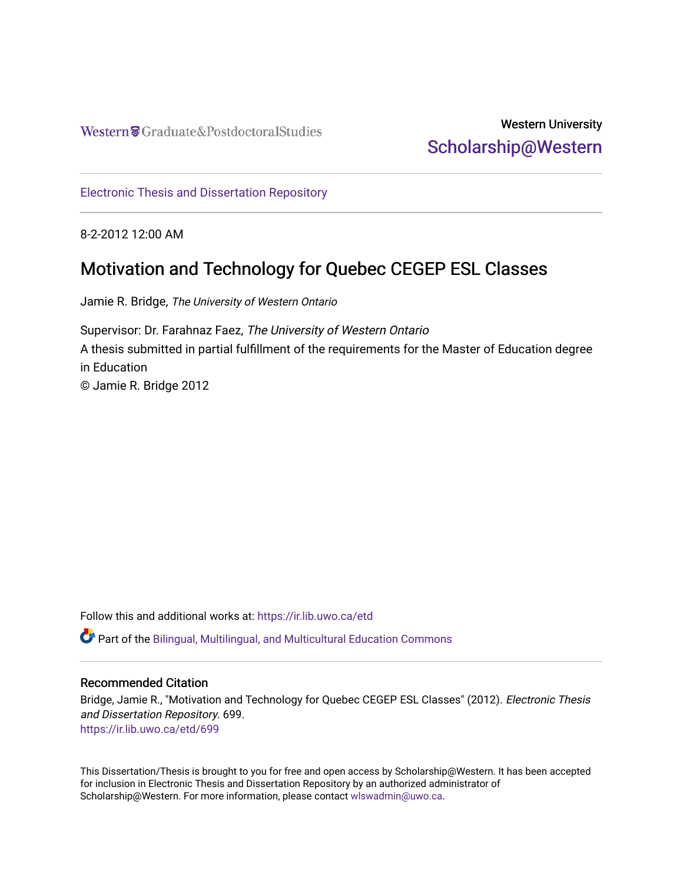Western Craduate&PostdoctoralStudies

# Western University [Scholarship@Western](https://ir.lib.uwo.ca/)

[Electronic Thesis and Dissertation Repository](https://ir.lib.uwo.ca/etd)

8-2-2012 12:00 AM

# Motivation and Technology for Quebec CEGEP ESL Classes

Jamie R. Bridge, The University of Western Ontario

Supervisor: Dr. Farahnaz Faez, The University of Western Ontario A thesis submitted in partial fulfillment of the requirements for the Master of Education degree in Education © Jamie R. Bridge 2012

Follow this and additional works at: [https://ir.lib.uwo.ca/etd](https://ir.lib.uwo.ca/etd?utm_source=ir.lib.uwo.ca%2Fetd%2F699&utm_medium=PDF&utm_campaign=PDFCoverPages) 

Part of the [Bilingual, Multilingual, and Multicultural Education Commons](http://network.bepress.com/hgg/discipline/785?utm_source=ir.lib.uwo.ca%2Fetd%2F699&utm_medium=PDF&utm_campaign=PDFCoverPages) 

## Recommended Citation

Bridge, Jamie R., "Motivation and Technology for Quebec CEGEP ESL Classes" (2012). Electronic Thesis and Dissertation Repository. 699. [https://ir.lib.uwo.ca/etd/699](https://ir.lib.uwo.ca/etd/699?utm_source=ir.lib.uwo.ca%2Fetd%2F699&utm_medium=PDF&utm_campaign=PDFCoverPages) 

This Dissertation/Thesis is brought to you for free and open access by Scholarship@Western. It has been accepted for inclusion in Electronic Thesis and Dissertation Repository by an authorized administrator of Scholarship@Western. For more information, please contact [wlswadmin@uwo.ca.](mailto:wlswadmin@uwo.ca)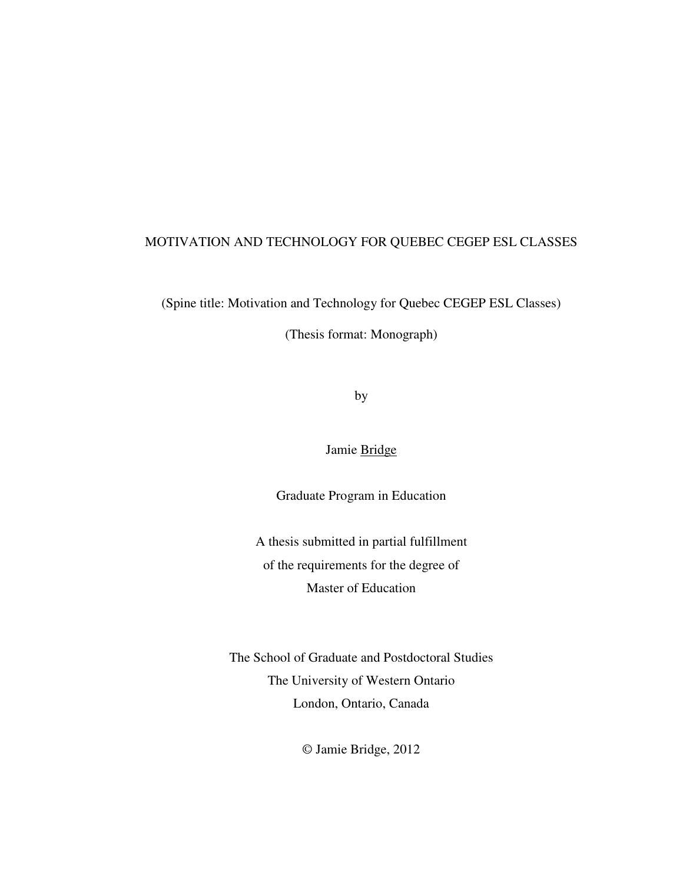## MOTIVATION AND TECHNOLOGY FOR QUEBEC CEGEP ESL CLASSES

(Spine title: Motivation and Technology for Quebec CEGEP ESL Classes)

(Thesis format: Monograph)

by

Jamie Bridge

Graduate Program in Education

A thesis submitted in partial fulfillment of the requirements for the degree of Master of Education

The School of Graduate and Postdoctoral Studies The University of Western Ontario London, Ontario, Canada

© Jamie Bridge, 2012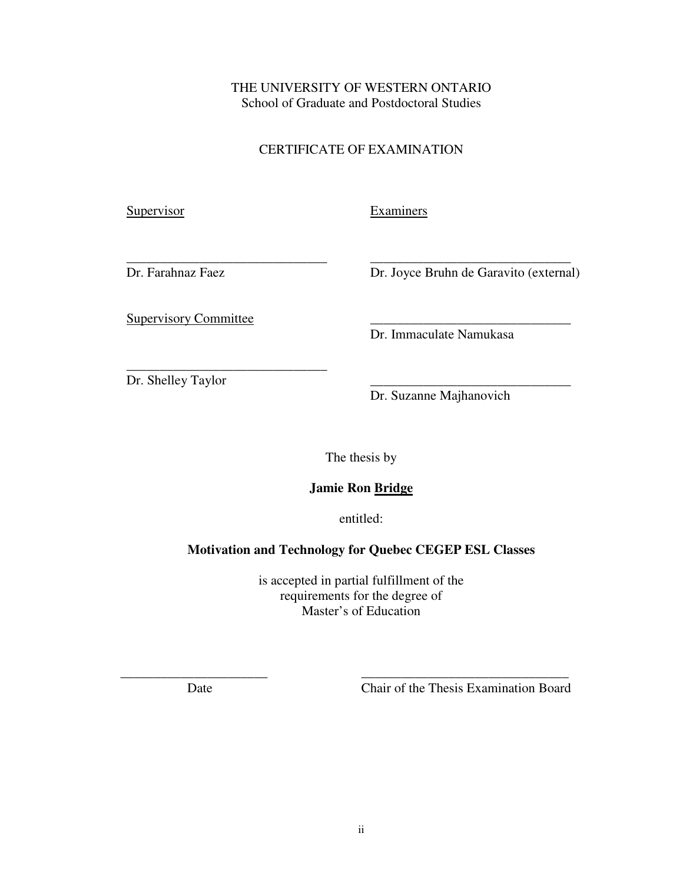THE UNIVERSITY OF WESTERN ONTARIO School of Graduate and Postdoctoral Studies

## CERTIFICATE OF EXAMINATION

**Supervisor** 

Examiners

Dr. Farahnaz Faez

\_\_\_\_\_\_\_\_\_\_\_\_\_\_\_\_\_\_\_\_\_\_\_\_\_\_\_\_\_\_ Dr. Joyce Bruhn de Garavito (external)

\_\_\_\_\_\_\_\_\_\_\_\_\_\_\_\_\_\_\_\_\_\_\_\_\_\_\_\_\_\_

Supervisory Committee

\_\_\_\_\_\_\_\_\_\_\_\_\_\_\_\_\_\_\_\_\_\_\_\_\_\_\_\_\_\_

Dr. Immaculate Namukasa

\_\_\_\_\_\_\_\_\_\_\_\_\_\_\_\_\_\_\_\_\_\_\_\_\_\_\_\_\_\_ Dr. Shelley Taylor

\_\_\_\_\_\_\_\_\_\_\_\_\_\_\_\_\_\_\_\_\_\_\_\_\_\_\_\_\_\_ Dr. Suzanne Majhanovich

The thesis by

## **Jamie Ron Bridge**

entitled:

## **Motivation and Technology for Quebec CEGEP ESL Classes**

is accepted in partial fulfillment of the requirements for the degree of Master's of Education

\_\_\_\_\_\_\_\_\_\_\_\_\_\_\_\_\_\_\_\_\_\_ \_\_\_\_\_\_\_\_\_\_\_\_\_\_\_\_\_\_\_\_\_\_\_\_\_\_\_\_\_\_\_ Date Chair of the Thesis Examination Board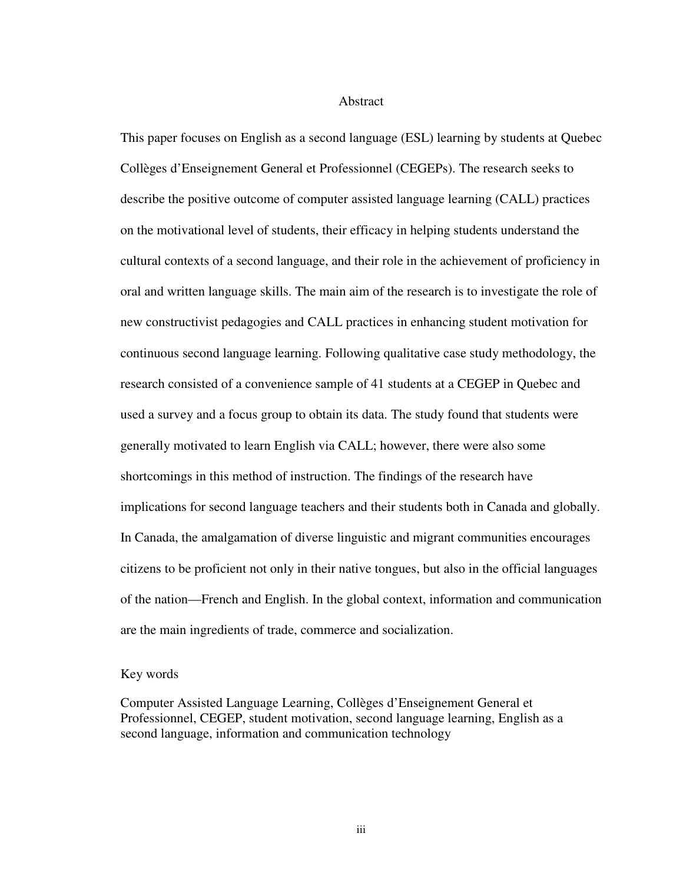#### Abstract

This paper focuses on English as a second language (ESL) learning by students at Quebec Collèges d'Enseignement General et Professionnel (CEGEPs). The research seeks to describe the positive outcome of computer assisted language learning (CALL) practices on the motivational level of students, their efficacy in helping students understand the cultural contexts of a second language, and their role in the achievement of proficiency in oral and written language skills. The main aim of the research is to investigate the role of new constructivist pedagogies and CALL practices in enhancing student motivation for continuous second language learning. Following qualitative case study methodology, the research consisted of a convenience sample of 41 students at a CEGEP in Quebec and used a survey and a focus group to obtain its data. The study found that students were generally motivated to learn English via CALL; however, there were also some shortcomings in this method of instruction. The findings of the research have implications for second language teachers and their students both in Canada and globally. In Canada, the amalgamation of diverse linguistic and migrant communities encourages citizens to be proficient not only in their native tongues, but also in the official languages of the nation—French and English. In the global context, information and communication are the main ingredients of trade, commerce and socialization.

#### Key words

Computer Assisted Language Learning, Collèges d'Enseignement General et Professionnel, CEGEP, student motivation, second language learning, English as a second language, information and communication technology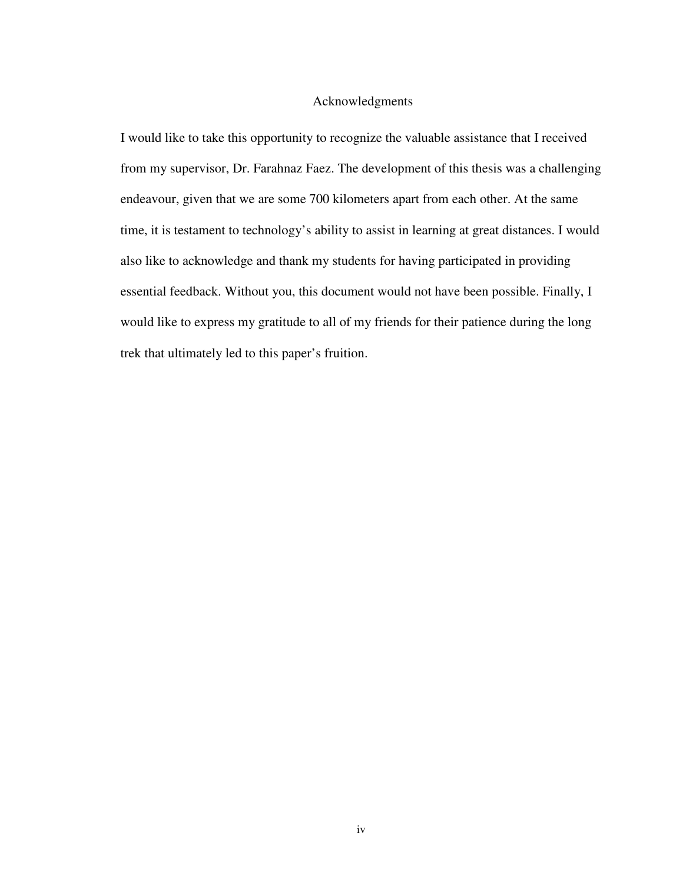### Acknowledgments

I would like to take this opportunity to recognize the valuable assistance that I received from my supervisor, Dr. Farahnaz Faez. The development of this thesis was a challenging endeavour, given that we are some 700 kilometers apart from each other. At the same time, it is testament to technology's ability to assist in learning at great distances. I would also like to acknowledge and thank my students for having participated in providing essential feedback. Without you, this document would not have been possible. Finally, I would like to express my gratitude to all of my friends for their patience during the long trek that ultimately led to this paper's fruition.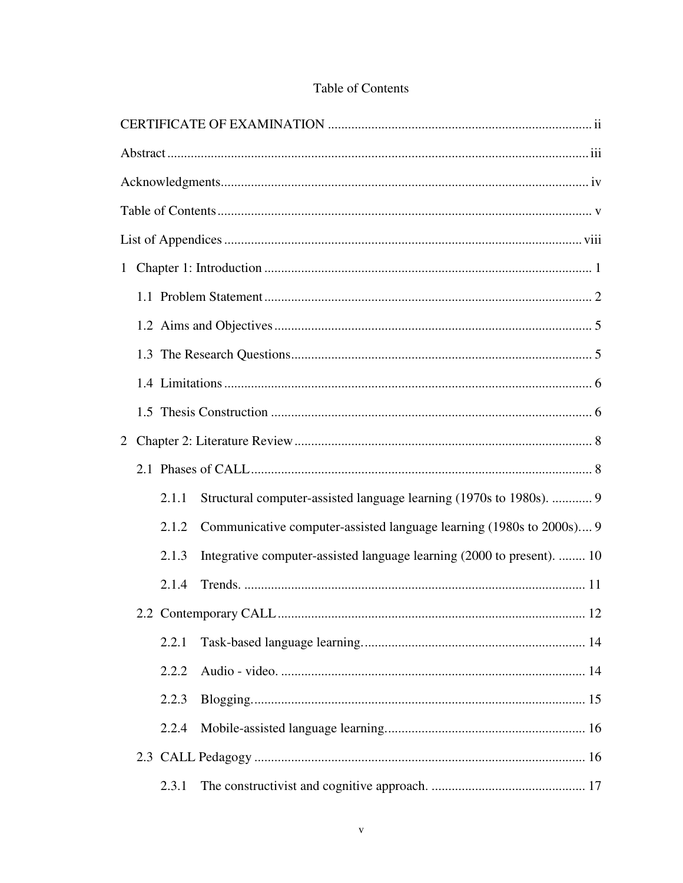| $\overline{2}$ |       |                                                                        |
|----------------|-------|------------------------------------------------------------------------|
|                |       |                                                                        |
|                | 2.1.1 | Structural computer-assisted language learning (1970s to 1980s).  9    |
|                | 2.1.2 | Communicative computer-assisted language learning (1980s to 2000s) 9   |
|                | 2.1.3 | Integrative computer-assisted language learning (2000 to present).  10 |
|                | 2.1.4 |                                                                        |
|                |       |                                                                        |
|                | 2.2.1 |                                                                        |
|                | 2.2.2 |                                                                        |
|                | 2.2.3 |                                                                        |
|                | 2.2.4 |                                                                        |
|                |       |                                                                        |
|                | 2.3.1 |                                                                        |

## Table of Contents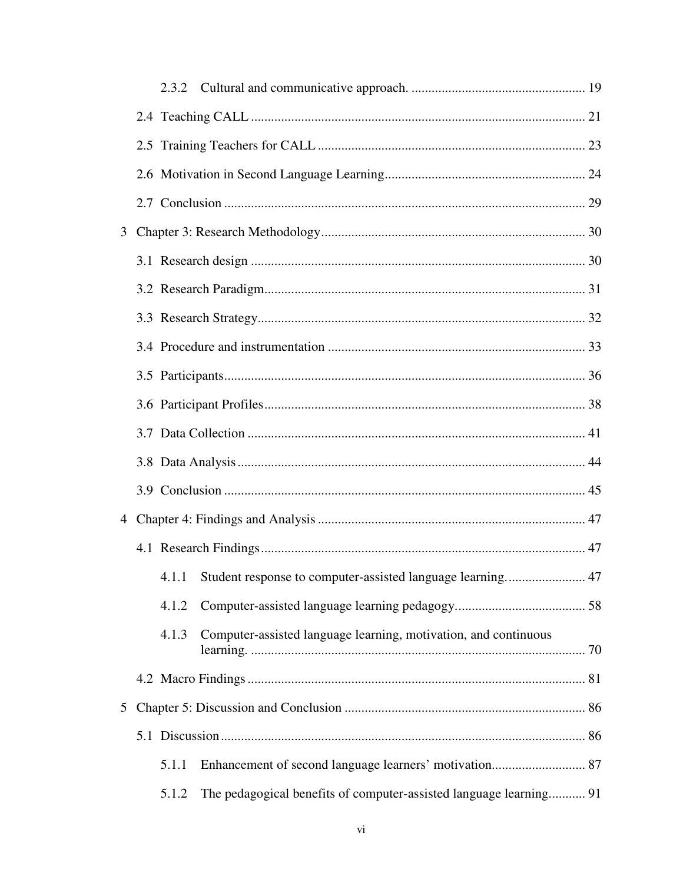|   |  | 4.1.2 |                                                                    |  |
|---|--|-------|--------------------------------------------------------------------|--|
|   |  | 4.1.3 | Computer-assisted language learning, motivation, and continuous    |  |
|   |  |       |                                                                    |  |
| 5 |  |       |                                                                    |  |
|   |  |       |                                                                    |  |
|   |  | 5.1.1 |                                                                    |  |
|   |  | 5.1.2 | The pedagogical benefits of computer-assisted language learning 91 |  |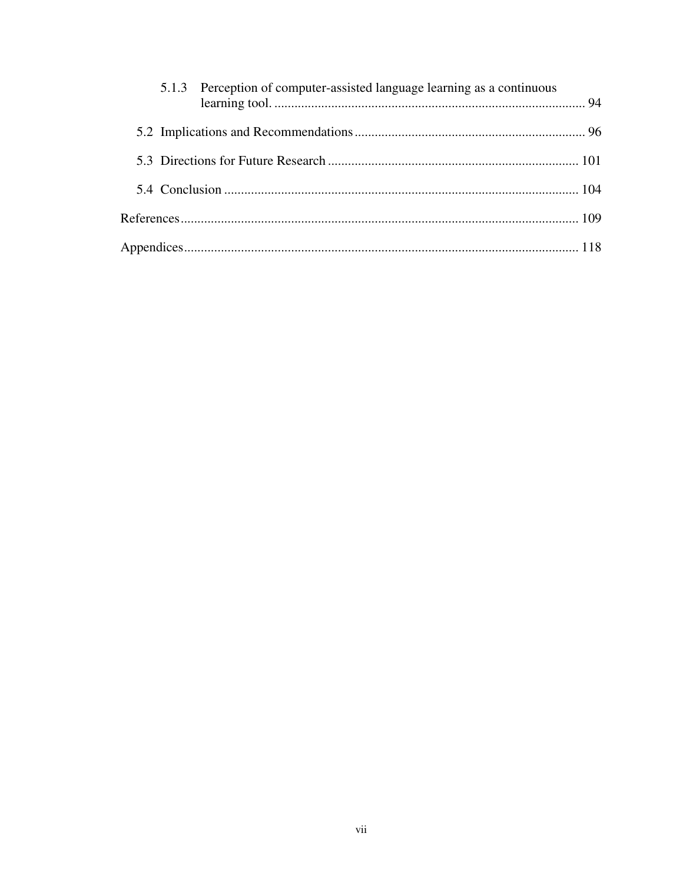|  | 5.1.3 Perception of computer-assisted language learning as a continuous |  |
|--|-------------------------------------------------------------------------|--|
|  |                                                                         |  |
|  |                                                                         |  |
|  |                                                                         |  |
|  |                                                                         |  |
|  |                                                                         |  |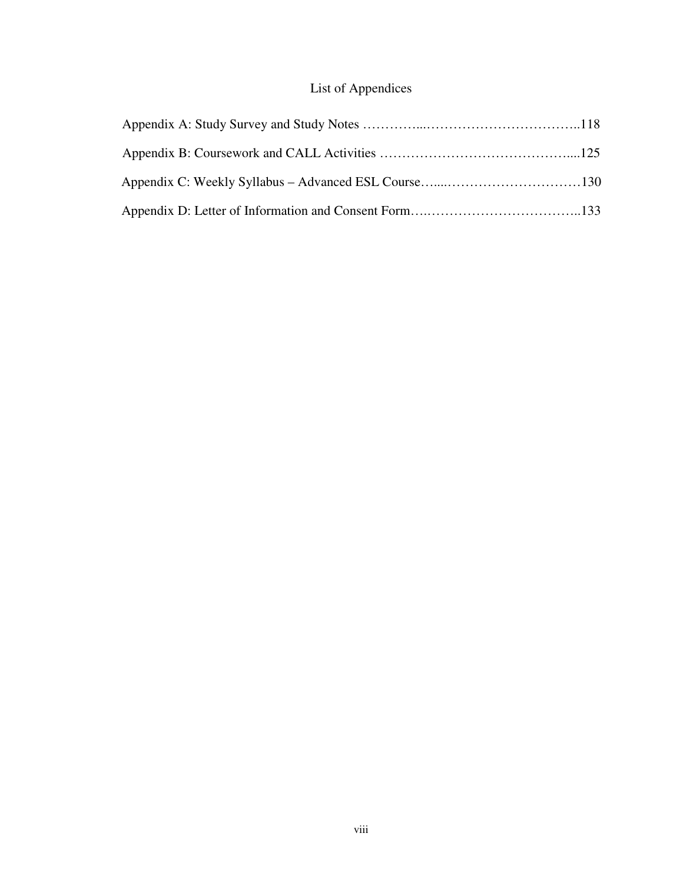# List of Appendices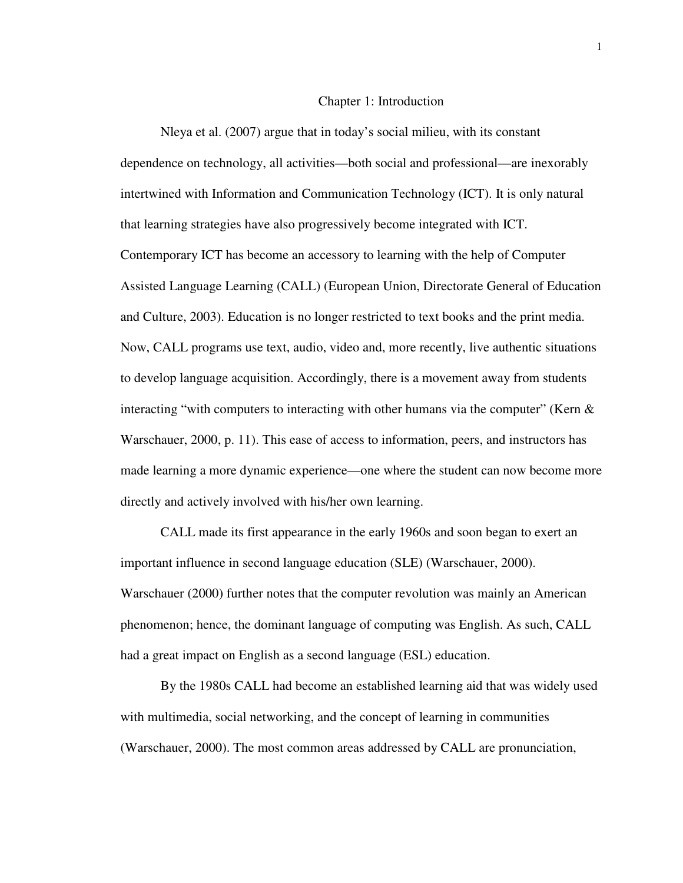#### Chapter 1: Introduction

Nleya et al. (2007) argue that in today's social milieu, with its constant dependence on technology, all activities—both social and professional—are inexorably intertwined with Information and Communication Technology (ICT). It is only natural that learning strategies have also progressively become integrated with ICT. Contemporary ICT has become an accessory to learning with the help of Computer Assisted Language Learning (CALL) (European Union, Directorate General of Education and Culture, 2003). Education is no longer restricted to text books and the print media. Now, CALL programs use text, audio, video and, more recently, live authentic situations to develop language acquisition. Accordingly, there is a movement away from students interacting "with computers to interacting with other humans via the computer" (Kern  $\&$ Warschauer, 2000, p. 11). This ease of access to information, peers, and instructors has made learning a more dynamic experience—one where the student can now become more directly and actively involved with his/her own learning.

CALL made its first appearance in the early 1960s and soon began to exert an important influence in second language education (SLE) (Warschauer, 2000). Warschauer (2000) further notes that the computer revolution was mainly an American phenomenon; hence, the dominant language of computing was English. As such, CALL had a great impact on English as a second language (ESL) education.

By the 1980s CALL had become an established learning aid that was widely used with multimedia, social networking, and the concept of learning in communities (Warschauer, 2000). The most common areas addressed by CALL are pronunciation,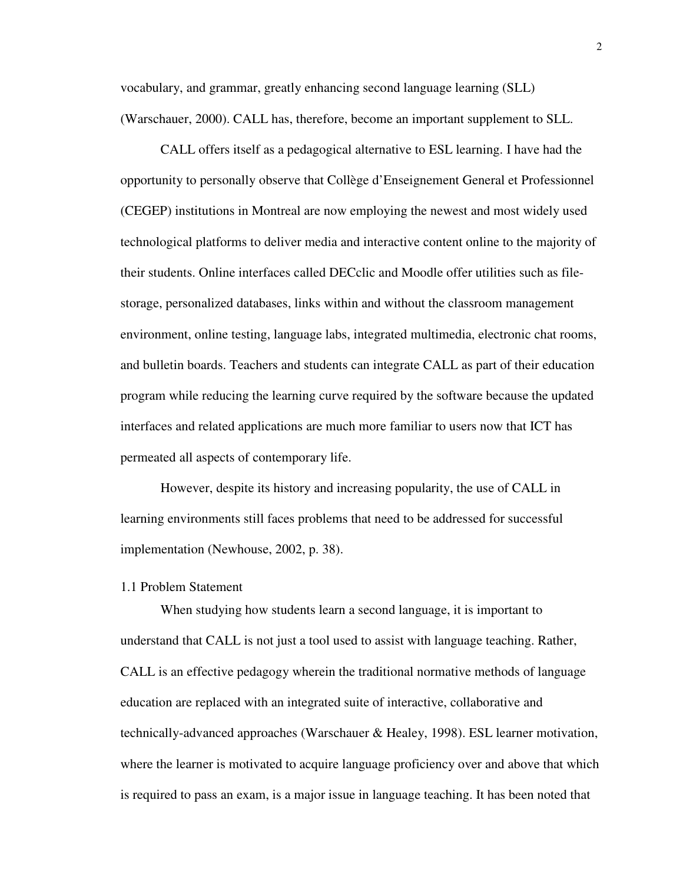vocabulary, and grammar, greatly enhancing second language learning (SLL) (Warschauer, 2000). CALL has, therefore, become an important supplement to SLL.

CALL offers itself as a pedagogical alternative to ESL learning. I have had the opportunity to personally observe that Collège d'Enseignement General et Professionnel (CEGEP) institutions in Montreal are now employing the newest and most widely used technological platforms to deliver media and interactive content online to the majority of their students. Online interfaces called DECclic and Moodle offer utilities such as filestorage, personalized databases, links within and without the classroom management environment, online testing, language labs, integrated multimedia, electronic chat rooms, and bulletin boards. Teachers and students can integrate CALL as part of their education program while reducing the learning curve required by the software because the updated interfaces and related applications are much more familiar to users now that ICT has permeated all aspects of contemporary life.

However, despite its history and increasing popularity, the use of CALL in learning environments still faces problems that need to be addressed for successful implementation (Newhouse, 2002, p. 38).

#### 1.1 Problem Statement

When studying how students learn a second language, it is important to understand that CALL is not just a tool used to assist with language teaching. Rather, CALL is an effective pedagogy wherein the traditional normative methods of language education are replaced with an integrated suite of interactive, collaborative and technically-advanced approaches (Warschauer & Healey, 1998). ESL learner motivation, where the learner is motivated to acquire language proficiency over and above that which is required to pass an exam, is a major issue in language teaching. It has been noted that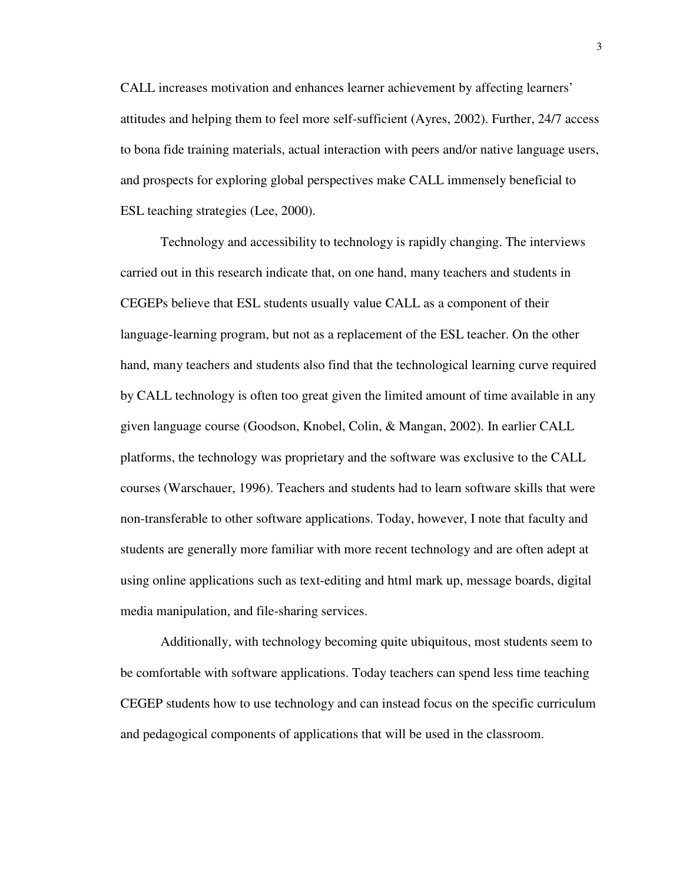CALL increases motivation and enhances learner achievement by affecting learners' attitudes and helping them to feel more self-sufficient (Ayres, 2002). Further, 24/7 access to bona fide training materials, actual interaction with peers and/or native language users, and prospects for exploring global perspectives make CALL immensely beneficial to ESL teaching strategies (Lee, 2000).

Technology and accessibility to technology is rapidly changing. The interviews carried out in this research indicate that, on one hand, many teachers and students in CEGEPs believe that ESL students usually value CALL as a component of their language-learning program, but not as a replacement of the ESL teacher. On the other hand, many teachers and students also find that the technological learning curve required by CALL technology is often too great given the limited amount of time available in any given language course (Goodson, Knobel, Colin, & Mangan, 2002). In earlier CALL platforms, the technology was proprietary and the software was exclusive to the CALL courses (Warschauer, 1996). Teachers and students had to learn software skills that were non-transferable to other software applications. Today, however, I note that faculty and students are generally more familiar with more recent technology and are often adept at using online applications such as text-editing and html mark up, message boards, digital media manipulation, and file-sharing services.

Additionally, with technology becoming quite ubiquitous, most students seem to be comfortable with software applications. Today teachers can spend less time teaching CEGEP students how to use technology and can instead focus on the specific curriculum and pedagogical components of applications that will be used in the classroom.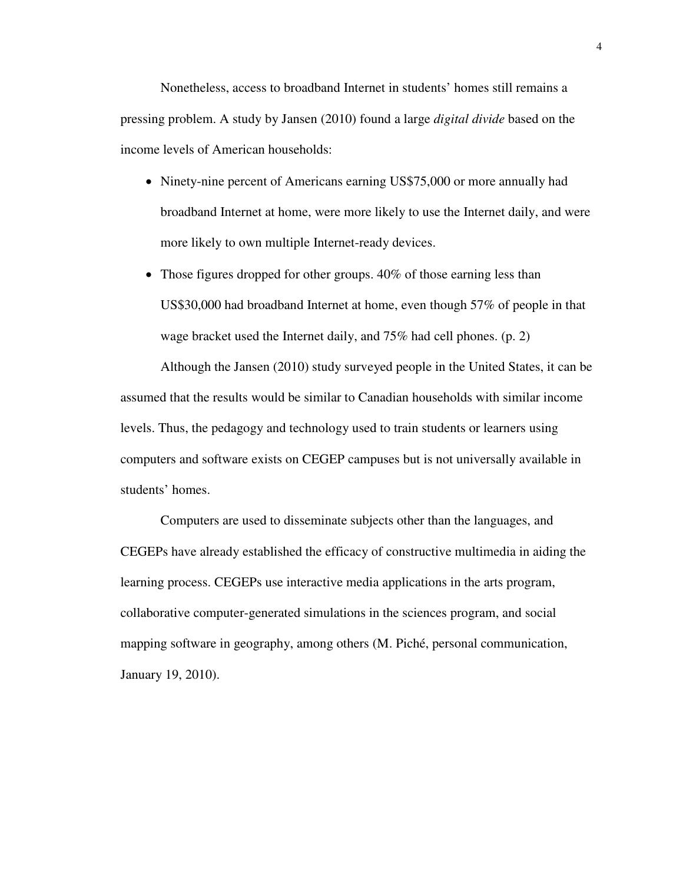Nonetheless, access to broadband Internet in students' homes still remains a pressing problem. A study by Jansen (2010) found a large *digital divide* based on the income levels of American households:

- Ninety-nine percent of Americans earning US\$75,000 or more annually had broadband Internet at home, were more likely to use the Internet daily, and were more likely to own multiple Internet-ready devices.
- Those figures dropped for other groups. 40% of those earning less than US\$30,000 had broadband Internet at home, even though 57% of people in that wage bracket used the Internet daily, and 75% had cell phones. (p. 2)

Although the Jansen (2010) study surveyed people in the United States, it can be assumed that the results would be similar to Canadian households with similar income levels. Thus, the pedagogy and technology used to train students or learners using computers and software exists on CEGEP campuses but is not universally available in students' homes.

Computers are used to disseminate subjects other than the languages, and CEGEPs have already established the efficacy of constructive multimedia in aiding the learning process. CEGEPs use interactive media applications in the arts program, collaborative computer-generated simulations in the sciences program, and social mapping software in geography, among others (M. Piché, personal communication, January 19, 2010).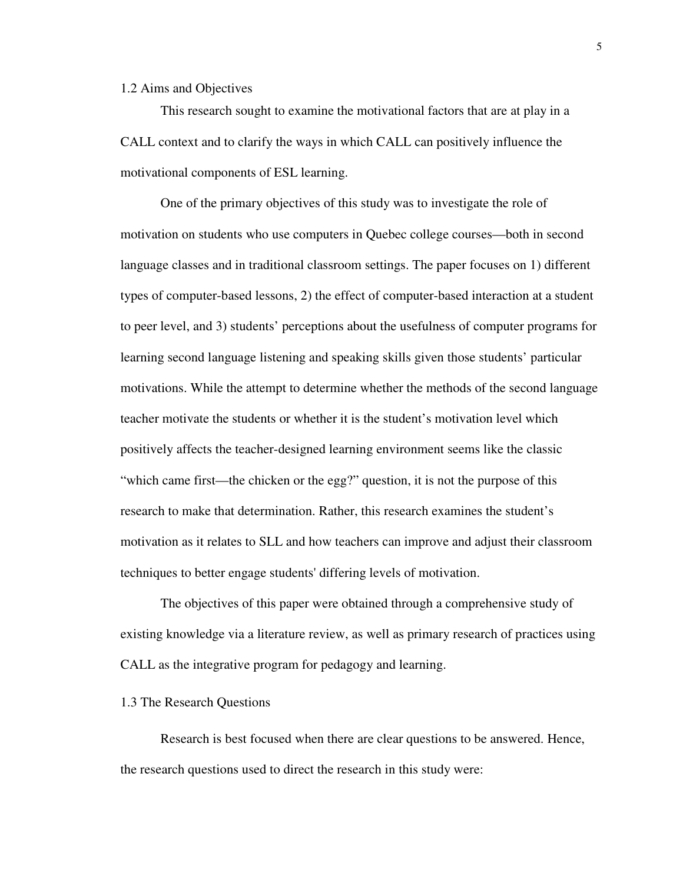#### 1.2 Aims and Objectives

This research sought to examine the motivational factors that are at play in a CALL context and to clarify the ways in which CALL can positively influence the motivational components of ESL learning.

One of the primary objectives of this study was to investigate the role of motivation on students who use computers in Quebec college courses—both in second language classes and in traditional classroom settings. The paper focuses on 1) different types of computer-based lessons, 2) the effect of computer-based interaction at a student to peer level, and 3) students' perceptions about the usefulness of computer programs for learning second language listening and speaking skills given those students' particular motivations. While the attempt to determine whether the methods of the second language teacher motivate the students or whether it is the student's motivation level which positively affects the teacher-designed learning environment seems like the classic "which came first—the chicken or the egg?" question, it is not the purpose of this research to make that determination. Rather, this research examines the student's motivation as it relates to SLL and how teachers can improve and adjust their classroom techniques to better engage students' differing levels of motivation.

The objectives of this paper were obtained through a comprehensive study of existing knowledge via a literature review, as well as primary research of practices using CALL as the integrative program for pedagogy and learning.

#### 1.3 The Research Questions

Research is best focused when there are clear questions to be answered. Hence, the research questions used to direct the research in this study were: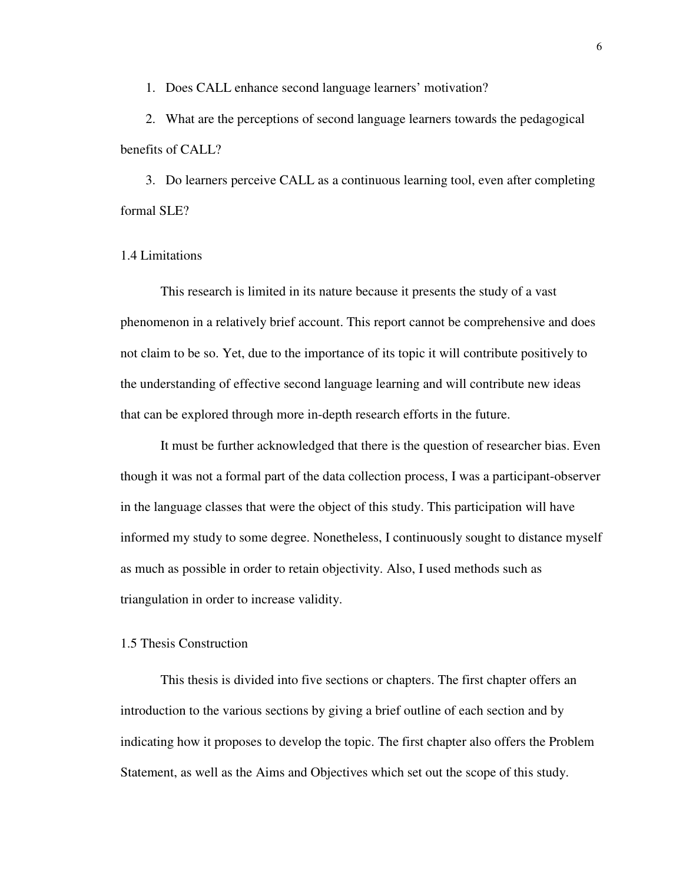1. Does CALL enhance second language learners' motivation?

2. What are the perceptions of second language learners towards the pedagogical benefits of CALL?

3. Do learners perceive CALL as a continuous learning tool, even after completing formal SLE?

#### 1.4 Limitations

This research is limited in its nature because it presents the study of a vast phenomenon in a relatively brief account. This report cannot be comprehensive and does not claim to be so. Yet, due to the importance of its topic it will contribute positively to the understanding of effective second language learning and will contribute new ideas that can be explored through more in-depth research efforts in the future.

It must be further acknowledged that there is the question of researcher bias. Even though it was not a formal part of the data collection process, I was a participant-observer in the language classes that were the object of this study. This participation will have informed my study to some degree. Nonetheless, I continuously sought to distance myself as much as possible in order to retain objectivity. Also, I used methods such as triangulation in order to increase validity.

### 1.5 Thesis Construction

This thesis is divided into five sections or chapters. The first chapter offers an introduction to the various sections by giving a brief outline of each section and by indicating how it proposes to develop the topic. The first chapter also offers the Problem Statement, as well as the Aims and Objectives which set out the scope of this study.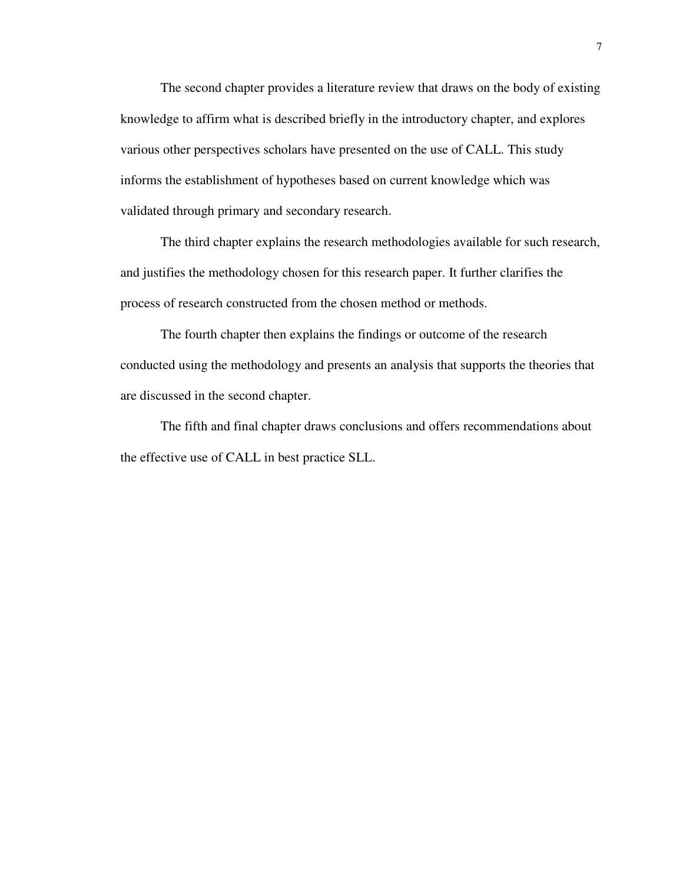The second chapter provides a literature review that draws on the body of existing knowledge to affirm what is described briefly in the introductory chapter, and explores various other perspectives scholars have presented on the use of CALL. This study informs the establishment of hypotheses based on current knowledge which was validated through primary and secondary research.

The third chapter explains the research methodologies available for such research, and justifies the methodology chosen for this research paper. It further clarifies the process of research constructed from the chosen method or methods.

The fourth chapter then explains the findings or outcome of the research conducted using the methodology and presents an analysis that supports the theories that are discussed in the second chapter.

The fifth and final chapter draws conclusions and offers recommendations about the effective use of CALL in best practice SLL.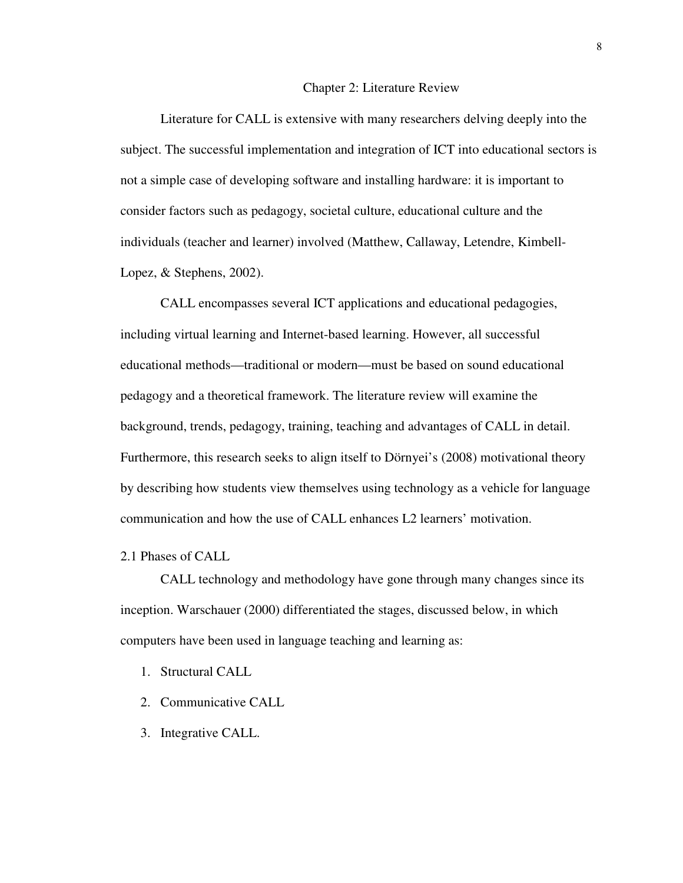#### **Chapter 2: Literature Review**

Literature for CALL is extensive with many researchers delving deeply into the subject. The successful implementation and integration of ICT into educational sectors is not a simple case of developing software and installing hardware: it is important to consider factors such as pedagogy, societal culture, educational culture and the individuals (teacher and learner) involved (Matthew, Callaway, Letendre, Kimbell-Lopez, & Stephens, 2002).

CALL encompasses several ICT applications and educational pedagogies, including virtual learning and Internet-based learning. However, all successful educational methods—traditional or modern—must be based on sound educational pedagogy and a theoretical framework. The literature review will examine the background, trends, pedagogy, training, teaching and advantages of CALL in detail. Furthermore, this research seeks to align itself to Dörnyei's (2008) motivational theory by describing how students view themselves using technology as a vehicle for language communication and how the use of CALL enhances L2 learners' motivation.

### 2.1 Phases of CALL

CALL technology and methodology have gone through many changes since its inception. Warschauer (2000) differentiated the stages, discussed below, in which computers have been used in language teaching and learning as:

- 1. Structural CALL
- 2. Communicative CALL
- 3. Integrative CALL.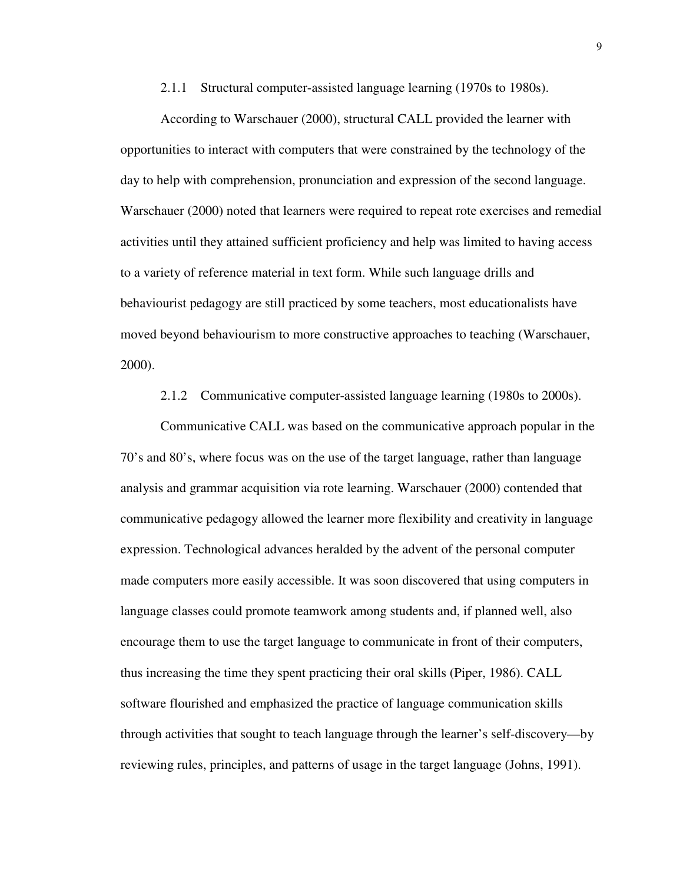2.1.1 Structural computer-assisted language learning (1970s to 1980s).

According to Warschauer (2000), structural CALL provided the learner with opportunities to interact with computers that were constrained by the technology of the day to help with comprehension, pronunciation and expression of the second language. Warschauer (2000) noted that learners were required to repeat rote exercises and remedial activities until they attained sufficient proficiency and help was limited to having access to a variety of reference material in text form. While such language drills and behaviourist pedagogy are still practiced by some teachers, most educationalists have moved beyond behaviourism to more constructive approaches to teaching (Warschauer, 2000).

2.1.2 Communicative computer-assisted language learning (1980s to 2000s).

Communicative CALL was based on the communicative approach popular in the 70's and 80's, where focus was on the use of the target language, rather than language analysis and grammar acquisition via rote learning. Warschauer (2000) contended that communicative pedagogy allowed the learner more flexibility and creativity in language expression. Technological advances heralded by the advent of the personal computer made computers more easily accessible. It was soon discovered that using computers in language classes could promote teamwork among students and, if planned well, also encourage them to use the target language to communicate in front of their computers, thus increasing the time they spent practicing their oral skills (Piper, 1986). CALL software flourished and emphasized the practice of language communication skills through activities that sought to teach language through the learner's self-discovery—by reviewing rules, principles, and patterns of usage in the target language (Johns, 1991).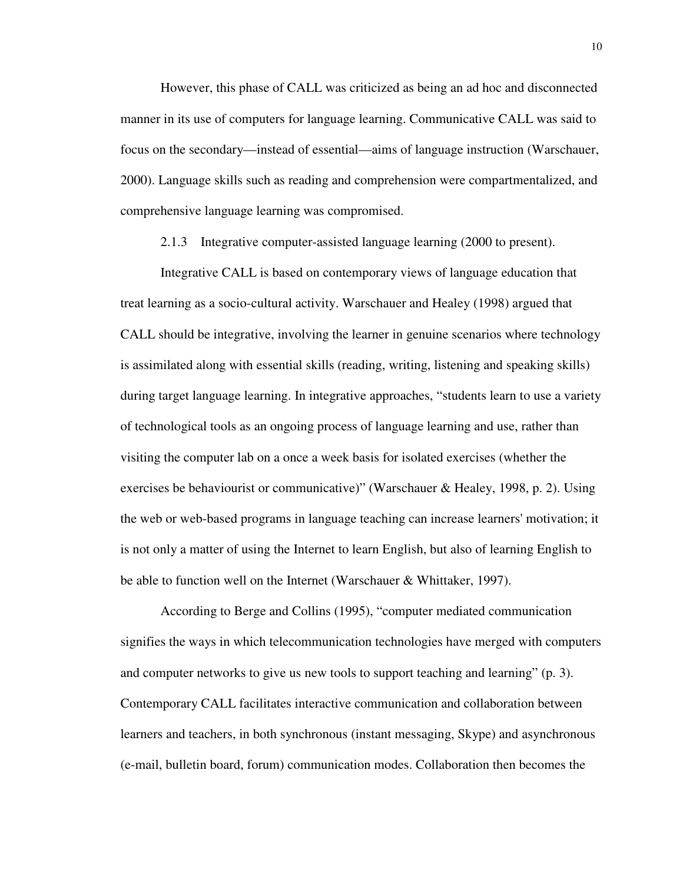However, this phase of CALL was criticized as being an ad hoc and disconnected manner in its use of computers for language learning. Communicative CALL was said to focus on the secondary—instead of essential—aims of language instruction (Warschauer, 2000). Language skills such as reading and comprehension were compartmentalized, and comprehensive language learning was compromised.

2.1.3 Integrative computer-assisted language learning (2000 to present).

Integrative CALL is based on contemporary views of language education that treat learning as a socio-cultural activity. Warschauer and Healey (1998) argued that CALL should be integrative, involving the learner in genuine scenarios where technology is assimilated along with essential skills (reading, writing, listening and speaking skills) during target language learning. In integrative approaches, "students learn to use a variety of technological tools as an ongoing process of language learning and use, rather than visiting the computer lab on a once a week basis for isolated exercises (whether the exercises be behaviourist or communicative)" (Warschauer & Healey, 1998, p. 2). Using the web or web-based programs in language teaching can increase learners' motivation; it is not only a matter of using the Internet to learn English, but also of learning English to be able to function well on the Internet (Warschauer & Whittaker, 1997).

According to Berge and Collins (1995), "computer mediated communication signifies the ways in which telecommunication technologies have merged with computers and computer networks to give us new tools to support teaching and learning" (p. 3). Contemporary CALL facilitates interactive communication and collaboration between learners and teachers, in both synchronous (instant messaging, Skype) and asynchronous (e-mail, bulletin board, forum) communication modes. Collaboration then becomes the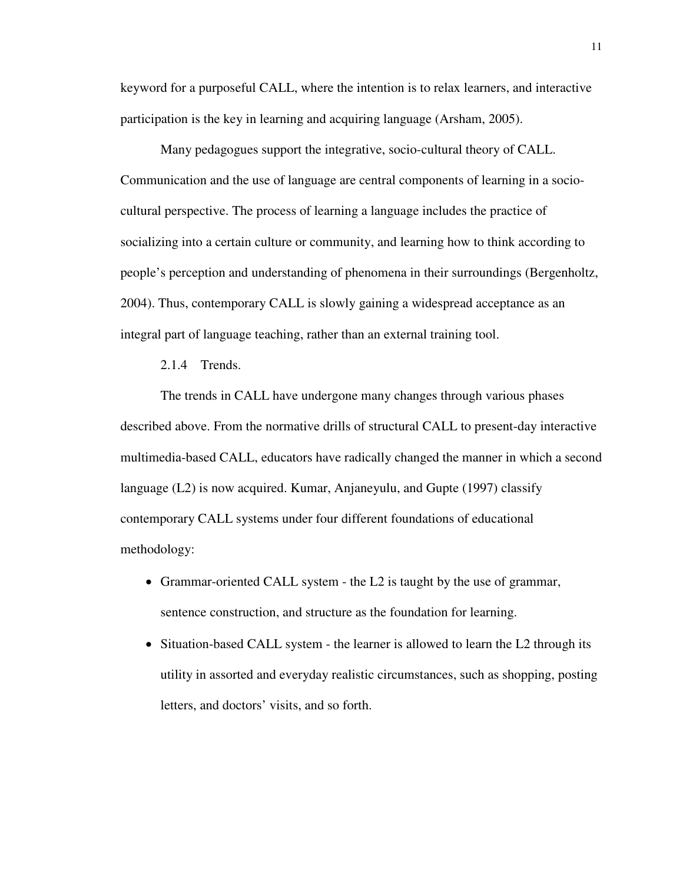keyword for a purposeful CALL, where the intention is to relax learners, and interactive participation is the key in learning and acquiring language (Arsham, 2005).

Many pedagogues support the integrative, socio-cultural theory of CALL. Communication and the use of language are central components of learning in a sociocultural perspective. The process of learning a language includes the practice of socializing into a certain culture or community, and learning how to think according to people's perception and understanding of phenomena in their surroundings (Bergenholtz, 2004). Thus, contemporary CALL is slowly gaining a widespread acceptance as an integral part of language teaching, rather than an external training tool.

2.1.4 Trends.

The trends in CALL have undergone many changes through various phases described above. From the normative drills of structural CALL to present-day interactive multimedia-based CALL, educators have radically changed the manner in which a second language (L2) is now acquired. Kumar, Anjaneyulu, and Gupte (1997) classify contemporary CALL systems under four different foundations of educational methodology:

- Grammar-oriented CALL system the L2 is taught by the use of grammar, sentence construction, and structure as the foundation for learning.
- Situation-based CALL system the learner is allowed to learn the L2 through its utility in assorted and everyday realistic circumstances, such as shopping, posting letters, and doctors' visits, and so forth.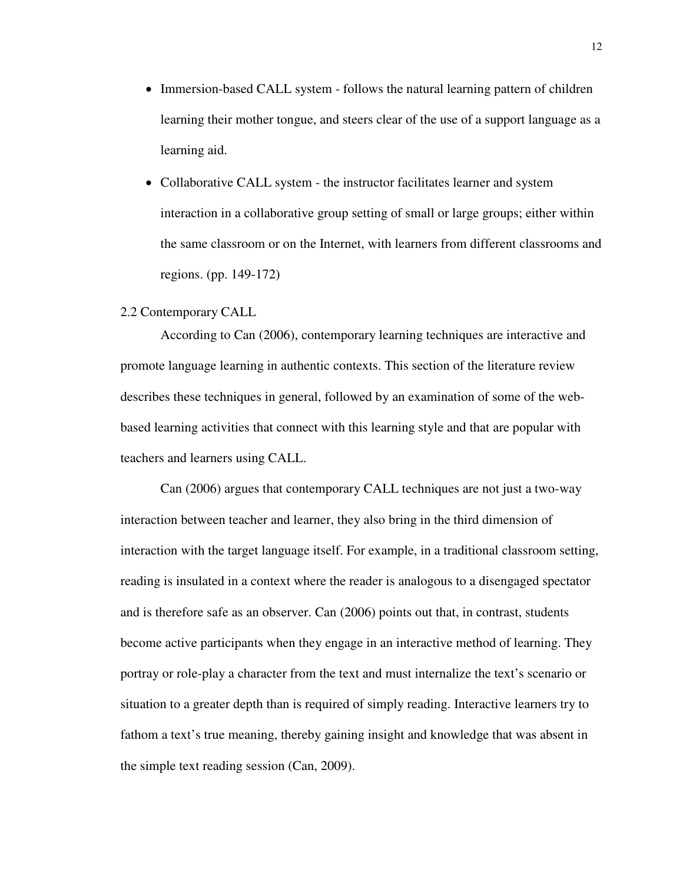- Immersion-based CALL system follows the natural learning pattern of children learning their mother tongue, and steers clear of the use of a support language as a learning aid.
- Collaborative CALL system the instructor facilitates learner and system interaction in a collaborative group setting of small or large groups; either within the same classroom or on the Internet, with learners from different classrooms and regions. (pp. 149-172)

#### 2.2 Contemporary CALL

According to Can (2006), contemporary learning techniques are interactive and promote language learning in authentic contexts. This section of the literature review describes these techniques in general, followed by an examination of some of the webbased learning activities that connect with this learning style and that are popular with teachers and learners using CALL.

Can (2006) argues that contemporary CALL techniques are not just a two-way interaction between teacher and learner, they also bring in the third dimension of interaction with the target language itself. For example, in a traditional classroom setting, reading is insulated in a context where the reader is analogous to a disengaged spectator and is therefore safe as an observer. Can (2006) points out that, in contrast, students become active participants when they engage in an interactive method of learning. They portray or role-play a character from the text and must internalize the text's scenario or situation to a greater depth than is required of simply reading. Interactive learners try to fathom a text's true meaning, thereby gaining insight and knowledge that was absent in the simple text reading session (Can, 2009).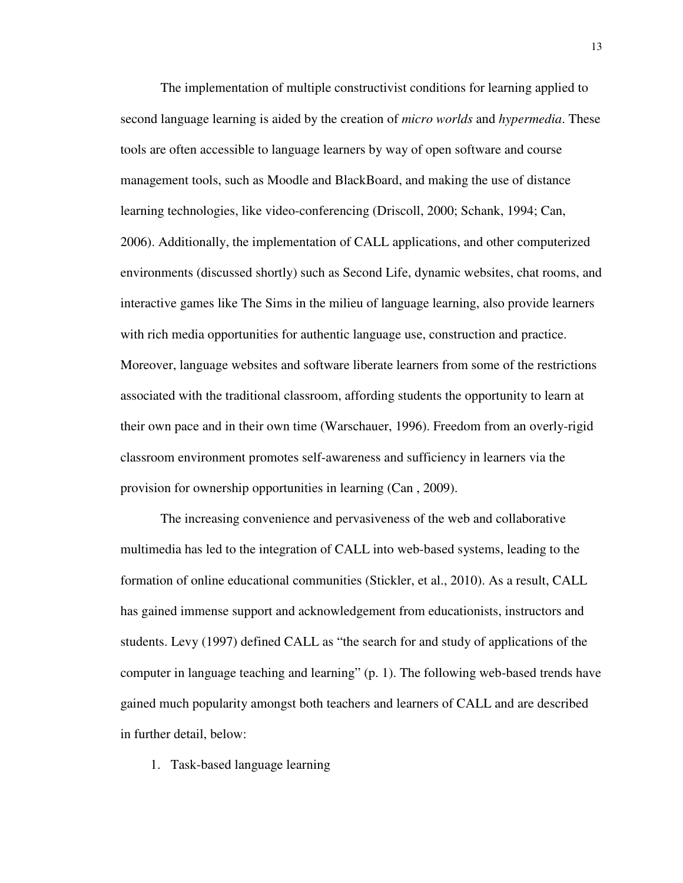The implementation of multiple constructivist conditions for learning applied to second language learning is aided by the creation of *micro worlds* and *hypermedia*. These tools are often accessible to language learners by way of open software and course management tools, such as Moodle and BlackBoard, and making the use of distance learning technologies, like video-conferencing (Driscoll, 2000; Schank, 1994; Can, 2006). Additionally, the implementation of CALL applications, and other computerized environments (discussed shortly) such as Second Life, dynamic websites, chat rooms, and interactive games like The Sims in the milieu of language learning, also provide learners with rich media opportunities for authentic language use, construction and practice. Moreover, language websites and software liberate learners from some of the restrictions associated with the traditional classroom, affording students the opportunity to learn at their own pace and in their own time (Warschauer, 1996). Freedom from an overly-rigid classroom environment promotes self-awareness and sufficiency in learners via the provision for ownership opportunities in learning (Can , 2009).

The increasing convenience and pervasiveness of the web and collaborative multimedia has led to the integration of CALL into web-based systems, leading to the formation of online educational communities (Stickler, et al., 2010). As a result, CALL has gained immense support and acknowledgement from educationists, instructors and students. Levy (1997) defined CALL as "the search for and study of applications of the computer in language teaching and learning" (p. 1). The following web-based trends have gained much popularity amongst both teachers and learners of CALL and are described in further detail, below:

1. Task-based language learning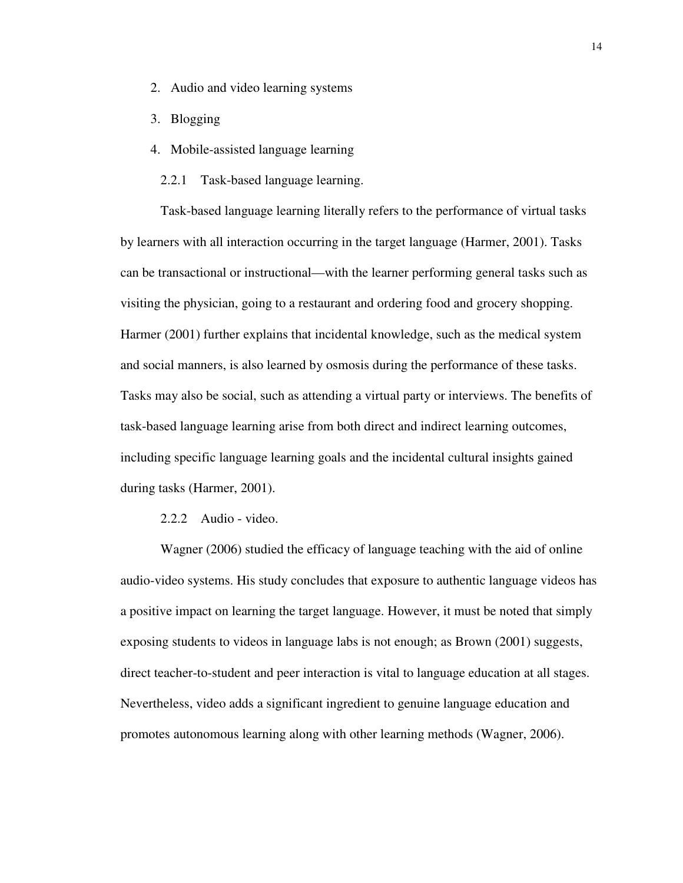- 2. Audio and video learning systems
- 3. Blogging
- 4. Mobile-assisted language learning
	- 2.2.1 Task-based language learning.

Task-based language learning literally refers to the performance of virtual tasks by learners with all interaction occurring in the target language (Harmer, 2001). Tasks can be transactional or instructional—with the learner performing general tasks such as visiting the physician, going to a restaurant and ordering food and grocery shopping. Harmer (2001) further explains that incidental knowledge, such as the medical system and social manners, is also learned by osmosis during the performance of these tasks. Tasks may also be social, such as attending a virtual party or interviews. The benefits of task-based language learning arise from both direct and indirect learning outcomes, including specific language learning goals and the incidental cultural insights gained during tasks (Harmer, 2001).

#### 2.2.2 Audio - video.

Wagner (2006) studied the efficacy of language teaching with the aid of online audio-video systems. His study concludes that exposure to authentic language videos has a positive impact on learning the target language. However, it must be noted that simply exposing students to videos in language labs is not enough; as Brown (2001) suggests, direct teacher-to-student and peer interaction is vital to language education at all stages. Nevertheless, video adds a significant ingredient to genuine language education and promotes autonomous learning along with other learning methods (Wagner, 2006).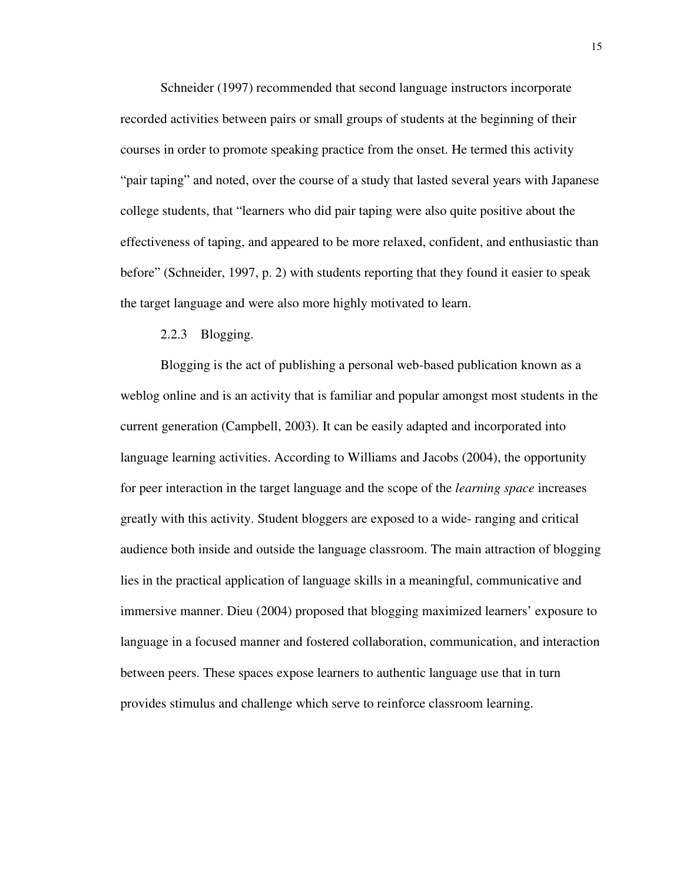Schneider (1997) recommended that second language instructors incorporate recorded activities between pairs or small groups of students at the beginning of their courses in order to promote speaking practice from the onset. He termed this activity "pair taping" and noted, over the course of a study that lasted several years with Japanese college students, that "learners who did pair taping were also quite positive about the effectiveness of taping, and appeared to be more relaxed, confident, and enthusiastic than before" (Schneider, 1997, p. 2) with students reporting that they found it easier to speak the target language and were also more highly motivated to learn.

#### 2.2.3 Blogging.

Blogging is the act of publishing a personal web-based publication known as a weblog online and is an activity that is familiar and popular amongst most students in the current generation (Campbell, 2003). It can be easily adapted and incorporated into language learning activities. According to Williams and Jacobs (2004), the opportunity for peer interaction in the target language and the scope of the *learning space* increases greatly with this activity. Student bloggers are exposed to a wide- ranging and critical audience both inside and outside the language classroom. The main attraction of blogging lies in the practical application of language skills in a meaningful, communicative and immersive manner. Dieu (2004) proposed that blogging maximized learners' exposure to language in a focused manner and fostered collaboration, communication, and interaction between peers. These spaces expose learners to authentic language use that in turn provides stimulus and challenge which serve to reinforce classroom learning.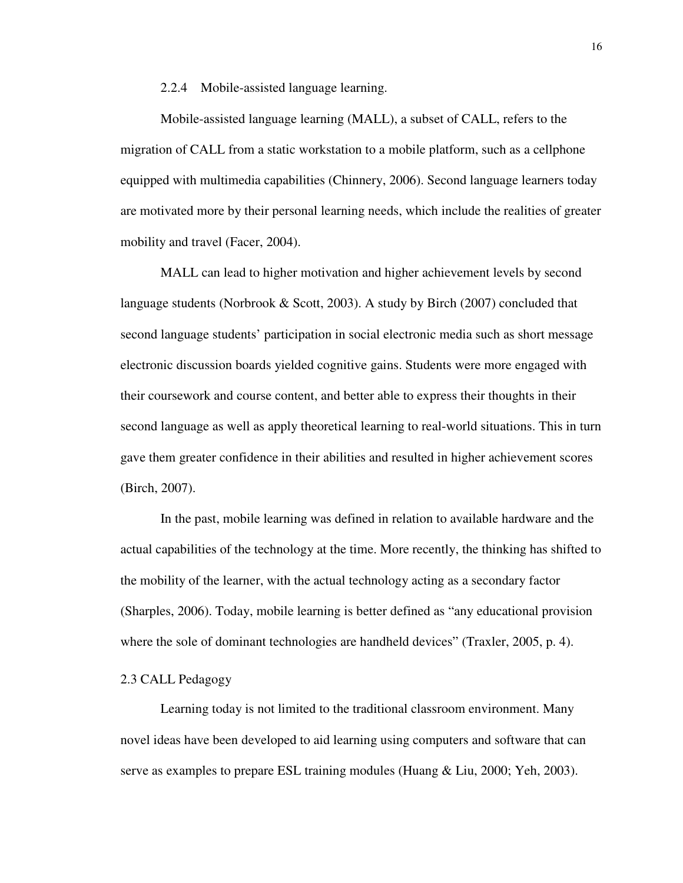2.2.4 Mobile-assisted language learning.

Mobile-assisted language learning (MALL), a subset of CALL, refers to the migration of CALL from a static workstation to a mobile platform, such as a cellphone equipped with multimedia capabilities (Chinnery, 2006). Second language learners today are motivated more by their personal learning needs, which include the realities of greater mobility and travel (Facer, 2004).

MALL can lead to higher motivation and higher achievement levels by second language students (Norbrook & Scott, 2003). A study by Birch (2007) concluded that second language students' participation in social electronic media such as short message electronic discussion boards yielded cognitive gains. Students were more engaged with their coursework and course content, and better able to express their thoughts in their second language as well as apply theoretical learning to real-world situations. This in turn gave them greater confidence in their abilities and resulted in higher achievement scores (Birch, 2007).

In the past, mobile learning was defined in relation to available hardware and the actual capabilities of the technology at the time. More recently, the thinking has shifted to the mobility of the learner, with the actual technology acting as a secondary factor (Sharples, 2006). Today, mobile learning is better defined as "any educational provision where the sole of dominant technologies are handheld devices" (Traxler, 2005, p. 4).

#### 2.3 CALL Pedagogy

Learning today is not limited to the traditional classroom environment. Many novel ideas have been developed to aid learning using computers and software that can serve as examples to prepare ESL training modules (Huang & Liu, 2000; Yeh, 2003).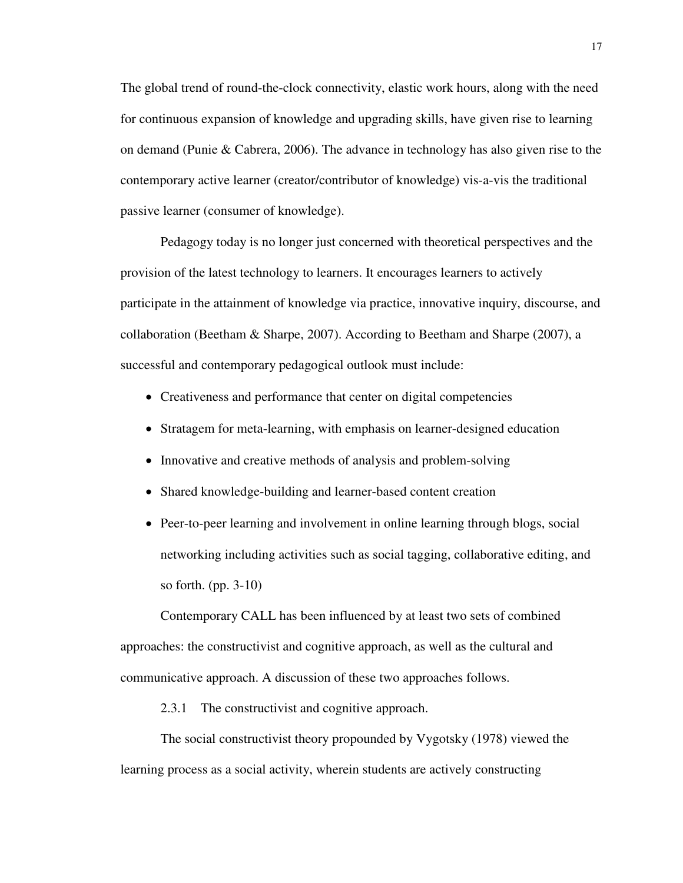The global trend of round-the-clock connectivity, elastic work hours, along with the need for continuous expansion of knowledge and upgrading skills, have given rise to learning on demand (Punie & Cabrera, 2006). The advance in technology has also given rise to the contemporary active learner (creator/contributor of knowledge) vis-a-vis the traditional passive learner (consumer of knowledge).

Pedagogy today is no longer just concerned with theoretical perspectives and the provision of the latest technology to learners. It encourages learners to actively participate in the attainment of knowledge via practice, innovative inquiry, discourse, and collaboration (Beetham & Sharpe, 2007). According to Beetham and Sharpe (2007), a successful and contemporary pedagogical outlook must include:

- Creativeness and performance that center on digital competencies
- Stratagem for meta-learning, with emphasis on learner-designed education
- Innovative and creative methods of analysis and problem-solving
- Shared knowledge-building and learner-based content creation
- Peer-to-peer learning and involvement in online learning through blogs, social networking including activities such as social tagging, collaborative editing, and so forth. (pp. 3-10)

Contemporary CALL has been influenced by at least two sets of combined approaches: the constructivist and cognitive approach, as well as the cultural and communicative approach. A discussion of these two approaches follows.

2.3.1 The constructivist and cognitive approach.

The social constructivist theory propounded by Vygotsky (1978) viewed the learning process as a social activity, wherein students are actively constructing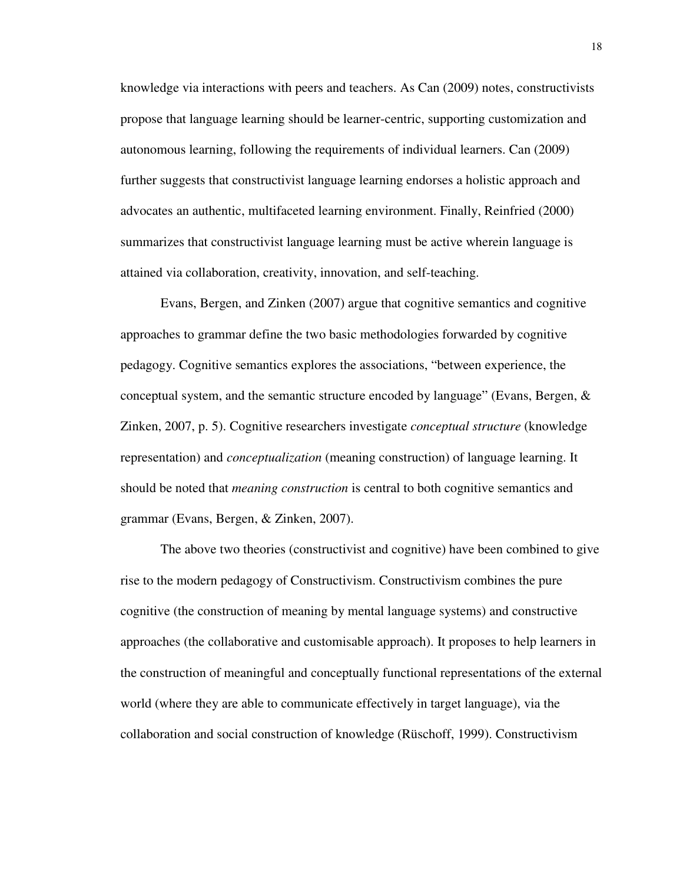knowledge via interactions with peers and teachers. As Can (2009) notes, constructivists propose that language learning should be learner-centric, supporting customization and autonomous learning, following the requirements of individual learners. Can (2009) further suggests that constructivist language learning endorses a holistic approach and advocates an authentic, multifaceted learning environment. Finally, Reinfried (2000) summarizes that constructivist language learning must be active wherein language is attained via collaboration, creativity, innovation, and self-teaching.

Evans, Bergen, and Zinken (2007) argue that cognitive semantics and cognitive approaches to grammar define the two basic methodologies forwarded by cognitive pedagogy. Cognitive semantics explores the associations, "between experience, the conceptual system, and the semantic structure encoded by language" (Evans, Bergen, & Zinken, 2007, p. 5). Cognitive researchers investigate *conceptual structure* (knowledge representation) and *conceptualization* (meaning construction) of language learning. It should be noted that *meaning construction* is central to both cognitive semantics and grammar (Evans, Bergen, & Zinken, 2007).

The above two theories (constructivist and cognitive) have been combined to give rise to the modern pedagogy of Constructivism. Constructivism combines the pure cognitive (the construction of meaning by mental language systems) and constructive approaches (the collaborative and customisable approach). It proposes to help learners in the construction of meaningful and conceptually functional representations of the external world (where they are able to communicate effectively in target language), via the collaboration and social construction of knowledge (Rüschoff, 1999). Constructivism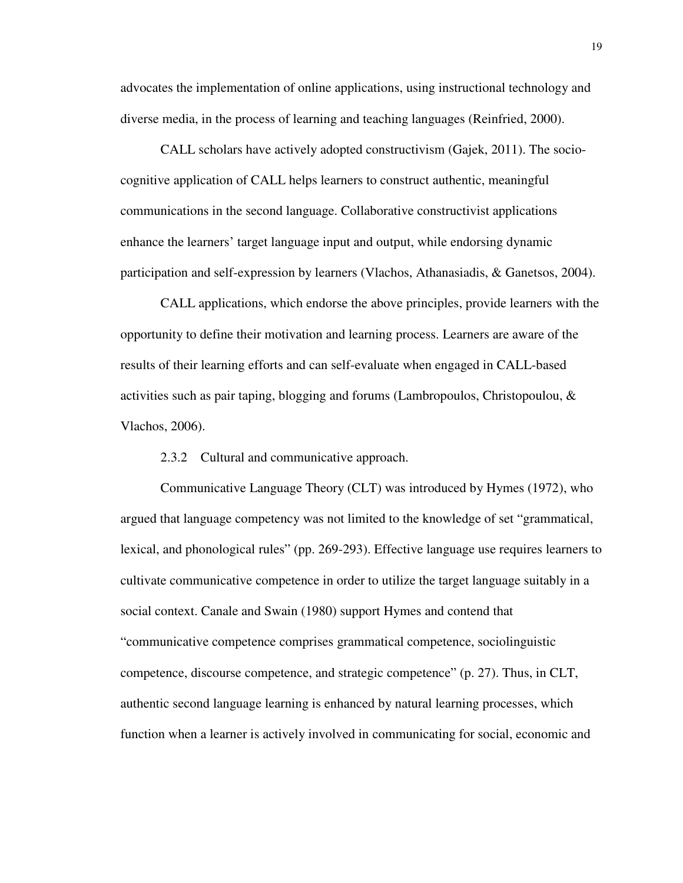advocates the implementation of online applications, using instructional technology and diverse media, in the process of learning and teaching languages (Reinfried, 2000).

CALL scholars have actively adopted constructivism (Gajek, 2011). The sociocognitive application of CALL helps learners to construct authentic, meaningful communications in the second language. Collaborative constructivist applications enhance the learners' target language input and output, while endorsing dynamic participation and self-expression by learners (Vlachos, Athanasiadis, & Ganetsos, 2004).

CALL applications, which endorse the above principles, provide learners with the opportunity to define their motivation and learning process. Learners are aware of the results of their learning efforts and can self-evaluate when engaged in CALL-based activities such as pair taping, blogging and forums (Lambropoulos, Christopoulou, & Vlachos, 2006).

2.3.2 Cultural and communicative approach.

Communicative Language Theory (CLT) was introduced by Hymes (1972), who argued that language competency was not limited to the knowledge of set "grammatical, lexical, and phonological rules" (pp. 269-293). Effective language use requires learners to cultivate communicative competence in order to utilize the target language suitably in a social context. Canale and Swain (1980) support Hymes and contend that "communicative competence comprises grammatical competence, sociolinguistic competence, discourse competence, and strategic competence" (p. 27). Thus, in CLT, authentic second language learning is enhanced by natural learning processes, which function when a learner is actively involved in communicating for social, economic and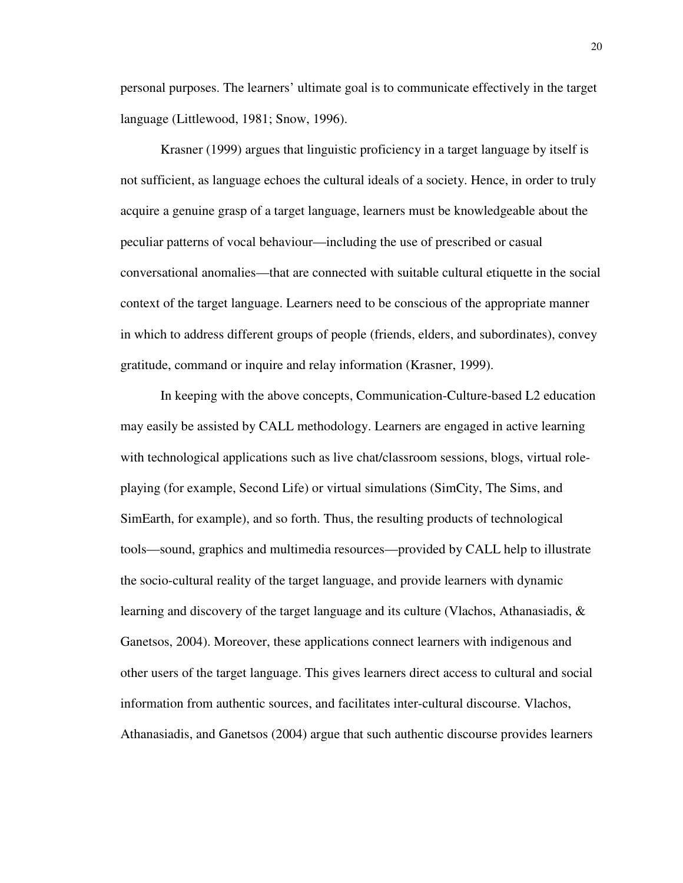personal purposes. The learners' ultimate goal is to communicate effectively in the target language (Littlewood, 1981; Snow, 1996).

Krasner (1999) argues that linguistic proficiency in a target language by itself is not sufficient, as language echoes the cultural ideals of a society. Hence, in order to truly acquire a genuine grasp of a target language, learners must be knowledgeable about the peculiar patterns of vocal behaviour—including the use of prescribed or casual conversational anomalies—that are connected with suitable cultural etiquette in the social context of the target language. Learners need to be conscious of the appropriate manner in which to address different groups of people (friends, elders, and subordinates), convey gratitude, command or inquire and relay information (Krasner, 1999).

In keeping with the above concepts, Communication-Culture-based L2 education may easily be assisted by CALL methodology. Learners are engaged in active learning with technological applications such as live chat/classroom sessions, blogs, virtual roleplaying (for example, Second Life) or virtual simulations (SimCity, The Sims, and SimEarth, for example), and so forth. Thus, the resulting products of technological tools—sound, graphics and multimedia resources—provided by CALL help to illustrate the socio-cultural reality of the target language, and provide learners with dynamic learning and discovery of the target language and its culture (Vlachos, Athanasiadis, & Ganetsos, 2004). Moreover, these applications connect learners with indigenous and other users of the target language. This gives learners direct access to cultural and social information from authentic sources, and facilitates inter-cultural discourse. Vlachos, Athanasiadis, and Ganetsos (2004) argue that such authentic discourse provides learners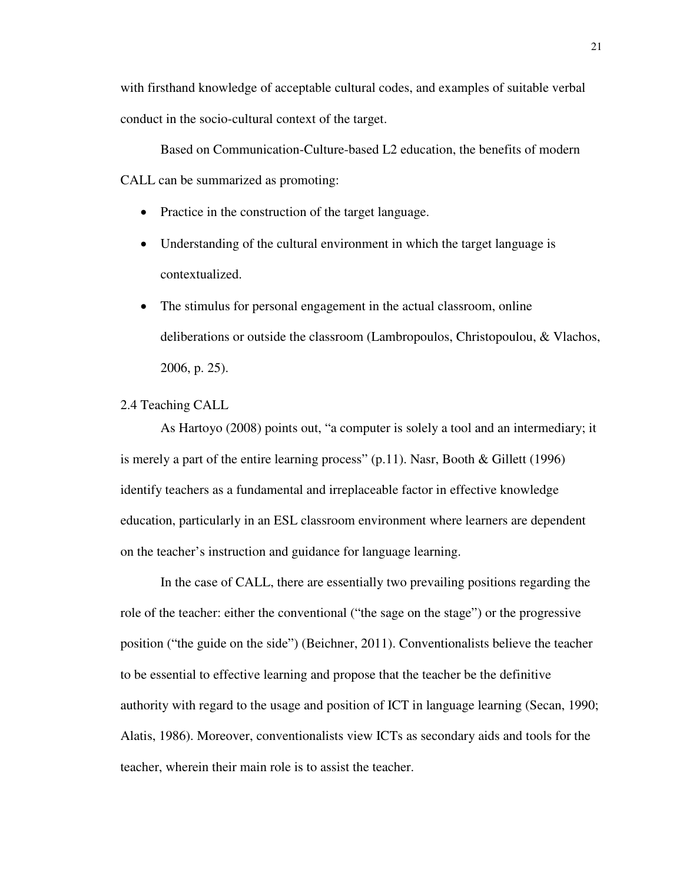with firsthand knowledge of acceptable cultural codes, and examples of suitable verbal conduct in the socio-cultural context of the target.

Based on Communication-Culture-based L2 education, the benefits of modern CALL can be summarized as promoting:

- Practice in the construction of the target language.
- Understanding of the cultural environment in which the target language is contextualized.
- The stimulus for personal engagement in the actual classroom, online deliberations or outside the classroom (Lambropoulos, Christopoulou, & Vlachos, 2006, p. 25).
- 2.4 Teaching CALL

As Hartoyo (2008) points out, "a computer is solely a tool and an intermediary; it is merely a part of the entire learning process" (p.11). Nasr, Booth & Gillett (1996) identify teachers as a fundamental and irreplaceable factor in effective knowledge education, particularly in an ESL classroom environment where learners are dependent on the teacher's instruction and guidance for language learning.

In the case of CALL, there are essentially two prevailing positions regarding the role of the teacher: either the conventional ("the sage on the stage") or the progressive position ("the guide on the side") (Beichner, 2011). Conventionalists believe the teacher to be essential to effective learning and propose that the teacher be the definitive authority with regard to the usage and position of ICT in language learning (Secan, 1990; Alatis, 1986). Moreover, conventionalists view ICTs as secondary aids and tools for the teacher, wherein their main role is to assist the teacher.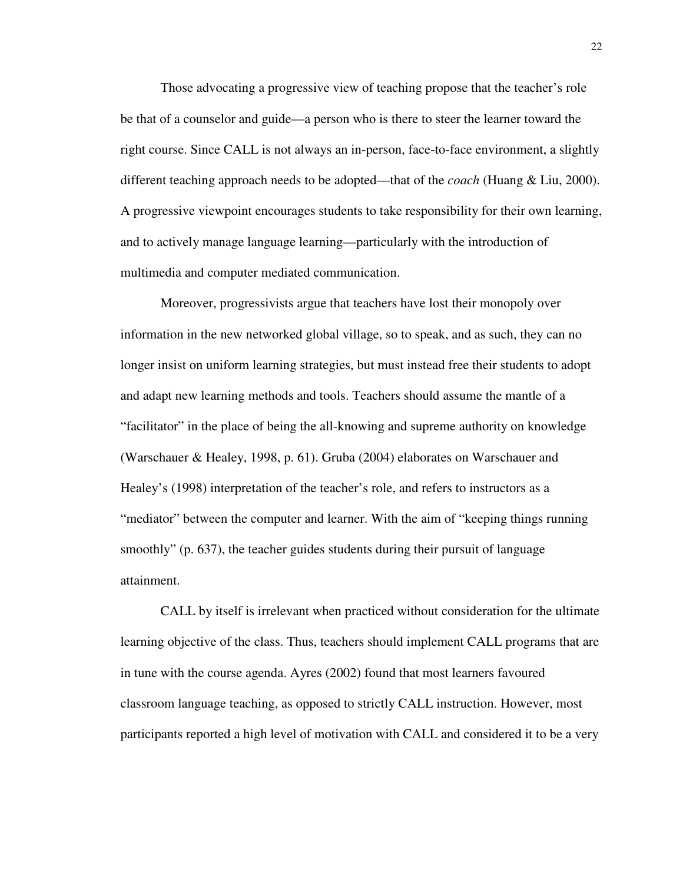Those advocating a progressive view of teaching propose that the teacher's role be that of a counselor and guide—a person who is there to steer the learner toward the right course. Since CALL is not always an in-person, face-to-face environment, a slightly different teaching approach needs to be adopted—that of the *coach* (Huang & Liu, 2000). A progressive viewpoint encourages students to take responsibility for their own learning, and to actively manage language learning—particularly with the introduction of multimedia and computer mediated communication.

Moreover, progressivists argue that teachers have lost their monopoly over information in the new networked global village, so to speak, and as such, they can no longer insist on uniform learning strategies, but must instead free their students to adopt and adapt new learning methods and tools. Teachers should assume the mantle of a "facilitator" in the place of being the all-knowing and supreme authority on knowledge (Warschauer & Healey, 1998, p. 61). Gruba (2004) elaborates on Warschauer and Healey's (1998) interpretation of the teacher's role, and refers to instructors as a "mediator" between the computer and learner. With the aim of "keeping things running smoothly" (p. 637), the teacher guides students during their pursuit of language attainment.

CALL by itself is irrelevant when practiced without consideration for the ultimate learning objective of the class. Thus, teachers should implement CALL programs that are in tune with the course agenda. Ayres (2002) found that most learners favoured classroom language teaching, as opposed to strictly CALL instruction. However, most participants reported a high level of motivation with CALL and considered it to be a very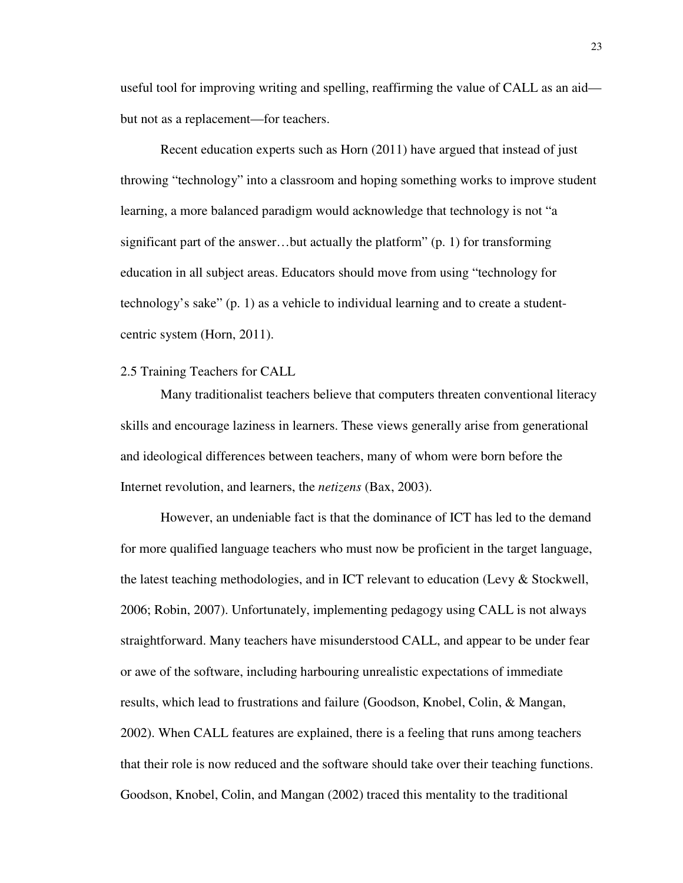useful tool for improving writing and spelling, reaffirming the value of CALL as an aid but not as a replacement—for teachers.

Recent education experts such as Horn (2011) have argued that instead of just throwing "technology" into a classroom and hoping something works to improve student learning, a more balanced paradigm would acknowledge that technology is not "a significant part of the answer…but actually the platform" (p. 1) for transforming education in all subject areas. Educators should move from using "technology for technology's sake" (p. 1) as a vehicle to individual learning and to create a studentcentric system (Horn, 2011).

#### 2.5 Training Teachers for CALL

Many traditionalist teachers believe that computers threaten conventional literacy skills and encourage laziness in learners. These views generally arise from generational and ideological differences between teachers, many of whom were born before the Internet revolution, and learners, the *netizens* (Bax, 2003).

However, an undeniable fact is that the dominance of ICT has led to the demand for more qualified language teachers who must now be proficient in the target language, the latest teaching methodologies, and in ICT relevant to education (Levy & Stockwell, 2006; Robin, 2007). Unfortunately, implementing pedagogy using CALL is not always straightforward. Many teachers have misunderstood CALL, and appear to be under fear or awe of the software, including harbouring unrealistic expectations of immediate results, which lead to frustrations and failure (Goodson, Knobel, Colin, & Mangan, 2002). When CALL features are explained, there is a feeling that runs among teachers that their role is now reduced and the software should take over their teaching functions. Goodson, Knobel, Colin, and Mangan (2002) traced this mentality to the traditional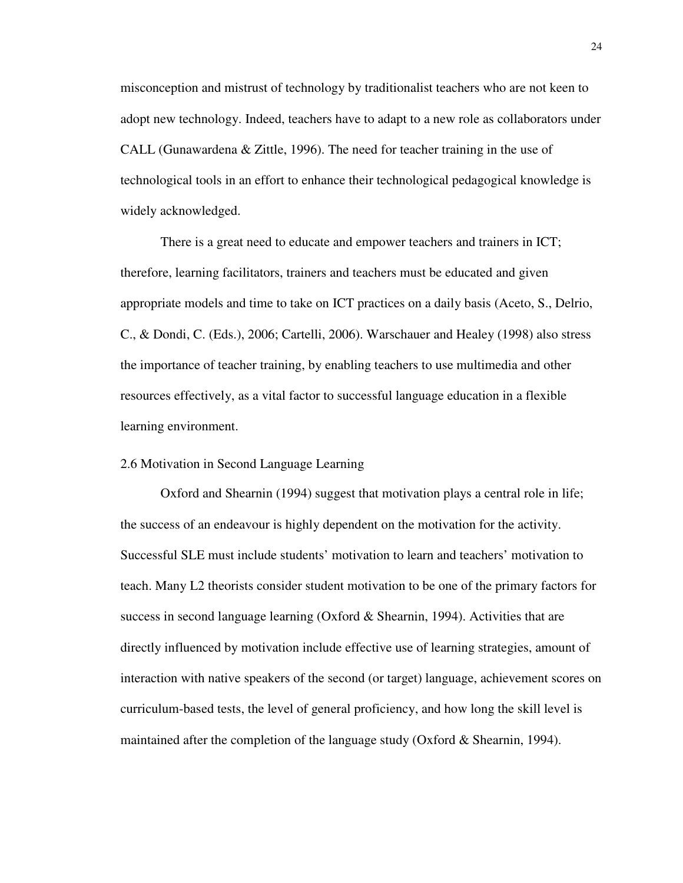misconception and mistrust of technology by traditionalist teachers who are not keen to adopt new technology. Indeed, teachers have to adapt to a new role as collaborators under CALL (Gunawardena & Zittle, 1996). The need for teacher training in the use of technological tools in an effort to enhance their technological pedagogical knowledge is widely acknowledged.

There is a great need to educate and empower teachers and trainers in ICT; therefore, learning facilitators, trainers and teachers must be educated and given appropriate models and time to take on ICT practices on a daily basis (Aceto, S., Delrio, C., & Dondi, C. (Eds.), 2006; Cartelli, 2006). Warschauer and Healey (1998) also stress the importance of teacher training, by enabling teachers to use multimedia and other resources effectively, as a vital factor to successful language education in a flexible learning environment.

#### 2.6 Motivation in Second Language Learning

Oxford and Shearnin (1994) suggest that motivation plays a central role in life; the success of an endeavour is highly dependent on the motivation for the activity. Successful SLE must include students' motivation to learn and teachers' motivation to teach. Many L2 theorists consider student motivation to be one of the primary factors for success in second language learning (Oxford  $&$  Shearnin, 1994). Activities that are directly influenced by motivation include effective use of learning strategies, amount of interaction with native speakers of the second (or target) language, achievement scores on curriculum-based tests, the level of general proficiency, and how long the skill level is maintained after the completion of the language study (Oxford & Shearnin, 1994).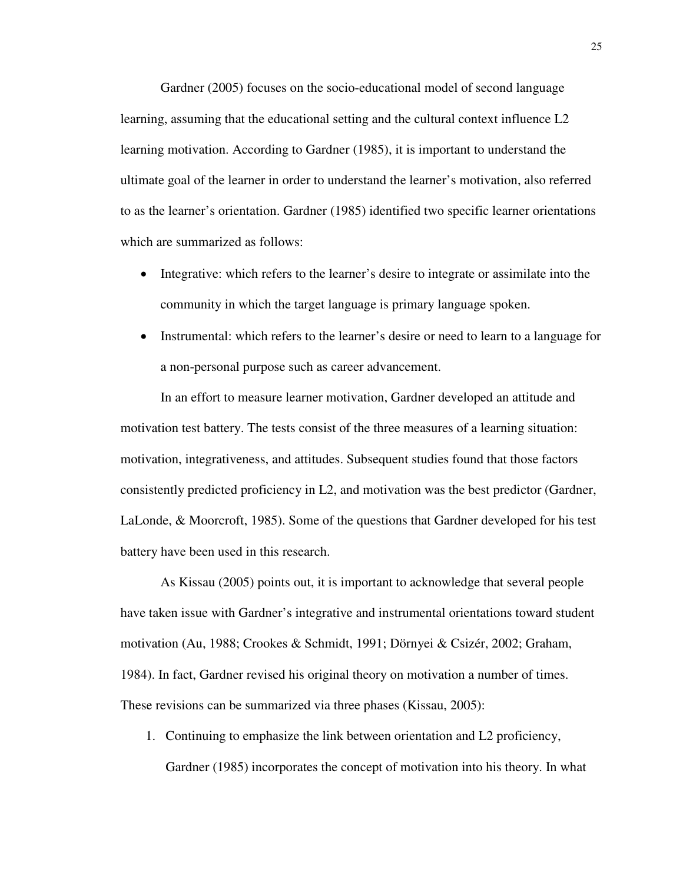Gardner (2005) focuses on the socio-educational model of second language learning, assuming that the educational setting and the cultural context influence L2 learning motivation. According to Gardner (1985), it is important to understand the ultimate goal of the learner in order to understand the learner's motivation, also referred to as the learner's orientation. Gardner (1985) identified two specific learner orientations which are summarized as follows:

- Integrative: which refers to the learner's desire to integrate or assimilate into the community in which the target language is primary language spoken.
- Instrumental: which refers to the learner's desire or need to learn to a language for a non-personal purpose such as career advancement.

In an effort to measure learner motivation, Gardner developed an attitude and motivation test battery. The tests consist of the three measures of a learning situation: motivation, integrativeness, and attitudes. Subsequent studies found that those factors consistently predicted proficiency in L2, and motivation was the best predictor (Gardner, LaLonde, & Moorcroft, 1985). Some of the questions that Gardner developed for his test battery have been used in this research.

As Kissau (2005) points out, it is important to acknowledge that several people have taken issue with Gardner's integrative and instrumental orientations toward student motivation (Au, 1988; Crookes & Schmidt, 1991; Dörnyei & Csizér, 2002; Graham, 1984). In fact, Gardner revised his original theory on motivation a number of times. These revisions can be summarized via three phases (Kissau, 2005):

1. Continuing to emphasize the link between orientation and L2 proficiency, Gardner (1985) incorporates the concept of motivation into his theory. In what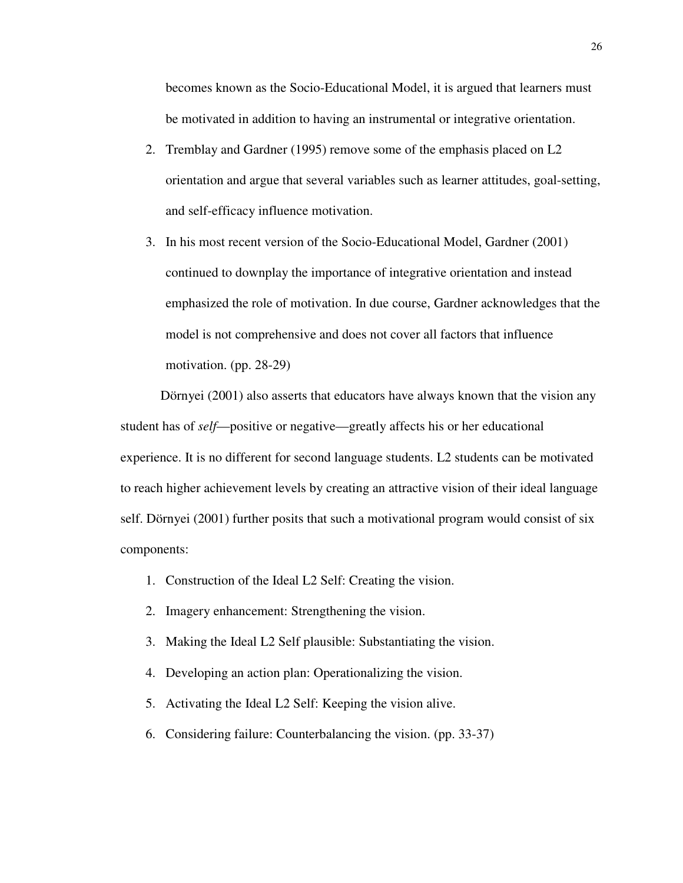becomes known as the Socio-Educational Model, it is argued that learners must be motivated in addition to having an instrumental or integrative orientation.

- 2. Tremblay and Gardner (1995) remove some of the emphasis placed on L2 orientation and argue that several variables such as learner attitudes, goal-setting, and self-efficacy influence motivation.
- 3. In his most recent version of the Socio-Educational Model, Gardner (2001) continued to downplay the importance of integrative orientation and instead emphasized the role of motivation. In due course, Gardner acknowledges that the model is not comprehensive and does not cover all factors that influence motivation. (pp. 28-29)

Dörnyei (2001) also asserts that educators have always known that the vision any student has of *self*—positive or negative—greatly affects his or her educational experience. It is no different for second language students. L2 students can be motivated to reach higher achievement levels by creating an attractive vision of their ideal language self. Dörnyei (2001) further posits that such a motivational program would consist of six components:

- 1. Construction of the Ideal L2 Self: Creating the vision.
- 2. Imagery enhancement: Strengthening the vision.
- 3. Making the Ideal L2 Self plausible: Substantiating the vision.
- 4. Developing an action plan: Operationalizing the vision.
- 5. Activating the Ideal L2 Self: Keeping the vision alive.
- 6. Considering failure: Counterbalancing the vision. (pp. 33-37)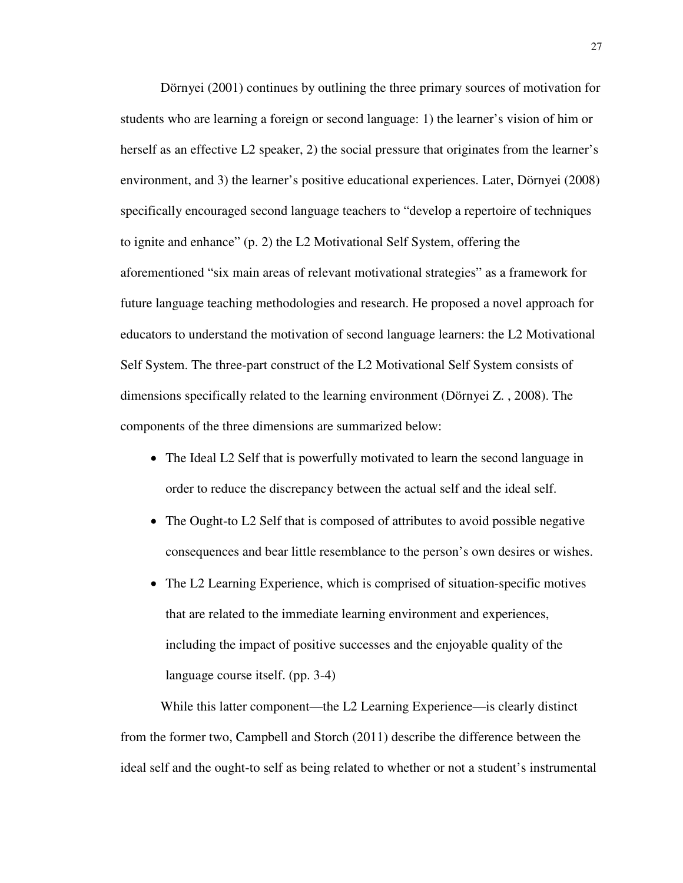Dörnyei (2001) continues by outlining the three primary sources of motivation for students who are learning a foreign or second language: 1) the learner's vision of him or herself as an effective L2 speaker, 2) the social pressure that originates from the learner's environment, and 3) the learner's positive educational experiences. Later, Dörnyei (2008) specifically encouraged second language teachers to "develop a repertoire of techniques to ignite and enhance" (p. 2) the L2 Motivational Self System, offering the aforementioned "six main areas of relevant motivational strategies" as a framework for future language teaching methodologies and research. He proposed a novel approach for educators to understand the motivation of second language learners: the L2 Motivational Self System. The three-part construct of the L2 Motivational Self System consists of dimensions specifically related to the learning environment (Dörnyei Z. , 2008). The components of the three dimensions are summarized below:

- The Ideal L2 Self that is powerfully motivated to learn the second language in order to reduce the discrepancy between the actual self and the ideal self.
- The Ought-to L2 Self that is composed of attributes to avoid possible negative consequences and bear little resemblance to the person's own desires or wishes.
- The L2 Learning Experience, which is comprised of situation-specific motives that are related to the immediate learning environment and experiences, including the impact of positive successes and the enjoyable quality of the language course itself. (pp. 3-4)

While this latter component—the L2 Learning Experience—is clearly distinct from the former two, Campbell and Storch (2011) describe the difference between the ideal self and the ought-to self as being related to whether or not a student's instrumental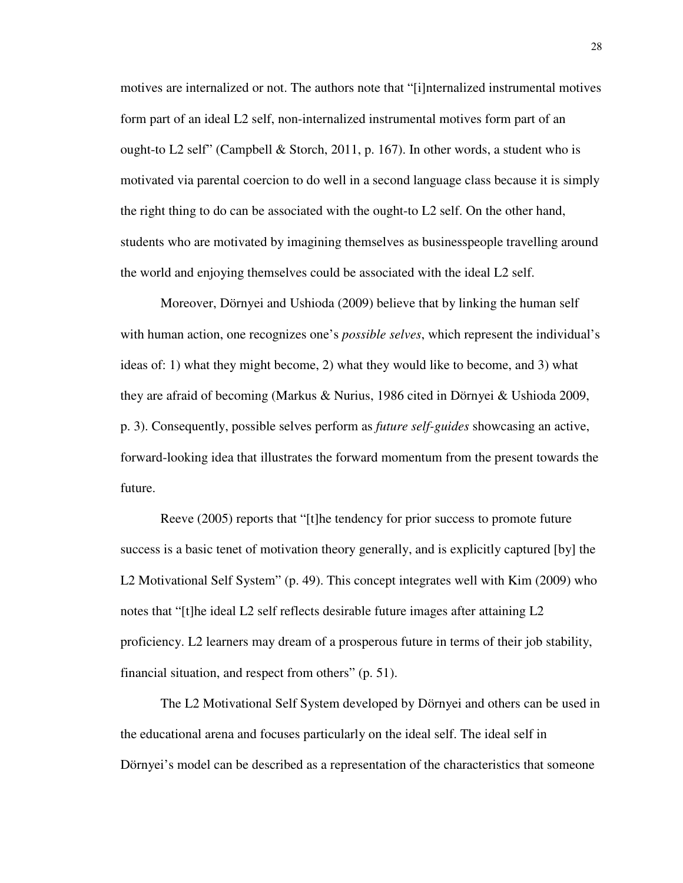motives are internalized or not. The authors note that "[i]nternalized instrumental motives form part of an ideal L2 self, non-internalized instrumental motives form part of an ought-to L2 self" (Campbell & Storch, 2011, p. 167). In other words, a student who is motivated via parental coercion to do well in a second language class because it is simply the right thing to do can be associated with the ought-to L2 self. On the other hand, students who are motivated by imagining themselves as businesspeople travelling around the world and enjoying themselves could be associated with the ideal L2 self.

Moreover, Dörnyei and Ushioda (2009) believe that by linking the human self with human action, one recognizes one's *possible selves*, which represent the individual's ideas of: 1) what they might become, 2) what they would like to become, and 3) what they are afraid of becoming (Markus & Nurius, 1986 cited in Dörnyei & Ushioda 2009, p. 3). Consequently, possible selves perform as *future self-guides* showcasing an active, forward-looking idea that illustrates the forward momentum from the present towards the future.

Reeve (2005) reports that "[t]he tendency for prior success to promote future success is a basic tenet of motivation theory generally, and is explicitly captured [by] the L2 Motivational Self System" (p. 49). This concept integrates well with Kim (2009) who notes that "[t]he ideal L2 self reflects desirable future images after attaining L2 proficiency. L2 learners may dream of a prosperous future in terms of their job stability, financial situation, and respect from others" (p. 51).

The L2 Motivational Self System developed by Dörnyei and others can be used in the educational arena and focuses particularly on the ideal self. The ideal self in Dörnyei's model can be described as a representation of the characteristics that someone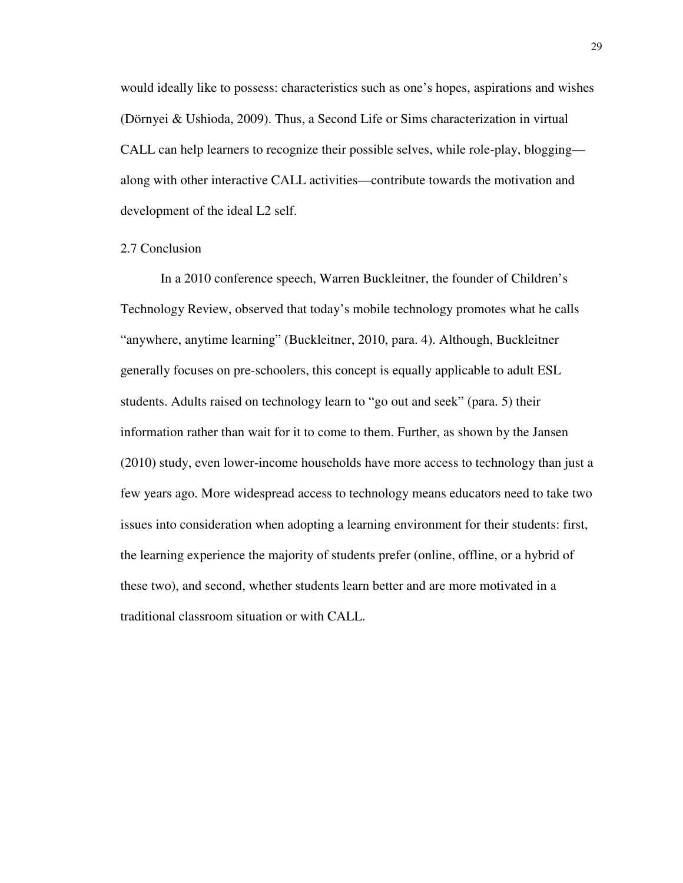would ideally like to possess: characteristics such as one's hopes, aspirations and wishes (Dörnyei & Ushioda, 2009). Thus, a Second Life or Sims characterization in virtual CALL can help learners to recognize their possible selves, while role-play, blogging along with other interactive CALL activities—contribute towards the motivation and development of the ideal L2 self.

### 2.7 Conclusion

In a 2010 conference speech, Warren Buckleitner, the founder of Children's Technology Review, observed that today's mobile technology promotes what he calls "anywhere, anytime learning" (Buckleitner, 2010, para. 4). Although, Buckleitner generally focuses on pre-schoolers, this concept is equally applicable to adult ESL students. Adults raised on technology learn to "go out and seek" (para. 5) their information rather than wait for it to come to them. Further, as shown by the Jansen (2010) study, even lower-income households have more access to technology than just a few years ago. More widespread access to technology means educators need to take two issues into consideration when adopting a learning environment for their students: first, the learning experience the majority of students prefer (online, offline, or a hybrid of these two), and second, whether students learn better and are more motivated in a traditional classroom situation or with CALL.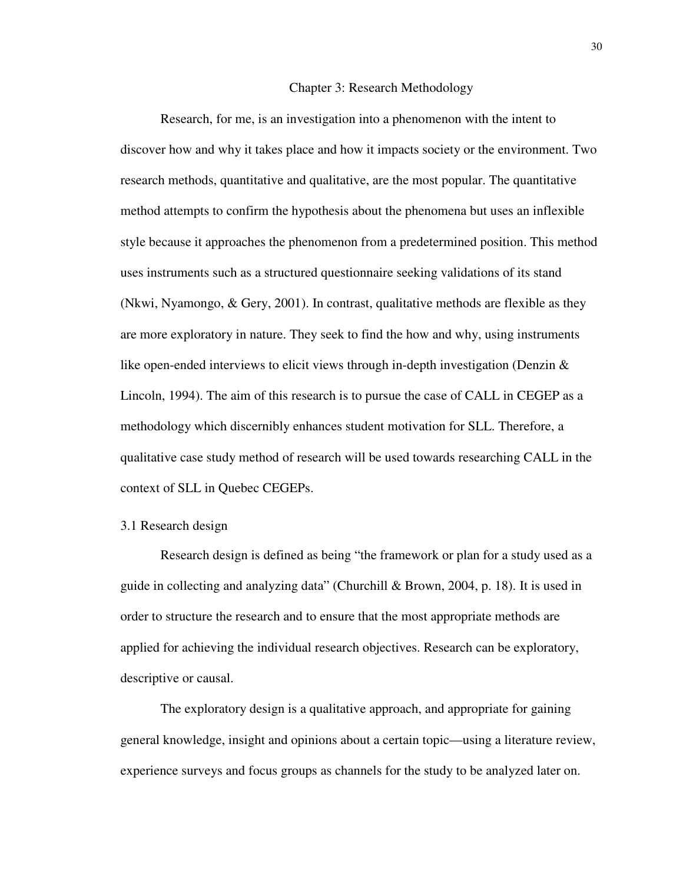### 3 Chapter 3: Research Methodology

Research, for me, is an investigation into a phenomenon with the intent to discover how and why it takes place and how it impacts society or the environment. Two research methods, quantitative and qualitative, are the most popular. The quantitative method attempts to confirm the hypothesis about the phenomena but uses an inflexible style because it approaches the phenomenon from a predetermined position. This method uses instruments such as a structured questionnaire seeking validations of its stand (Nkwi, Nyamongo, & Gery, 2001). In contrast, qualitative methods are flexible as they are more exploratory in nature. They seek to find the how and why, using instruments like open-ended interviews to elicit views through in-depth investigation (Denzin  $\&$ Lincoln, 1994). The aim of this research is to pursue the case of CALL in CEGEP as a methodology which discernibly enhances student motivation for SLL. Therefore, a qualitative case study method of research will be used towards researching CALL in the context of SLL in Quebec CEGEPs.

#### 3.1 Research design

Research design is defined as being "the framework or plan for a study used as a guide in collecting and analyzing data" (Churchill & Brown, 2004, p. 18). It is used in order to structure the research and to ensure that the most appropriate methods are applied for achieving the individual research objectives. Research can be exploratory, descriptive or causal.

The exploratory design is a qualitative approach, and appropriate for gaining general knowledge, insight and opinions about a certain topic—using a literature review, experience surveys and focus groups as channels for the study to be analyzed later on.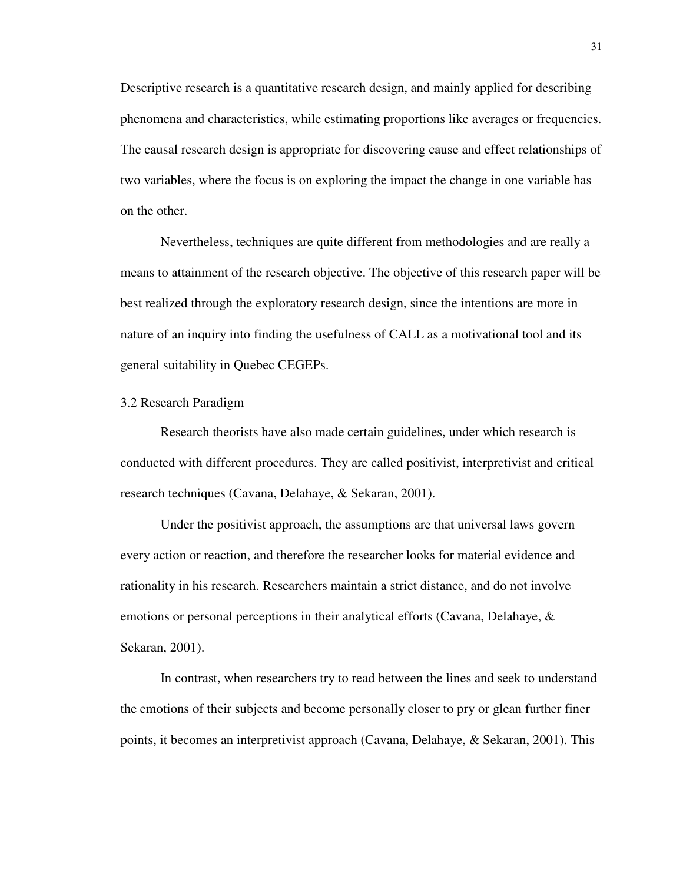Descriptive research is a quantitative research design, and mainly applied for describing phenomena and characteristics, while estimating proportions like averages or frequencies. The causal research design is appropriate for discovering cause and effect relationships of two variables, where the focus is on exploring the impact the change in one variable has on the other.

Nevertheless, techniques are quite different from methodologies and are really a means to attainment of the research objective. The objective of this research paper will be best realized through the exploratory research design, since the intentions are more in nature of an inquiry into finding the usefulness of CALL as a motivational tool and its general suitability in Quebec CEGEPs.

### 3.2 Research Paradigm

Research theorists have also made certain guidelines, under which research is conducted with different procedures. They are called positivist, interpretivist and critical research techniques (Cavana, Delahaye, & Sekaran, 2001).

Under the positivist approach, the assumptions are that universal laws govern every action or reaction, and therefore the researcher looks for material evidence and rationality in his research. Researchers maintain a strict distance, and do not involve emotions or personal perceptions in their analytical efforts (Cavana, Delahaye, & Sekaran, 2001).

In contrast, when researchers try to read between the lines and seek to understand the emotions of their subjects and become personally closer to pry or glean further finer points, it becomes an interpretivist approach (Cavana, Delahaye, & Sekaran, 2001). This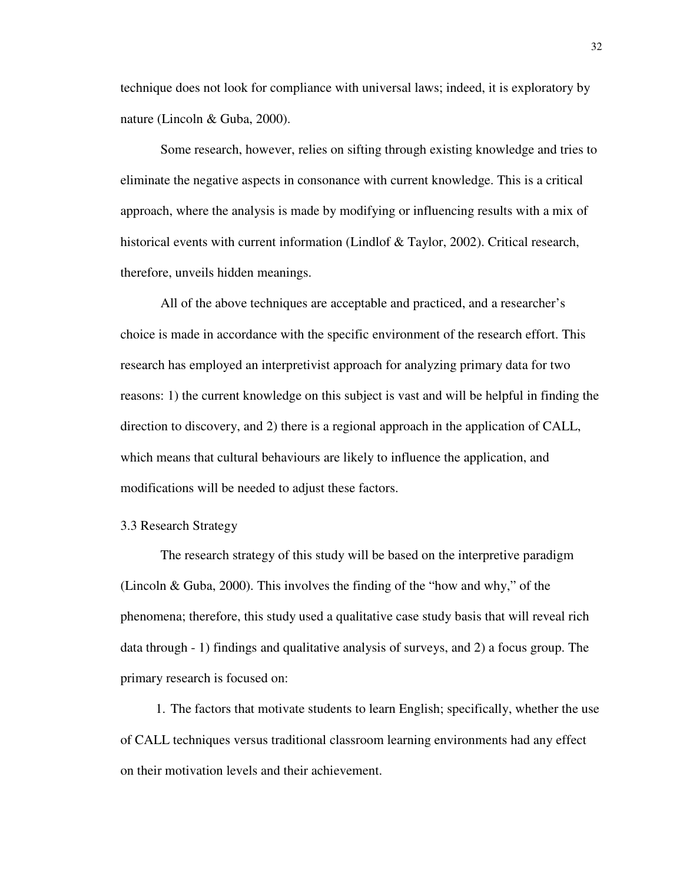technique does not look for compliance with universal laws; indeed, it is exploratory by nature (Lincoln & Guba, 2000).

Some research, however, relies on sifting through existing knowledge and tries to eliminate the negative aspects in consonance with current knowledge. This is a critical approach, where the analysis is made by modifying or influencing results with a mix of historical events with current information (Lindlof & Taylor, 2002). Critical research, therefore, unveils hidden meanings.

All of the above techniques are acceptable and practiced, and a researcher's choice is made in accordance with the specific environment of the research effort. This research has employed an interpretivist approach for analyzing primary data for two reasons: 1) the current knowledge on this subject is vast and will be helpful in finding the direction to discovery, and 2) there is a regional approach in the application of CALL, which means that cultural behaviours are likely to influence the application, and modifications will be needed to adjust these factors.

# 3.3 Research Strategy

The research strategy of this study will be based on the interpretive paradigm (Lincoln & Guba, 2000). This involves the finding of the "how and why," of the phenomena; therefore, this study used a qualitative case study basis that will reveal rich data through - 1) findings and qualitative analysis of surveys, and 2) a focus group. The primary research is focused on:

1. The factors that motivate students to learn English; specifically, whether the use of CALL techniques versus traditional classroom learning environments had any effect on their motivation levels and their achievement.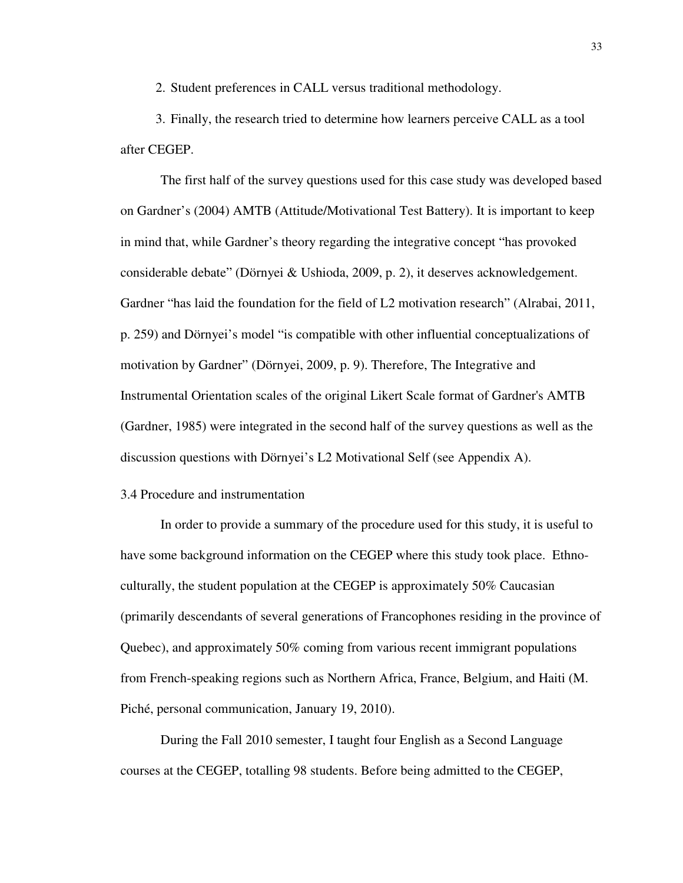2. Student preferences in CALL versus traditional methodology.

3. Finally, the research tried to determine how learners perceive CALL as a tool after CEGEP.

The first half of the survey questions used for this case study was developed based on Gardner's (2004) AMTB (Attitude/Motivational Test Battery). It is important to keep in mind that, while Gardner's theory regarding the integrative concept "has provoked considerable debate" (Dörnyei & Ushioda, 2009, p. 2), it deserves acknowledgement. Gardner "has laid the foundation for the field of L2 motivation research" (Alrabai, 2011, p. 259) and Dörnyei's model "is compatible with other influential conceptualizations of motivation by Gardner" (Dörnyei, 2009, p. 9). Therefore, The Integrative and Instrumental Orientation scales of the original Likert Scale format of Gardner's AMTB (Gardner, 1985) were integrated in the second half of the survey questions as well as the discussion questions with Dörnyei's L2 Motivational Self (see Appendix A).

## 3.4 Procedure and instrumentation

In order to provide a summary of the procedure used for this study, it is useful to have some background information on the CEGEP where this study took place. Ethnoculturally, the student population at the CEGEP is approximately 50% Caucasian (primarily descendants of several generations of Francophones residing in the province of Quebec), and approximately 50% coming from various recent immigrant populations from French-speaking regions such as Northern Africa, France, Belgium, and Haiti (M. Piché, personal communication, January 19, 2010).

During the Fall 2010 semester, I taught four English as a Second Language courses at the CEGEP, totalling 98 students. Before being admitted to the CEGEP,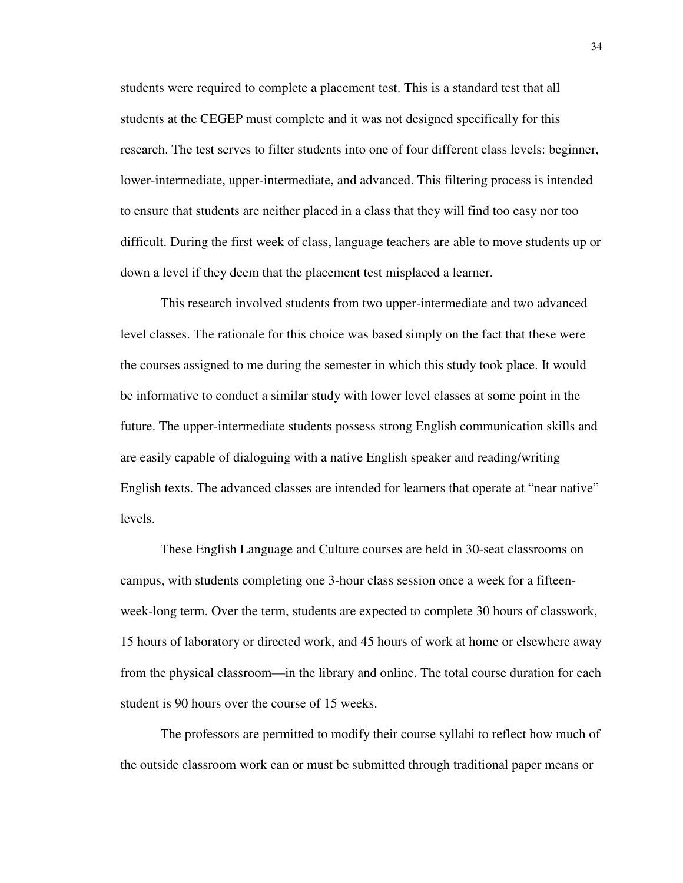students were required to complete a placement test. This is a standard test that all students at the CEGEP must complete and it was not designed specifically for this research. The test serves to filter students into one of four different class levels: beginner, lower-intermediate, upper-intermediate, and advanced. This filtering process is intended to ensure that students are neither placed in a class that they will find too easy nor too difficult. During the first week of class, language teachers are able to move students up or down a level if they deem that the placement test misplaced a learner.

This research involved students from two upper-intermediate and two advanced level classes. The rationale for this choice was based simply on the fact that these were the courses assigned to me during the semester in which this study took place. It would be informative to conduct a similar study with lower level classes at some point in the future. The upper-intermediate students possess strong English communication skills and are easily capable of dialoguing with a native English speaker and reading/writing English texts. The advanced classes are intended for learners that operate at "near native" levels.

These English Language and Culture courses are held in 30-seat classrooms on campus, with students completing one 3-hour class session once a week for a fifteenweek-long term. Over the term, students are expected to complete 30 hours of classwork, 15 hours of laboratory or directed work, and 45 hours of work at home or elsewhere away from the physical classroom—in the library and online. The total course duration for each student is 90 hours over the course of 15 weeks.

The professors are permitted to modify their course syllabi to reflect how much of the outside classroom work can or must be submitted through traditional paper means or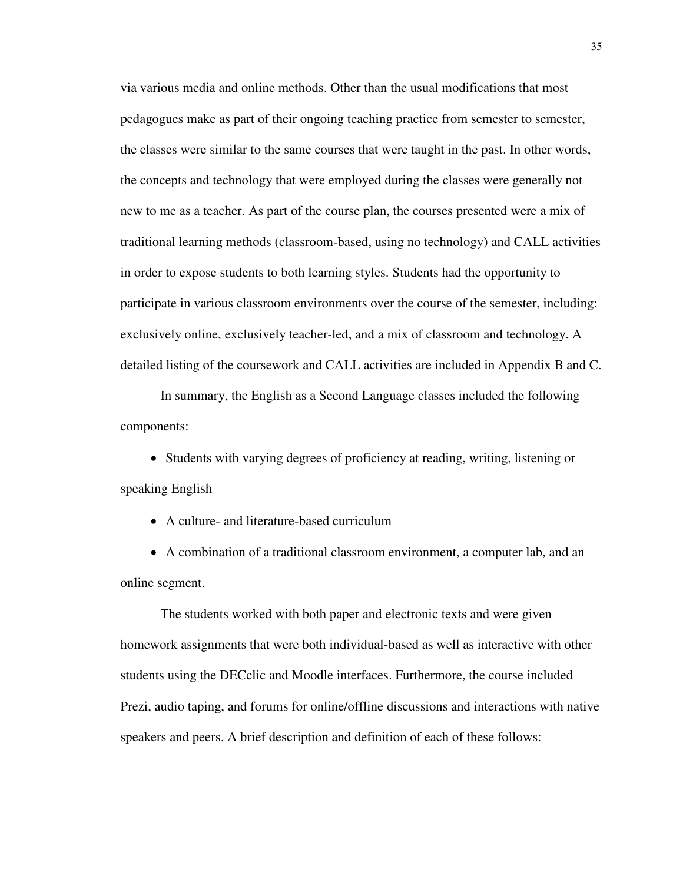via various media and online methods. Other than the usual modifications that most pedagogues make as part of their ongoing teaching practice from semester to semester, the classes were similar to the same courses that were taught in the past. In other words, the concepts and technology that were employed during the classes were generally not new to me as a teacher. As part of the course plan, the courses presented were a mix of traditional learning methods (classroom-based, using no technology) and CALL activities in order to expose students to both learning styles. Students had the opportunity to participate in various classroom environments over the course of the semester, including: exclusively online, exclusively teacher-led, and a mix of classroom and technology. A detailed listing of the coursework and CALL activities are included in Appendix B and C.

In summary, the English as a Second Language classes included the following components:

• Students with varying degrees of proficiency at reading, writing, listening or speaking English

• A culture- and literature-based curriculum

• A combination of a traditional classroom environment, a computer lab, and an online segment.

The students worked with both paper and electronic texts and were given homework assignments that were both individual-based as well as interactive with other students using the DECclic and Moodle interfaces. Furthermore, the course included Prezi, audio taping, and forums for online/offline discussions and interactions with native speakers and peers. A brief description and definition of each of these follows: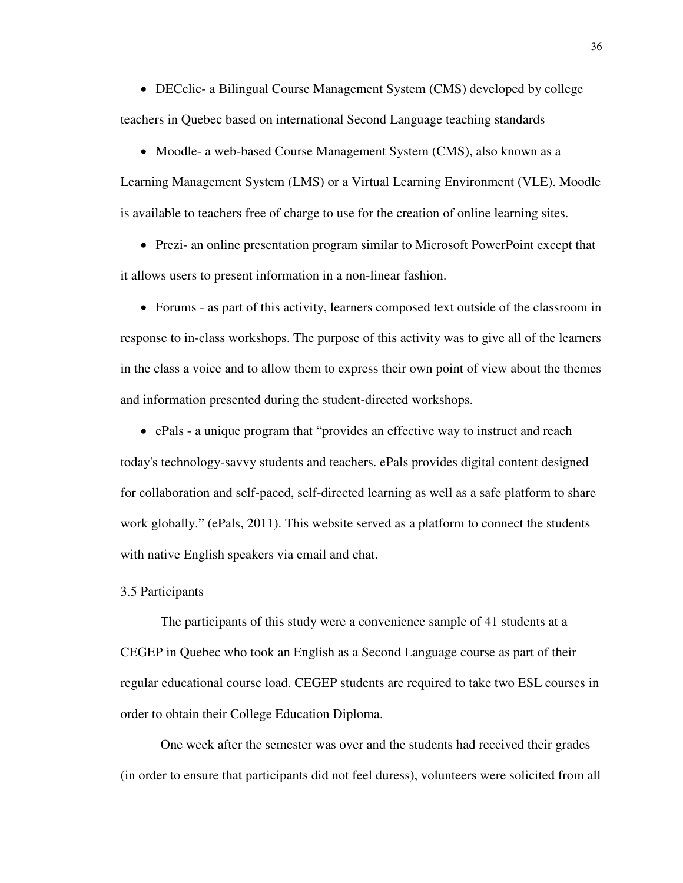• DECclic- a Bilingual Course Management System (CMS) developed by college teachers in Quebec based on international Second Language teaching standards

• Moodle- a web-based Course Management System (CMS), also known as a

Learning Management System (LMS) or a Virtual Learning Environment (VLE). Moodle is available to teachers free of charge to use for the creation of online learning sites.

• Prezi- an online presentation program similar to Microsoft PowerPoint except that it allows users to present information in a non-linear fashion.

• Forums - as part of this activity, learners composed text outside of the classroom in response to in-class workshops. The purpose of this activity was to give all of the learners in the class a voice and to allow them to express their own point of view about the themes and information presented during the student-directed workshops.

• ePals - a unique program that "provides an effective way to instruct and reach

today's technology-savvy students and teachers. ePals provides digital content designed for collaboration and self-paced, self-directed learning as well as a safe platform to share work globally." (ePals, 2011). This website served as a platform to connect the students with native English speakers via email and chat.

### 3.5 Participants

The participants of this study were a convenience sample of 41 students at a CEGEP in Quebec who took an English as a Second Language course as part of their regular educational course load. CEGEP students are required to take two ESL courses in order to obtain their College Education Diploma.

One week after the semester was over and the students had received their grades (in order to ensure that participants did not feel duress), volunteers were solicited from all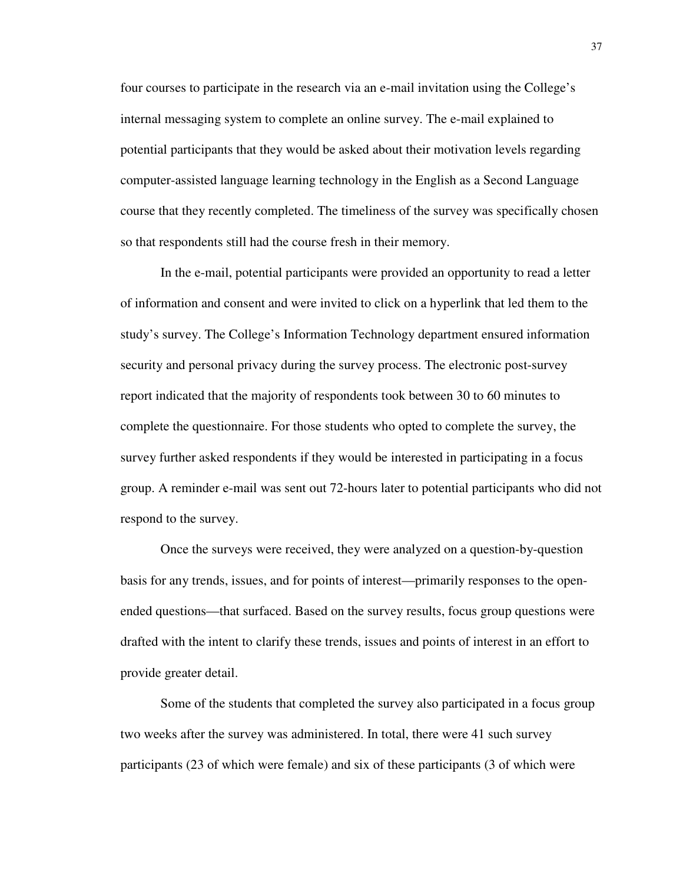four courses to participate in the research via an e-mail invitation using the College's internal messaging system to complete an online survey. The e-mail explained to potential participants that they would be asked about their motivation levels regarding computer-assisted language learning technology in the English as a Second Language course that they recently completed. The timeliness of the survey was specifically chosen so that respondents still had the course fresh in their memory.

In the e-mail, potential participants were provided an opportunity to read a letter of information and consent and were invited to click on a hyperlink that led them to the study's survey. The College's Information Technology department ensured information security and personal privacy during the survey process. The electronic post-survey report indicated that the majority of respondents took between 30 to 60 minutes to complete the questionnaire. For those students who opted to complete the survey, the survey further asked respondents if they would be interested in participating in a focus group. A reminder e-mail was sent out 72-hours later to potential participants who did not respond to the survey.

Once the surveys were received, they were analyzed on a question-by-question basis for any trends, issues, and for points of interest—primarily responses to the openended questions—that surfaced. Based on the survey results, focus group questions were drafted with the intent to clarify these trends, issues and points of interest in an effort to provide greater detail.

Some of the students that completed the survey also participated in a focus group two weeks after the survey was administered. In total, there were 41 such survey participants (23 of which were female) and six of these participants (3 of which were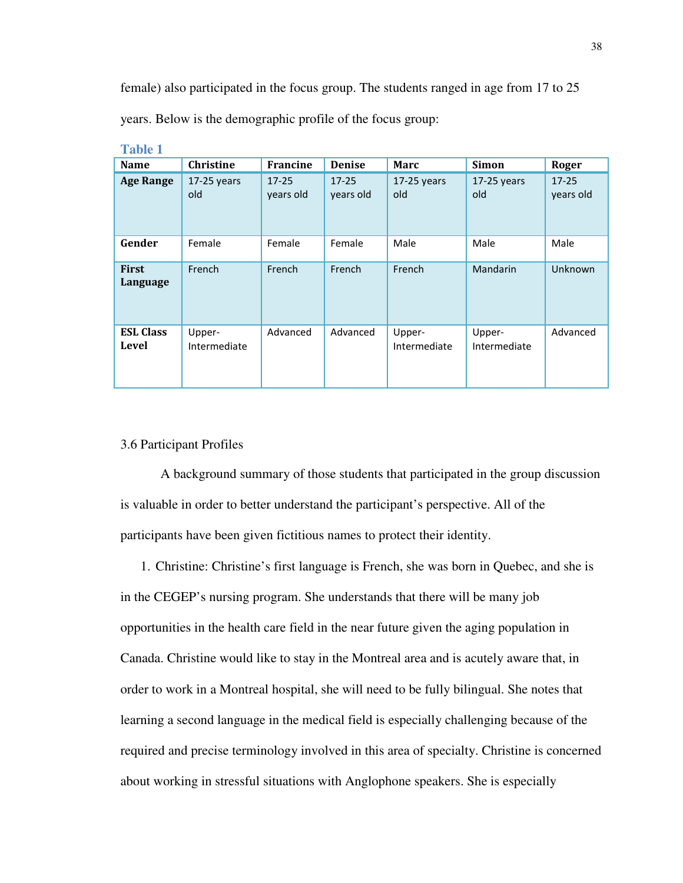female) also participated in the focus group. The students ranged in age from 17 to 25 years. Below is the demographic profile of the focus group:

| <b>Name</b>               | <b>Christine</b>       | <b>Francine</b>        | <b>Denise</b>          | <b>Marc</b>            | <b>Simon</b>           | Roger                  |
|---------------------------|------------------------|------------------------|------------------------|------------------------|------------------------|------------------------|
| <b>Age Range</b>          | $17-25$ years<br>old   | $17 - 25$<br>years old | $17 - 25$<br>years old | $17-25$ years<br>old   | $17-25$ years<br>old   | $17 - 25$<br>years old |
| Gender                    | Female                 | Female                 | Female                 | Male                   | Male                   | Male                   |
| <b>First</b><br>Language  | French                 | French                 | French                 | French                 | Mandarin               | Unknown                |
| <b>ESL Class</b><br>Level | Upper-<br>Intermediate | Advanced               | Advanced               | Upper-<br>Intermediate | Upper-<br>Intermediate | Advanced               |

**Table 1** 

# 3.6 Participant Profiles

A background summary of those students that participated in the group discussion is valuable in order to better understand the participant's perspective. All of the participants have been given fictitious names to protect their identity.

1. Christine: Christine's first language is French, she was born in Quebec, and she is in the CEGEP's nursing program. She understands that there will be many job opportunities in the health care field in the near future given the aging population in Canada. Christine would like to stay in the Montreal area and is acutely aware that, in order to work in a Montreal hospital, she will need to be fully bilingual. She notes that learning a second language in the medical field is especially challenging because of the required and precise terminology involved in this area of specialty. Christine is concerned about working in stressful situations with Anglophone speakers. She is especially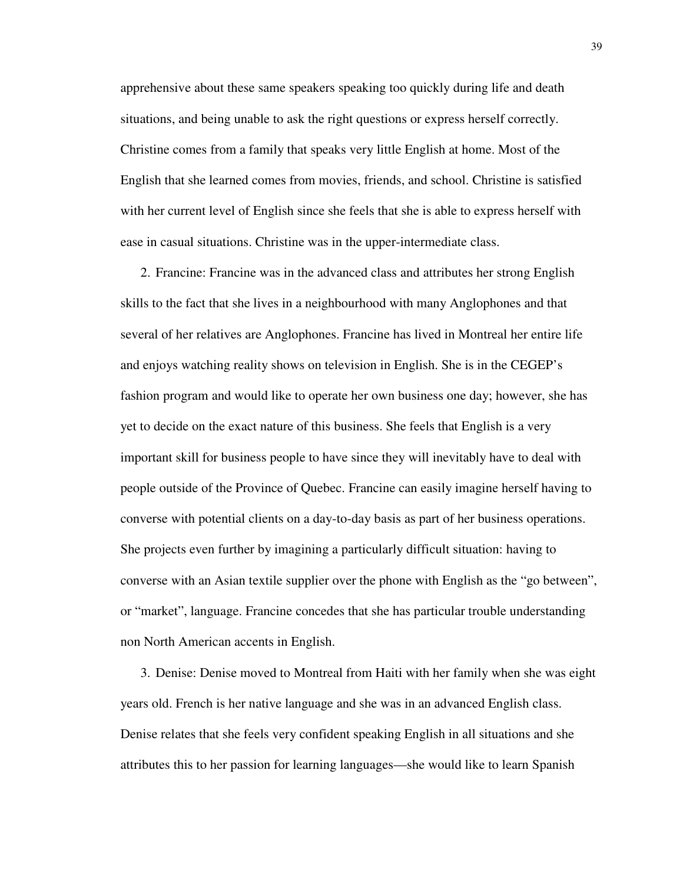apprehensive about these same speakers speaking too quickly during life and death situations, and being unable to ask the right questions or express herself correctly. Christine comes from a family that speaks very little English at home. Most of the English that she learned comes from movies, friends, and school. Christine is satisfied with her current level of English since she feels that she is able to express herself with ease in casual situations. Christine was in the upper-intermediate class.

2. Francine: Francine was in the advanced class and attributes her strong English skills to the fact that she lives in a neighbourhood with many Anglophones and that several of her relatives are Anglophones. Francine has lived in Montreal her entire life and enjoys watching reality shows on television in English. She is in the CEGEP's fashion program and would like to operate her own business one day; however, she has yet to decide on the exact nature of this business. She feels that English is a very important skill for business people to have since they will inevitably have to deal with people outside of the Province of Quebec. Francine can easily imagine herself having to converse with potential clients on a day-to-day basis as part of her business operations. She projects even further by imagining a particularly difficult situation: having to converse with an Asian textile supplier over the phone with English as the "go between", or "market", language. Francine concedes that she has particular trouble understanding non North American accents in English.

3. Denise: Denise moved to Montreal from Haiti with her family when she was eight years old. French is her native language and she was in an advanced English class. Denise relates that she feels very confident speaking English in all situations and she attributes this to her passion for learning languages—she would like to learn Spanish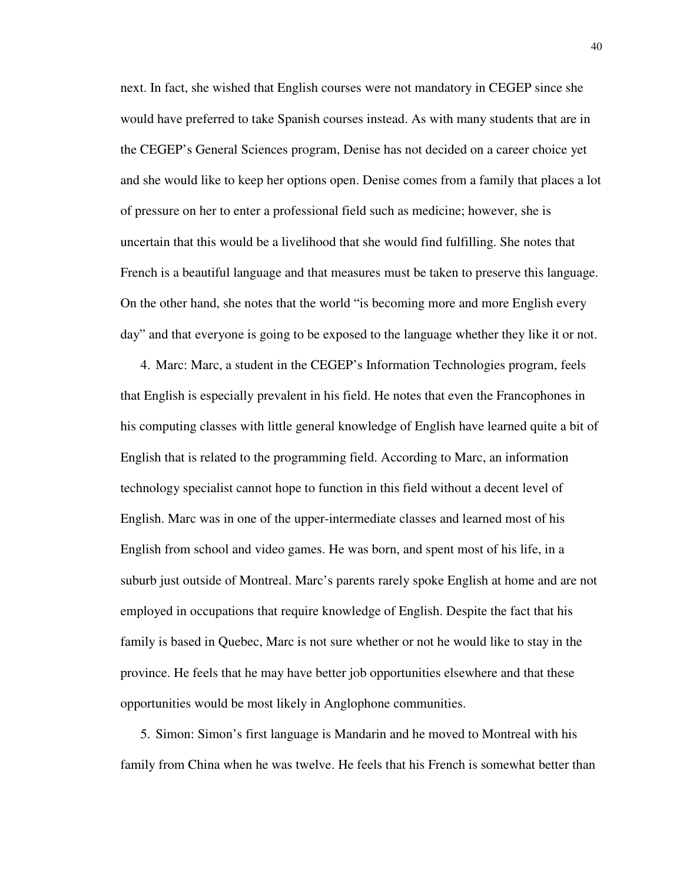next. In fact, she wished that English courses were not mandatory in CEGEP since she would have preferred to take Spanish courses instead. As with many students that are in the CEGEP's General Sciences program, Denise has not decided on a career choice yet and she would like to keep her options open. Denise comes from a family that places a lot of pressure on her to enter a professional field such as medicine; however, she is uncertain that this would be a livelihood that she would find fulfilling. She notes that French is a beautiful language and that measures must be taken to preserve this language. On the other hand, she notes that the world "is becoming more and more English every day" and that everyone is going to be exposed to the language whether they like it or not.

4. Marc: Marc, a student in the CEGEP's Information Technologies program, feels that English is especially prevalent in his field. He notes that even the Francophones in his computing classes with little general knowledge of English have learned quite a bit of English that is related to the programming field. According to Marc, an information technology specialist cannot hope to function in this field without a decent level of English. Marc was in one of the upper-intermediate classes and learned most of his English from school and video games. He was born, and spent most of his life, in a suburb just outside of Montreal. Marc's parents rarely spoke English at home and are not employed in occupations that require knowledge of English. Despite the fact that his family is based in Quebec, Marc is not sure whether or not he would like to stay in the province. He feels that he may have better job opportunities elsewhere and that these opportunities would be most likely in Anglophone communities.

5. Simon: Simon's first language is Mandarin and he moved to Montreal with his family from China when he was twelve. He feels that his French is somewhat better than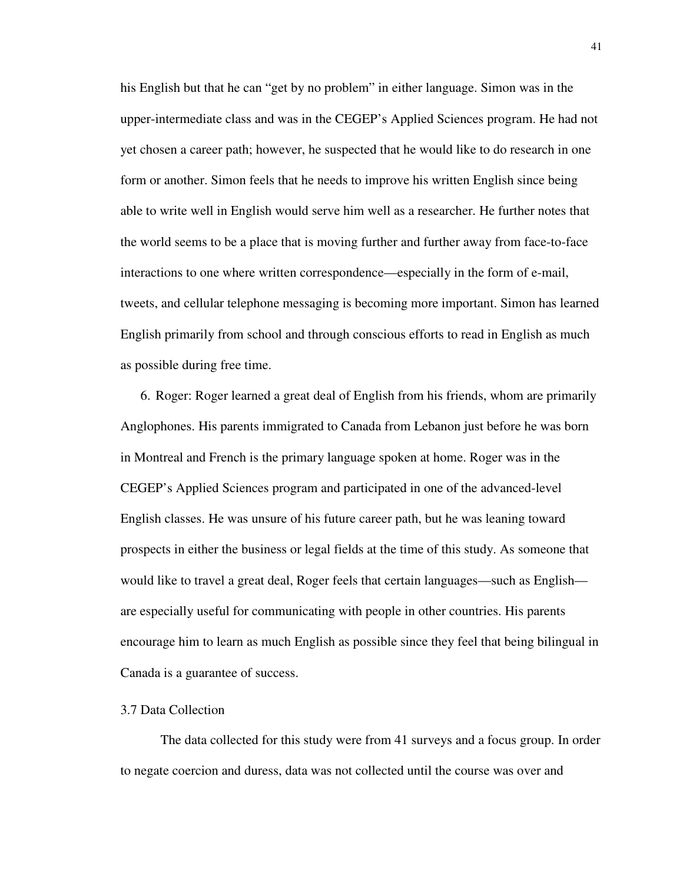his English but that he can "get by no problem" in either language. Simon was in the upper-intermediate class and was in the CEGEP's Applied Sciences program. He had not yet chosen a career path; however, he suspected that he would like to do research in one form or another. Simon feels that he needs to improve his written English since being able to write well in English would serve him well as a researcher. He further notes that the world seems to be a place that is moving further and further away from face-to-face interactions to one where written correspondence—especially in the form of e-mail, tweets, and cellular telephone messaging is becoming more important. Simon has learned English primarily from school and through conscious efforts to read in English as much as possible during free time.

6. Roger: Roger learned a great deal of English from his friends, whom are primarily Anglophones. His parents immigrated to Canada from Lebanon just before he was born in Montreal and French is the primary language spoken at home. Roger was in the CEGEP's Applied Sciences program and participated in one of the advanced-level English classes. He was unsure of his future career path, but he was leaning toward prospects in either the business or legal fields at the time of this study. As someone that would like to travel a great deal, Roger feels that certain languages—such as English are especially useful for communicating with people in other countries. His parents encourage him to learn as much English as possible since they feel that being bilingual in Canada is a guarantee of success.

# 3.7 Data Collection

The data collected for this study were from 41 surveys and a focus group. In order to negate coercion and duress, data was not collected until the course was over and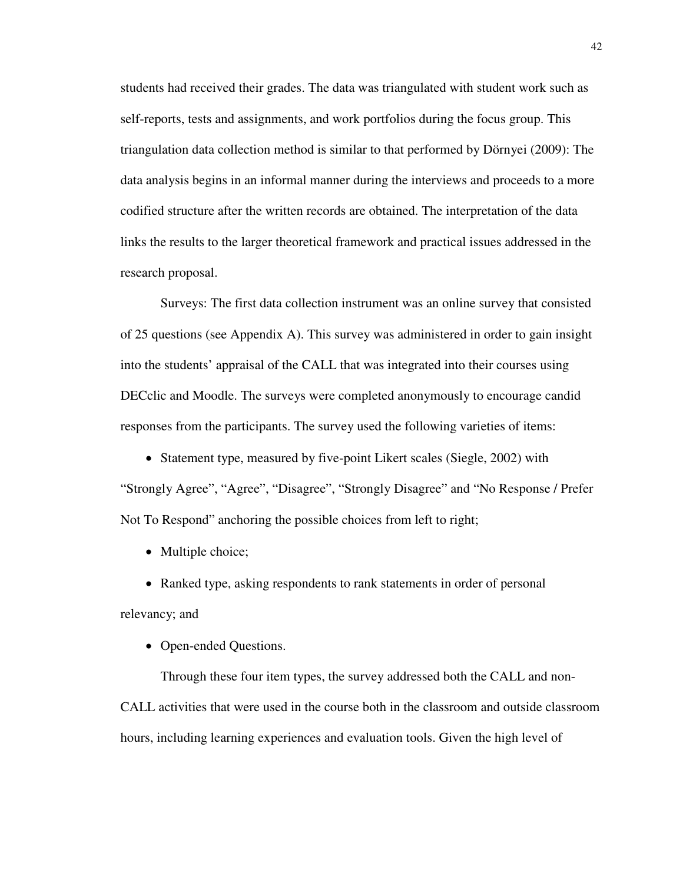students had received their grades. The data was triangulated with student work such as self-reports, tests and assignments, and work portfolios during the focus group. This triangulation data collection method is similar to that performed by Dörnyei (2009): The data analysis begins in an informal manner during the interviews and proceeds to a more codified structure after the written records are obtained. The interpretation of the data links the results to the larger theoretical framework and practical issues addressed in the research proposal.

Surveys: The first data collection instrument was an online survey that consisted of 25 questions (see Appendix A). This survey was administered in order to gain insight into the students' appraisal of the CALL that was integrated into their courses using DECclic and Moodle. The surveys were completed anonymously to encourage candid responses from the participants. The survey used the following varieties of items:

• Statement type, measured by five-point Likert scales (Siegle, 2002) with "Strongly Agree", "Agree", "Disagree", "Strongly Disagree" and "No Response / Prefer Not To Respond" anchoring the possible choices from left to right;

• Multiple choice;

• Ranked type, asking respondents to rank statements in order of personal relevancy; and

• Open-ended Ouestions.

Through these four item types, the survey addressed both the CALL and non-CALL activities that were used in the course both in the classroom and outside classroom hours, including learning experiences and evaluation tools. Given the high level of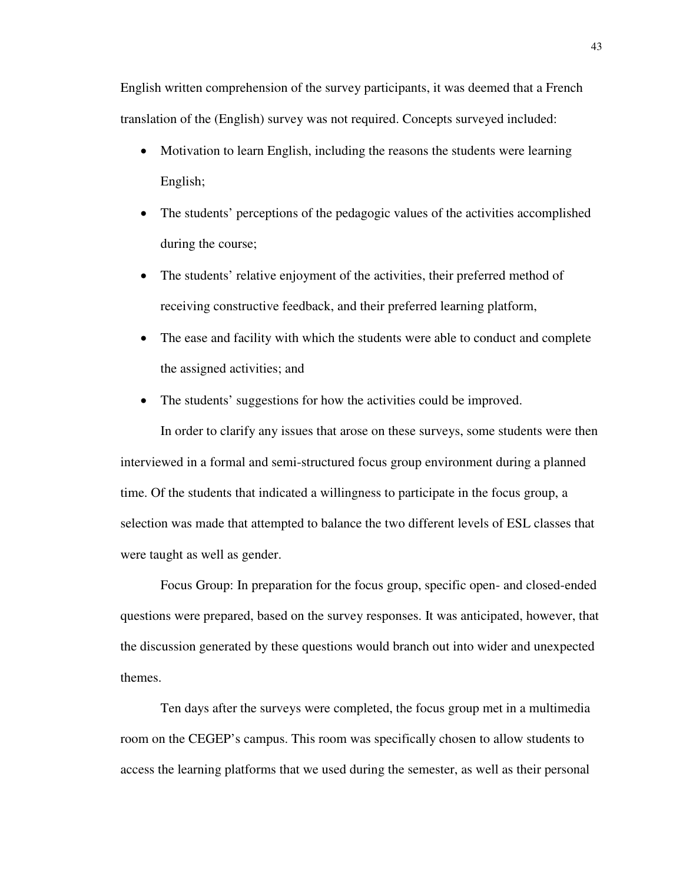English written comprehension of the survey participants, it was deemed that a French translation of the (English) survey was not required. Concepts surveyed included:

- Motivation to learn English, including the reasons the students were learning English;
- The students' perceptions of the pedagogic values of the activities accomplished during the course;
- The students' relative enjoyment of the activities, their preferred method of receiving constructive feedback, and their preferred learning platform,
- The ease and facility with which the students were able to conduct and complete the assigned activities; and
- The students' suggestions for how the activities could be improved.

In order to clarify any issues that arose on these surveys, some students were then interviewed in a formal and semi-structured focus group environment during a planned time. Of the students that indicated a willingness to participate in the focus group, a selection was made that attempted to balance the two different levels of ESL classes that were taught as well as gender.

Focus Group: In preparation for the focus group, specific open- and closed-ended questions were prepared, based on the survey responses. It was anticipated, however, that the discussion generated by these questions would branch out into wider and unexpected themes.

Ten days after the surveys were completed, the focus group met in a multimedia room on the CEGEP's campus. This room was specifically chosen to allow students to access the learning platforms that we used during the semester, as well as their personal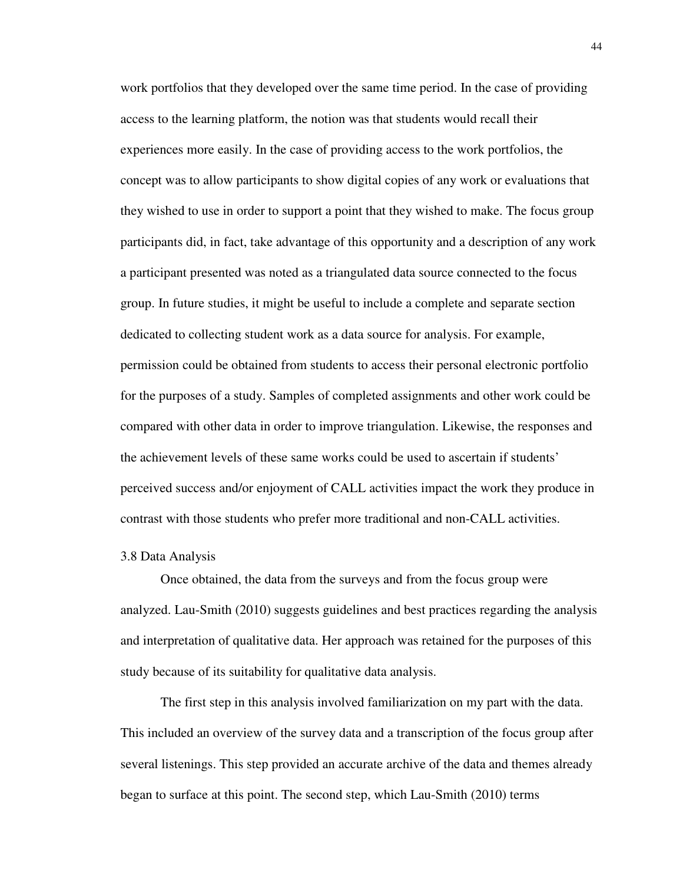work portfolios that they developed over the same time period. In the case of providing access to the learning platform, the notion was that students would recall their experiences more easily. In the case of providing access to the work portfolios, the concept was to allow participants to show digital copies of any work or evaluations that they wished to use in order to support a point that they wished to make. The focus group participants did, in fact, take advantage of this opportunity and a description of any work a participant presented was noted as a triangulated data source connected to the focus group. In future studies, it might be useful to include a complete and separate section dedicated to collecting student work as a data source for analysis. For example, permission could be obtained from students to access their personal electronic portfolio for the purposes of a study. Samples of completed assignments and other work could be compared with other data in order to improve triangulation. Likewise, the responses and the achievement levels of these same works could be used to ascertain if students' perceived success and/or enjoyment of CALL activities impact the work they produce in contrast with those students who prefer more traditional and non-CALL activities.

### 3.8 Data Analysis

Once obtained, the data from the surveys and from the focus group were analyzed. Lau-Smith (2010) suggests guidelines and best practices regarding the analysis and interpretation of qualitative data. Her approach was retained for the purposes of this study because of its suitability for qualitative data analysis.

The first step in this analysis involved familiarization on my part with the data. This included an overview of the survey data and a transcription of the focus group after several listenings. This step provided an accurate archive of the data and themes already began to surface at this point. The second step, which Lau-Smith (2010) terms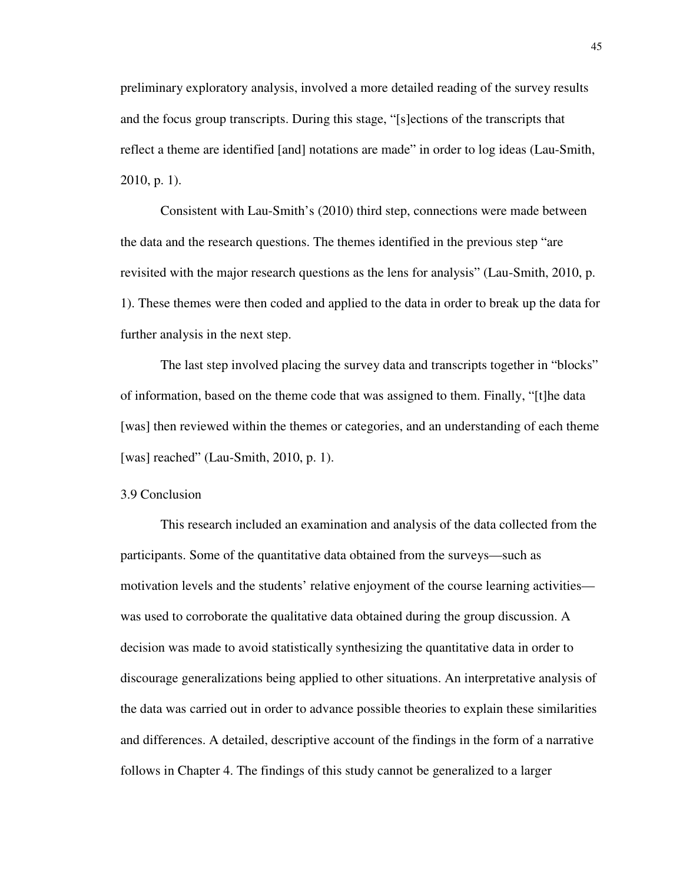preliminary exploratory analysis, involved a more detailed reading of the survey results and the focus group transcripts. During this stage, "[s]ections of the transcripts that reflect a theme are identified [and] notations are made" in order to log ideas (Lau-Smith, 2010, p. 1).

Consistent with Lau-Smith's (2010) third step, connections were made between the data and the research questions. The themes identified in the previous step "are revisited with the major research questions as the lens for analysis" (Lau-Smith, 2010, p. 1). These themes were then coded and applied to the data in order to break up the data for further analysis in the next step.

The last step involved placing the survey data and transcripts together in "blocks" of information, based on the theme code that was assigned to them. Finally, "[t]he data [was] then reviewed within the themes or categories, and an understanding of each theme [was] reached" (Lau-Smith, 2010, p. 1).

## 3.9 Conclusion

This research included an examination and analysis of the data collected from the participants. Some of the quantitative data obtained from the surveys—such as motivation levels and the students' relative enjoyment of the course learning activities was used to corroborate the qualitative data obtained during the group discussion. A decision was made to avoid statistically synthesizing the quantitative data in order to discourage generalizations being applied to other situations. An interpretative analysis of the data was carried out in order to advance possible theories to explain these similarities and differences. A detailed, descriptive account of the findings in the form of a narrative follows in Chapter 4. The findings of this study cannot be generalized to a larger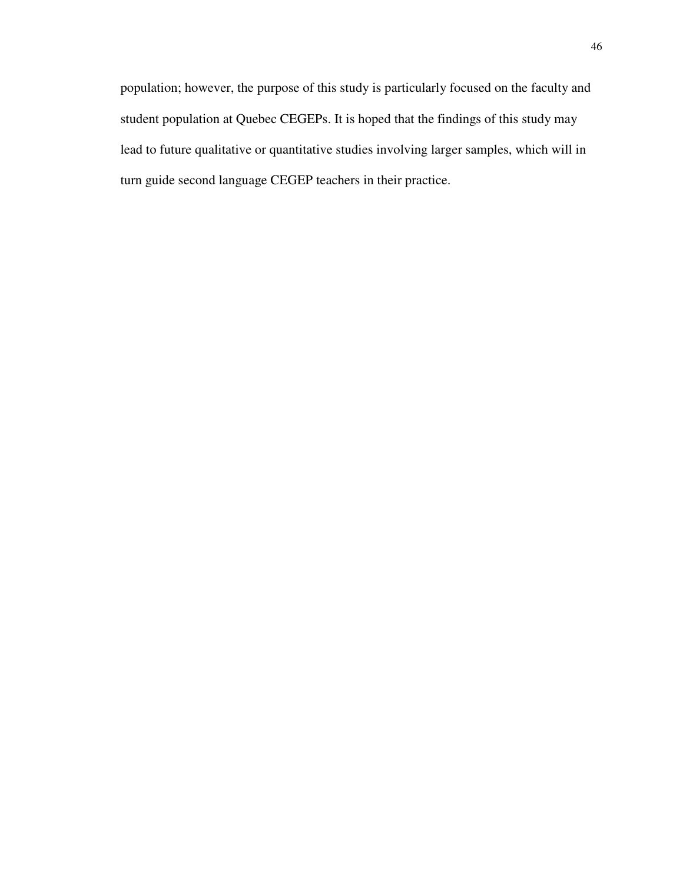population; however, the purpose of this study is particularly focused on the faculty and student population at Quebec CEGEPs. It is hoped that the findings of this study may lead to future qualitative or quantitative studies involving larger samples, which will in turn guide second language CEGEP teachers in their practice.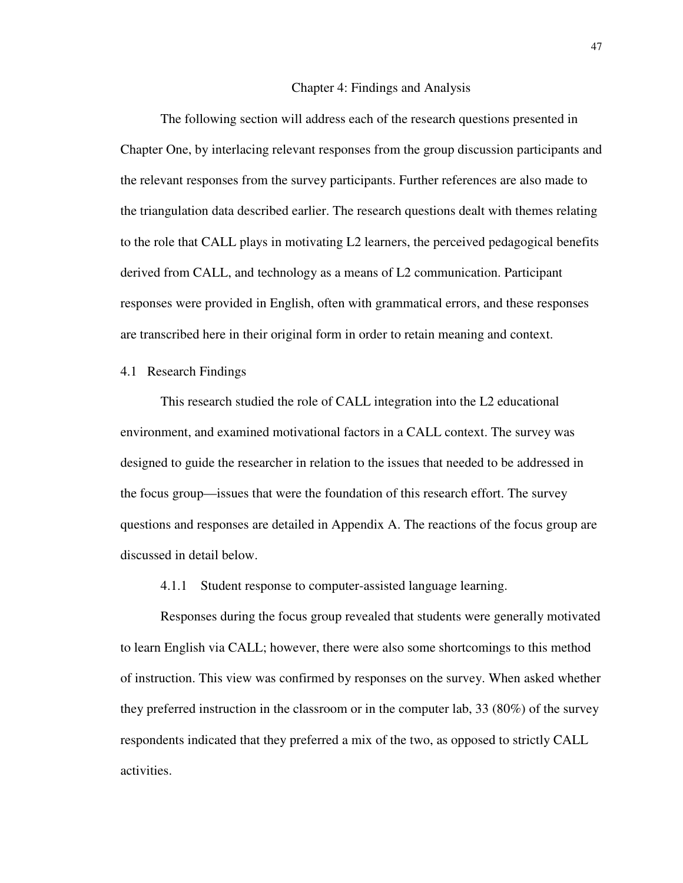### 4 Chapter 4: Findings and Analysis

The following section will address each of the research questions presented in Chapter One, by interlacing relevant responses from the group discussion participants and the relevant responses from the survey participants. Further references are also made to the triangulation data described earlier. The research questions dealt with themes relating to the role that CALL plays in motivating L2 learners, the perceived pedagogical benefits derived from CALL, and technology as a means of L2 communication. Participant responses were provided in English, often with grammatical errors, and these responses are transcribed here in their original form in order to retain meaning and context.

## 4.1 Research Findings

This research studied the role of CALL integration into the L2 educational environment, and examined motivational factors in a CALL context. The survey was designed to guide the researcher in relation to the issues that needed to be addressed in the focus group—issues that were the foundation of this research effort. The survey questions and responses are detailed in Appendix A. The reactions of the focus group are discussed in detail below.

4.1.1 Student response to computer-assisted language learning.

Responses during the focus group revealed that students were generally motivated to learn English via CALL; however, there were also some shortcomings to this method of instruction. This view was confirmed by responses on the survey. When asked whether they preferred instruction in the classroom or in the computer lab, 33 (80%) of the survey respondents indicated that they preferred a mix of the two, as opposed to strictly CALL activities.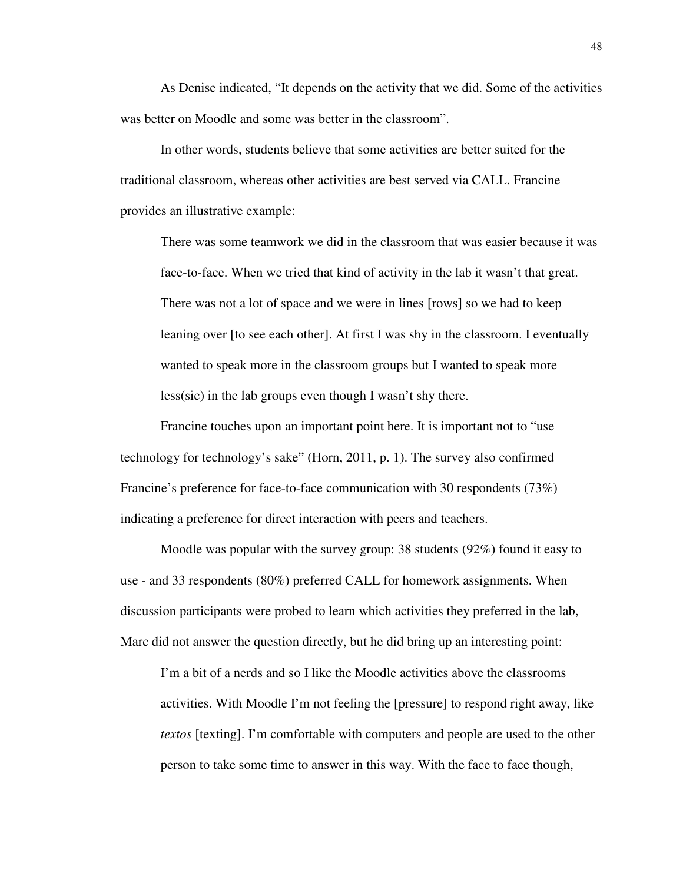As Denise indicated, "It depends on the activity that we did. Some of the activities was better on Moodle and some was better in the classroom".

In other words, students believe that some activities are better suited for the traditional classroom, whereas other activities are best served via CALL. Francine provides an illustrative example:

There was some teamwork we did in the classroom that was easier because it was face-to-face. When we tried that kind of activity in the lab it wasn't that great. There was not a lot of space and we were in lines [rows] so we had to keep leaning over [to see each other]. At first I was shy in the classroom. I eventually wanted to speak more in the classroom groups but I wanted to speak more less(sic) in the lab groups even though I wasn't shy there.

Francine touches upon an important point here. It is important not to "use technology for technology's sake" (Horn, 2011, p. 1). The survey also confirmed Francine's preference for face-to-face communication with 30 respondents (73%) indicating a preference for direct interaction with peers and teachers.

Moodle was popular with the survey group: 38 students (92%) found it easy to use - and 33 respondents (80%) preferred CALL for homework assignments. When discussion participants were probed to learn which activities they preferred in the lab, Marc did not answer the question directly, but he did bring up an interesting point:

I'm a bit of a nerds and so I like the Moodle activities above the classrooms activities. With Moodle I'm not feeling the [pressure] to respond right away, like *textos* [texting]. I'm comfortable with computers and people are used to the other person to take some time to answer in this way. With the face to face though,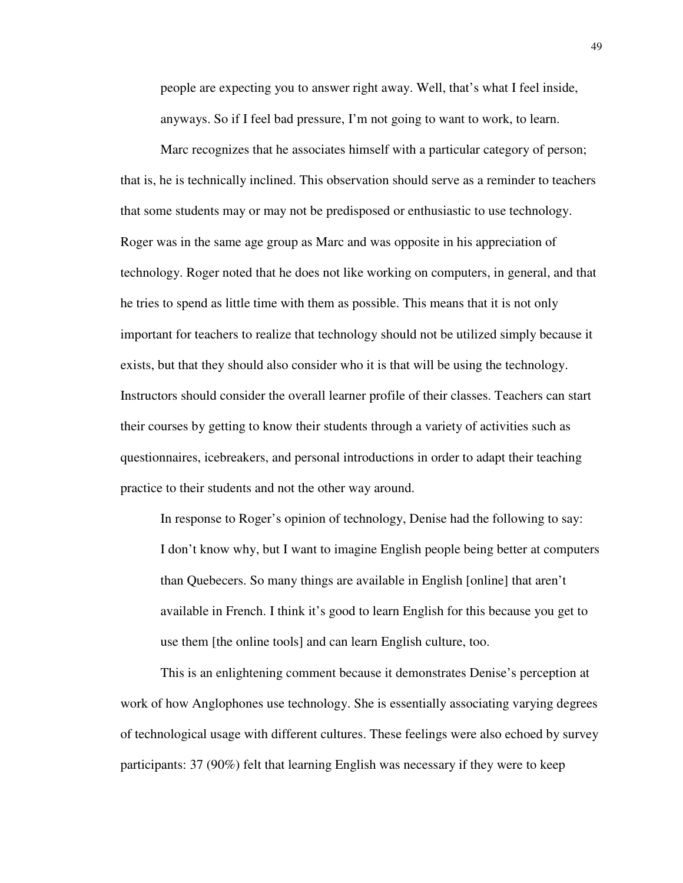people are expecting you to answer right away. Well, that's what I feel inside, anyways. So if I feel bad pressure, I'm not going to want to work, to learn.

Marc recognizes that he associates himself with a particular category of person; that is, he is technically inclined. This observation should serve as a reminder to teachers that some students may or may not be predisposed or enthusiastic to use technology. Roger was in the same age group as Marc and was opposite in his appreciation of technology. Roger noted that he does not like working on computers, in general, and that he tries to spend as little time with them as possible. This means that it is not only important for teachers to realize that technology should not be utilized simply because it exists, but that they should also consider who it is that will be using the technology. Instructors should consider the overall learner profile of their classes. Teachers can start their courses by getting to know their students through a variety of activities such as questionnaires, icebreakers, and personal introductions in order to adapt their teaching practice to their students and not the other way around.

In response to Roger's opinion of technology, Denise had the following to say: I don't know why, but I want to imagine English people being better at computers than Quebecers. So many things are available in English [online] that aren't available in French. I think it's good to learn English for this because you get to use them [the online tools] and can learn English culture, too.

This is an enlightening comment because it demonstrates Denise's perception at work of how Anglophones use technology. She is essentially associating varying degrees of technological usage with different cultures. These feelings were also echoed by survey participants: 37 (90%) felt that learning English was necessary if they were to keep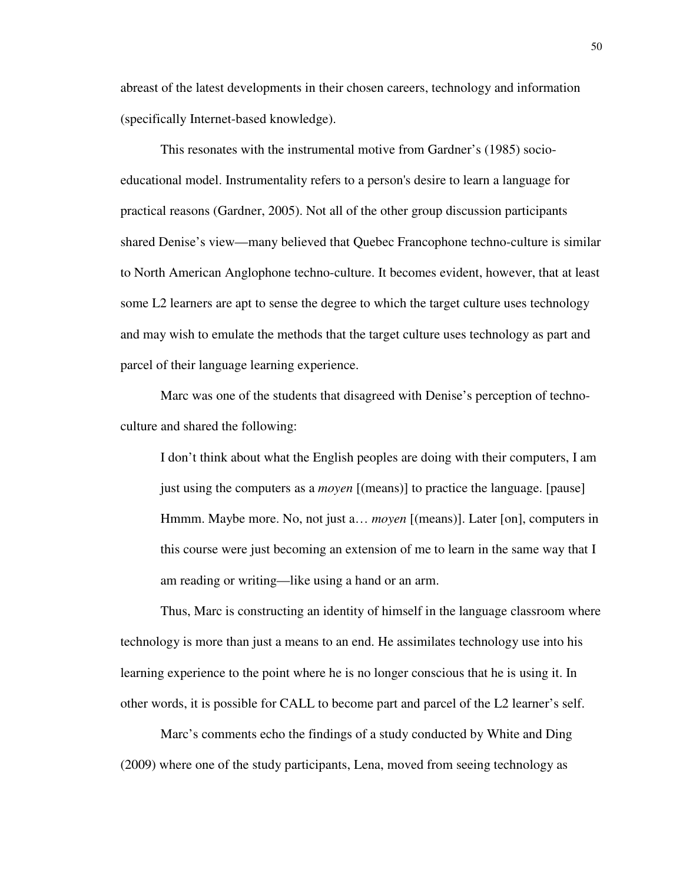abreast of the latest developments in their chosen careers, technology and information (specifically Internet-based knowledge).

This resonates with the instrumental motive from Gardner's (1985) socioeducational model. Instrumentality refers to a person's desire to learn a language for practical reasons (Gardner, 2005). Not all of the other group discussion participants shared Denise's view—many believed that Quebec Francophone techno-culture is similar to North American Anglophone techno-culture. It becomes evident, however, that at least some L2 learners are apt to sense the degree to which the target culture uses technology and may wish to emulate the methods that the target culture uses technology as part and parcel of their language learning experience.

Marc was one of the students that disagreed with Denise's perception of technoculture and shared the following:

I don't think about what the English peoples are doing with their computers, I am just using the computers as a *moyen* [(means)] to practice the language. [pause] Hmmm. Maybe more. No, not just a… *moyen* [(means)]. Later [on], computers in this course were just becoming an extension of me to learn in the same way that I am reading or writing—like using a hand or an arm.

Thus, Marc is constructing an identity of himself in the language classroom where technology is more than just a means to an end. He assimilates technology use into his learning experience to the point where he is no longer conscious that he is using it. In other words, it is possible for CALL to become part and parcel of the L2 learner's self.

Marc's comments echo the findings of a study conducted by White and Ding (2009) where one of the study participants, Lena, moved from seeing technology as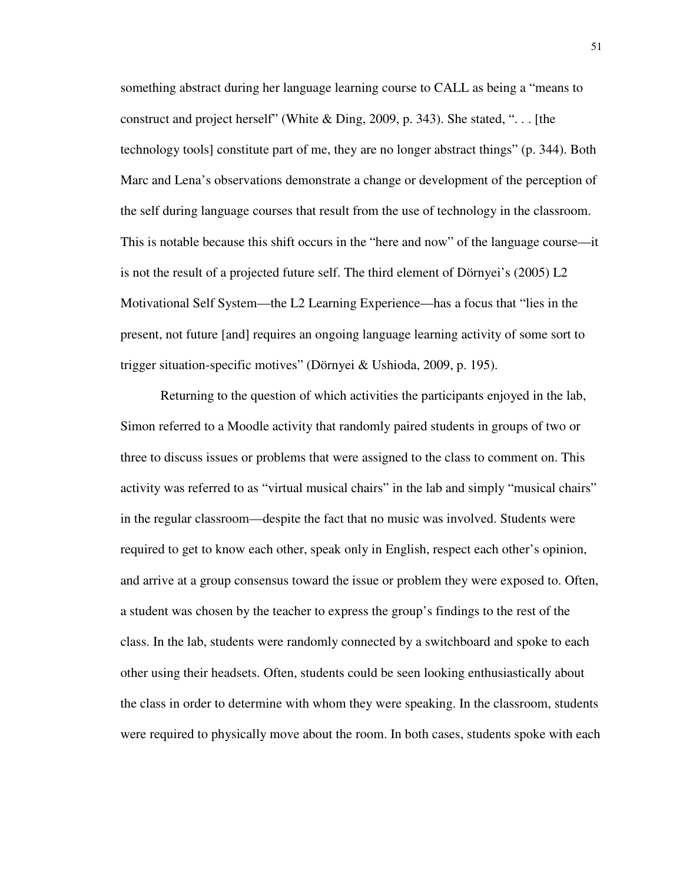something abstract during her language learning course to CALL as being a "means to construct and project herself" (White & Ding, 2009, p. 343). She stated, ". . . [the technology tools] constitute part of me, they are no longer abstract things" (p. 344). Both Marc and Lena's observations demonstrate a change or development of the perception of the self during language courses that result from the use of technology in the classroom. This is notable because this shift occurs in the "here and now" of the language course—it is not the result of a projected future self. The third element of Dörnyei's (2005) L2 Motivational Self System—the L2 Learning Experience—has a focus that "lies in the present, not future [and] requires an ongoing language learning activity of some sort to trigger situation-specific motives" (Dörnyei & Ushioda, 2009, p. 195).

Returning to the question of which activities the participants enjoyed in the lab, Simon referred to a Moodle activity that randomly paired students in groups of two or three to discuss issues or problems that were assigned to the class to comment on. This activity was referred to as "virtual musical chairs" in the lab and simply "musical chairs" in the regular classroom—despite the fact that no music was involved. Students were required to get to know each other, speak only in English, respect each other's opinion, and arrive at a group consensus toward the issue or problem they were exposed to. Often, a student was chosen by the teacher to express the group's findings to the rest of the class. In the lab, students were randomly connected by a switchboard and spoke to each other using their headsets. Often, students could be seen looking enthusiastically about the class in order to determine with whom they were speaking. In the classroom, students were required to physically move about the room. In both cases, students spoke with each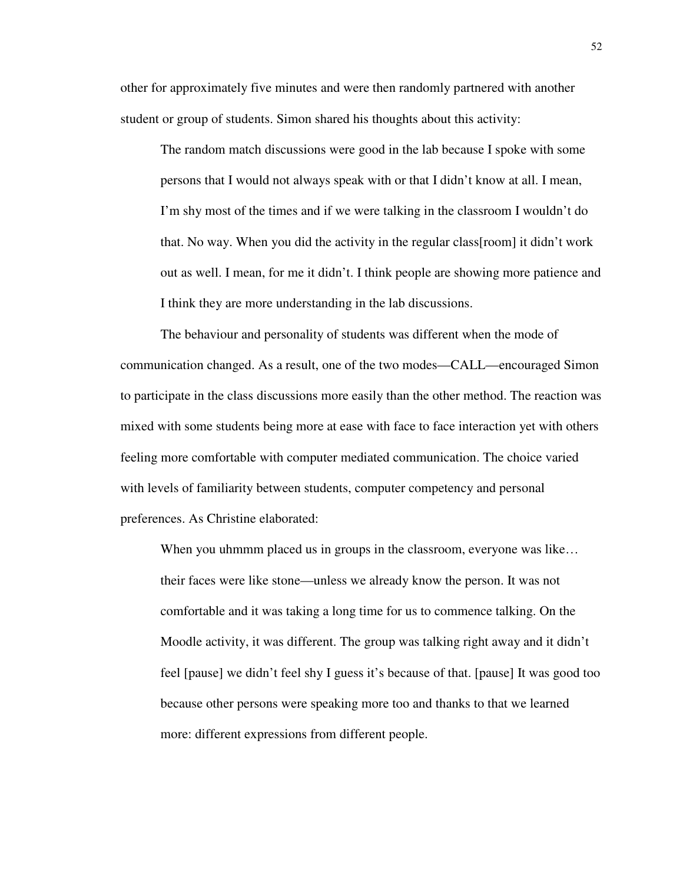other for approximately five minutes and were then randomly partnered with another student or group of students. Simon shared his thoughts about this activity:

The random match discussions were good in the lab because I spoke with some persons that I would not always speak with or that I didn't know at all. I mean, I'm shy most of the times and if we were talking in the classroom I wouldn't do that. No way. When you did the activity in the regular class[room] it didn't work out as well. I mean, for me it didn't. I think people are showing more patience and I think they are more understanding in the lab discussions.

The behaviour and personality of students was different when the mode of communication changed. As a result, one of the two modes—CALL—encouraged Simon to participate in the class discussions more easily than the other method. The reaction was mixed with some students being more at ease with face to face interaction yet with others feeling more comfortable with computer mediated communication. The choice varied with levels of familiarity between students, computer competency and personal preferences. As Christine elaborated:

When you uhmmm placed us in groups in the classroom, everyone was like... their faces were like stone—unless we already know the person. It was not comfortable and it was taking a long time for us to commence talking. On the Moodle activity, it was different. The group was talking right away and it didn't feel [pause] we didn't feel shy I guess it's because of that. [pause] It was good too because other persons were speaking more too and thanks to that we learned more: different expressions from different people.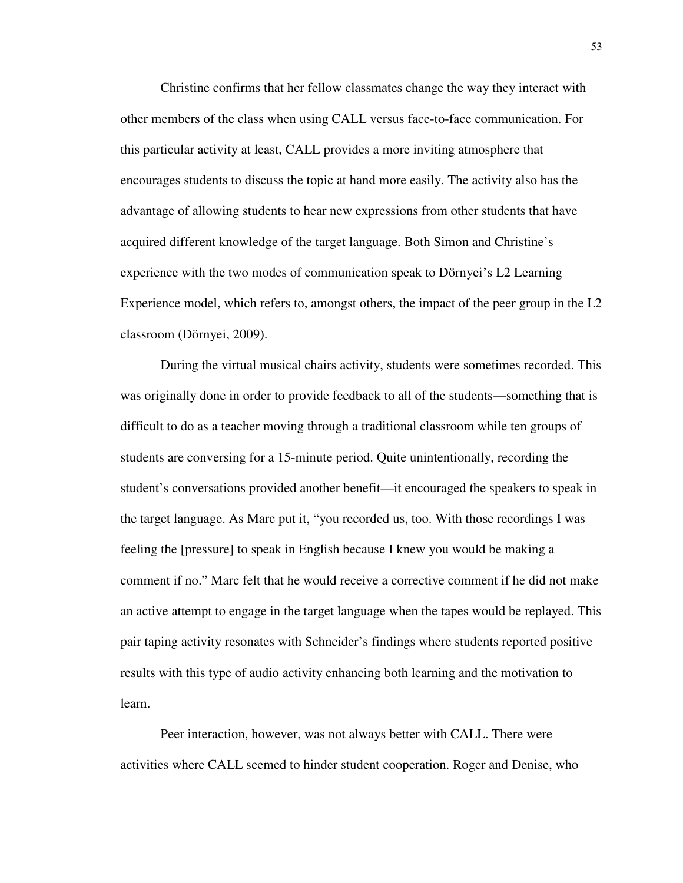Christine confirms that her fellow classmates change the way they interact with other members of the class when using CALL versus face-to-face communication. For this particular activity at least, CALL provides a more inviting atmosphere that encourages students to discuss the topic at hand more easily. The activity also has the advantage of allowing students to hear new expressions from other students that have acquired different knowledge of the target language. Both Simon and Christine's experience with the two modes of communication speak to Dörnyei's L2 Learning Experience model, which refers to, amongst others, the impact of the peer group in the L2 classroom (Dörnyei, 2009).

During the virtual musical chairs activity, students were sometimes recorded. This was originally done in order to provide feedback to all of the students—something that is difficult to do as a teacher moving through a traditional classroom while ten groups of students are conversing for a 15-minute period. Quite unintentionally, recording the student's conversations provided another benefit—it encouraged the speakers to speak in the target language. As Marc put it, "you recorded us, too. With those recordings I was feeling the [pressure] to speak in English because I knew you would be making a comment if no." Marc felt that he would receive a corrective comment if he did not make an active attempt to engage in the target language when the tapes would be replayed. This pair taping activity resonates with Schneider's findings where students reported positive results with this type of audio activity enhancing both learning and the motivation to learn.

Peer interaction, however, was not always better with CALL. There were activities where CALL seemed to hinder student cooperation. Roger and Denise, who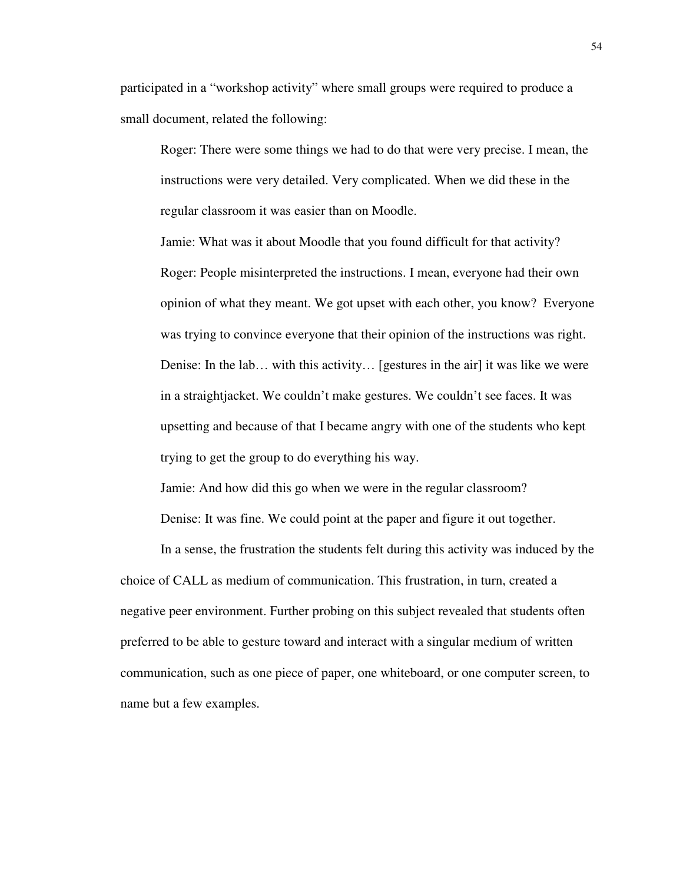participated in a "workshop activity" where small groups were required to produce a small document, related the following:

Roger: There were some things we had to do that were very precise. I mean, the instructions were very detailed. Very complicated. When we did these in the regular classroom it was easier than on Moodle.

Jamie: What was it about Moodle that you found difficult for that activity? Roger: People misinterpreted the instructions. I mean, everyone had their own opinion of what they meant. We got upset with each other, you know? Everyone was trying to convince everyone that their opinion of the instructions was right. Denise: In the lab… with this activity… [gestures in the air] it was like we were in a straightjacket. We couldn't make gestures. We couldn't see faces. It was upsetting and because of that I became angry with one of the students who kept trying to get the group to do everything his way.

Jamie: And how did this go when we were in the regular classroom?

Denise: It was fine. We could point at the paper and figure it out together.

In a sense, the frustration the students felt during this activity was induced by the choice of CALL as medium of communication. This frustration, in turn, created a negative peer environment. Further probing on this subject revealed that students often preferred to be able to gesture toward and interact with a singular medium of written communication, such as one piece of paper, one whiteboard, or one computer screen, to name but a few examples.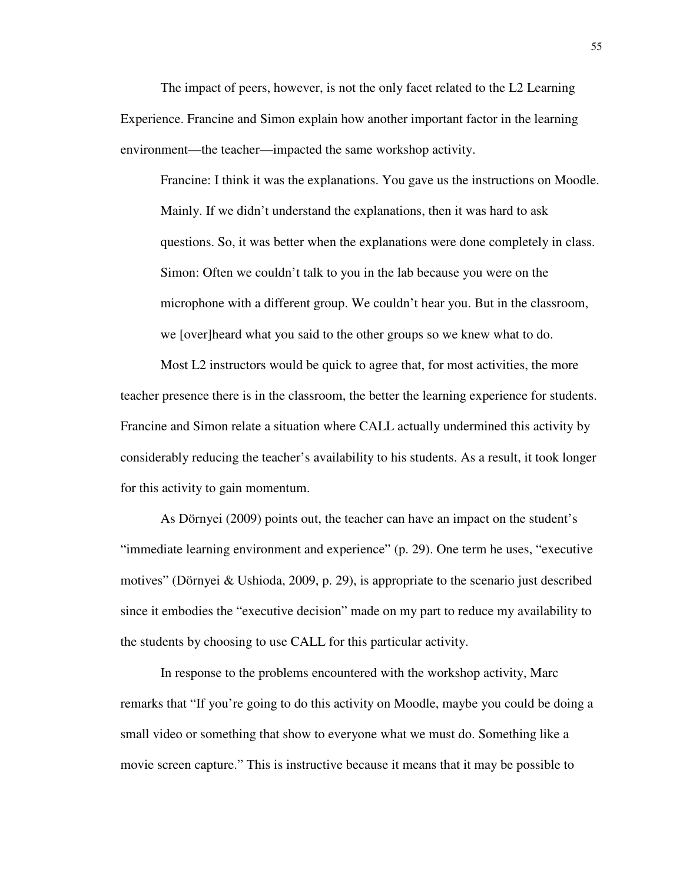The impact of peers, however, is not the only facet related to the L2 Learning Experience. Francine and Simon explain how another important factor in the learning environment—the teacher—impacted the same workshop activity.

Francine: I think it was the explanations. You gave us the instructions on Moodle. Mainly. If we didn't understand the explanations, then it was hard to ask questions. So, it was better when the explanations were done completely in class. Simon: Often we couldn't talk to you in the lab because you were on the microphone with a different group. We couldn't hear you. But in the classroom, we [over]heard what you said to the other groups so we knew what to do.

Most L2 instructors would be quick to agree that, for most activities, the more teacher presence there is in the classroom, the better the learning experience for students. Francine and Simon relate a situation where CALL actually undermined this activity by considerably reducing the teacher's availability to his students. As a result, it took longer for this activity to gain momentum.

As Dörnyei (2009) points out, the teacher can have an impact on the student's "immediate learning environment and experience" (p. 29). One term he uses, "executive motives" (Dörnyei & Ushioda, 2009, p. 29), is appropriate to the scenario just described since it embodies the "executive decision" made on my part to reduce my availability to the students by choosing to use CALL for this particular activity.

In response to the problems encountered with the workshop activity, Marc remarks that "If you're going to do this activity on Moodle, maybe you could be doing a small video or something that show to everyone what we must do. Something like a movie screen capture." This is instructive because it means that it may be possible to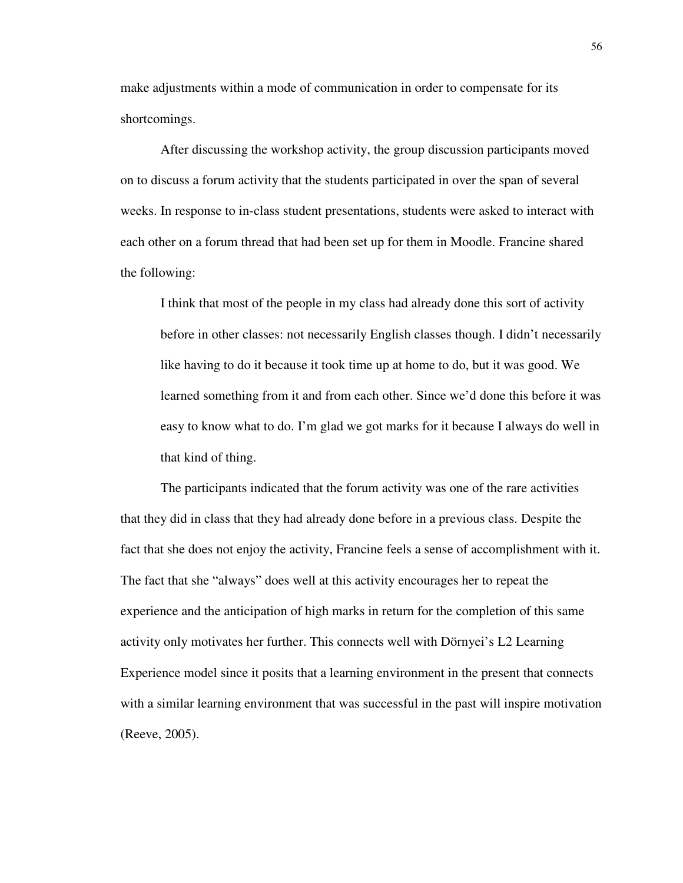make adjustments within a mode of communication in order to compensate for its shortcomings.

After discussing the workshop activity, the group discussion participants moved on to discuss a forum activity that the students participated in over the span of several weeks. In response to in-class student presentations, students were asked to interact with each other on a forum thread that had been set up for them in Moodle. Francine shared the following:

I think that most of the people in my class had already done this sort of activity before in other classes: not necessarily English classes though. I didn't necessarily like having to do it because it took time up at home to do, but it was good. We learned something from it and from each other. Since we'd done this before it was easy to know what to do. I'm glad we got marks for it because I always do well in that kind of thing.

The participants indicated that the forum activity was one of the rare activities that they did in class that they had already done before in a previous class. Despite the fact that she does not enjoy the activity, Francine feels a sense of accomplishment with it. The fact that she "always" does well at this activity encourages her to repeat the experience and the anticipation of high marks in return for the completion of this same activity only motivates her further. This connects well with Dörnyei's L2 Learning Experience model since it posits that a learning environment in the present that connects with a similar learning environment that was successful in the past will inspire motivation (Reeve, 2005).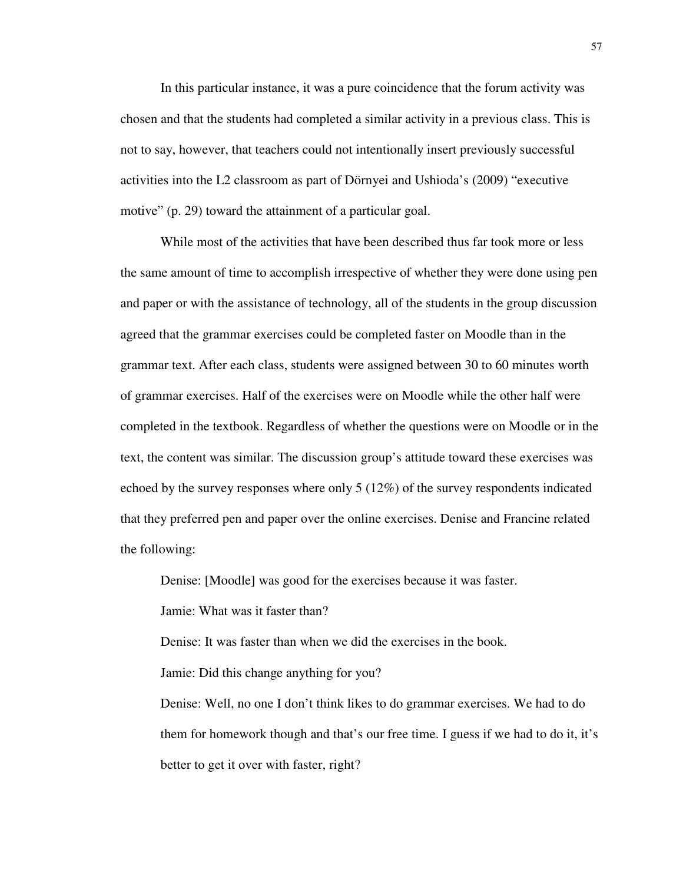In this particular instance, it was a pure coincidence that the forum activity was chosen and that the students had completed a similar activity in a previous class. This is not to say, however, that teachers could not intentionally insert previously successful activities into the L2 classroom as part of Dörnyei and Ushioda's (2009) "executive motive" (p. 29) toward the attainment of a particular goal.

While most of the activities that have been described thus far took more or less the same amount of time to accomplish irrespective of whether they were done using pen and paper or with the assistance of technology, all of the students in the group discussion agreed that the grammar exercises could be completed faster on Moodle than in the grammar text. After each class, students were assigned between 30 to 60 minutes worth of grammar exercises. Half of the exercises were on Moodle while the other half were completed in the textbook. Regardless of whether the questions were on Moodle or in the text, the content was similar. The discussion group's attitude toward these exercises was echoed by the survey responses where only 5 (12%) of the survey respondents indicated that they preferred pen and paper over the online exercises. Denise and Francine related the following:

Denise: [Moodle] was good for the exercises because it was faster.

Jamie: What was it faster than?

Denise: It was faster than when we did the exercises in the book.

Jamie: Did this change anything for you?

Denise: Well, no one I don't think likes to do grammar exercises. We had to do them for homework though and that's our free time. I guess if we had to do it, it's better to get it over with faster, right?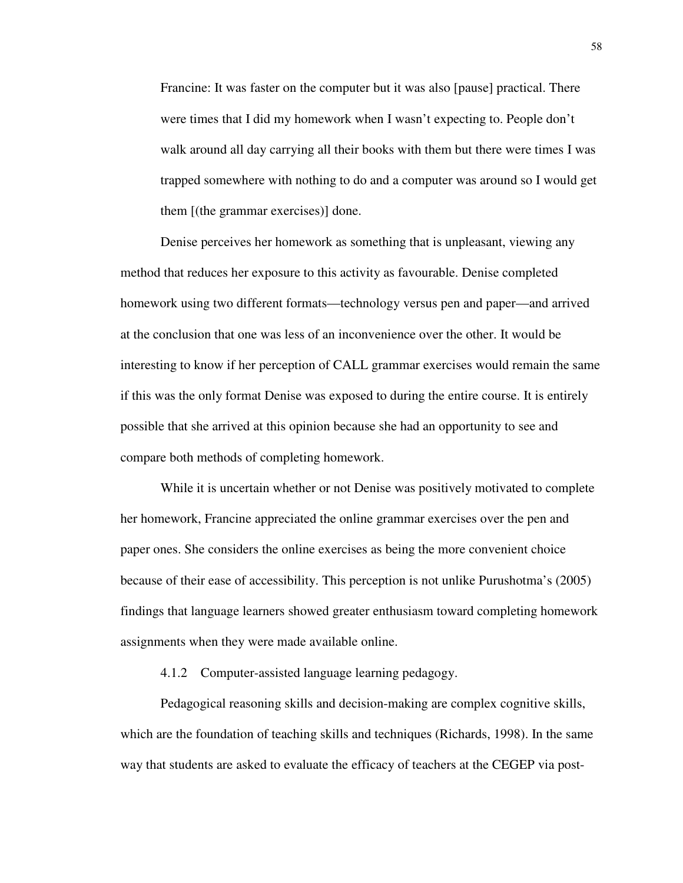Francine: It was faster on the computer but it was also [pause] practical. There were times that I did my homework when I wasn't expecting to. People don't walk around all day carrying all their books with them but there were times I was trapped somewhere with nothing to do and a computer was around so I would get them [(the grammar exercises)] done.

Denise perceives her homework as something that is unpleasant, viewing any method that reduces her exposure to this activity as favourable. Denise completed homework using two different formats—technology versus pen and paper—and arrived at the conclusion that one was less of an inconvenience over the other. It would be interesting to know if her perception of CALL grammar exercises would remain the same if this was the only format Denise was exposed to during the entire course. It is entirely possible that she arrived at this opinion because she had an opportunity to see and compare both methods of completing homework.

While it is uncertain whether or not Denise was positively motivated to complete her homework, Francine appreciated the online grammar exercises over the pen and paper ones. She considers the online exercises as being the more convenient choice because of their ease of accessibility. This perception is not unlike Purushotma's (2005) findings that language learners showed greater enthusiasm toward completing homework assignments when they were made available online.

4.1.2 Computer-assisted language learning pedagogy.

Pedagogical reasoning skills and decision-making are complex cognitive skills, which are the foundation of teaching skills and techniques (Richards, 1998). In the same way that students are asked to evaluate the efficacy of teachers at the CEGEP via post-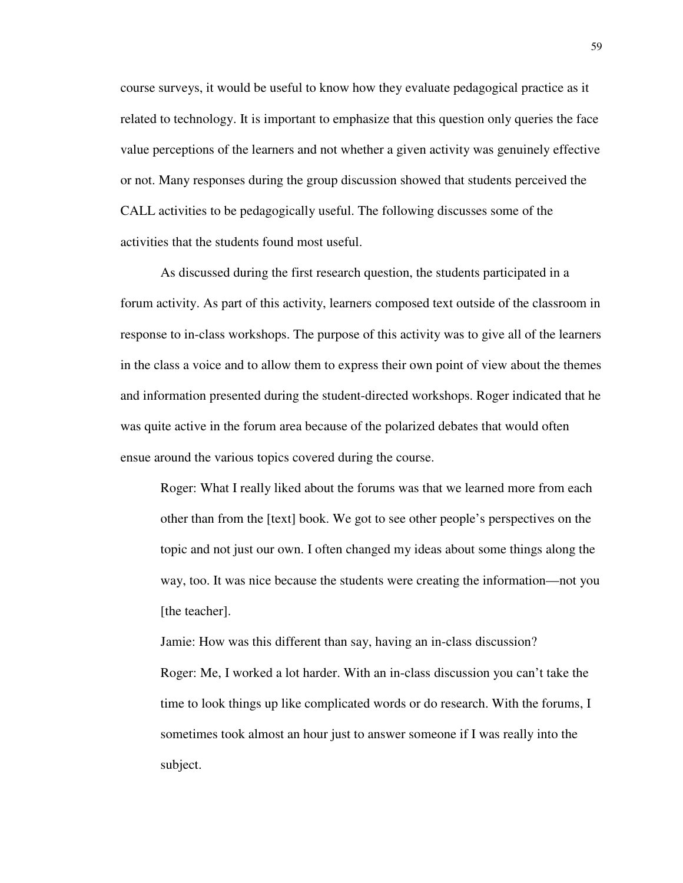course surveys, it would be useful to know how they evaluate pedagogical practice as it related to technology. It is important to emphasize that this question only queries the face value perceptions of the learners and not whether a given activity was genuinely effective or not. Many responses during the group discussion showed that students perceived the CALL activities to be pedagogically useful. The following discusses some of the activities that the students found most useful.

As discussed during the first research question, the students participated in a forum activity. As part of this activity, learners composed text outside of the classroom in response to in-class workshops. The purpose of this activity was to give all of the learners in the class a voice and to allow them to express their own point of view about the themes and information presented during the student-directed workshops. Roger indicated that he was quite active in the forum area because of the polarized debates that would often ensue around the various topics covered during the course.

Roger: What I really liked about the forums was that we learned more from each other than from the [text] book. We got to see other people's perspectives on the topic and not just our own. I often changed my ideas about some things along the way, too. It was nice because the students were creating the information—not you [the teacher].

Jamie: How was this different than say, having an in-class discussion? Roger: Me, I worked a lot harder. With an in-class discussion you can't take the time to look things up like complicated words or do research. With the forums, I sometimes took almost an hour just to answer someone if I was really into the subject.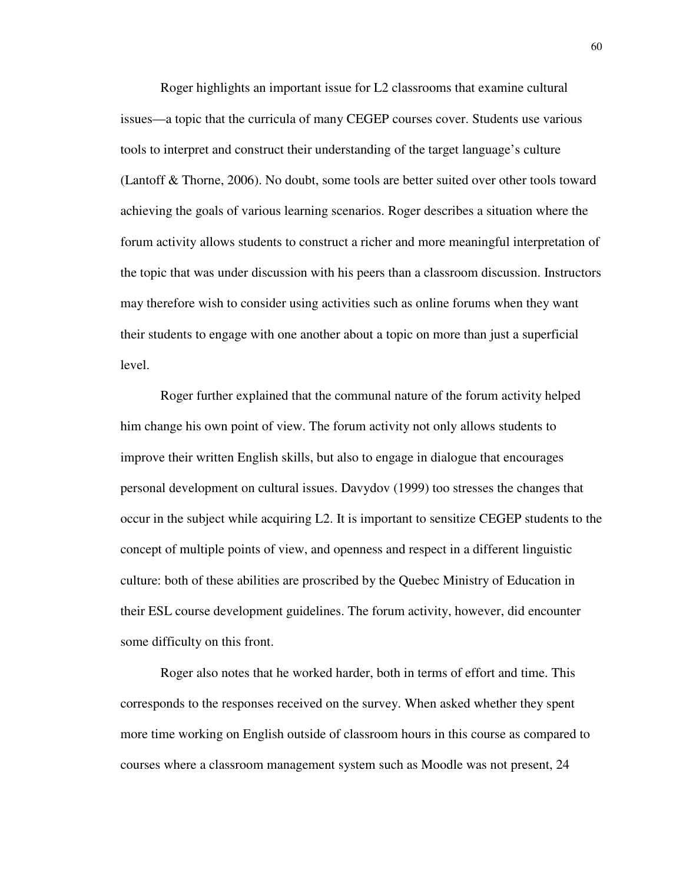Roger highlights an important issue for L2 classrooms that examine cultural issues—a topic that the curricula of many CEGEP courses cover. Students use various tools to interpret and construct their understanding of the target language's culture (Lantoff & Thorne, 2006). No doubt, some tools are better suited over other tools toward achieving the goals of various learning scenarios. Roger describes a situation where the forum activity allows students to construct a richer and more meaningful interpretation of the topic that was under discussion with his peers than a classroom discussion. Instructors may therefore wish to consider using activities such as online forums when they want their students to engage with one another about a topic on more than just a superficial level.

Roger further explained that the communal nature of the forum activity helped him change his own point of view. The forum activity not only allows students to improve their written English skills, but also to engage in dialogue that encourages personal development on cultural issues. Davydov (1999) too stresses the changes that occur in the subject while acquiring L2. It is important to sensitize CEGEP students to the concept of multiple points of view, and openness and respect in a different linguistic culture: both of these abilities are proscribed by the Quebec Ministry of Education in their ESL course development guidelines. The forum activity, however, did encounter some difficulty on this front.

Roger also notes that he worked harder, both in terms of effort and time. This corresponds to the responses received on the survey. When asked whether they spent more time working on English outside of classroom hours in this course as compared to courses where a classroom management system such as Moodle was not present, 24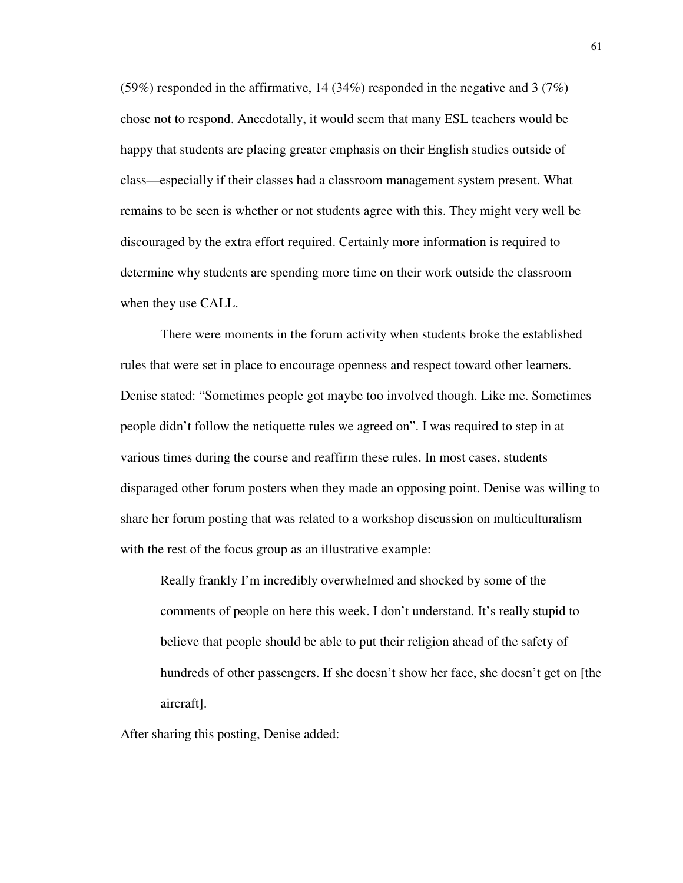(59%) responded in the affirmative, 14 (34%) responded in the negative and 3 (7%) chose not to respond. Anecdotally, it would seem that many ESL teachers would be happy that students are placing greater emphasis on their English studies outside of class—especially if their classes had a classroom management system present. What remains to be seen is whether or not students agree with this. They might very well be discouraged by the extra effort required. Certainly more information is required to determine why students are spending more time on their work outside the classroom when they use CALL.

There were moments in the forum activity when students broke the established rules that were set in place to encourage openness and respect toward other learners. Denise stated: "Sometimes people got maybe too involved though. Like me. Sometimes people didn't follow the netiquette rules we agreed on". I was required to step in at various times during the course and reaffirm these rules. In most cases, students disparaged other forum posters when they made an opposing point. Denise was willing to share her forum posting that was related to a workshop discussion on multiculturalism with the rest of the focus group as an illustrative example:

Really frankly I'm incredibly overwhelmed and shocked by some of the comments of people on here this week. I don't understand. It's really stupid to believe that people should be able to put their religion ahead of the safety of hundreds of other passengers. If she doesn't show her face, she doesn't get on [the aircraft].

After sharing this posting, Denise added: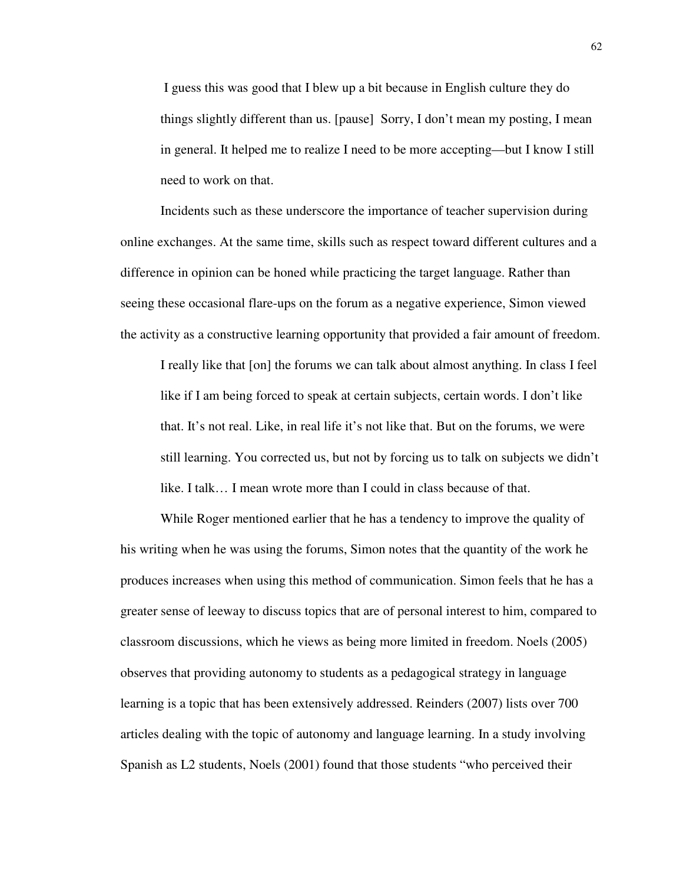I guess this was good that I blew up a bit because in English culture they do things slightly different than us. [pause] Sorry, I don't mean my posting, I mean in general. It helped me to realize I need to be more accepting—but I know I still need to work on that.

Incidents such as these underscore the importance of teacher supervision during online exchanges. At the same time, skills such as respect toward different cultures and a difference in opinion can be honed while practicing the target language. Rather than seeing these occasional flare-ups on the forum as a negative experience, Simon viewed the activity as a constructive learning opportunity that provided a fair amount of freedom.

I really like that [on] the forums we can talk about almost anything. In class I feel like if I am being forced to speak at certain subjects, certain words. I don't like that. It's not real. Like, in real life it's not like that. But on the forums, we were still learning. You corrected us, but not by forcing us to talk on subjects we didn't like. I talk… I mean wrote more than I could in class because of that.

While Roger mentioned earlier that he has a tendency to improve the quality of his writing when he was using the forums, Simon notes that the quantity of the work he produces increases when using this method of communication. Simon feels that he has a greater sense of leeway to discuss topics that are of personal interest to him, compared to classroom discussions, which he views as being more limited in freedom. Noels (2005) observes that providing autonomy to students as a pedagogical strategy in language learning is a topic that has been extensively addressed. Reinders (2007) lists over 700 articles dealing with the topic of autonomy and language learning. In a study involving Spanish as L2 students, Noels (2001) found that those students "who perceived their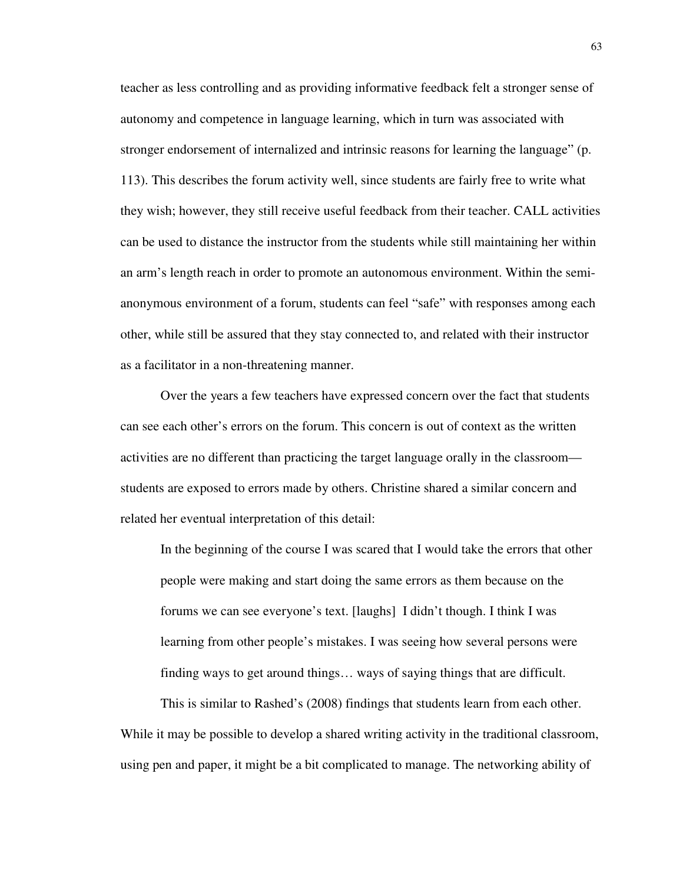teacher as less controlling and as providing informative feedback felt a stronger sense of autonomy and competence in language learning, which in turn was associated with stronger endorsement of internalized and intrinsic reasons for learning the language" (p. 113). This describes the forum activity well, since students are fairly free to write what they wish; however, they still receive useful feedback from their teacher. CALL activities can be used to distance the instructor from the students while still maintaining her within an arm's length reach in order to promote an autonomous environment. Within the semianonymous environment of a forum, students can feel "safe" with responses among each other, while still be assured that they stay connected to, and related with their instructor as a facilitator in a non-threatening manner.

Over the years a few teachers have expressed concern over the fact that students can see each other's errors on the forum. This concern is out of context as the written activities are no different than practicing the target language orally in the classroom students are exposed to errors made by others. Christine shared a similar concern and related her eventual interpretation of this detail:

In the beginning of the course I was scared that I would take the errors that other people were making and start doing the same errors as them because on the forums we can see everyone's text. [laughs] I didn't though. I think I was learning from other people's mistakes. I was seeing how several persons were finding ways to get around things… ways of saying things that are difficult.

This is similar to Rashed's (2008) findings that students learn from each other. While it may be possible to develop a shared writing activity in the traditional classroom, using pen and paper, it might be a bit complicated to manage. The networking ability of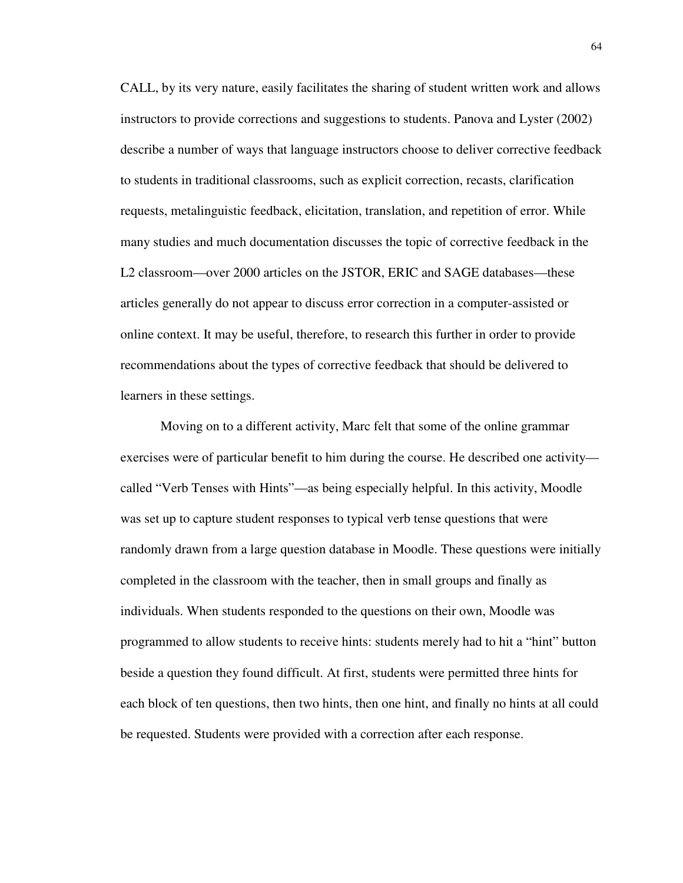CALL, by its very nature, easily facilitates the sharing of student written work and allows instructors to provide corrections and suggestions to students. Panova and Lyster (2002) describe a number of ways that language instructors choose to deliver corrective feedback to students in traditional classrooms, such as explicit correction, recasts, clarification requests, metalinguistic feedback, elicitation, translation, and repetition of error. While many studies and much documentation discusses the topic of corrective feedback in the L2 classroom—over 2000 articles on the JSTOR, ERIC and SAGE databases—these articles generally do not appear to discuss error correction in a computer-assisted or online context. It may be useful, therefore, to research this further in order to provide recommendations about the types of corrective feedback that should be delivered to learners in these settings.

Moving on to a different activity, Marc felt that some of the online grammar exercises were of particular benefit to him during the course. He described one activity called "Verb Tenses with Hints"—as being especially helpful. In this activity, Moodle was set up to capture student responses to typical verb tense questions that were randomly drawn from a large question database in Moodle. These questions were initially completed in the classroom with the teacher, then in small groups and finally as individuals. When students responded to the questions on their own, Moodle was programmed to allow students to receive hints: students merely had to hit a "hint" button beside a question they found difficult. At first, students were permitted three hints for each block of ten questions, then two hints, then one hint, and finally no hints at all could be requested. Students were provided with a correction after each response.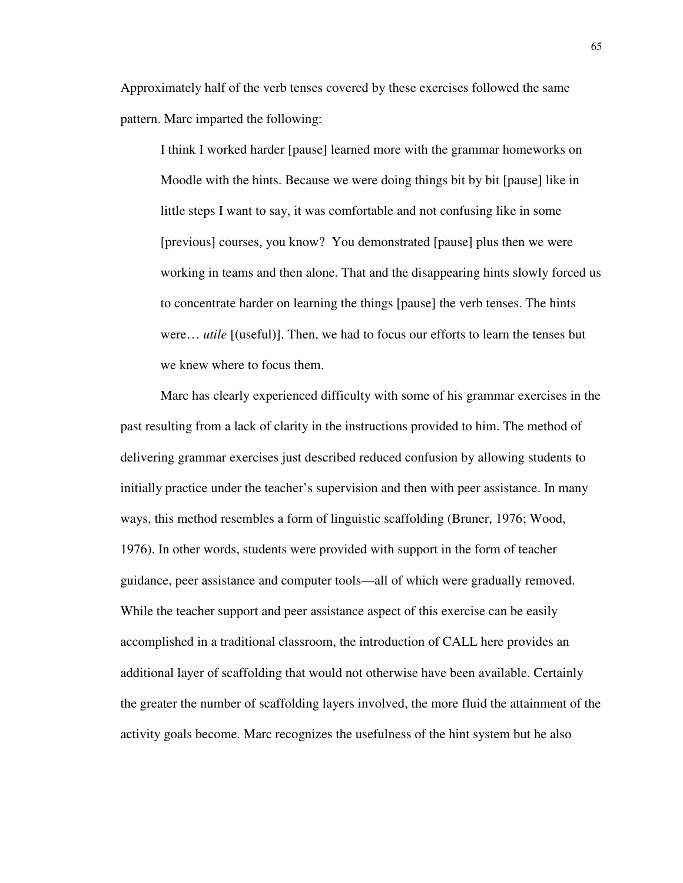Approximately half of the verb tenses covered by these exercises followed the same pattern. Marc imparted the following:

I think I worked harder [pause] learned more with the grammar homeworks on Moodle with the hints. Because we were doing things bit by bit [pause] like in little steps I want to say, it was comfortable and not confusing like in some [previous] courses, you know? You demonstrated [pause] plus then we were working in teams and then alone. That and the disappearing hints slowly forced us to concentrate harder on learning the things [pause] the verb tenses. The hints were… *utile* [(useful)]. Then, we had to focus our efforts to learn the tenses but we knew where to focus them.

Marc has clearly experienced difficulty with some of his grammar exercises in the past resulting from a lack of clarity in the instructions provided to him. The method of delivering grammar exercises just described reduced confusion by allowing students to initially practice under the teacher's supervision and then with peer assistance. In many ways, this method resembles a form of linguistic scaffolding (Bruner, 1976; Wood, 1976). In other words, students were provided with support in the form of teacher guidance, peer assistance and computer tools—all of which were gradually removed. While the teacher support and peer assistance aspect of this exercise can be easily accomplished in a traditional classroom, the introduction of CALL here provides an additional layer of scaffolding that would not otherwise have been available. Certainly the greater the number of scaffolding layers involved, the more fluid the attainment of the activity goals become. Marc recognizes the usefulness of the hint system but he also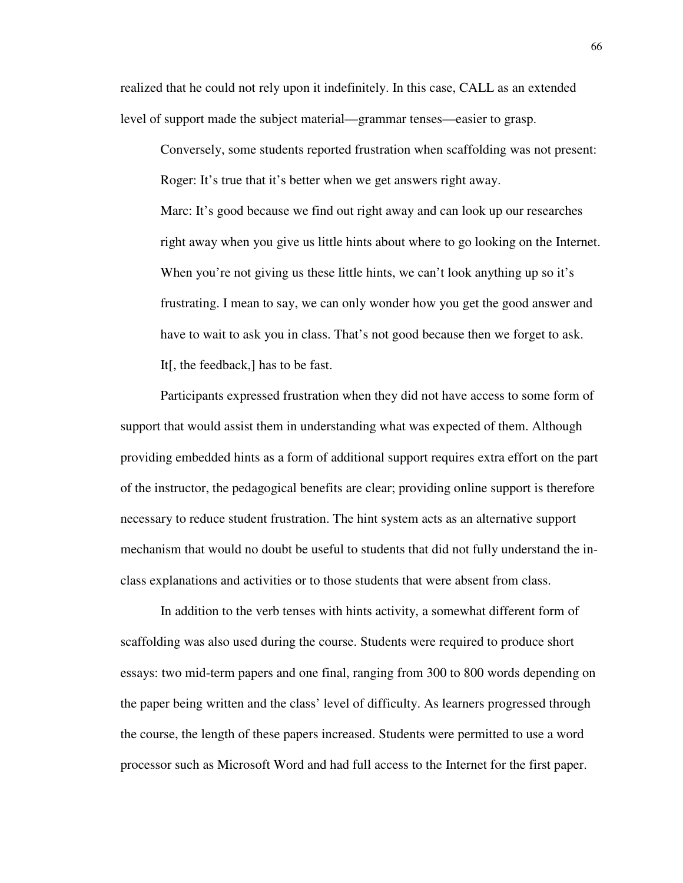realized that he could not rely upon it indefinitely. In this case, CALL as an extended level of support made the subject material—grammar tenses—easier to grasp.

Conversely, some students reported frustration when scaffolding was not present: Roger: It's true that it's better when we get answers right away. Marc: It's good because we find out right away and can look up our researches right away when you give us little hints about where to go looking on the Internet. When you're not giving us these little hints, we can't look anything up so it's frustrating. I mean to say, we can only wonder how you get the good answer and have to wait to ask you in class. That's not good because then we forget to ask. It[, the feedback,] has to be fast.

Participants expressed frustration when they did not have access to some form of support that would assist them in understanding what was expected of them. Although providing embedded hints as a form of additional support requires extra effort on the part of the instructor, the pedagogical benefits are clear; providing online support is therefore necessary to reduce student frustration. The hint system acts as an alternative support mechanism that would no doubt be useful to students that did not fully understand the inclass explanations and activities or to those students that were absent from class.

In addition to the verb tenses with hints activity, a somewhat different form of scaffolding was also used during the course. Students were required to produce short essays: two mid-term papers and one final, ranging from 300 to 800 words depending on the paper being written and the class' level of difficulty. As learners progressed through the course, the length of these papers increased. Students were permitted to use a word processor such as Microsoft Word and had full access to the Internet for the first paper.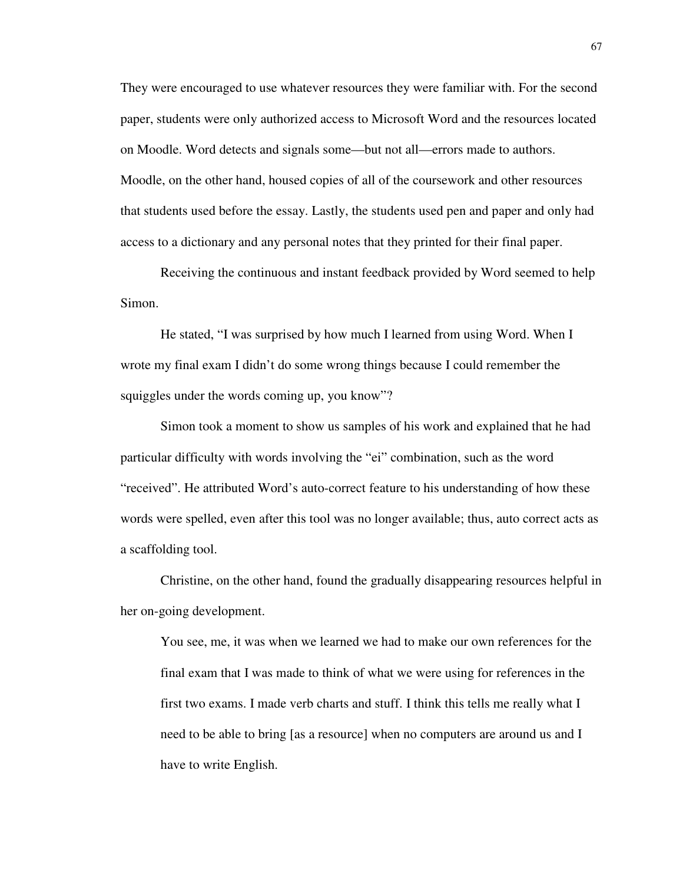They were encouraged to use whatever resources they were familiar with. For the second paper, students were only authorized access to Microsoft Word and the resources located on Moodle. Word detects and signals some—but not all—errors made to authors. Moodle, on the other hand, housed copies of all of the coursework and other resources that students used before the essay. Lastly, the students used pen and paper and only had access to a dictionary and any personal notes that they printed for their final paper.

Receiving the continuous and instant feedback provided by Word seemed to help Simon.

He stated, "I was surprised by how much I learned from using Word. When I wrote my final exam I didn't do some wrong things because I could remember the squiggles under the words coming up, you know"?

Simon took a moment to show us samples of his work and explained that he had particular difficulty with words involving the "ei" combination, such as the word "received". He attributed Word's auto-correct feature to his understanding of how these words were spelled, even after this tool was no longer available; thus, auto correct acts as a scaffolding tool.

Christine, on the other hand, found the gradually disappearing resources helpful in her on-going development.

You see, me, it was when we learned we had to make our own references for the final exam that I was made to think of what we were using for references in the first two exams. I made verb charts and stuff. I think this tells me really what I need to be able to bring [as a resource] when no computers are around us and I have to write English.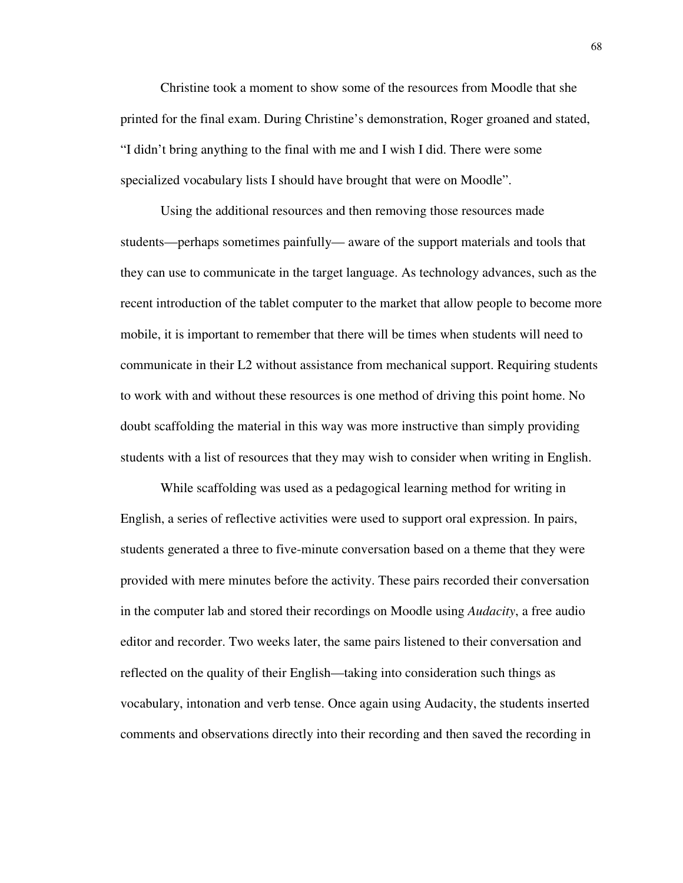Christine took a moment to show some of the resources from Moodle that she printed for the final exam. During Christine's demonstration, Roger groaned and stated, "I didn't bring anything to the final with me and I wish I did. There were some specialized vocabulary lists I should have brought that were on Moodle".

Using the additional resources and then removing those resources made students—perhaps sometimes painfully— aware of the support materials and tools that they can use to communicate in the target language. As technology advances, such as the recent introduction of the tablet computer to the market that allow people to become more mobile, it is important to remember that there will be times when students will need to communicate in their L2 without assistance from mechanical support. Requiring students to work with and without these resources is one method of driving this point home. No doubt scaffolding the material in this way was more instructive than simply providing students with a list of resources that they may wish to consider when writing in English.

While scaffolding was used as a pedagogical learning method for writing in English, a series of reflective activities were used to support oral expression. In pairs, students generated a three to five-minute conversation based on a theme that they were provided with mere minutes before the activity. These pairs recorded their conversation in the computer lab and stored their recordings on Moodle using *Audacity*, a free audio editor and recorder. Two weeks later, the same pairs listened to their conversation and reflected on the quality of their English—taking into consideration such things as vocabulary, intonation and verb tense. Once again using Audacity, the students inserted comments and observations directly into their recording and then saved the recording in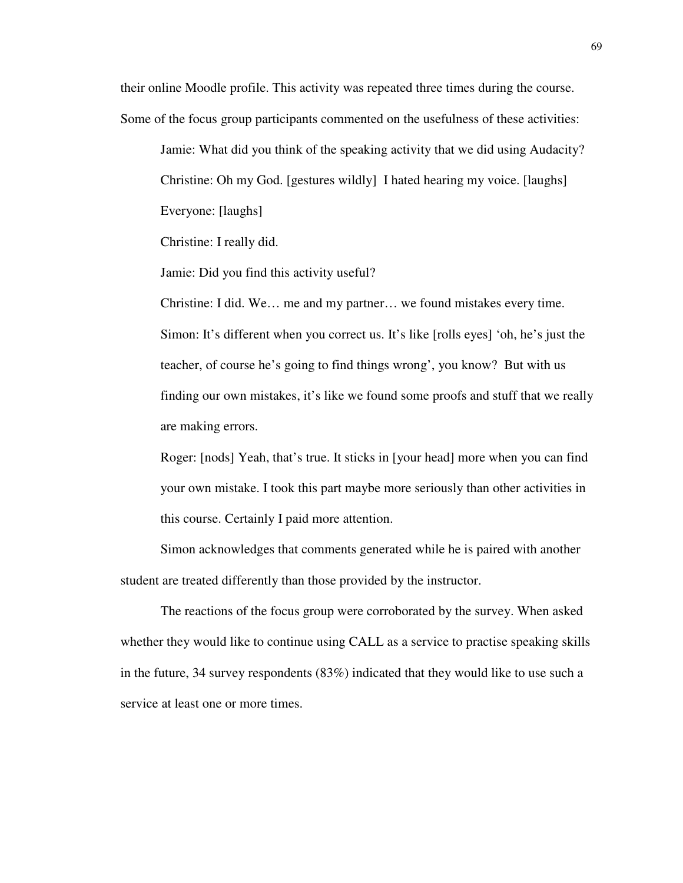their online Moodle profile. This activity was repeated three times during the course. Some of the focus group participants commented on the usefulness of these activities:

Jamie: What did you think of the speaking activity that we did using Audacity? Christine: Oh my God. [gestures wildly] I hated hearing my voice. [laughs] Everyone: [laughs]

Christine: I really did.

Jamie: Did you find this activity useful?

Christine: I did. We… me and my partner… we found mistakes every time. Simon: It's different when you correct us. It's like [rolls eyes] 'oh, he's just the teacher, of course he's going to find things wrong', you know? But with us finding our own mistakes, it's like we found some proofs and stuff that we really are making errors.

Roger: [nods] Yeah, that's true. It sticks in [your head] more when you can find your own mistake. I took this part maybe more seriously than other activities in this course. Certainly I paid more attention.

Simon acknowledges that comments generated while he is paired with another student are treated differently than those provided by the instructor.

The reactions of the focus group were corroborated by the survey. When asked whether they would like to continue using CALL as a service to practise speaking skills in the future, 34 survey respondents (83%) indicated that they would like to use such a service at least one or more times.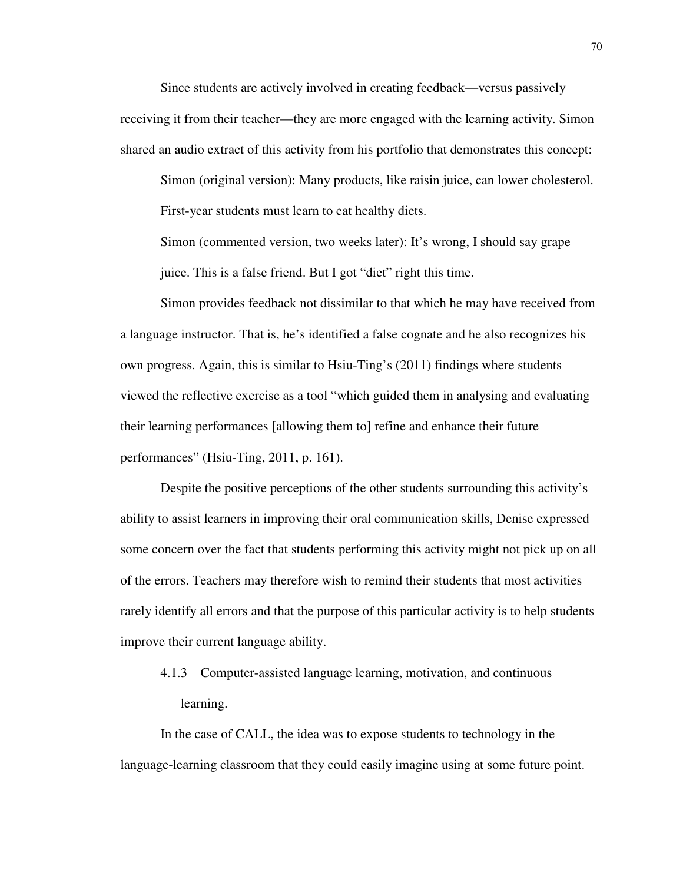Since students are actively involved in creating feedback—versus passively receiving it from their teacher—they are more engaged with the learning activity. Simon shared an audio extract of this activity from his portfolio that demonstrates this concept:

Simon (original version): Many products, like raisin juice, can lower cholesterol. First-year students must learn to eat healthy diets.

Simon (commented version, two weeks later): It's wrong, I should say grape juice. This is a false friend. But I got "diet" right this time.

Simon provides feedback not dissimilar to that which he may have received from a language instructor. That is, he's identified a false cognate and he also recognizes his own progress. Again, this is similar to Hsiu-Ting's (2011) findings where students viewed the reflective exercise as a tool "which guided them in analysing and evaluating their learning performances [allowing them to] refine and enhance their future performances" (Hsiu-Ting, 2011, p. 161).

Despite the positive perceptions of the other students surrounding this activity's ability to assist learners in improving their oral communication skills, Denise expressed some concern over the fact that students performing this activity might not pick up on all of the errors. Teachers may therefore wish to remind their students that most activities rarely identify all errors and that the purpose of this particular activity is to help students improve their current language ability.

4.1.3 Computer-assisted language learning, motivation, and continuous learning.

In the case of CALL, the idea was to expose students to technology in the language-learning classroom that they could easily imagine using at some future point.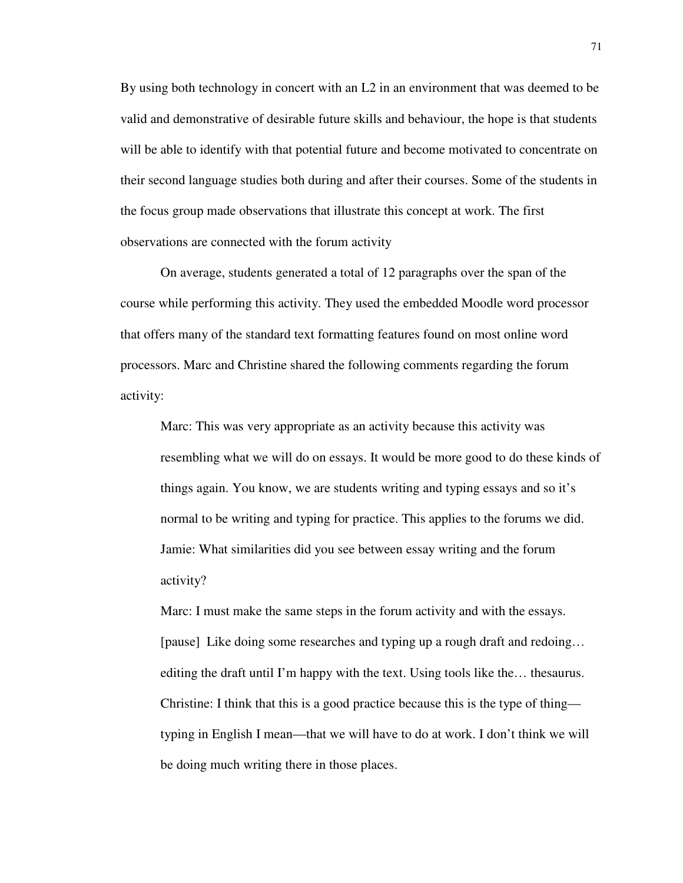By using both technology in concert with an L2 in an environment that was deemed to be valid and demonstrative of desirable future skills and behaviour, the hope is that students will be able to identify with that potential future and become motivated to concentrate on their second language studies both during and after their courses. Some of the students in the focus group made observations that illustrate this concept at work. The first observations are connected with the forum activity

On average, students generated a total of 12 paragraphs over the span of the course while performing this activity. They used the embedded Moodle word processor that offers many of the standard text formatting features found on most online word processors. Marc and Christine shared the following comments regarding the forum activity:

Marc: This was very appropriate as an activity because this activity was resembling what we will do on essays. It would be more good to do these kinds of things again. You know, we are students writing and typing essays and so it's normal to be writing and typing for practice. This applies to the forums we did. Jamie: What similarities did you see between essay writing and the forum activity?

Marc: I must make the same steps in the forum activity and with the essays. [pause] Like doing some researches and typing up a rough draft and redoing… editing the draft until I'm happy with the text. Using tools like the… thesaurus. Christine: I think that this is a good practice because this is the type of thing typing in English I mean—that we will have to do at work. I don't think we will be doing much writing there in those places.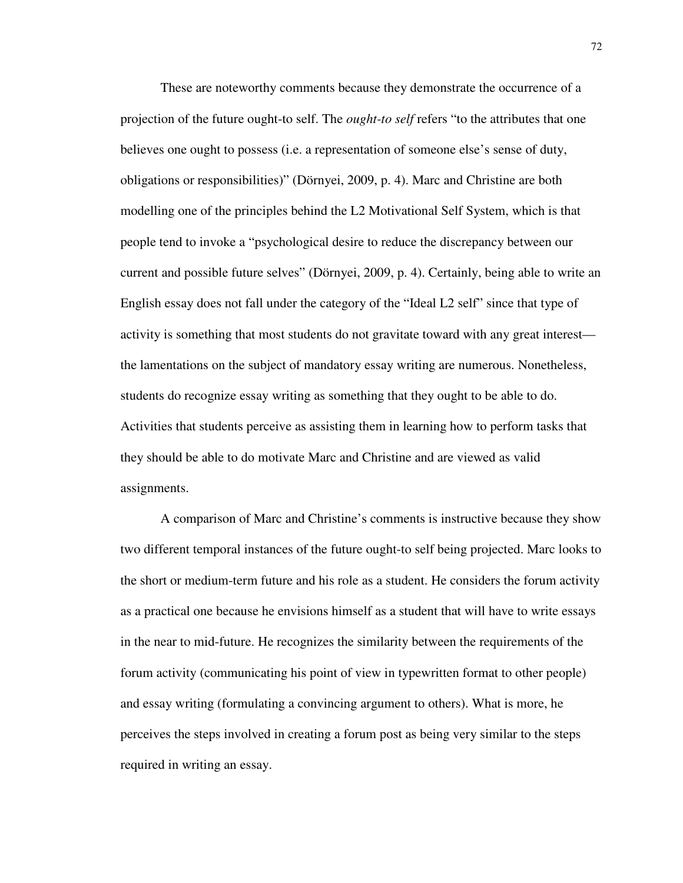These are noteworthy comments because they demonstrate the occurrence of a projection of the future ought-to self. The *ought-to self* refers "to the attributes that one believes one ought to possess (i.e. a representation of someone else's sense of duty, obligations or responsibilities)" (Dörnyei, 2009, p. 4). Marc and Christine are both modelling one of the principles behind the L2 Motivational Self System, which is that people tend to invoke a "psychological desire to reduce the discrepancy between our current and possible future selves" (Dörnyei, 2009, p. 4). Certainly, being able to write an English essay does not fall under the category of the "Ideal L2 self" since that type of activity is something that most students do not gravitate toward with any great interest the lamentations on the subject of mandatory essay writing are numerous. Nonetheless, students do recognize essay writing as something that they ought to be able to do. Activities that students perceive as assisting them in learning how to perform tasks that they should be able to do motivate Marc and Christine and are viewed as valid assignments.

A comparison of Marc and Christine's comments is instructive because they show two different temporal instances of the future ought-to self being projected. Marc looks to the short or medium-term future and his role as a student. He considers the forum activity as a practical one because he envisions himself as a student that will have to write essays in the near to mid-future. He recognizes the similarity between the requirements of the forum activity (communicating his point of view in typewritten format to other people) and essay writing (formulating a convincing argument to others). What is more, he perceives the steps involved in creating a forum post as being very similar to the steps required in writing an essay.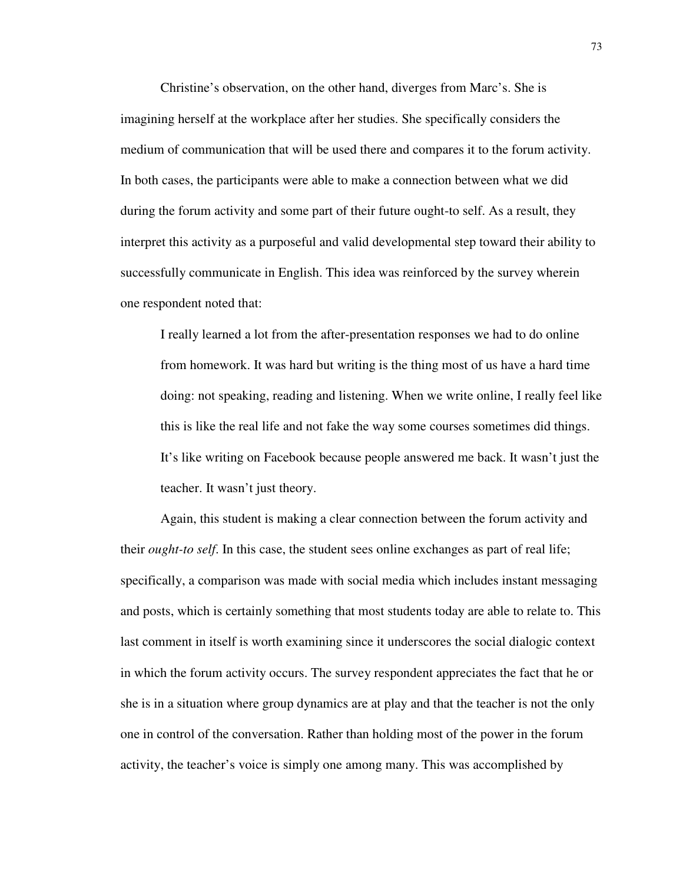Christine's observation, on the other hand, diverges from Marc's. She is imagining herself at the workplace after her studies. She specifically considers the medium of communication that will be used there and compares it to the forum activity. In both cases, the participants were able to make a connection between what we did during the forum activity and some part of their future ought-to self. As a result, they interpret this activity as a purposeful and valid developmental step toward their ability to successfully communicate in English. This idea was reinforced by the survey wherein one respondent noted that:

I really learned a lot from the after-presentation responses we had to do online from homework. It was hard but writing is the thing most of us have a hard time doing: not speaking, reading and listening. When we write online, I really feel like this is like the real life and not fake the way some courses sometimes did things. It's like writing on Facebook because people answered me back. It wasn't just the teacher. It wasn't just theory.

Again, this student is making a clear connection between the forum activity and their *ought-to self*. In this case, the student sees online exchanges as part of real life; specifically, a comparison was made with social media which includes instant messaging and posts, which is certainly something that most students today are able to relate to. This last comment in itself is worth examining since it underscores the social dialogic context in which the forum activity occurs. The survey respondent appreciates the fact that he or she is in a situation where group dynamics are at play and that the teacher is not the only one in control of the conversation. Rather than holding most of the power in the forum activity, the teacher's voice is simply one among many. This was accomplished by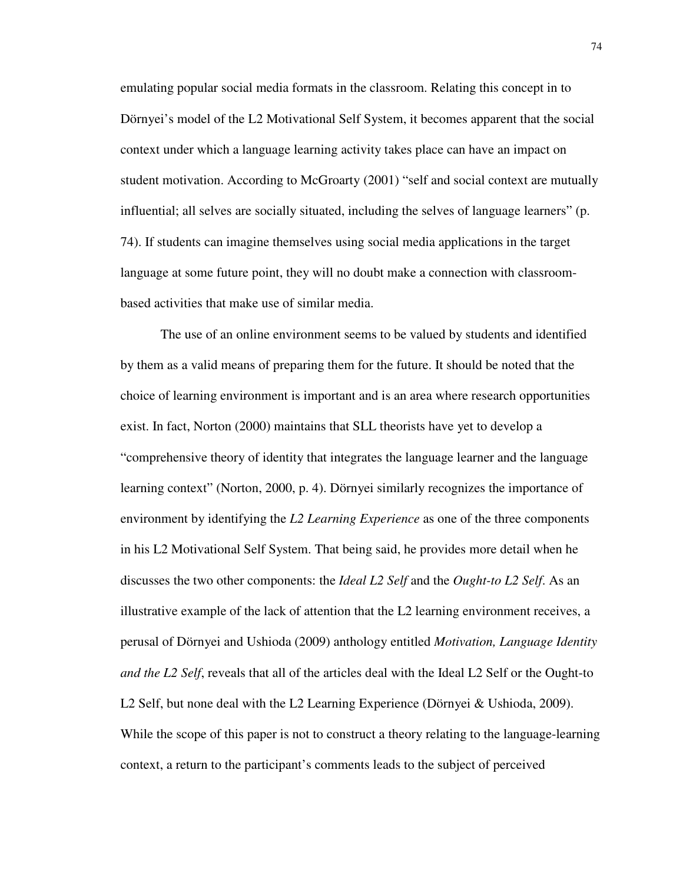emulating popular social media formats in the classroom. Relating this concept in to Dörnyei's model of the L2 Motivational Self System, it becomes apparent that the social context under which a language learning activity takes place can have an impact on student motivation. According to McGroarty (2001) "self and social context are mutually influential; all selves are socially situated, including the selves of language learners" (p. 74). If students can imagine themselves using social media applications in the target language at some future point, they will no doubt make a connection with classroombased activities that make use of similar media.

The use of an online environment seems to be valued by students and identified by them as a valid means of preparing them for the future. It should be noted that the choice of learning environment is important and is an area where research opportunities exist. In fact, Norton (2000) maintains that SLL theorists have yet to develop a "comprehensive theory of identity that integrates the language learner and the language learning context" (Norton, 2000, p. 4). Dörnyei similarly recognizes the importance of environment by identifying the *L2 Learning Experience* as one of the three components in his L2 Motivational Self System. That being said, he provides more detail when he discusses the two other components: the *Ideal L2 Self* and the *Ought-to L2 Self*. As an illustrative example of the lack of attention that the L2 learning environment receives, a perusal of Dörnyei and Ushioda (2009) anthology entitled *Motivation, Language Identity and the L2 Self*, reveals that all of the articles deal with the Ideal L2 Self or the Ought-to L2 Self, but none deal with the L2 Learning Experience (Dörnyei & Ushioda, 2009). While the scope of this paper is not to construct a theory relating to the language-learning context, a return to the participant's comments leads to the subject of perceived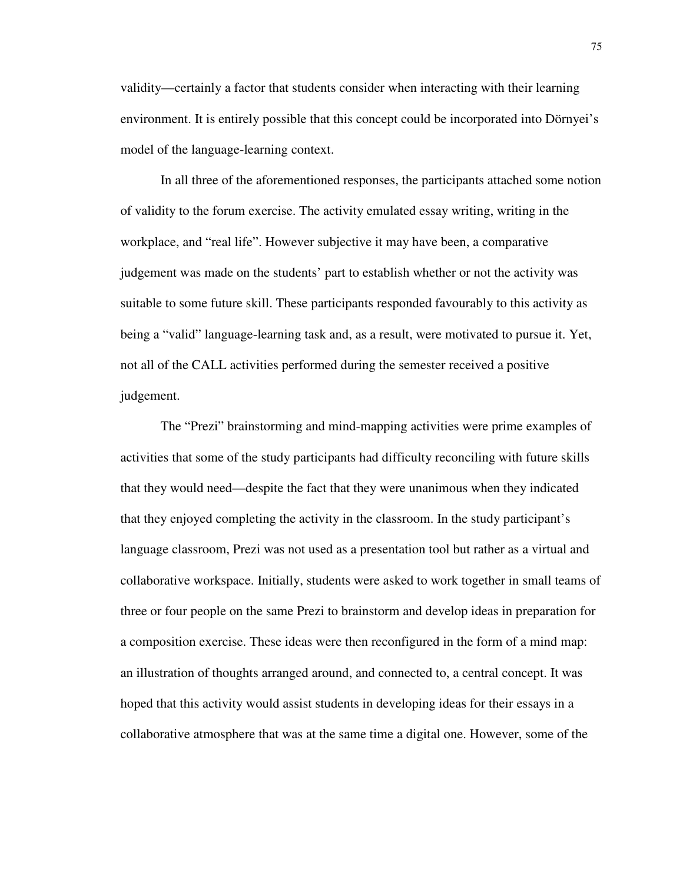validity—certainly a factor that students consider when interacting with their learning environment. It is entirely possible that this concept could be incorporated into Dörnyei's model of the language-learning context.

In all three of the aforementioned responses, the participants attached some notion of validity to the forum exercise. The activity emulated essay writing, writing in the workplace, and "real life". However subjective it may have been, a comparative judgement was made on the students' part to establish whether or not the activity was suitable to some future skill. These participants responded favourably to this activity as being a "valid" language-learning task and, as a result, were motivated to pursue it. Yet, not all of the CALL activities performed during the semester received a positive judgement.

The "Prezi" brainstorming and mind-mapping activities were prime examples of activities that some of the study participants had difficulty reconciling with future skills that they would need—despite the fact that they were unanimous when they indicated that they enjoyed completing the activity in the classroom. In the study participant's language classroom, Prezi was not used as a presentation tool but rather as a virtual and collaborative workspace. Initially, students were asked to work together in small teams of three or four people on the same Prezi to brainstorm and develop ideas in preparation for a composition exercise. These ideas were then reconfigured in the form of a mind map: an illustration of thoughts arranged around, and connected to, a central concept. It was hoped that this activity would assist students in developing ideas for their essays in a collaborative atmosphere that was at the same time a digital one. However, some of the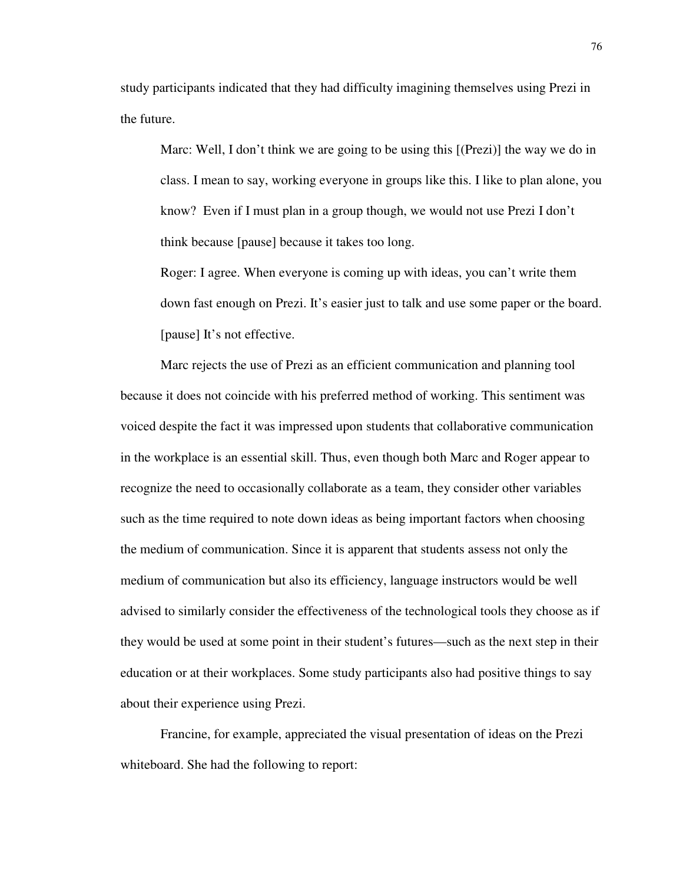study participants indicated that they had difficulty imagining themselves using Prezi in the future.

Marc: Well, I don't think we are going to be using this [(Prezi)] the way we do in class. I mean to say, working everyone in groups like this. I like to plan alone, you know? Even if I must plan in a group though, we would not use Prezi I don't think because [pause] because it takes too long.

Roger: I agree. When everyone is coming up with ideas, you can't write them down fast enough on Prezi. It's easier just to talk and use some paper or the board. [pause] It's not effective.

Marc rejects the use of Prezi as an efficient communication and planning tool because it does not coincide with his preferred method of working. This sentiment was voiced despite the fact it was impressed upon students that collaborative communication in the workplace is an essential skill. Thus, even though both Marc and Roger appear to recognize the need to occasionally collaborate as a team, they consider other variables such as the time required to note down ideas as being important factors when choosing the medium of communication. Since it is apparent that students assess not only the medium of communication but also its efficiency, language instructors would be well advised to similarly consider the effectiveness of the technological tools they choose as if they would be used at some point in their student's futures—such as the next step in their education or at their workplaces. Some study participants also had positive things to say about their experience using Prezi.

Francine, for example, appreciated the visual presentation of ideas on the Prezi whiteboard. She had the following to report: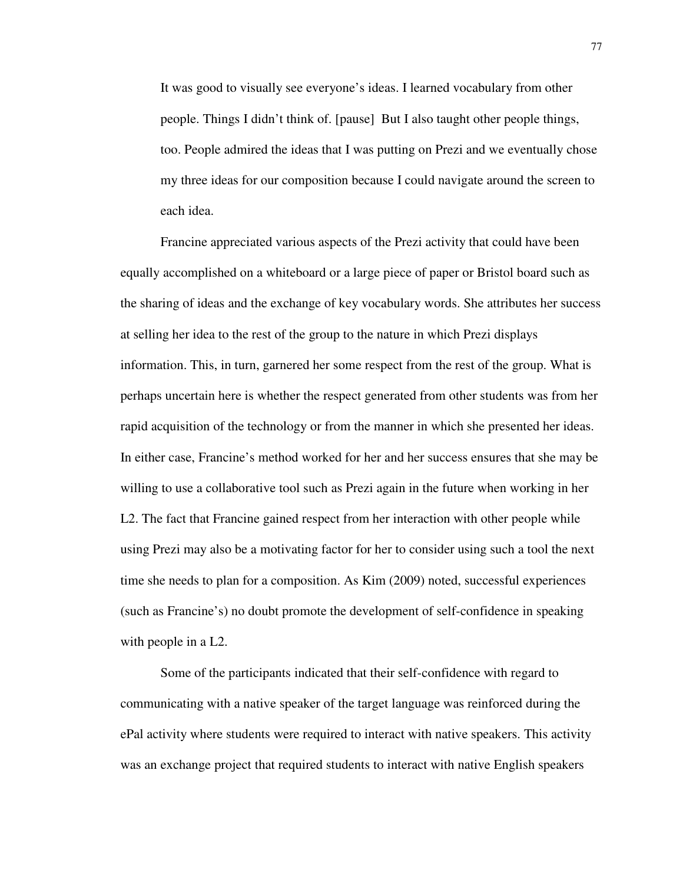It was good to visually see everyone's ideas. I learned vocabulary from other people. Things I didn't think of. [pause] But I also taught other people things, too. People admired the ideas that I was putting on Prezi and we eventually chose my three ideas for our composition because I could navigate around the screen to each idea.

Francine appreciated various aspects of the Prezi activity that could have been equally accomplished on a whiteboard or a large piece of paper or Bristol board such as the sharing of ideas and the exchange of key vocabulary words. She attributes her success at selling her idea to the rest of the group to the nature in which Prezi displays information. This, in turn, garnered her some respect from the rest of the group. What is perhaps uncertain here is whether the respect generated from other students was from her rapid acquisition of the technology or from the manner in which she presented her ideas. In either case, Francine's method worked for her and her success ensures that she may be willing to use a collaborative tool such as Prezi again in the future when working in her L2. The fact that Francine gained respect from her interaction with other people while using Prezi may also be a motivating factor for her to consider using such a tool the next time she needs to plan for a composition. As Kim (2009) noted, successful experiences (such as Francine's) no doubt promote the development of self-confidence in speaking with people in a L2.

Some of the participants indicated that their self-confidence with regard to communicating with a native speaker of the target language was reinforced during the ePal activity where students were required to interact with native speakers. This activity was an exchange project that required students to interact with native English speakers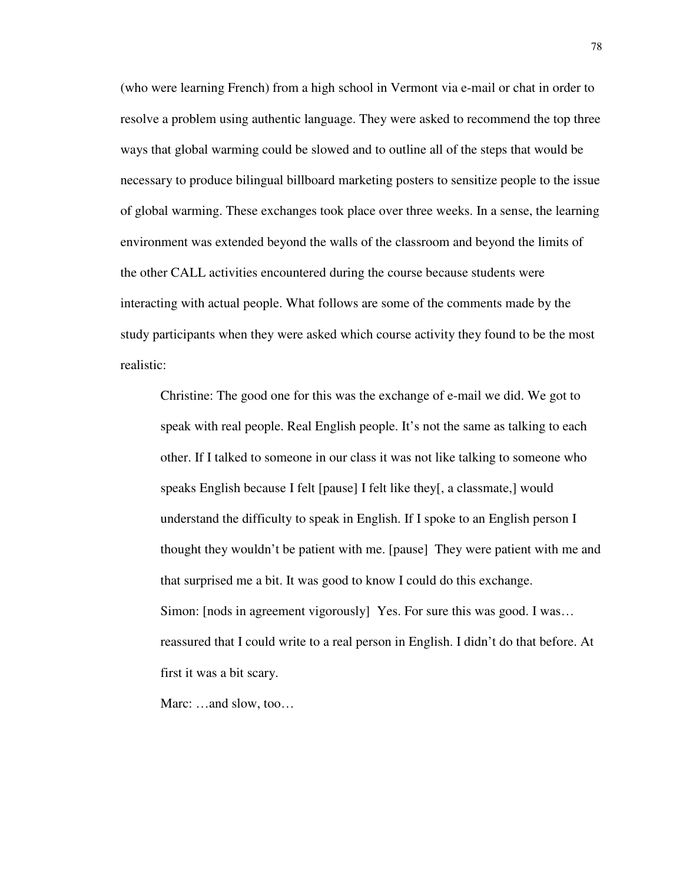(who were learning French) from a high school in Vermont via e-mail or chat in order to resolve a problem using authentic language. They were asked to recommend the top three ways that global warming could be slowed and to outline all of the steps that would be necessary to produce bilingual billboard marketing posters to sensitize people to the issue of global warming. These exchanges took place over three weeks. In a sense, the learning environment was extended beyond the walls of the classroom and beyond the limits of the other CALL activities encountered during the course because students were interacting with actual people. What follows are some of the comments made by the study participants when they were asked which course activity they found to be the most realistic:

Christine: The good one for this was the exchange of e-mail we did. We got to speak with real people. Real English people. It's not the same as talking to each other. If I talked to someone in our class it was not like talking to someone who speaks English because I felt [pause] I felt like they[, a classmate,] would understand the difficulty to speak in English. If I spoke to an English person I thought they wouldn't be patient with me. [pause] They were patient with me and that surprised me a bit. It was good to know I could do this exchange. Simon: [nods in agreement vigorously] Yes. For sure this was good. I was… reassured that I could write to a real person in English. I didn't do that before. At first it was a bit scary.

Marc: …and slow, too…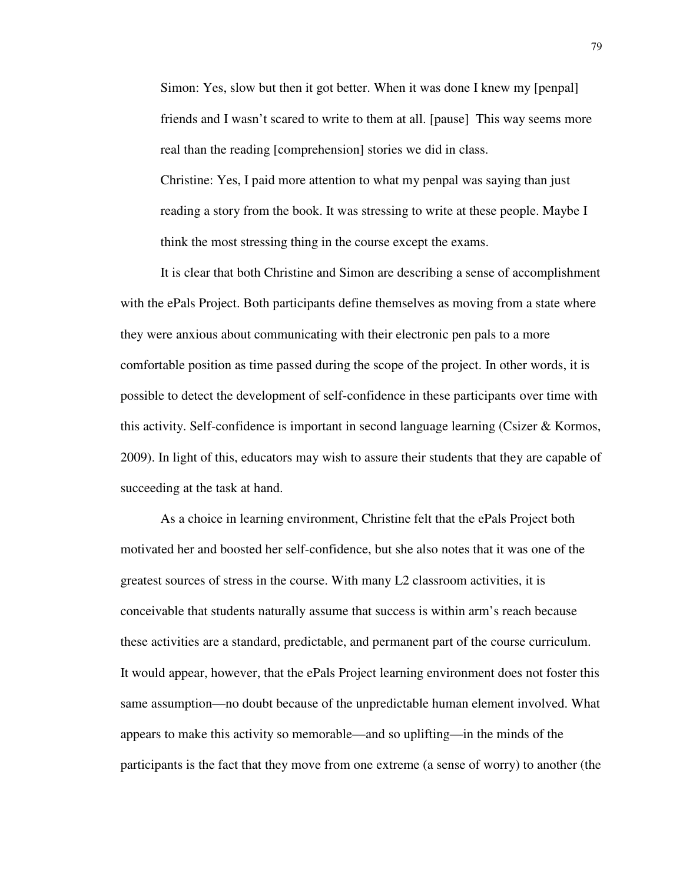Simon: Yes, slow but then it got better. When it was done I knew my [penpal] friends and I wasn't scared to write to them at all. [pause] This way seems more real than the reading [comprehension] stories we did in class. Christine: Yes, I paid more attention to what my penpal was saying than just reading a story from the book. It was stressing to write at these people. Maybe I think the most stressing thing in the course except the exams.

It is clear that both Christine and Simon are describing a sense of accomplishment with the ePals Project. Both participants define themselves as moving from a state where they were anxious about communicating with their electronic pen pals to a more comfortable position as time passed during the scope of the project. In other words, it is possible to detect the development of self-confidence in these participants over time with this activity. Self-confidence is important in second language learning (Csizer & Kormos, 2009). In light of this, educators may wish to assure their students that they are capable of succeeding at the task at hand.

As a choice in learning environment, Christine felt that the ePals Project both motivated her and boosted her self-confidence, but she also notes that it was one of the greatest sources of stress in the course. With many L2 classroom activities, it is conceivable that students naturally assume that success is within arm's reach because these activities are a standard, predictable, and permanent part of the course curriculum. It would appear, however, that the ePals Project learning environment does not foster this same assumption—no doubt because of the unpredictable human element involved. What appears to make this activity so memorable—and so uplifting—in the minds of the participants is the fact that they move from one extreme (a sense of worry) to another (the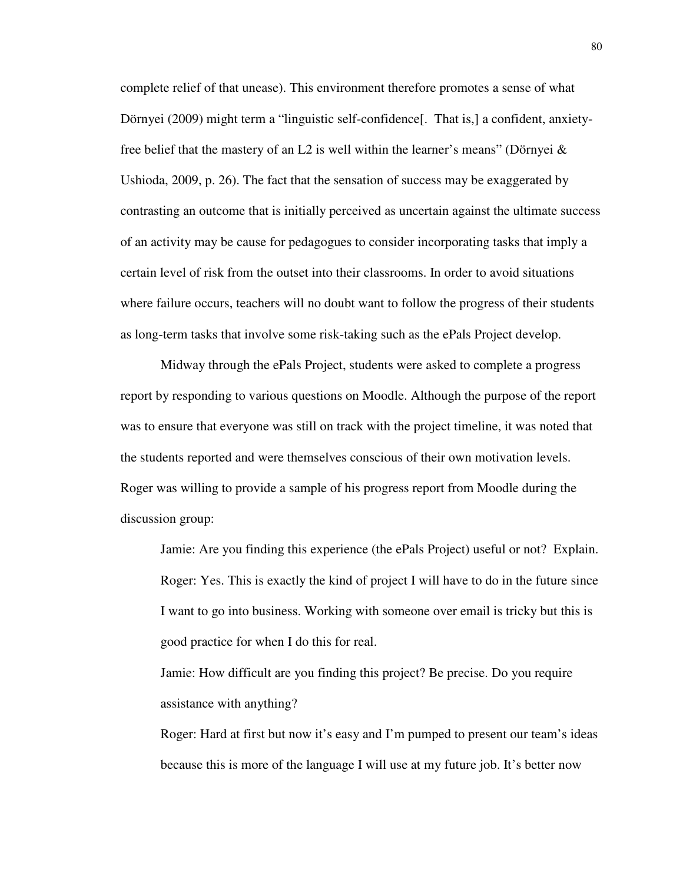complete relief of that unease). This environment therefore promotes a sense of what Dörnyei (2009) might term a "linguistic self-confidence[. That is,] a confident, anxietyfree belief that the mastery of an L2 is well within the learner's means" (Dörnyei  $\&$ Ushioda, 2009, p. 26). The fact that the sensation of success may be exaggerated by contrasting an outcome that is initially perceived as uncertain against the ultimate success of an activity may be cause for pedagogues to consider incorporating tasks that imply a certain level of risk from the outset into their classrooms. In order to avoid situations where failure occurs, teachers will no doubt want to follow the progress of their students as long-term tasks that involve some risk-taking such as the ePals Project develop.

Midway through the ePals Project, students were asked to complete a progress report by responding to various questions on Moodle. Although the purpose of the report was to ensure that everyone was still on track with the project timeline, it was noted that the students reported and were themselves conscious of their own motivation levels. Roger was willing to provide a sample of his progress report from Moodle during the discussion group:

Jamie: Are you finding this experience (the ePals Project) useful or not? Explain. Roger: Yes. This is exactly the kind of project I will have to do in the future since I want to go into business. Working with someone over email is tricky but this is good practice for when I do this for real.

Jamie: How difficult are you finding this project? Be precise. Do you require assistance with anything?

Roger: Hard at first but now it's easy and I'm pumped to present our team's ideas because this is more of the language I will use at my future job. It's better now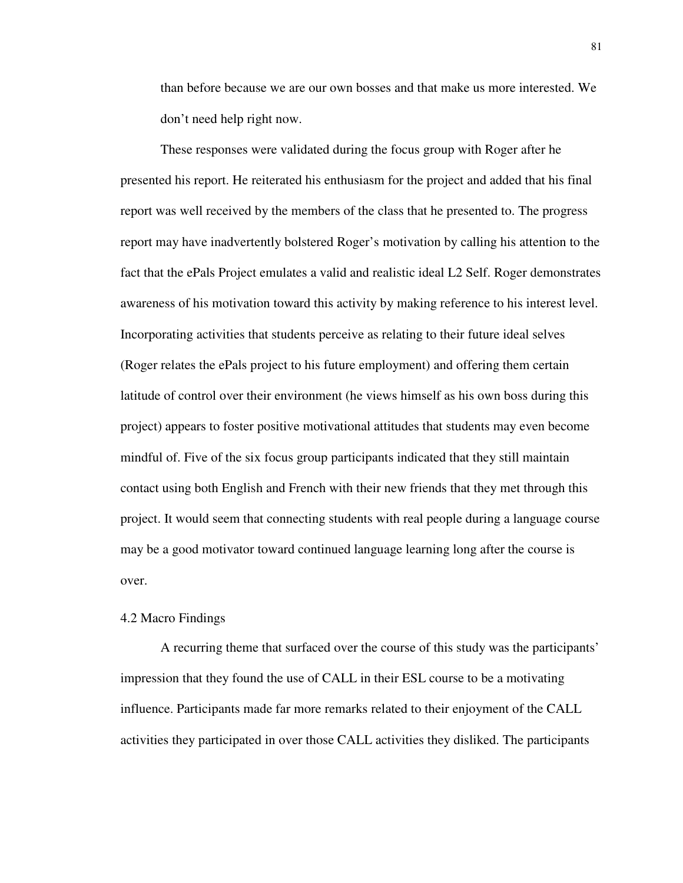than before because we are our own bosses and that make us more interested. We don't need help right now.

These responses were validated during the focus group with Roger after he presented his report. He reiterated his enthusiasm for the project and added that his final report was well received by the members of the class that he presented to. The progress report may have inadvertently bolstered Roger's motivation by calling his attention to the fact that the ePals Project emulates a valid and realistic ideal L2 Self. Roger demonstrates awareness of his motivation toward this activity by making reference to his interest level. Incorporating activities that students perceive as relating to their future ideal selves (Roger relates the ePals project to his future employment) and offering them certain latitude of control over their environment (he views himself as his own boss during this project) appears to foster positive motivational attitudes that students may even become mindful of. Five of the six focus group participants indicated that they still maintain contact using both English and French with their new friends that they met through this project. It would seem that connecting students with real people during a language course may be a good motivator toward continued language learning long after the course is over.

## 4.2 Macro Findings

A recurring theme that surfaced over the course of this study was the participants' impression that they found the use of CALL in their ESL course to be a motivating influence. Participants made far more remarks related to their enjoyment of the CALL activities they participated in over those CALL activities they disliked. The participants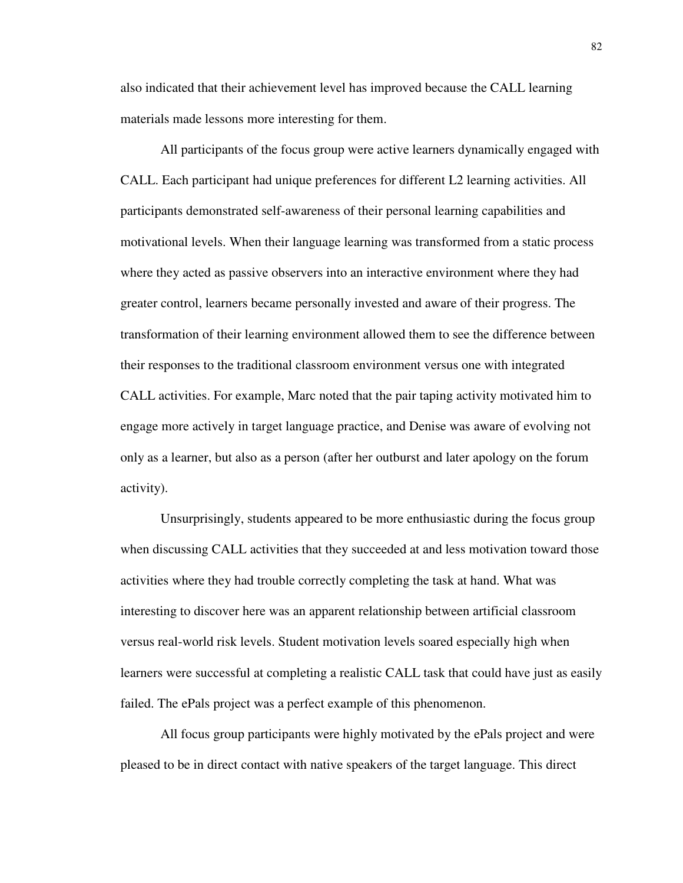also indicated that their achievement level has improved because the CALL learning materials made lessons more interesting for them.

All participants of the focus group were active learners dynamically engaged with CALL. Each participant had unique preferences for different L2 learning activities. All participants demonstrated self-awareness of their personal learning capabilities and motivational levels. When their language learning was transformed from a static process where they acted as passive observers into an interactive environment where they had greater control, learners became personally invested and aware of their progress. The transformation of their learning environment allowed them to see the difference between their responses to the traditional classroom environment versus one with integrated CALL activities. For example, Marc noted that the pair taping activity motivated him to engage more actively in target language practice, and Denise was aware of evolving not only as a learner, but also as a person (after her outburst and later apology on the forum activity).

Unsurprisingly, students appeared to be more enthusiastic during the focus group when discussing CALL activities that they succeeded at and less motivation toward those activities where they had trouble correctly completing the task at hand. What was interesting to discover here was an apparent relationship between artificial classroom versus real-world risk levels. Student motivation levels soared especially high when learners were successful at completing a realistic CALL task that could have just as easily failed. The ePals project was a perfect example of this phenomenon.

All focus group participants were highly motivated by the ePals project and were pleased to be in direct contact with native speakers of the target language. This direct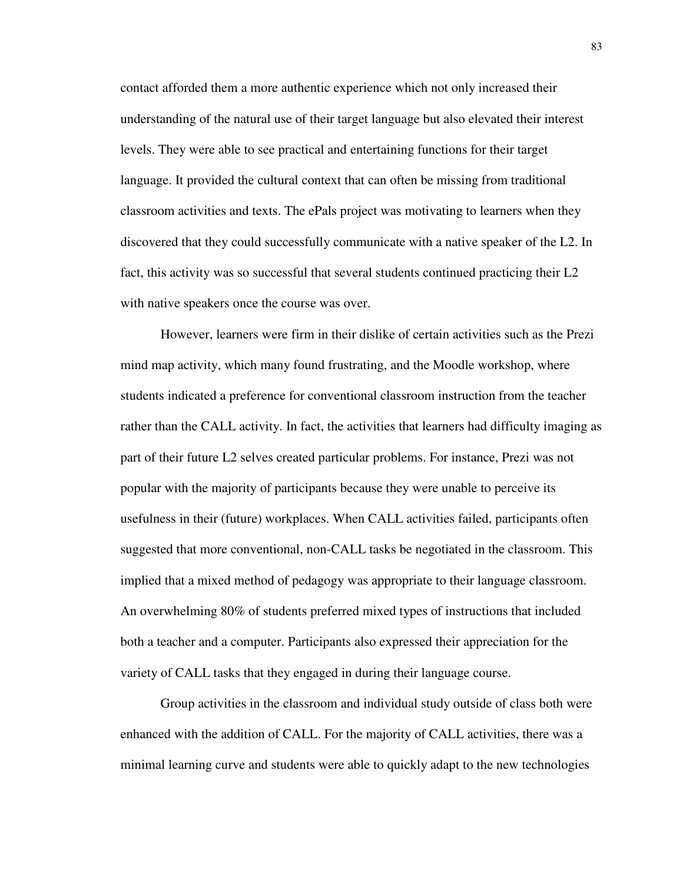contact afforded them a more authentic experience which not only increased their understanding of the natural use of their target language but also elevated their interest levels. They were able to see practical and entertaining functions for their target language. It provided the cultural context that can often be missing from traditional classroom activities and texts. The ePals project was motivating to learners when they discovered that they could successfully communicate with a native speaker of the L2. In fact, this activity was so successful that several students continued practicing their L2 with native speakers once the course was over.

However, learners were firm in their dislike of certain activities such as the Prezi mind map activity, which many found frustrating, and the Moodle workshop, where students indicated a preference for conventional classroom instruction from the teacher rather than the CALL activity. In fact, the activities that learners had difficulty imaging as part of their future L2 selves created particular problems. For instance, Prezi was not popular with the majority of participants because they were unable to perceive its usefulness in their (future) workplaces. When CALL activities failed, participants often suggested that more conventional, non-CALL tasks be negotiated in the classroom. This implied that a mixed method of pedagogy was appropriate to their language classroom. An overwhelming 80% of students preferred mixed types of instructions that included both a teacher and a computer. Participants also expressed their appreciation for the variety of CALL tasks that they engaged in during their language course.

Group activities in the classroom and individual study outside of class both were enhanced with the addition of CALL. For the majority of CALL activities, there was a minimal learning curve and students were able to quickly adapt to the new technologies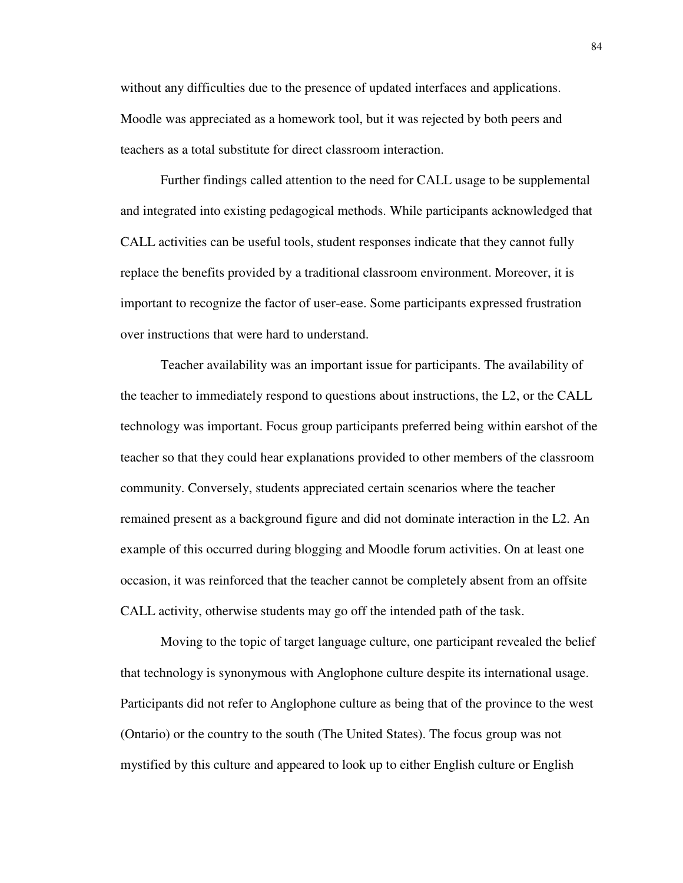without any difficulties due to the presence of updated interfaces and applications. Moodle was appreciated as a homework tool, but it was rejected by both peers and teachers as a total substitute for direct classroom interaction.

Further findings called attention to the need for CALL usage to be supplemental and integrated into existing pedagogical methods. While participants acknowledged that CALL activities can be useful tools, student responses indicate that they cannot fully replace the benefits provided by a traditional classroom environment. Moreover, it is important to recognize the factor of user-ease. Some participants expressed frustration over instructions that were hard to understand.

Teacher availability was an important issue for participants. The availability of the teacher to immediately respond to questions about instructions, the L2, or the CALL technology was important. Focus group participants preferred being within earshot of the teacher so that they could hear explanations provided to other members of the classroom community. Conversely, students appreciated certain scenarios where the teacher remained present as a background figure and did not dominate interaction in the L2. An example of this occurred during blogging and Moodle forum activities. On at least one occasion, it was reinforced that the teacher cannot be completely absent from an offsite CALL activity, otherwise students may go off the intended path of the task.

Moving to the topic of target language culture, one participant revealed the belief that technology is synonymous with Anglophone culture despite its international usage. Participants did not refer to Anglophone culture as being that of the province to the west (Ontario) or the country to the south (The United States). The focus group was not mystified by this culture and appeared to look up to either English culture or English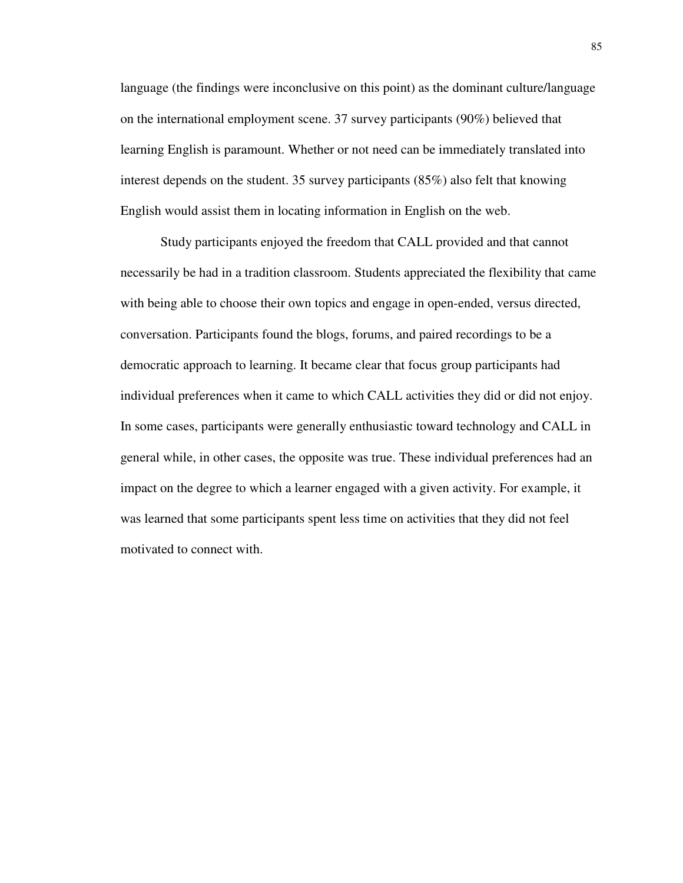language (the findings were inconclusive on this point) as the dominant culture/language on the international employment scene. 37 survey participants (90%) believed that learning English is paramount. Whether or not need can be immediately translated into interest depends on the student. 35 survey participants (85%) also felt that knowing English would assist them in locating information in English on the web.

Study participants enjoyed the freedom that CALL provided and that cannot necessarily be had in a tradition classroom. Students appreciated the flexibility that came with being able to choose their own topics and engage in open-ended, versus directed, conversation. Participants found the blogs, forums, and paired recordings to be a democratic approach to learning. It became clear that focus group participants had individual preferences when it came to which CALL activities they did or did not enjoy. In some cases, participants were generally enthusiastic toward technology and CALL in general while, in other cases, the opposite was true. These individual preferences had an impact on the degree to which a learner engaged with a given activity. For example, it was learned that some participants spent less time on activities that they did not feel motivated to connect with.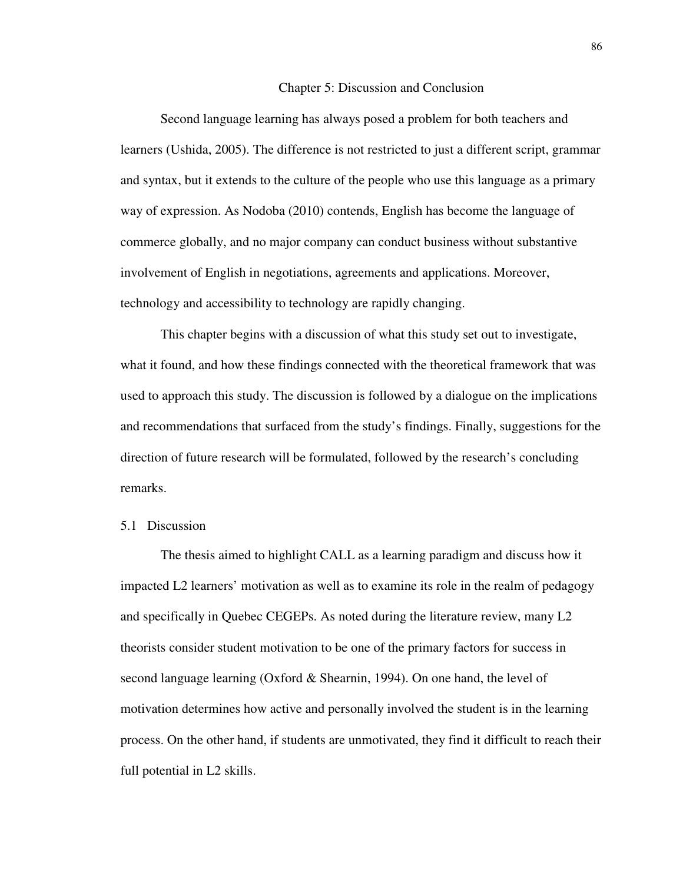## 5 Chapter 5: Discussion and Conclusion

Second language learning has always posed a problem for both teachers and learners (Ushida, 2005). The difference is not restricted to just a different script, grammar and syntax, but it extends to the culture of the people who use this language as a primary way of expression. As Nodoba (2010) contends, English has become the language of commerce globally, and no major company can conduct business without substantive involvement of English in negotiations, agreements and applications. Moreover, technology and accessibility to technology are rapidly changing.

This chapter begins with a discussion of what this study set out to investigate, what it found, and how these findings connected with the theoretical framework that was used to approach this study. The discussion is followed by a dialogue on the implications and recommendations that surfaced from the study's findings. Finally, suggestions for the direction of future research will be formulated, followed by the research's concluding remarks.

## 5.1 Discussion

The thesis aimed to highlight CALL as a learning paradigm and discuss how it impacted L2 learners' motivation as well as to examine its role in the realm of pedagogy and specifically in Quebec CEGEPs. As noted during the literature review, many L2 theorists consider student motivation to be one of the primary factors for success in second language learning (Oxford & Shearnin, 1994). On one hand, the level of motivation determines how active and personally involved the student is in the learning process. On the other hand, if students are unmotivated, they find it difficult to reach their full potential in L2 skills.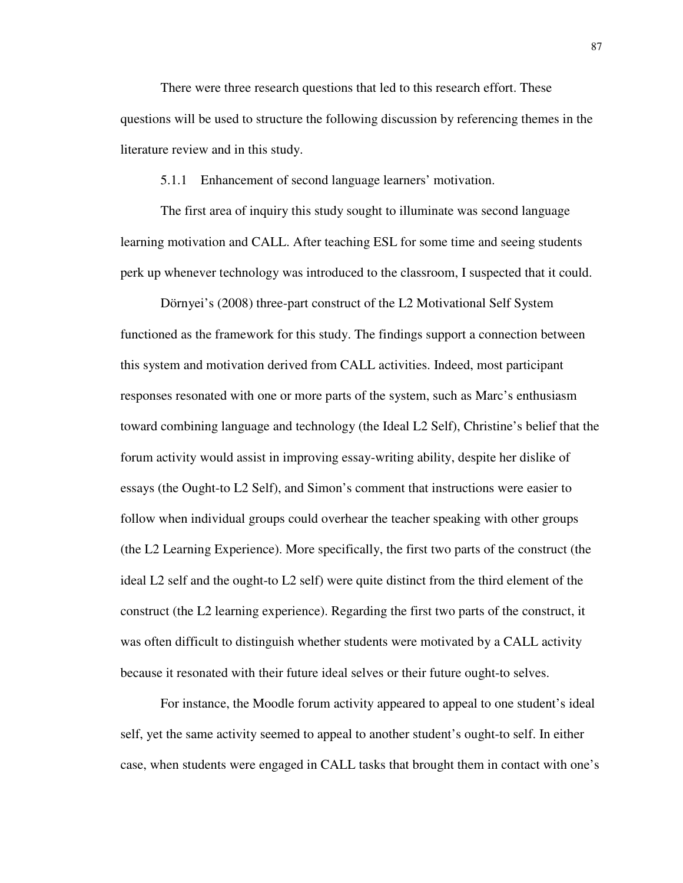There were three research questions that led to this research effort. These questions will be used to structure the following discussion by referencing themes in the literature review and in this study.

5.1.1 Enhancement of second language learners' motivation.

The first area of inquiry this study sought to illuminate was second language learning motivation and CALL. After teaching ESL for some time and seeing students perk up whenever technology was introduced to the classroom, I suspected that it could.

Dörnyei's (2008) three-part construct of the L2 Motivational Self System functioned as the framework for this study. The findings support a connection between this system and motivation derived from CALL activities. Indeed, most participant responses resonated with one or more parts of the system, such as Marc's enthusiasm toward combining language and technology (the Ideal L2 Self), Christine's belief that the forum activity would assist in improving essay-writing ability, despite her dislike of essays (the Ought-to L2 Self), and Simon's comment that instructions were easier to follow when individual groups could overhear the teacher speaking with other groups (the L2 Learning Experience). More specifically, the first two parts of the construct (the ideal L2 self and the ought-to L2 self) were quite distinct from the third element of the construct (the L2 learning experience). Regarding the first two parts of the construct, it was often difficult to distinguish whether students were motivated by a CALL activity because it resonated with their future ideal selves or their future ought-to selves.

For instance, the Moodle forum activity appeared to appeal to one student's ideal self, yet the same activity seemed to appeal to another student's ought-to self. In either case, when students were engaged in CALL tasks that brought them in contact with one's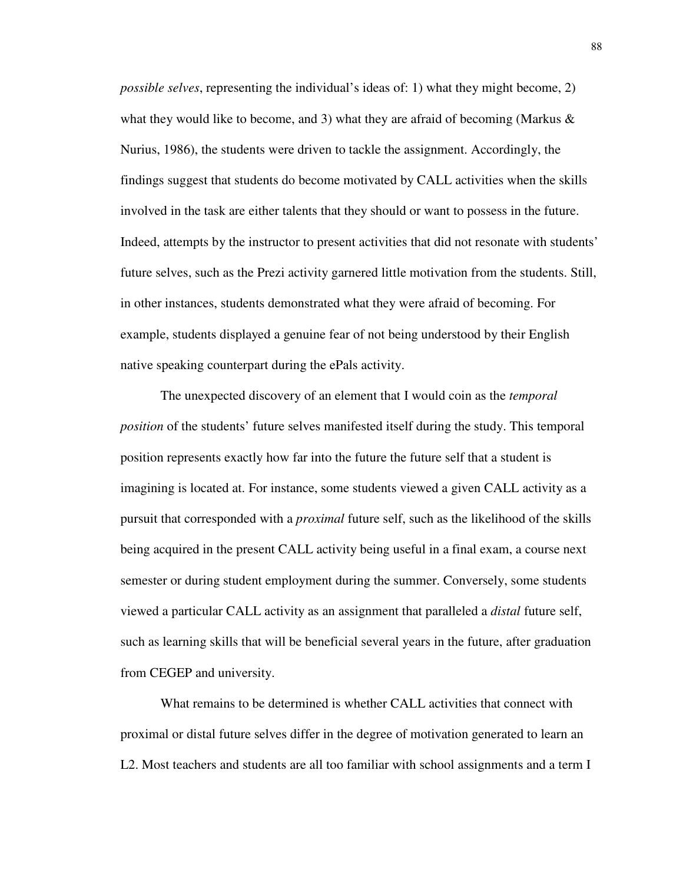*possible selves*, representing the individual's ideas of: 1) what they might become, 2) what they would like to become, and 3) what they are afraid of becoming (Markus  $\&$ Nurius, 1986), the students were driven to tackle the assignment. Accordingly, the findings suggest that students do become motivated by CALL activities when the skills involved in the task are either talents that they should or want to possess in the future. Indeed, attempts by the instructor to present activities that did not resonate with students' future selves, such as the Prezi activity garnered little motivation from the students. Still, in other instances, students demonstrated what they were afraid of becoming. For example, students displayed a genuine fear of not being understood by their English native speaking counterpart during the ePals activity.

The unexpected discovery of an element that I would coin as the *temporal position* of the students' future selves manifested itself during the study. This temporal position represents exactly how far into the future the future self that a student is imagining is located at. For instance, some students viewed a given CALL activity as a pursuit that corresponded with a *proximal* future self, such as the likelihood of the skills being acquired in the present CALL activity being useful in a final exam, a course next semester or during student employment during the summer. Conversely, some students viewed a particular CALL activity as an assignment that paralleled a *distal* future self, such as learning skills that will be beneficial several years in the future, after graduation from CEGEP and university.

What remains to be determined is whether CALL activities that connect with proximal or distal future selves differ in the degree of motivation generated to learn an L2. Most teachers and students are all too familiar with school assignments and a term I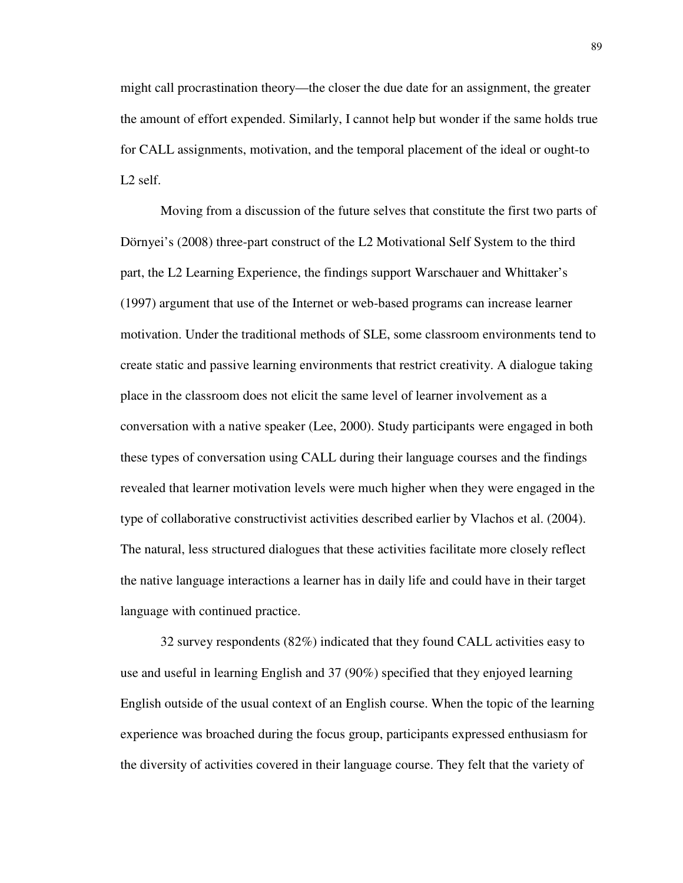might call procrastination theory—the closer the due date for an assignment, the greater the amount of effort expended. Similarly, I cannot help but wonder if the same holds true for CALL assignments, motivation, and the temporal placement of the ideal or ought-to L2 self.

Moving from a discussion of the future selves that constitute the first two parts of Dörnyei's (2008) three-part construct of the L2 Motivational Self System to the third part, the L2 Learning Experience, the findings support Warschauer and Whittaker's (1997) argument that use of the Internet or web-based programs can increase learner motivation. Under the traditional methods of SLE, some classroom environments tend to create static and passive learning environments that restrict creativity. A dialogue taking place in the classroom does not elicit the same level of learner involvement as a conversation with a native speaker (Lee, 2000). Study participants were engaged in both these types of conversation using CALL during their language courses and the findings revealed that learner motivation levels were much higher when they were engaged in the type of collaborative constructivist activities described earlier by Vlachos et al. (2004). The natural, less structured dialogues that these activities facilitate more closely reflect the native language interactions a learner has in daily life and could have in their target language with continued practice.

32 survey respondents (82%) indicated that they found CALL activities easy to use and useful in learning English and 37 (90%) specified that they enjoyed learning English outside of the usual context of an English course. When the topic of the learning experience was broached during the focus group, participants expressed enthusiasm for the diversity of activities covered in their language course. They felt that the variety of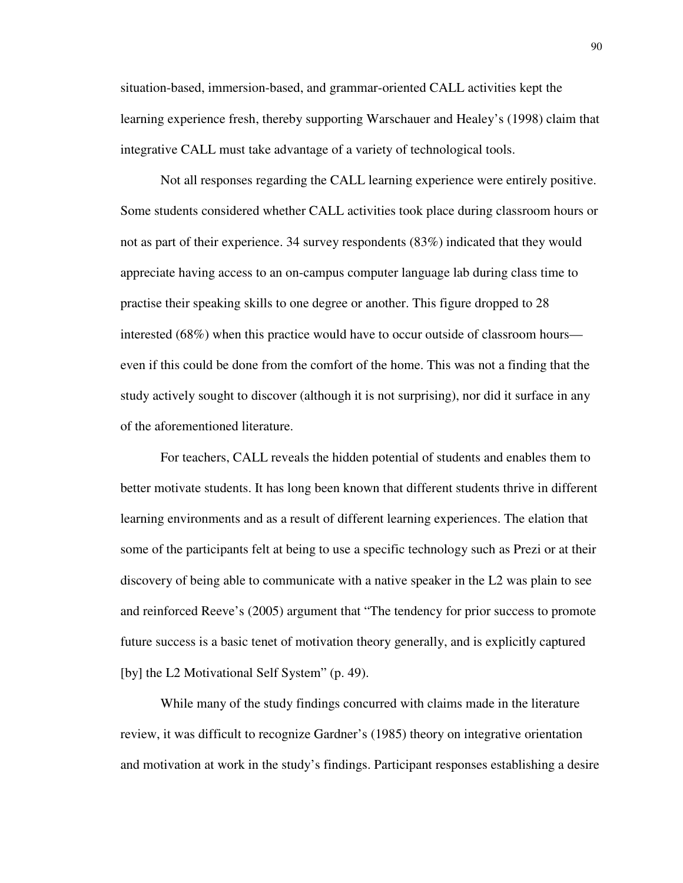situation-based, immersion-based, and grammar-oriented CALL activities kept the learning experience fresh, thereby supporting Warschauer and Healey's (1998) claim that integrative CALL must take advantage of a variety of technological tools.

Not all responses regarding the CALL learning experience were entirely positive. Some students considered whether CALL activities took place during classroom hours or not as part of their experience. 34 survey respondents (83%) indicated that they would appreciate having access to an on-campus computer language lab during class time to practise their speaking skills to one degree or another. This figure dropped to 28 interested (68%) when this practice would have to occur outside of classroom hours even if this could be done from the comfort of the home. This was not a finding that the study actively sought to discover (although it is not surprising), nor did it surface in any of the aforementioned literature.

For teachers, CALL reveals the hidden potential of students and enables them to better motivate students. It has long been known that different students thrive in different learning environments and as a result of different learning experiences. The elation that some of the participants felt at being to use a specific technology such as Prezi or at their discovery of being able to communicate with a native speaker in the L2 was plain to see and reinforced Reeve's (2005) argument that "The tendency for prior success to promote future success is a basic tenet of motivation theory generally, and is explicitly captured [by] the L2 Motivational Self System" (p. 49).

While many of the study findings concurred with claims made in the literature review, it was difficult to recognize Gardner's (1985) theory on integrative orientation and motivation at work in the study's findings. Participant responses establishing a desire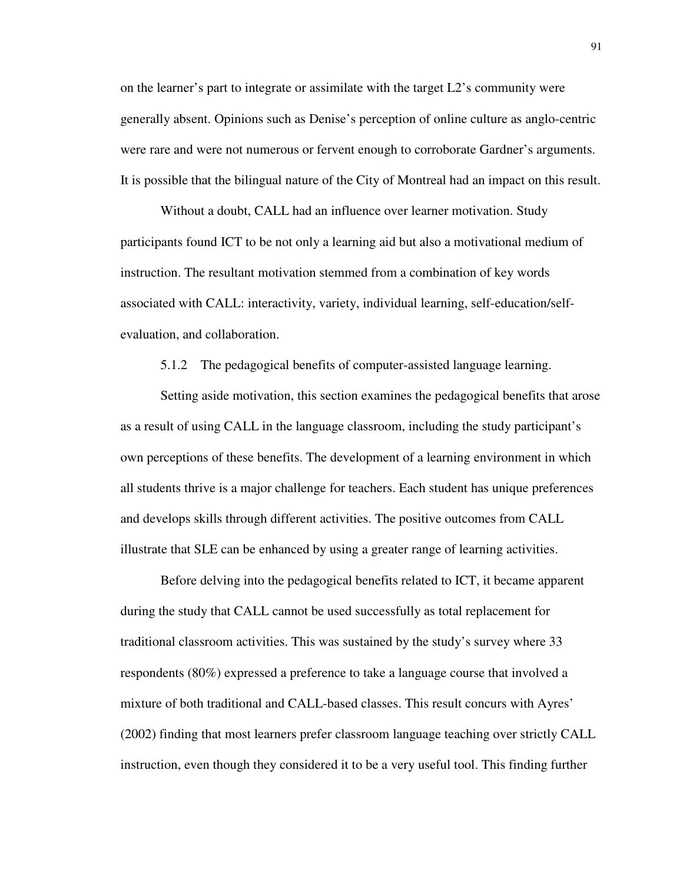on the learner's part to integrate or assimilate with the target L2's community were generally absent. Opinions such as Denise's perception of online culture as anglo-centric were rare and were not numerous or fervent enough to corroborate Gardner's arguments. It is possible that the bilingual nature of the City of Montreal had an impact on this result.

Without a doubt, CALL had an influence over learner motivation. Study participants found ICT to be not only a learning aid but also a motivational medium of instruction. The resultant motivation stemmed from a combination of key words associated with CALL: interactivity, variety, individual learning, self-education/selfevaluation, and collaboration.

5.1.2 The pedagogical benefits of computer-assisted language learning.

Setting aside motivation, this section examines the pedagogical benefits that arose as a result of using CALL in the language classroom, including the study participant's own perceptions of these benefits. The development of a learning environment in which all students thrive is a major challenge for teachers. Each student has unique preferences and develops skills through different activities. The positive outcomes from CALL illustrate that SLE can be enhanced by using a greater range of learning activities.

Before delving into the pedagogical benefits related to ICT, it became apparent during the study that CALL cannot be used successfully as total replacement for traditional classroom activities. This was sustained by the study's survey where 33 respondents (80%) expressed a preference to take a language course that involved a mixture of both traditional and CALL-based classes. This result concurs with Ayres' (2002) finding that most learners prefer classroom language teaching over strictly CALL instruction, even though they considered it to be a very useful tool. This finding further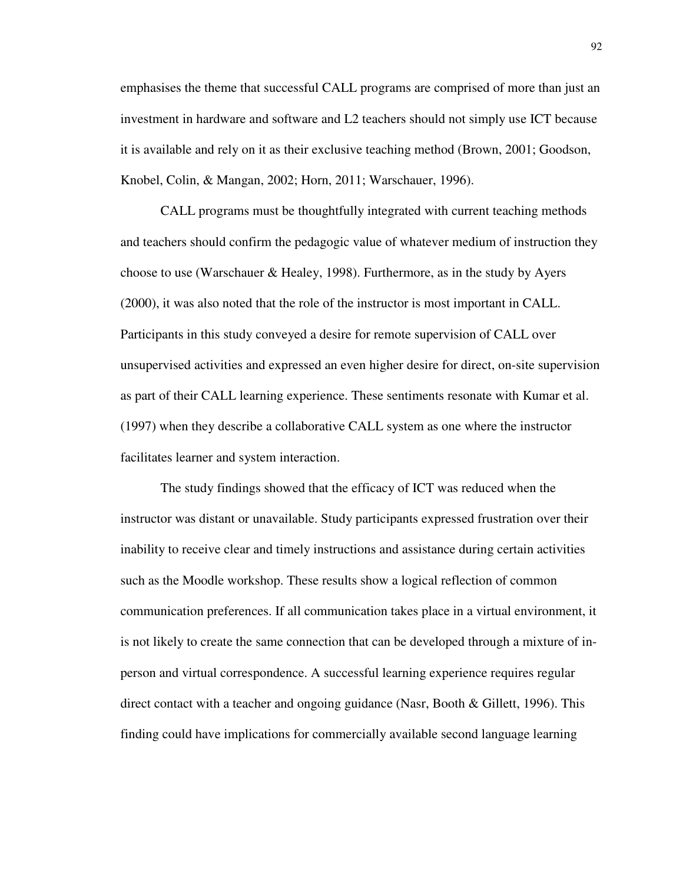emphasises the theme that successful CALL programs are comprised of more than just an investment in hardware and software and L2 teachers should not simply use ICT because it is available and rely on it as their exclusive teaching method (Brown, 2001; Goodson, Knobel, Colin, & Mangan, 2002; Horn, 2011; Warschauer, 1996).

CALL programs must be thoughtfully integrated with current teaching methods and teachers should confirm the pedagogic value of whatever medium of instruction they choose to use (Warschauer & Healey, 1998). Furthermore, as in the study by Ayers (2000), it was also noted that the role of the instructor is most important in CALL. Participants in this study conveyed a desire for remote supervision of CALL over unsupervised activities and expressed an even higher desire for direct, on-site supervision as part of their CALL learning experience. These sentiments resonate with Kumar et al. (1997) when they describe a collaborative CALL system as one where the instructor facilitates learner and system interaction.

The study findings showed that the efficacy of ICT was reduced when the instructor was distant or unavailable. Study participants expressed frustration over their inability to receive clear and timely instructions and assistance during certain activities such as the Moodle workshop. These results show a logical reflection of common communication preferences. If all communication takes place in a virtual environment, it is not likely to create the same connection that can be developed through a mixture of inperson and virtual correspondence. A successful learning experience requires regular direct contact with a teacher and ongoing guidance (Nasr, Booth & Gillett, 1996). This finding could have implications for commercially available second language learning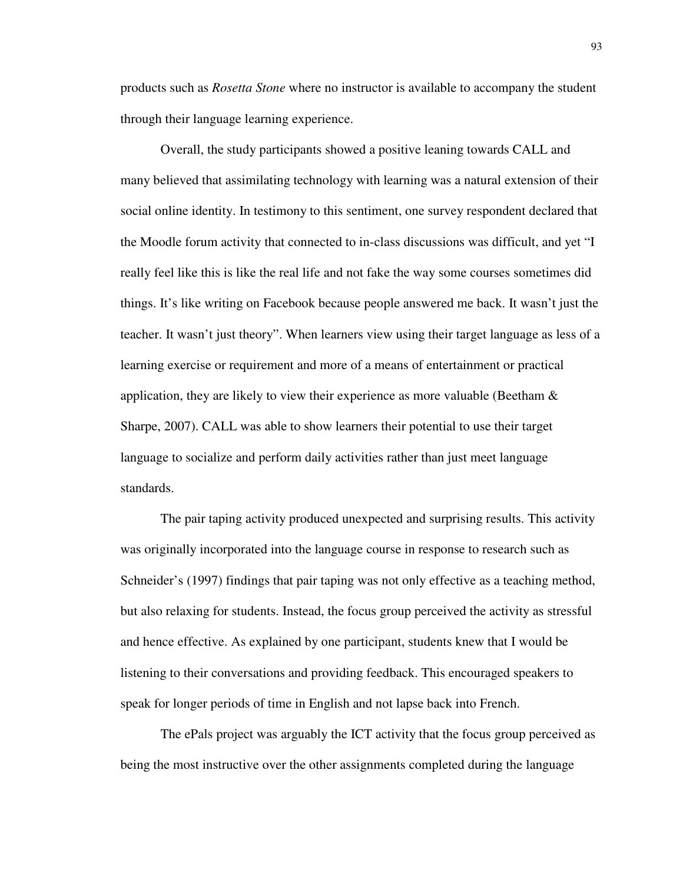products such as *Rosetta Stone* where no instructor is available to accompany the student through their language learning experience.

Overall, the study participants showed a positive leaning towards CALL and many believed that assimilating technology with learning was a natural extension of their social online identity. In testimony to this sentiment, one survey respondent declared that the Moodle forum activity that connected to in-class discussions was difficult, and yet "I really feel like this is like the real life and not fake the way some courses sometimes did things. It's like writing on Facebook because people answered me back. It wasn't just the teacher. It wasn't just theory". When learners view using their target language as less of a learning exercise or requirement and more of a means of entertainment or practical application, they are likely to view their experience as more valuable (Beetham  $\&$ Sharpe, 2007). CALL was able to show learners their potential to use their target language to socialize and perform daily activities rather than just meet language standards.

The pair taping activity produced unexpected and surprising results. This activity was originally incorporated into the language course in response to research such as Schneider's (1997) findings that pair taping was not only effective as a teaching method, but also relaxing for students. Instead, the focus group perceived the activity as stressful and hence effective. As explained by one participant, students knew that I would be listening to their conversations and providing feedback. This encouraged speakers to speak for longer periods of time in English and not lapse back into French.

The ePals project was arguably the ICT activity that the focus group perceived as being the most instructive over the other assignments completed during the language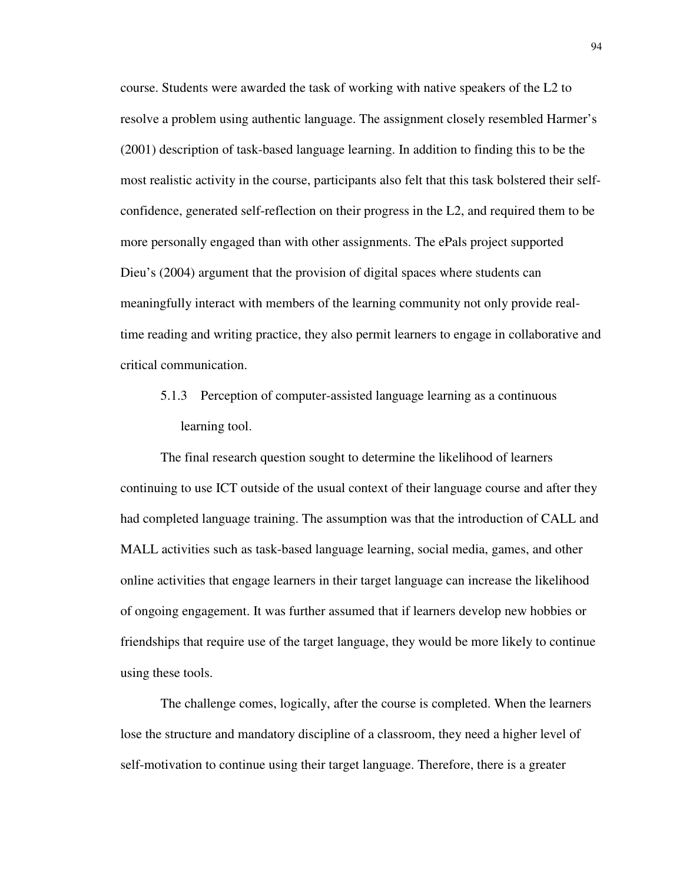course. Students were awarded the task of working with native speakers of the L2 to resolve a problem using authentic language. The assignment closely resembled Harmer's (2001) description of task-based language learning. In addition to finding this to be the most realistic activity in the course, participants also felt that this task bolstered their selfconfidence, generated self-reflection on their progress in the L2, and required them to be more personally engaged than with other assignments. The ePals project supported Dieu's (2004) argument that the provision of digital spaces where students can meaningfully interact with members of the learning community not only provide realtime reading and writing practice, they also permit learners to engage in collaborative and critical communication.

5.1.3 Perception of computer-assisted language learning as a continuous learning tool.

The final research question sought to determine the likelihood of learners continuing to use ICT outside of the usual context of their language course and after they had completed language training. The assumption was that the introduction of CALL and MALL activities such as task-based language learning, social media, games, and other online activities that engage learners in their target language can increase the likelihood of ongoing engagement. It was further assumed that if learners develop new hobbies or friendships that require use of the target language, they would be more likely to continue using these tools.

The challenge comes, logically, after the course is completed. When the learners lose the structure and mandatory discipline of a classroom, they need a higher level of self-motivation to continue using their target language. Therefore, there is a greater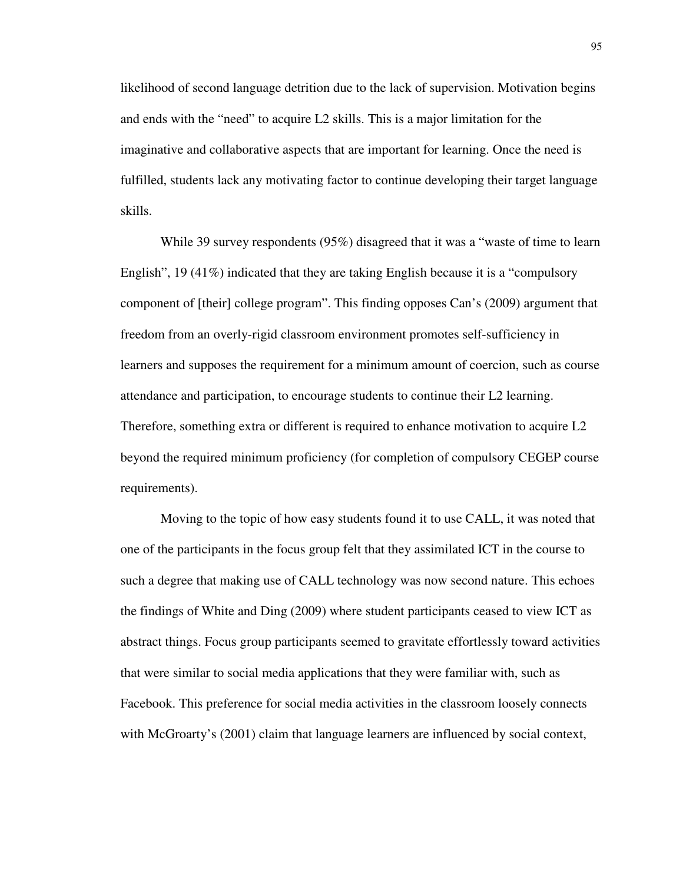likelihood of second language detrition due to the lack of supervision. Motivation begins and ends with the "need" to acquire L2 skills. This is a major limitation for the imaginative and collaborative aspects that are important for learning. Once the need is fulfilled, students lack any motivating factor to continue developing their target language skills.

While 39 survey respondents (95%) disagreed that it was a "waste of time to learn English", 19 (41%) indicated that they are taking English because it is a "compulsory component of [their] college program". This finding opposes Can's (2009) argument that freedom from an overly-rigid classroom environment promotes self-sufficiency in learners and supposes the requirement for a minimum amount of coercion, such as course attendance and participation, to encourage students to continue their L2 learning. Therefore, something extra or different is required to enhance motivation to acquire L2 beyond the required minimum proficiency (for completion of compulsory CEGEP course requirements).

Moving to the topic of how easy students found it to use CALL, it was noted that one of the participants in the focus group felt that they assimilated ICT in the course to such a degree that making use of CALL technology was now second nature. This echoes the findings of White and Ding (2009) where student participants ceased to view ICT as abstract things. Focus group participants seemed to gravitate effortlessly toward activities that were similar to social media applications that they were familiar with, such as Facebook. This preference for social media activities in the classroom loosely connects with McGroarty's (2001) claim that language learners are influenced by social context,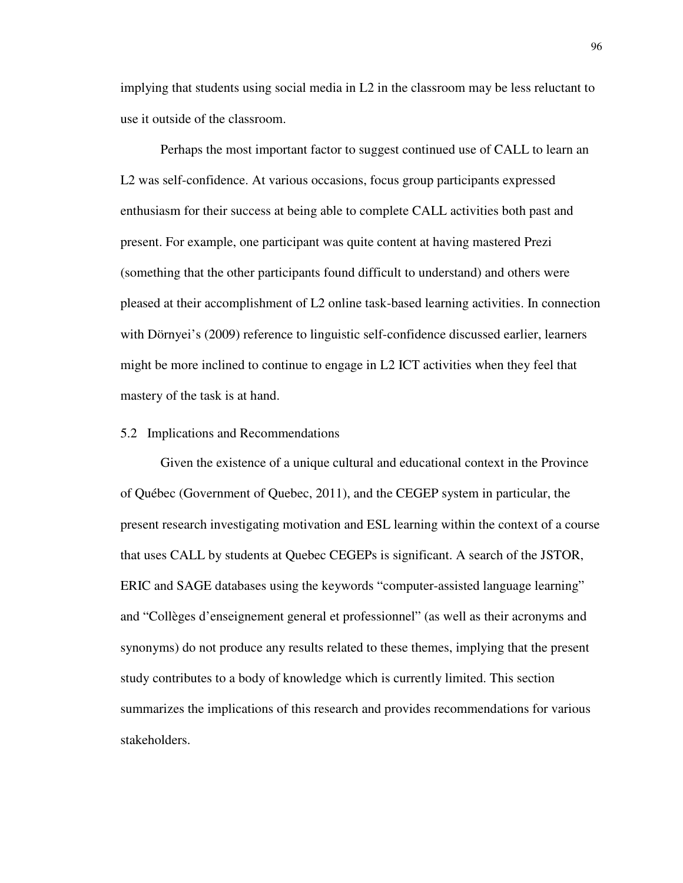implying that students using social media in L2 in the classroom may be less reluctant to use it outside of the classroom.

Perhaps the most important factor to suggest continued use of CALL to learn an L2 was self-confidence. At various occasions, focus group participants expressed enthusiasm for their success at being able to complete CALL activities both past and present. For example, one participant was quite content at having mastered Prezi (something that the other participants found difficult to understand) and others were pleased at their accomplishment of L2 online task-based learning activities. In connection with Dörnyei's (2009) reference to linguistic self-confidence discussed earlier, learners might be more inclined to continue to engage in L2 ICT activities when they feel that mastery of the task is at hand.

## 5.2 Implications and Recommendations

Given the existence of a unique cultural and educational context in the Province of Québec (Government of Quebec, 2011), and the CEGEP system in particular, the present research investigating motivation and ESL learning within the context of a course that uses CALL by students at Quebec CEGEPs is significant. A search of the JSTOR, ERIC and SAGE databases using the keywords "computer-assisted language learning" and "Collèges d'enseignement general et professionnel" (as well as their acronyms and synonyms) do not produce any results related to these themes, implying that the present study contributes to a body of knowledge which is currently limited. This section summarizes the implications of this research and provides recommendations for various stakeholders.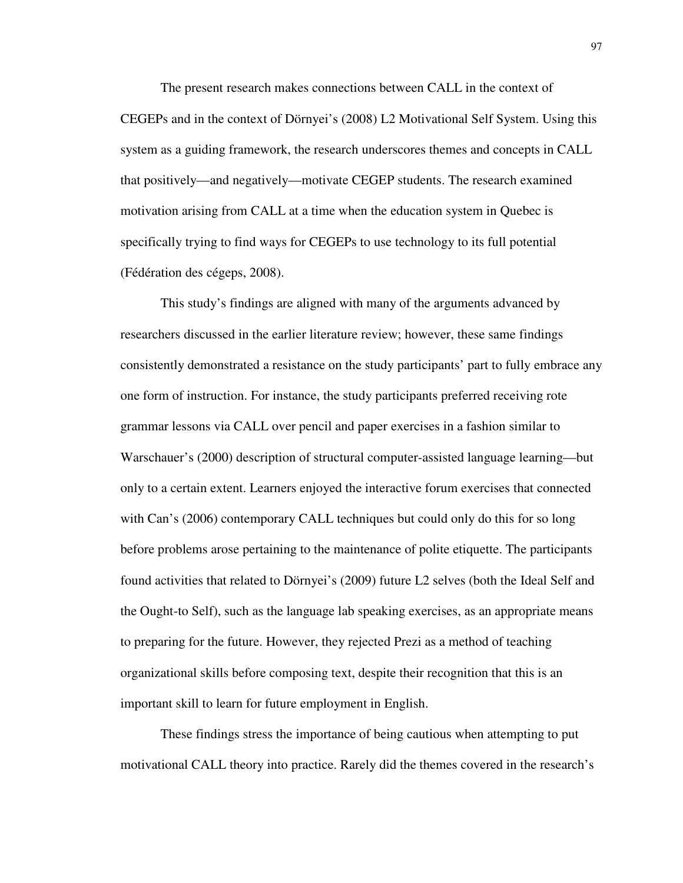The present research makes connections between CALL in the context of CEGEPs and in the context of Dörnyei's (2008) L2 Motivational Self System. Using this system as a guiding framework, the research underscores themes and concepts in CALL that positively—and negatively—motivate CEGEP students. The research examined motivation arising from CALL at a time when the education system in Quebec is specifically trying to find ways for CEGEPs to use technology to its full potential (Fédération des cégeps, 2008).

This study's findings are aligned with many of the arguments advanced by researchers discussed in the earlier literature review; however, these same findings consistently demonstrated a resistance on the study participants' part to fully embrace any one form of instruction. For instance, the study participants preferred receiving rote grammar lessons via CALL over pencil and paper exercises in a fashion similar to Warschauer's (2000) description of structural computer-assisted language learning—but only to a certain extent. Learners enjoyed the interactive forum exercises that connected with Can's (2006) contemporary CALL techniques but could only do this for so long before problems arose pertaining to the maintenance of polite etiquette. The participants found activities that related to Dörnyei's (2009) future L2 selves (both the Ideal Self and the Ought-to Self), such as the language lab speaking exercises, as an appropriate means to preparing for the future. However, they rejected Prezi as a method of teaching organizational skills before composing text, despite their recognition that this is an important skill to learn for future employment in English.

These findings stress the importance of being cautious when attempting to put motivational CALL theory into practice. Rarely did the themes covered in the research's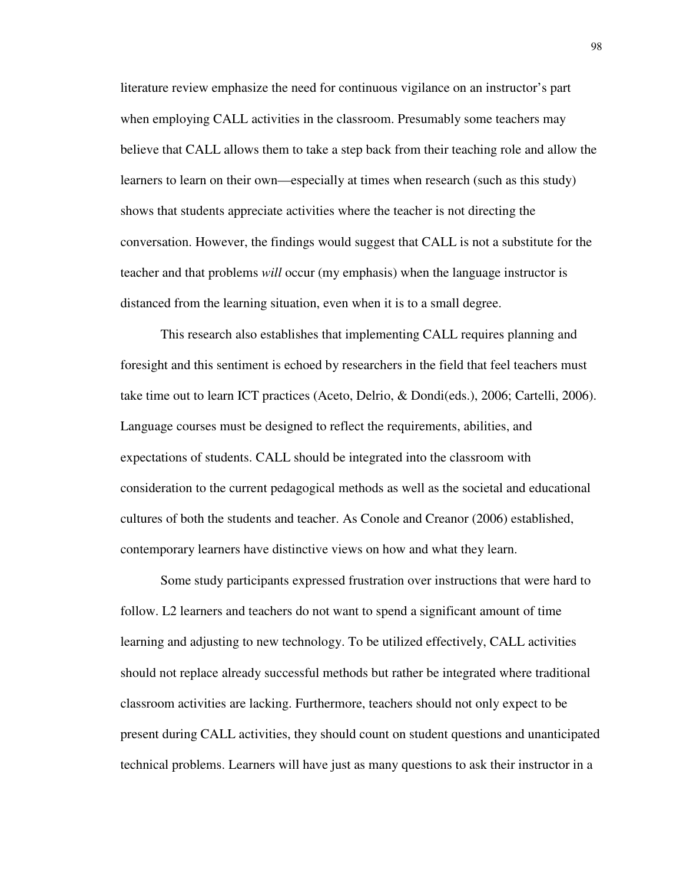literature review emphasize the need for continuous vigilance on an instructor's part when employing CALL activities in the classroom. Presumably some teachers may believe that CALL allows them to take a step back from their teaching role and allow the learners to learn on their own—especially at times when research (such as this study) shows that students appreciate activities where the teacher is not directing the conversation. However, the findings would suggest that CALL is not a substitute for the teacher and that problems *will* occur (my emphasis) when the language instructor is distanced from the learning situation, even when it is to a small degree.

This research also establishes that implementing CALL requires planning and foresight and this sentiment is echoed by researchers in the field that feel teachers must take time out to learn ICT practices (Aceto, Delrio, & Dondi(eds.), 2006; Cartelli, 2006). Language courses must be designed to reflect the requirements, abilities, and expectations of students. CALL should be integrated into the classroom with consideration to the current pedagogical methods as well as the societal and educational cultures of both the students and teacher. As Conole and Creanor (2006) established, contemporary learners have distinctive views on how and what they learn.

Some study participants expressed frustration over instructions that were hard to follow. L2 learners and teachers do not want to spend a significant amount of time learning and adjusting to new technology. To be utilized effectively, CALL activities should not replace already successful methods but rather be integrated where traditional classroom activities are lacking. Furthermore, teachers should not only expect to be present during CALL activities, they should count on student questions and unanticipated technical problems. Learners will have just as many questions to ask their instructor in a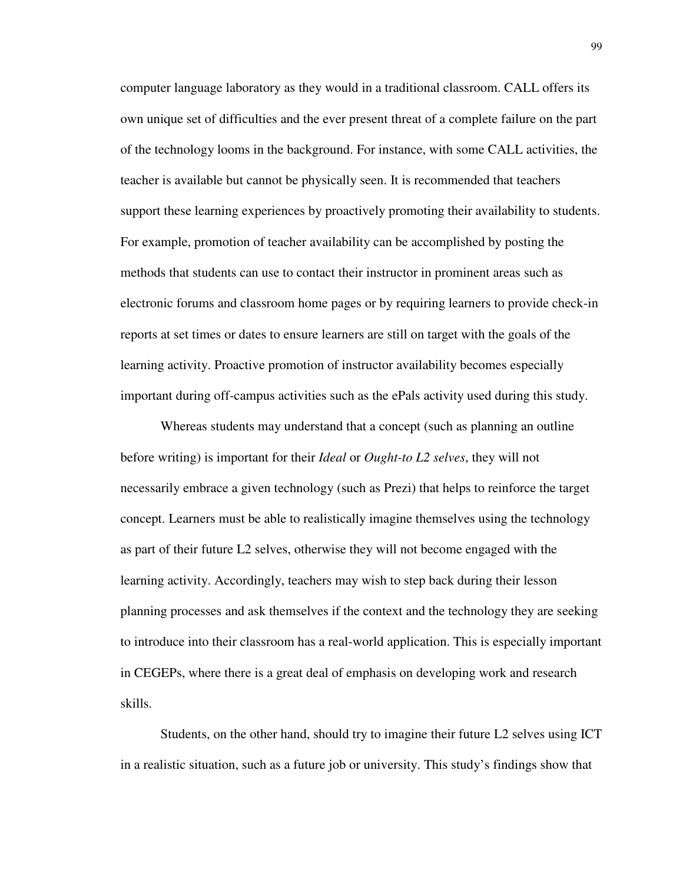computer language laboratory as they would in a traditional classroom. CALL offers its own unique set of difficulties and the ever present threat of a complete failure on the part of the technology looms in the background. For instance, with some CALL activities, the teacher is available but cannot be physically seen. It is recommended that teachers support these learning experiences by proactively promoting their availability to students. For example, promotion of teacher availability can be accomplished by posting the methods that students can use to contact their instructor in prominent areas such as electronic forums and classroom home pages or by requiring learners to provide check-in reports at set times or dates to ensure learners are still on target with the goals of the learning activity. Proactive promotion of instructor availability becomes especially important during off-campus activities such as the ePals activity used during this study.

Whereas students may understand that a concept (such as planning an outline before writing) is important for their *Ideal* or *Ought-to L2 selves*, they will not necessarily embrace a given technology (such as Prezi) that helps to reinforce the target concept. Learners must be able to realistically imagine themselves using the technology as part of their future L2 selves, otherwise they will not become engaged with the learning activity. Accordingly, teachers may wish to step back during their lesson planning processes and ask themselves if the context and the technology they are seeking to introduce into their classroom has a real-world application. This is especially important in CEGEPs, where there is a great deal of emphasis on developing work and research skills.

Students, on the other hand, should try to imagine their future L2 selves using ICT in a realistic situation, such as a future job or university. This study's findings show that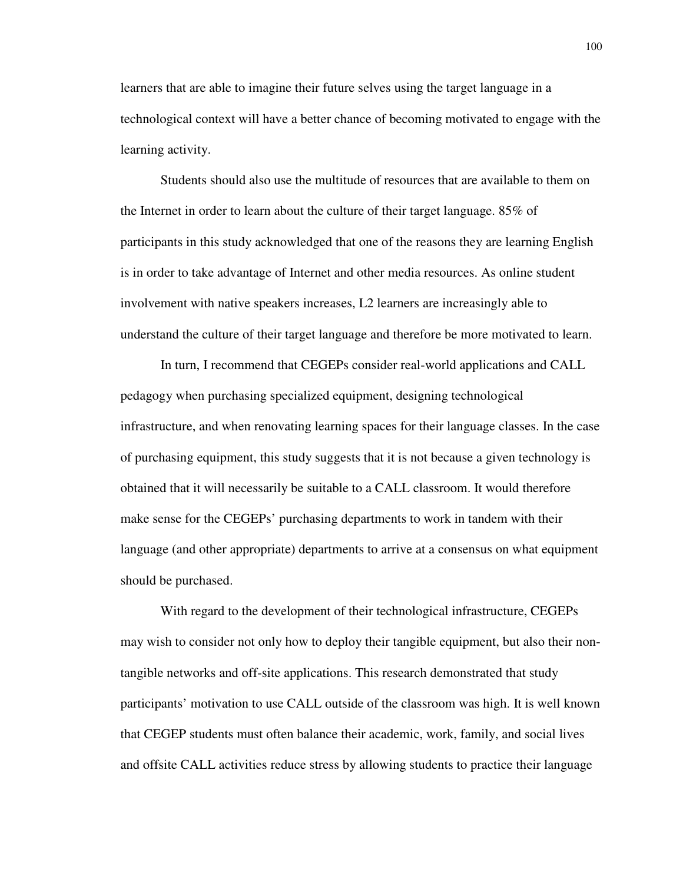learners that are able to imagine their future selves using the target language in a technological context will have a better chance of becoming motivated to engage with the learning activity.

Students should also use the multitude of resources that are available to them on the Internet in order to learn about the culture of their target language. 85% of participants in this study acknowledged that one of the reasons they are learning English is in order to take advantage of Internet and other media resources. As online student involvement with native speakers increases, L2 learners are increasingly able to understand the culture of their target language and therefore be more motivated to learn.

In turn, I recommend that CEGEPs consider real-world applications and CALL pedagogy when purchasing specialized equipment, designing technological infrastructure, and when renovating learning spaces for their language classes. In the case of purchasing equipment, this study suggests that it is not because a given technology is obtained that it will necessarily be suitable to a CALL classroom. It would therefore make sense for the CEGEPs' purchasing departments to work in tandem with their language (and other appropriate) departments to arrive at a consensus on what equipment should be purchased.

With regard to the development of their technological infrastructure, CEGEPs may wish to consider not only how to deploy their tangible equipment, but also their nontangible networks and off-site applications. This research demonstrated that study participants' motivation to use CALL outside of the classroom was high. It is well known that CEGEP students must often balance their academic, work, family, and social lives and offsite CALL activities reduce stress by allowing students to practice their language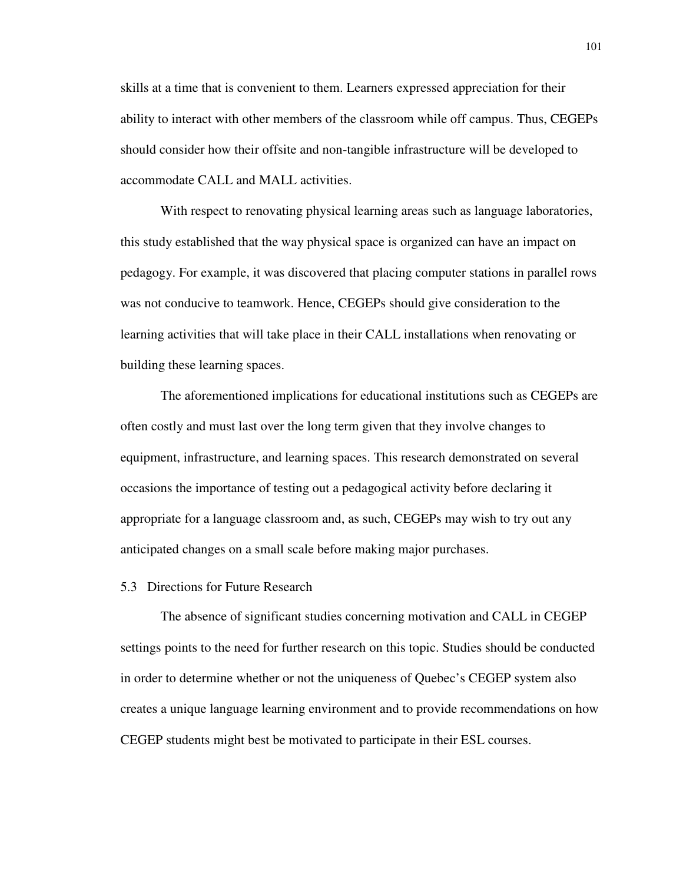skills at a time that is convenient to them. Learners expressed appreciation for their ability to interact with other members of the classroom while off campus. Thus, CEGEPs should consider how their offsite and non-tangible infrastructure will be developed to accommodate CALL and MALL activities.

With respect to renovating physical learning areas such as language laboratories, this study established that the way physical space is organized can have an impact on pedagogy. For example, it was discovered that placing computer stations in parallel rows was not conducive to teamwork. Hence, CEGEPs should give consideration to the learning activities that will take place in their CALL installations when renovating or building these learning spaces.

The aforementioned implications for educational institutions such as CEGEPs are often costly and must last over the long term given that they involve changes to equipment, infrastructure, and learning spaces. This research demonstrated on several occasions the importance of testing out a pedagogical activity before declaring it appropriate for a language classroom and, as such, CEGEPs may wish to try out any anticipated changes on a small scale before making major purchases.

#### 5.3 Directions for Future Research

The absence of significant studies concerning motivation and CALL in CEGEP settings points to the need for further research on this topic. Studies should be conducted in order to determine whether or not the uniqueness of Quebec's CEGEP system also creates a unique language learning environment and to provide recommendations on how CEGEP students might best be motivated to participate in their ESL courses.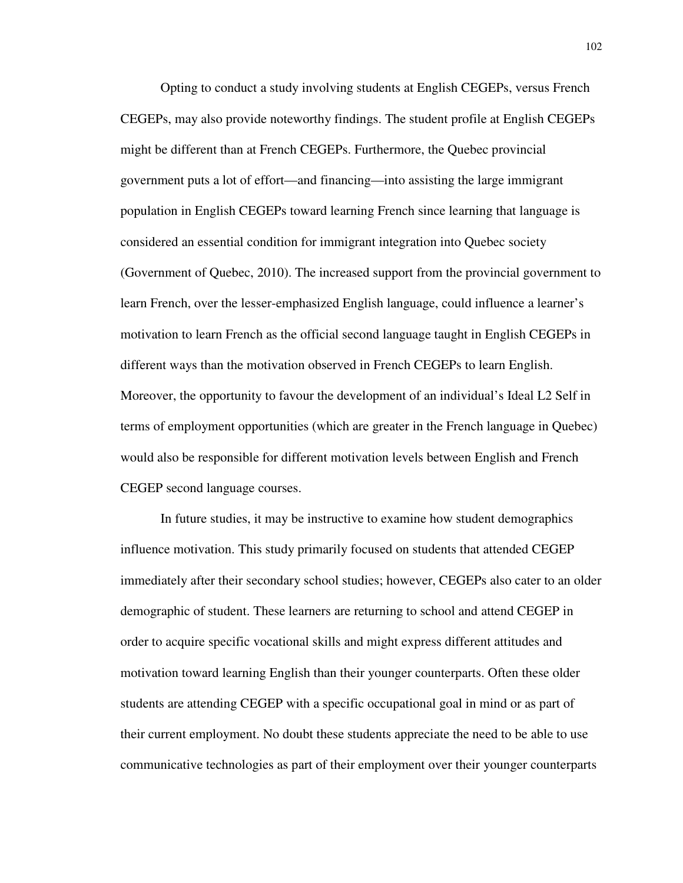Opting to conduct a study involving students at English CEGEPs, versus French CEGEPs, may also provide noteworthy findings. The student profile at English CEGEPs might be different than at French CEGEPs. Furthermore, the Quebec provincial government puts a lot of effort—and financing—into assisting the large immigrant population in English CEGEPs toward learning French since learning that language is considered an essential condition for immigrant integration into Quebec society (Government of Quebec, 2010). The increased support from the provincial government to learn French, over the lesser-emphasized English language, could influence a learner's motivation to learn French as the official second language taught in English CEGEPs in different ways than the motivation observed in French CEGEPs to learn English. Moreover, the opportunity to favour the development of an individual's Ideal L2 Self in terms of employment opportunities (which are greater in the French language in Quebec) would also be responsible for different motivation levels between English and French CEGEP second language courses.

In future studies, it may be instructive to examine how student demographics influence motivation. This study primarily focused on students that attended CEGEP immediately after their secondary school studies; however, CEGEPs also cater to an older demographic of student. These learners are returning to school and attend CEGEP in order to acquire specific vocational skills and might express different attitudes and motivation toward learning English than their younger counterparts. Often these older students are attending CEGEP with a specific occupational goal in mind or as part of their current employment. No doubt these students appreciate the need to be able to use communicative technologies as part of their employment over their younger counterparts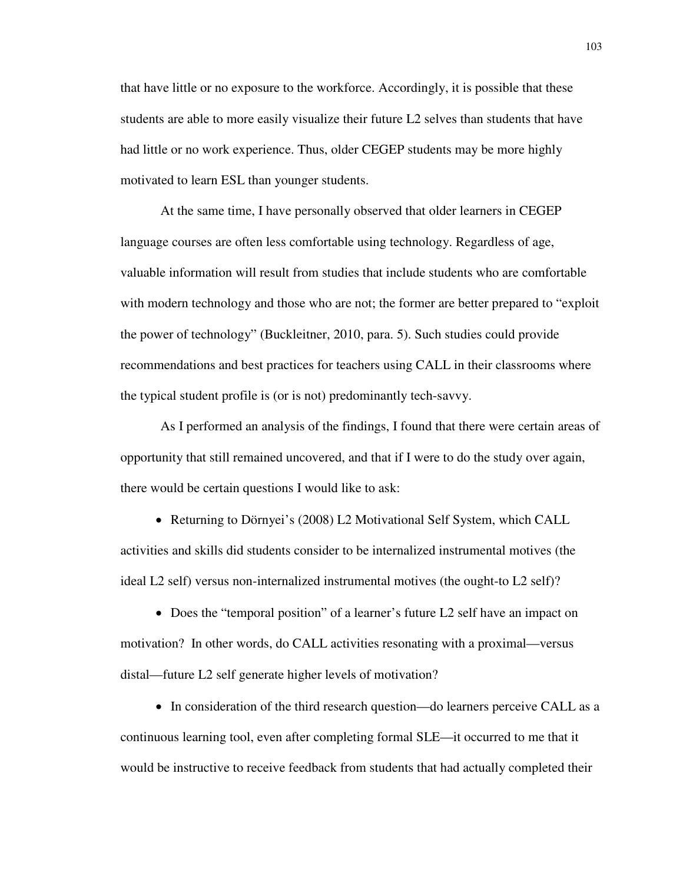that have little or no exposure to the workforce. Accordingly, it is possible that these students are able to more easily visualize their future L2 selves than students that have had little or no work experience. Thus, older CEGEP students may be more highly motivated to learn ESL than younger students.

At the same time, I have personally observed that older learners in CEGEP language courses are often less comfortable using technology. Regardless of age, valuable information will result from studies that include students who are comfortable with modern technology and those who are not; the former are better prepared to "exploit the power of technology" (Buckleitner, 2010, para. 5). Such studies could provide recommendations and best practices for teachers using CALL in their classrooms where the typical student profile is (or is not) predominantly tech-savvy.

As I performed an analysis of the findings, I found that there were certain areas of opportunity that still remained uncovered, and that if I were to do the study over again, there would be certain questions I would like to ask:

• Returning to Dörnyei's (2008) L2 Motivational Self System, which CALL activities and skills did students consider to be internalized instrumental motives (the ideal L2 self) versus non-internalized instrumental motives (the ought-to L2 self)?

• Does the "temporal position" of a learner's future L2 self have an impact on motivation? In other words, do CALL activities resonating with a proximal—versus distal—future L2 self generate higher levels of motivation?

• In consideration of the third research question—do learners perceive CALL as a continuous learning tool, even after completing formal SLE—it occurred to me that it would be instructive to receive feedback from students that had actually completed their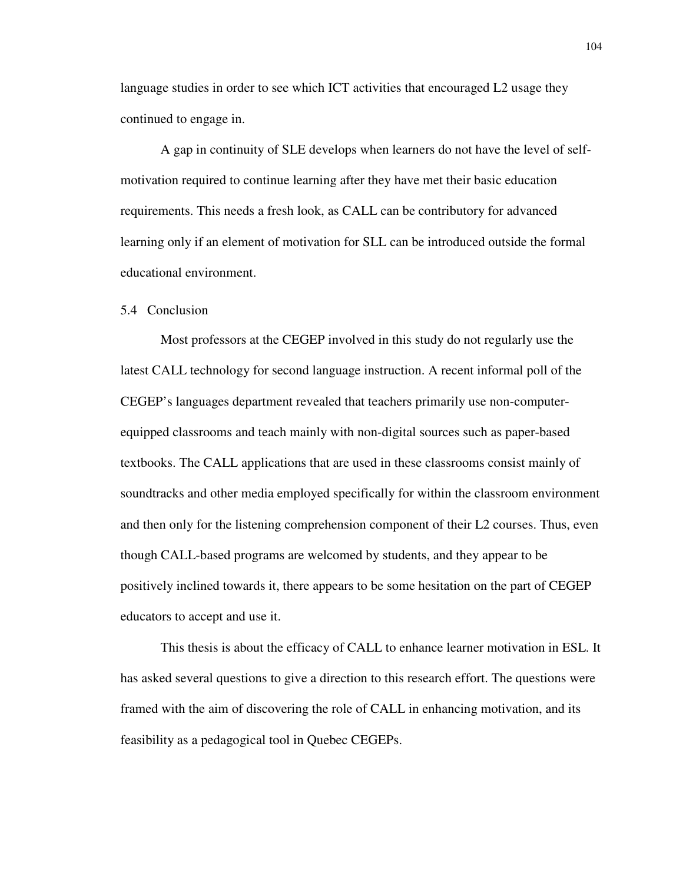language studies in order to see which ICT activities that encouraged L2 usage they continued to engage in.

A gap in continuity of SLE develops when learners do not have the level of selfmotivation required to continue learning after they have met their basic education requirements. This needs a fresh look, as CALL can be contributory for advanced learning only if an element of motivation for SLL can be introduced outside the formal educational environment.

#### 5.4 Conclusion

Most professors at the CEGEP involved in this study do not regularly use the latest CALL technology for second language instruction. A recent informal poll of the CEGEP's languages department revealed that teachers primarily use non-computerequipped classrooms and teach mainly with non-digital sources such as paper-based textbooks. The CALL applications that are used in these classrooms consist mainly of soundtracks and other media employed specifically for within the classroom environment and then only for the listening comprehension component of their L2 courses. Thus, even though CALL-based programs are welcomed by students, and they appear to be positively inclined towards it, there appears to be some hesitation on the part of CEGEP educators to accept and use it.

This thesis is about the efficacy of CALL to enhance learner motivation in ESL. It has asked several questions to give a direction to this research effort. The questions were framed with the aim of discovering the role of CALL in enhancing motivation, and its feasibility as a pedagogical tool in Quebec CEGEPs.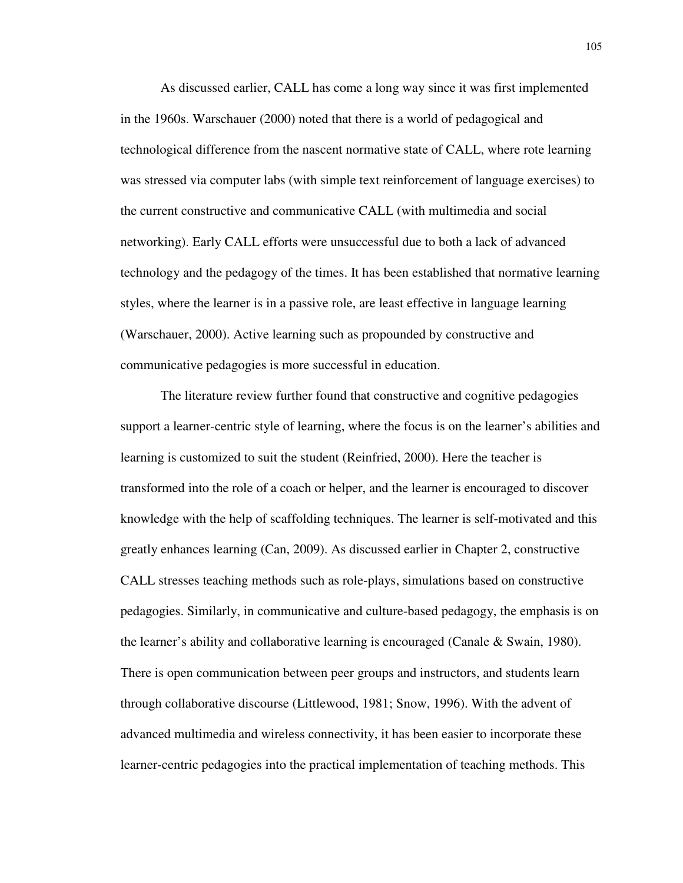As discussed earlier, CALL has come a long way since it was first implemented in the 1960s. Warschauer (2000) noted that there is a world of pedagogical and technological difference from the nascent normative state of CALL, where rote learning was stressed via computer labs (with simple text reinforcement of language exercises) to the current constructive and communicative CALL (with multimedia and social networking). Early CALL efforts were unsuccessful due to both a lack of advanced technology and the pedagogy of the times. It has been established that normative learning styles, where the learner is in a passive role, are least effective in language learning (Warschauer, 2000). Active learning such as propounded by constructive and communicative pedagogies is more successful in education.

The literature review further found that constructive and cognitive pedagogies support a learner-centric style of learning, where the focus is on the learner's abilities and learning is customized to suit the student (Reinfried, 2000). Here the teacher is transformed into the role of a coach or helper, and the learner is encouraged to discover knowledge with the help of scaffolding techniques. The learner is self-motivated and this greatly enhances learning (Can, 2009). As discussed earlier in Chapter 2, constructive CALL stresses teaching methods such as role-plays, simulations based on constructive pedagogies. Similarly, in communicative and culture-based pedagogy, the emphasis is on the learner's ability and collaborative learning is encouraged (Canale & Swain, 1980). There is open communication between peer groups and instructors, and students learn through collaborative discourse (Littlewood, 1981; Snow, 1996). With the advent of advanced multimedia and wireless connectivity, it has been easier to incorporate these learner-centric pedagogies into the practical implementation of teaching methods. This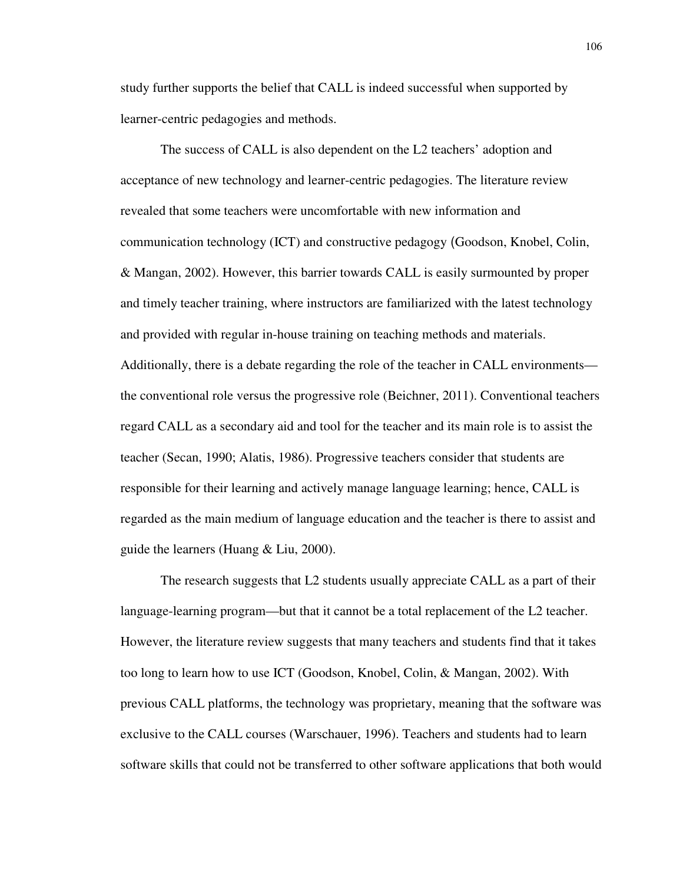study further supports the belief that CALL is indeed successful when supported by learner-centric pedagogies and methods.

The success of CALL is also dependent on the L2 teachers' adoption and acceptance of new technology and learner-centric pedagogies. The literature review revealed that some teachers were uncomfortable with new information and communication technology (ICT) and constructive pedagogy (Goodson, Knobel, Colin, & Mangan, 2002). However, this barrier towards CALL is easily surmounted by proper and timely teacher training, where instructors are familiarized with the latest technology and provided with regular in-house training on teaching methods and materials. Additionally, there is a debate regarding the role of the teacher in CALL environments the conventional role versus the progressive role (Beichner, 2011). Conventional teachers regard CALL as a secondary aid and tool for the teacher and its main role is to assist the teacher (Secan, 1990; Alatis, 1986). Progressive teachers consider that students are responsible for their learning and actively manage language learning; hence, CALL is regarded as the main medium of language education and the teacher is there to assist and guide the learners (Huang & Liu, 2000).

The research suggests that L2 students usually appreciate CALL as a part of their language-learning program—but that it cannot be a total replacement of the L2 teacher. However, the literature review suggests that many teachers and students find that it takes too long to learn how to use ICT (Goodson, Knobel, Colin, & Mangan, 2002). With previous CALL platforms, the technology was proprietary, meaning that the software was exclusive to the CALL courses (Warschauer, 1996). Teachers and students had to learn software skills that could not be transferred to other software applications that both would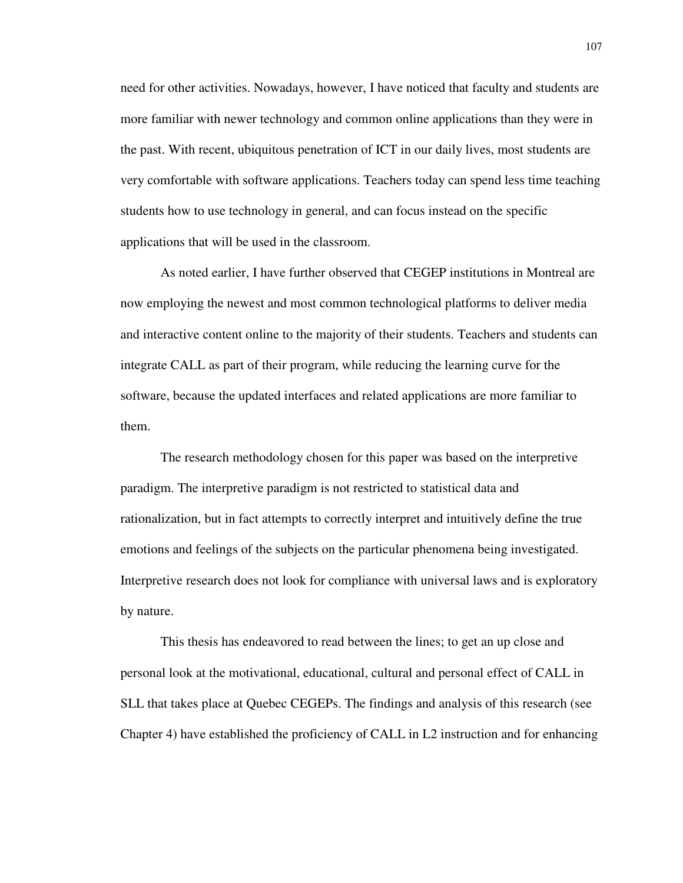need for other activities. Nowadays, however, I have noticed that faculty and students are more familiar with newer technology and common online applications than they were in the past. With recent, ubiquitous penetration of ICT in our daily lives, most students are very comfortable with software applications. Teachers today can spend less time teaching students how to use technology in general, and can focus instead on the specific applications that will be used in the classroom.

As noted earlier, I have further observed that CEGEP institutions in Montreal are now employing the newest and most common technological platforms to deliver media and interactive content online to the majority of their students. Teachers and students can integrate CALL as part of their program, while reducing the learning curve for the software, because the updated interfaces and related applications are more familiar to them.

The research methodology chosen for this paper was based on the interpretive paradigm. The interpretive paradigm is not restricted to statistical data and rationalization, but in fact attempts to correctly interpret and intuitively define the true emotions and feelings of the subjects on the particular phenomena being investigated. Interpretive research does not look for compliance with universal laws and is exploratory by nature.

This thesis has endeavored to read between the lines; to get an up close and personal look at the motivational, educational, cultural and personal effect of CALL in SLL that takes place at Quebec CEGEPs. The findings and analysis of this research (see Chapter 4) have established the proficiency of CALL in L2 instruction and for enhancing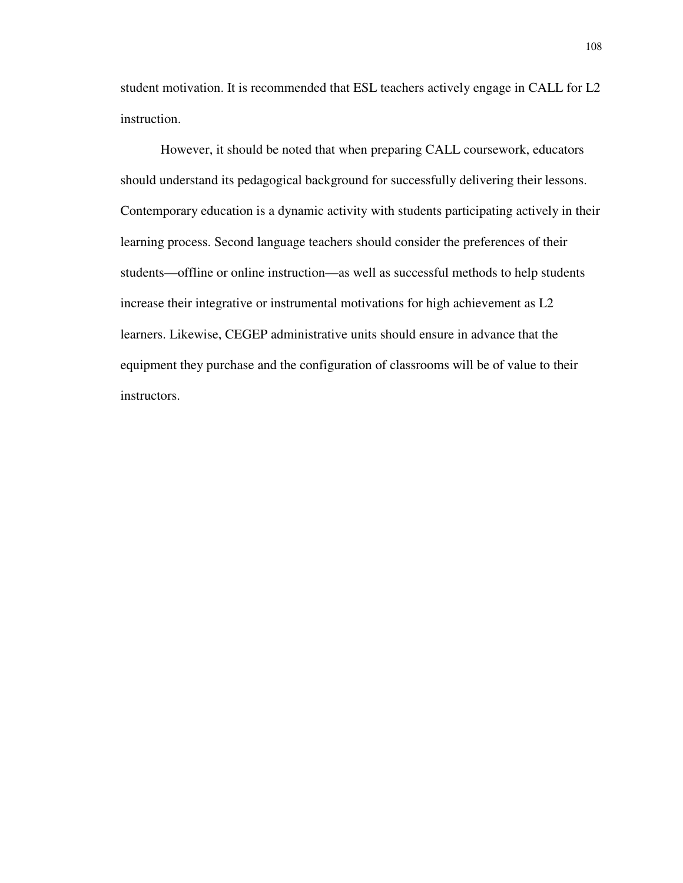student motivation. It is recommended that ESL teachers actively engage in CALL for L2 instruction.

However, it should be noted that when preparing CALL coursework, educators should understand its pedagogical background for successfully delivering their lessons. Contemporary education is a dynamic activity with students participating actively in their learning process. Second language teachers should consider the preferences of their students—offline or online instruction—as well as successful methods to help students increase their integrative or instrumental motivations for high achievement as L2 learners. Likewise, CEGEP administrative units should ensure in advance that the equipment they purchase and the configuration of classrooms will be of value to their instructors.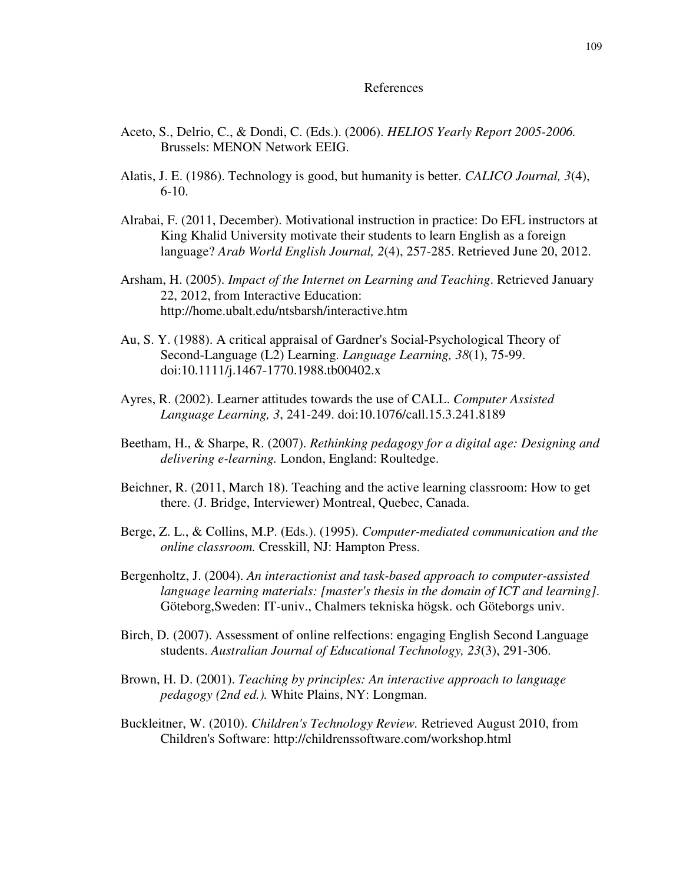#### References

- Aceto, S., Delrio, C., & Dondi, C. (Eds.). (2006). *HELIOS Yearly Report 2005-2006.* Brussels: MENON Network EEIG.
- Alatis, J. E. (1986). Technology is good, but humanity is better. *CALICO Journal, 3*(4), 6-10.
- Alrabai, F. (2011, December). Motivational instruction in practice: Do EFL instructors at King Khalid University motivate their students to learn English as a foreign language? *Arab World English Journal, 2*(4), 257-285. Retrieved June 20, 2012.
- Arsham, H. (2005). *Impact of the Internet on Learning and Teaching*. Retrieved January 22, 2012, from Interactive Education: http://home.ubalt.edu/ntsbarsh/interactive.htm
- Au, S. Y. (1988). A critical appraisal of Gardner's Social-Psychological Theory of Second-Language (L2) Learning. *Language Learning, 38*(1), 75-99. doi:10.1111/j.1467-1770.1988.tb00402.x
- Ayres, R. (2002). Learner attitudes towards the use of CALL. *Computer Assisted Language Learning, 3*, 241-249. doi:10.1076/call.15.3.241.8189
- Beetham, H., & Sharpe, R. (2007). *Rethinking pedagogy for a digital age: Designing and delivering e-learning.* London, England: Roultedge.
- Beichner, R. (2011, March 18). Teaching and the active learning classroom: How to get there. (J. Bridge, Interviewer) Montreal, Quebec, Canada.
- Berge, Z. L., & Collins, M.P. (Eds.). (1995). *Computer-mediated communication and the online classroom.* Cresskill, NJ: Hampton Press.
- Bergenholtz, J. (2004). *An interactionist and task-based approach to computer-assisted language learning materials: [master's thesis in the domain of ICT and learning].* Göteborg,Sweden: IT-univ., Chalmers tekniska högsk. och Göteborgs univ.
- Birch, D. (2007). Assessment of online relfections: engaging English Second Language students. *Australian Journal of Educational Technology, 23*(3), 291-306.
- Brown, H. D. (2001). *Teaching by principles: An interactive approach to language pedagogy (2nd ed.).* White Plains, NY: Longman.
- Buckleitner, W. (2010). *Children's Technology Review.* Retrieved August 2010, from Children's Software: http://childrenssoftware.com/workshop.html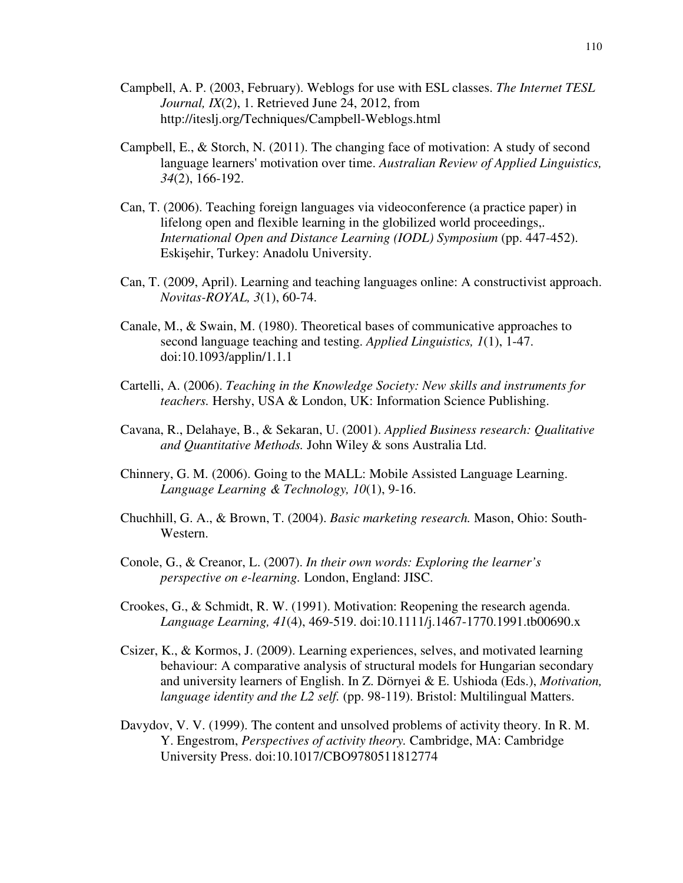- Campbell, A. P. (2003, February). Weblogs for use with ESL classes. *The Internet TESL Journal, IX*(2), 1. Retrieved June 24, 2012, from http://iteslj.org/Techniques/Campbell-Weblogs.html
- Campbell, E., & Storch, N. (2011). The changing face of motivation: A study of second language learners' motivation over time. *Australian Review of Applied Linguistics, 34*(2), 166-192.
- Can, T. (2006). Teaching foreign languages via videoconference (a practice paper) in lifelong open and flexible learning in the globilized world proceedings,. *International Open and Distance Learning (IODL) Symposium* (pp. 447-452). Eskişehir, Turkey: Anadolu University.
- Can, T. (2009, April). Learning and teaching languages online: A constructivist approach. *Novitas-ROYAL, 3*(1), 60-74.
- Canale, M., & Swain, M. (1980). Theoretical bases of communicative approaches to second language teaching and testing. *Applied Linguistics, 1*(1), 1-47. doi:10.1093/applin/1.1.1
- Cartelli, A. (2006). *Teaching in the Knowledge Society: New skills and instruments for teachers.* Hershy, USA & London, UK: Information Science Publishing.
- Cavana, R., Delahaye, B., & Sekaran, U. (2001). *Applied Business research: Qualitative and Quantitative Methods.* John Wiley & sons Australia Ltd.
- Chinnery, G. M. (2006). Going to the MALL: Mobile Assisted Language Learning. *Language Learning & Technology, 10*(1), 9-16.
- Chuchhill, G. A., & Brown, T. (2004). *Basic marketing research.* Mason, Ohio: South-Western.
- Conole, G., & Creanor, L. (2007). *In their own words: Exploring the learner's perspective on e-learning.* London, England: JISC.
- Crookes, G., & Schmidt, R. W. (1991). Motivation: Reopening the research agenda. *Language Learning, 41*(4), 469-519. doi:10.1111/j.1467-1770.1991.tb00690.x
- Csizer, K., & Kormos, J. (2009). Learning experiences, selves, and motivated learning behaviour: A comparative analysis of structural models for Hungarian secondary and university learners of English. In Z. Dörnyei & E. Ushioda (Eds.), *Motivation, language identity and the L2 self.* (pp. 98-119). Bristol: Multilingual Matters.
- Davydov, V. V. (1999). The content and unsolved problems of activity theory. In R. M. Y. Engestrom, *Perspectives of activity theory.* Cambridge, MA: Cambridge University Press. doi:10.1017/CBO9780511812774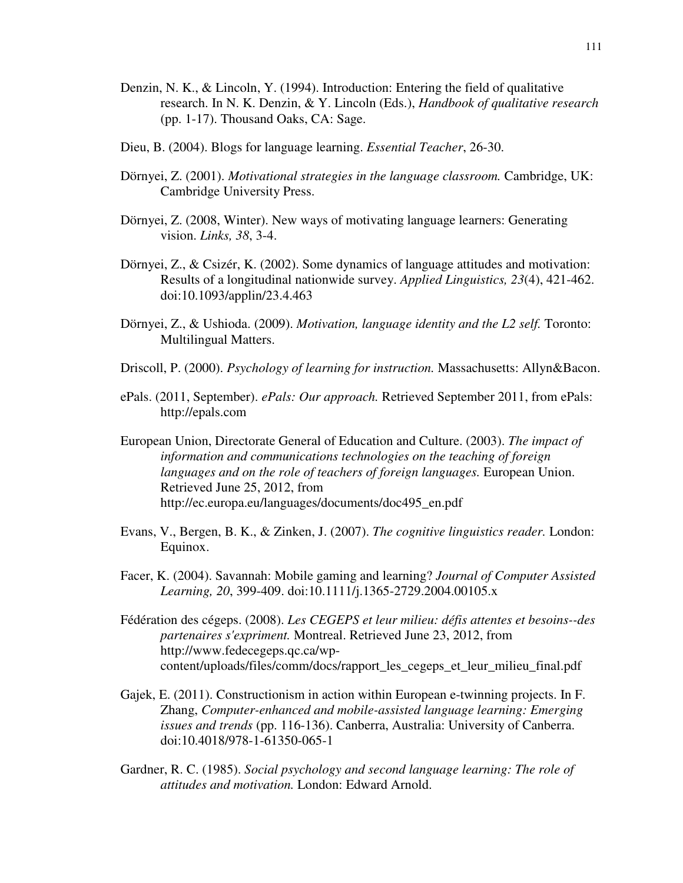- Denzin, N. K., & Lincoln, Y. (1994). Introduction: Entering the field of qualitative research. In N. K. Denzin, & Y. Lincoln (Eds.), *Handbook of qualitative research* (pp. 1-17). Thousand Oaks, CA: Sage.
- Dieu, B. (2004). Blogs for language learning. *Essential Teacher*, 26-30.
- Dörnyei, Z. (2001). *Motivational strategies in the language classroom.* Cambridge, UK: Cambridge University Press.
- Dörnyei, Z. (2008, Winter). New ways of motivating language learners: Generating vision. *Links, 38*, 3-4.
- Dörnyei, Z., & Csizér, K. (2002). Some dynamics of language attitudes and motivation: Results of a longitudinal nationwide survey. *Applied Linguistics, 23*(4), 421-462. doi:10.1093/applin/23.4.463
- Dörnyei, Z., & Ushioda. (2009). *Motivation, language identity and the L2 self.* Toronto: Multilingual Matters.
- Driscoll, P. (2000). *Psychology of learning for instruction.* Massachusetts: Allyn&Bacon.
- ePals. (2011, September). *ePals: Our approach.* Retrieved September 2011, from ePals: http://epals.com
- European Union, Directorate General of Education and Culture. (2003). *The impact of information and communications technologies on the teaching of foreign languages and on the role of teachers of foreign languages.* European Union. Retrieved June 25, 2012, from http://ec.europa.eu/languages/documents/doc495\_en.pdf
- Evans, V., Bergen, B. K., & Zinken, J. (2007). *The cognitive linguistics reader.* London: Equinox.
- Facer, K. (2004). Savannah: Mobile gaming and learning? *Journal of Computer Assisted Learning, 20*, 399-409. doi:10.1111/j.1365-2729.2004.00105.x
- Fédération des cégeps. (2008). *Les CEGEPS et leur milieu: défis attentes et besoins--des partenaires s'expriment.* Montreal. Retrieved June 23, 2012, from http://www.fedecegeps.qc.ca/wpcontent/uploads/files/comm/docs/rapport\_les\_cegeps\_et\_leur\_milieu\_final.pdf
- Gajek, E. (2011). Constructionism in action within European e-twinning projects. In F. Zhang, *Computer-enhanced and mobile-assisted language learning: Emerging issues and trends* (pp. 116-136). Canberra, Australia: University of Canberra. doi:10.4018/978-1-61350-065-1
- Gardner, R. C. (1985). *Social psychology and second language learning: The role of attitudes and motivation.* London: Edward Arnold.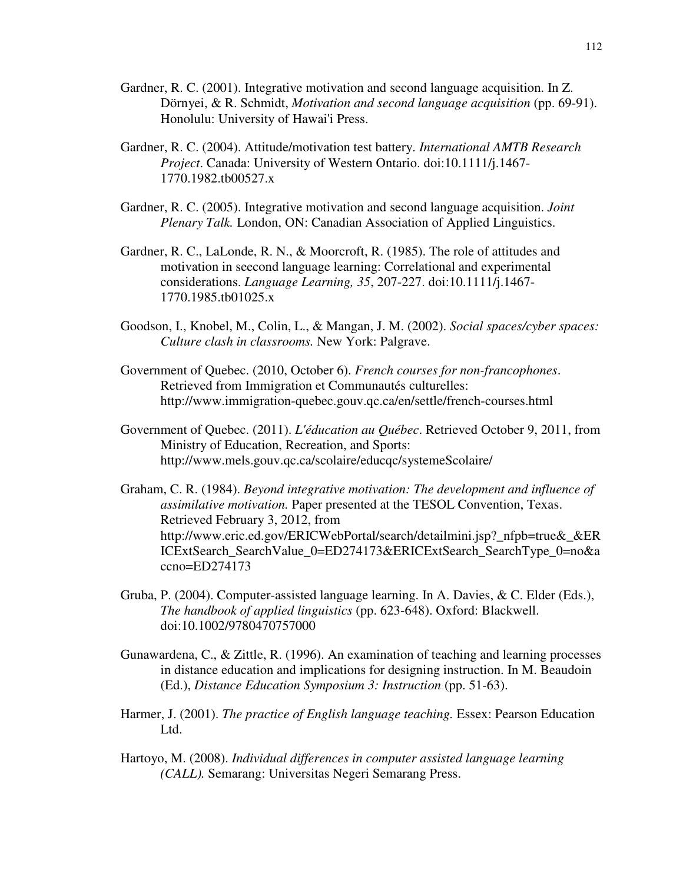- Gardner, R. C. (2001). Integrative motivation and second language acquisition. In Z. Dörnyei, & R. Schmidt, *Motivation and second language acquisition* (pp. 69-91). Honolulu: University of Hawai'i Press.
- Gardner, R. C. (2004). Attitude/motivation test battery. *International AMTB Research Project*. Canada: University of Western Ontario. doi:10.1111/j.1467- 1770.1982.tb00527.x
- Gardner, R. C. (2005). Integrative motivation and second language acquisition. *Joint Plenary Talk.* London, ON: Canadian Association of Applied Linguistics.
- Gardner, R. C., LaLonde, R. N., & Moorcroft, R. (1985). The role of attitudes and motivation in seecond language learning: Correlational and experimental considerations. *Language Learning, 35*, 207-227. doi:10.1111/j.1467- 1770.1985.tb01025.x
- Goodson, I., Knobel, M., Colin, L., & Mangan, J. M. (2002). *Social spaces/cyber spaces: Culture clash in classrooms.* New York: Palgrave.
- Government of Quebec. (2010, October 6). *French courses for non-francophones*. Retrieved from Immigration et Communautés culturelles: http://www.immigration-quebec.gouv.qc.ca/en/settle/french-courses.html
- Government of Quebec. (2011). *L'éducation au Québec*. Retrieved October 9, 2011, from Ministry of Education, Recreation, and Sports: http://www.mels.gouv.qc.ca/scolaire/educqc/systemeScolaire/
- Graham, C. R. (1984). *Beyond integrative motivation: The development and influence of assimilative motivation.* Paper presented at the TESOL Convention, Texas. Retrieved February 3, 2012, from http://www.eric.ed.gov/ERICWebPortal/search/detailmini.jsp?\_nfpb=true&\_&ER ICExtSearch\_SearchValue\_0=ED274173&ERICExtSearch\_SearchType\_0=no&a ccno=ED274173
- Gruba, P. (2004). Computer-assisted language learning. In A. Davies, & C. Elder (Eds.), *The handbook of applied linguistics* (pp. 623-648). Oxford: Blackwell. doi:10.1002/9780470757000
- Gunawardena, C., & Zittle, R. (1996). An examination of teaching and learning processes in distance education and implications for designing instruction. In M. Beaudoin (Ed.), *Distance Education Symposium 3: Instruction* (pp. 51-63).
- Harmer, J. (2001). *The practice of English language teaching.* Essex: Pearson Education Ltd.
- Hartoyo, M. (2008). *Individual differences in computer assisted language learning (CALL).* Semarang: Universitas Negeri Semarang Press.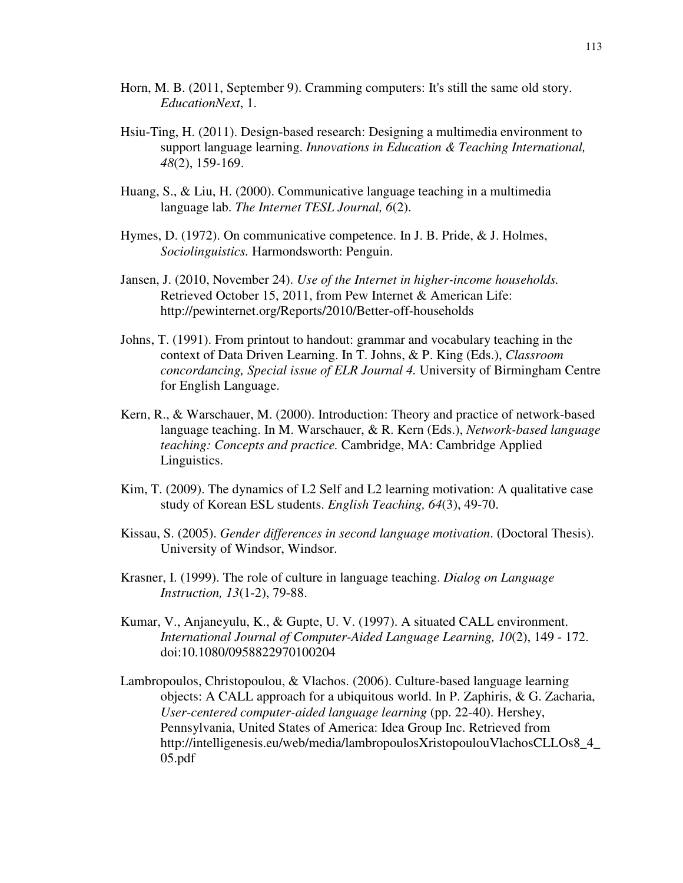- Horn, M. B. (2011, September 9). Cramming computers: It's still the same old story. *EducationNext*, 1.
- Hsiu-Ting, H. (2011). Design-based research: Designing a multimedia environment to support language learning. *Innovations in Education & Teaching International, 48*(2), 159-169.
- Huang, S., & Liu, H. (2000). Communicative language teaching in a multimedia language lab. *The Internet TESL Journal, 6*(2).
- Hymes, D. (1972). On communicative competence. In J. B. Pride, & J. Holmes, *Sociolinguistics.* Harmondsworth: Penguin.
- Jansen, J. (2010, November 24). *Use of the Internet in higher-income households.* Retrieved October 15, 2011, from Pew Internet & American Life: http://pewinternet.org/Reports/2010/Better-off-households
- Johns, T. (1991). From printout to handout: grammar and vocabulary teaching in the context of Data Driven Learning. In T. Johns, & P. King (Eds.), *Classroom concordancing, Special issue of ELR Journal 4.* University of Birmingham Centre for English Language.
- Kern, R., & Warschauer, M. (2000). Introduction: Theory and practice of network-based language teaching. In M. Warschauer, & R. Kern (Eds.), *Network-based language teaching: Concepts and practice.* Cambridge, MA: Cambridge Applied Linguistics.
- Kim, T. (2009). The dynamics of L2 Self and L2 learning motivation: A qualitative case study of Korean ESL students. *English Teaching, 64*(3), 49-70.
- Kissau, S. (2005). *Gender differences in second language motivation*. (Doctoral Thesis). University of Windsor, Windsor.
- Krasner, I. (1999). The role of culture in language teaching. *Dialog on Language Instruction, 13*(1-2), 79-88.
- Kumar, V., Anjaneyulu, K., & Gupte, U. V. (1997). A situated CALL environment. *International Journal of Computer-Aided Language Learning, 10*(2), 149 - 172. doi:10.1080/0958822970100204
- Lambropoulos, Christopoulou, & Vlachos. (2006). Culture-based language learning objects: A CALL approach for a ubiquitous world. In P. Zaphiris, & G. Zacharia, *User-centered computer-aided language learning* (pp. 22-40). Hershey, Pennsylvania, United States of America: Idea Group Inc. Retrieved from http://intelligenesis.eu/web/media/lambropoulosXristopoulouVlachosCLLOs8\_4\_ 05.pdf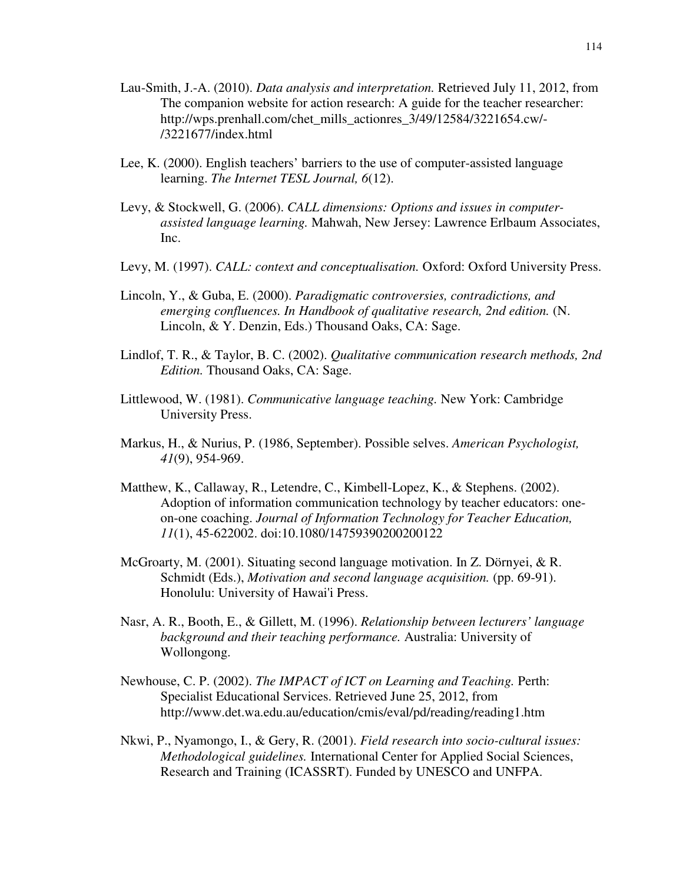- Lau-Smith, J.-A. (2010). *Data analysis and interpretation.* Retrieved July 11, 2012, from The companion website for action research: A guide for the teacher researcher: http://wps.prenhall.com/chet\_mills\_actionres\_3/49/12584/3221654.cw/-/3221677/index.html
- Lee, K. (2000). English teachers' barriers to the use of computer-assisted language learning. *The Internet TESL Journal, 6*(12).
- Levy, & Stockwell, G. (2006). *CALL dimensions: Options and issues in computerassisted language learning.* Mahwah, New Jersey: Lawrence Erlbaum Associates, Inc.
- Levy, M. (1997). *CALL: context and conceptualisation.* Oxford: Oxford University Press.
- Lincoln, Y., & Guba, E. (2000). *Paradigmatic controversies, contradictions, and emerging confluences. In Handbook of qualitative research, 2nd edition.* (N. Lincoln, & Y. Denzin, Eds.) Thousand Oaks, CA: Sage.
- Lindlof, T. R., & Taylor, B. C. (2002). *Qualitative communication research methods, 2nd Edition.* Thousand Oaks, CA: Sage.
- Littlewood, W. (1981). *Communicative language teaching.* New York: Cambridge University Press.
- Markus, H., & Nurius, P. (1986, September). Possible selves. *American Psychologist, 41*(9), 954-969.
- Matthew, K., Callaway, R., Letendre, C., Kimbell-Lopez, K., & Stephens. (2002). Adoption of information communication technology by teacher educators: oneon-one coaching. *Journal of Information Technology for Teacher Education, 11*(1), 45-622002. doi:10.1080/14759390200200122
- McGroarty, M. (2001). Situating second language motivation. In Z. Dörnyei, & R. Schmidt (Eds.), *Motivation and second language acquisition.* (pp. 69-91). Honolulu: University of Hawai'i Press.
- Nasr, A. R., Booth, E., & Gillett, M. (1996). *Relationship between lecturers' language background and their teaching performance.* Australia: University of Wollongong.
- Newhouse, C. P. (2002). *The IMPACT of ICT on Learning and Teaching.* Perth: Specialist Educational Services. Retrieved June 25, 2012, from http://www.det.wa.edu.au/education/cmis/eval/pd/reading/reading1.htm
- Nkwi, P., Nyamongo, I., & Gery, R. (2001). *Field research into socio-cultural issues: Methodological guidelines.* International Center for Applied Social Sciences, Research and Training (ICASSRT). Funded by UNESCO and UNFPA.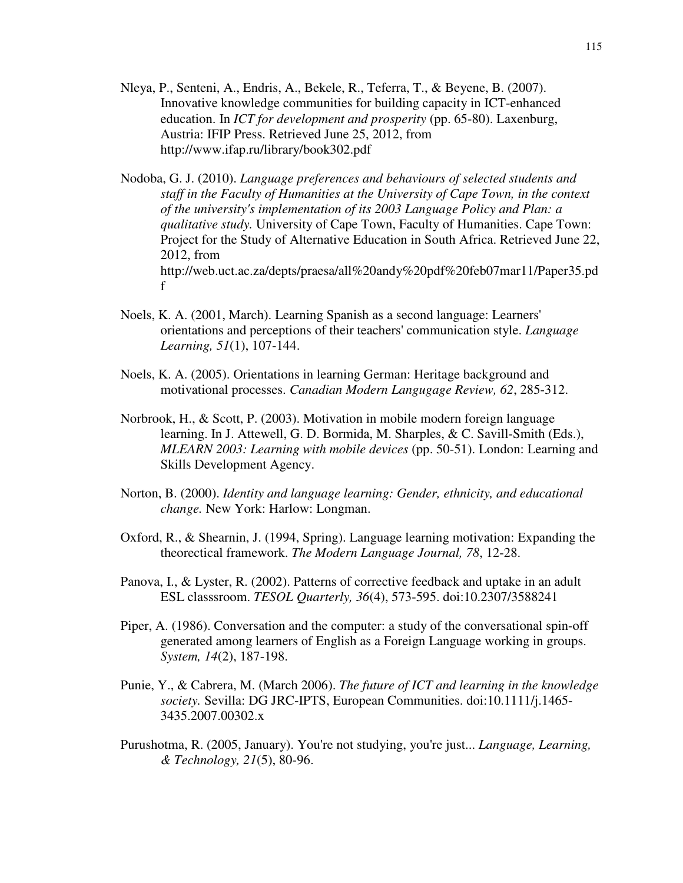- Nleya, P., Senteni, A., Endris, A., Bekele, R., Teferra, T., & Beyene, B. (2007). Innovative knowledge communities for building capacity in ICT-enhanced education. In *ICT for development and prosperity* (pp. 65-80). Laxenburg, Austria: IFIP Press. Retrieved June 25, 2012, from http://www.ifap.ru/library/book302.pdf
- Nodoba, G. J. (2010). *Language preferences and behaviours of selected students and staff in the Faculty of Humanities at the University of Cape Town, in the context of the university's implementation of its 2003 Language Policy and Plan: a qualitative study.* University of Cape Town, Faculty of Humanities. Cape Town: Project for the Study of Alternative Education in South Africa. Retrieved June 22, 2012, from http://web.uct.ac.za/depts/praesa/all%20andy%20pdf%20feb07mar11/Paper35.pd f
- Noels, K. A. (2001, March). Learning Spanish as a second language: Learners' orientations and perceptions of their teachers' communication style. *Language Learning, 51*(1), 107-144.
- Noels, K. A. (2005). Orientations in learning German: Heritage background and motivational processes. *Canadian Modern Langugage Review, 62*, 285-312.
- Norbrook, H., & Scott, P. (2003). Motivation in mobile modern foreign language learning. In J. Attewell, G. D. Bormida, M. Sharples, & C. Savill-Smith (Eds.), *MLEARN 2003: Learning with mobile devices* (pp. 50-51). London: Learning and Skills Development Agency.
- Norton, B. (2000). *Identity and language learning: Gender, ethnicity, and educational change.* New York: Harlow: Longman.
- Oxford, R., & Shearnin, J. (1994, Spring). Language learning motivation: Expanding the theorectical framework. *The Modern Language Journal, 78*, 12-28.
- Panova, I., & Lyster, R. (2002). Patterns of corrective feedback and uptake in an adult ESL classsroom. *TESOL Quarterly, 36*(4), 573-595. doi:10.2307/3588241
- Piper, A. (1986). Conversation and the computer: a study of the conversational spin-off generated among learners of English as a Foreign Language working in groups. *System, 14*(2), 187-198.
- Punie, Y., & Cabrera, M. (March 2006). *The future of ICT and learning in the knowledge society.* Sevilla: DG JRC-IPTS, European Communities. doi:10.1111/j.1465- 3435.2007.00302.x
- Purushotma, R. (2005, January). You're not studying, you're just... *Language, Learning, & Technology, 21*(5), 80-96.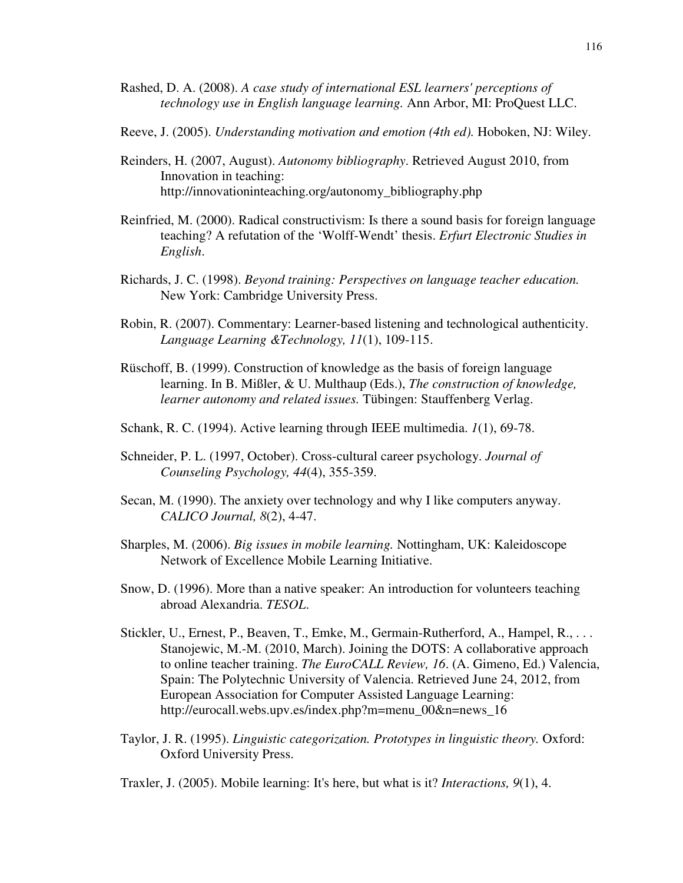- Rashed, D. A. (2008). *A case study of international ESL learners' perceptions of technology use in English language learning.* Ann Arbor, MI: ProQuest LLC.
- Reeve, J. (2005). *Understanding motivation and emotion (4th ed).* Hoboken, NJ: Wiley.
- Reinders, H. (2007, August). *Autonomy bibliography*. Retrieved August 2010, from Innovation in teaching: http://innovationinteaching.org/autonomy\_bibliography.php
- Reinfried, M. (2000). Radical constructivism: Is there a sound basis for foreign language teaching? A refutation of the 'Wolff-Wendt' thesis. *Erfurt Electronic Studies in English*.
- Richards, J. C. (1998). *Beyond training: Perspectives on language teacher education.* New York: Cambridge University Press.
- Robin, R. (2007). Commentary: Learner-based listening and technological authenticity. *Language Learning &Technology, 11*(1), 109-115.
- Rüschoff, B. (1999). Construction of knowledge as the basis of foreign language learning. In B. Mißler, & U. Multhaup (Eds.), *The construction of knowledge, learner autonomy and related issues.* Tübingen: Stauffenberg Verlag.
- Schank, R. C. (1994). Active learning through IEEE multimedia. *1*(1), 69-78.
- Schneider, P. L. (1997, October). Cross-cultural career psychology. *Journal of Counseling Psychology, 44*(4), 355-359.
- Secan, M. (1990). The anxiety over technology and why I like computers anyway. *CALICO Journal, 8*(2), 4-47.
- Sharples, M. (2006). *Big issues in mobile learning.* Nottingham, UK: Kaleidoscope Network of Excellence Mobile Learning Initiative.
- Snow, D. (1996). More than a native speaker: An introduction for volunteers teaching abroad Alexandria. *TESOL*.
- Stickler, U., Ernest, P., Beaven, T., Emke, M., Germain-Rutherford, A., Hampel, R., . . . Stanojewic, M.-M. (2010, March). Joining the DOTS: A collaborative approach to online teacher training. *The EuroCALL Review, 16*. (A. Gimeno, Ed.) Valencia, Spain: The Polytechnic University of Valencia. Retrieved June 24, 2012, from European Association for Computer Assisted Language Learning: http://eurocall.webs.upv.es/index.php?m=menu\_00&n=news\_16
- Taylor, J. R. (1995). *Linguistic categorization. Prototypes in linguistic theory.* Oxford: Oxford University Press.

Traxler, J. (2005). Mobile learning: It's here, but what is it? *Interactions, 9*(1), 4.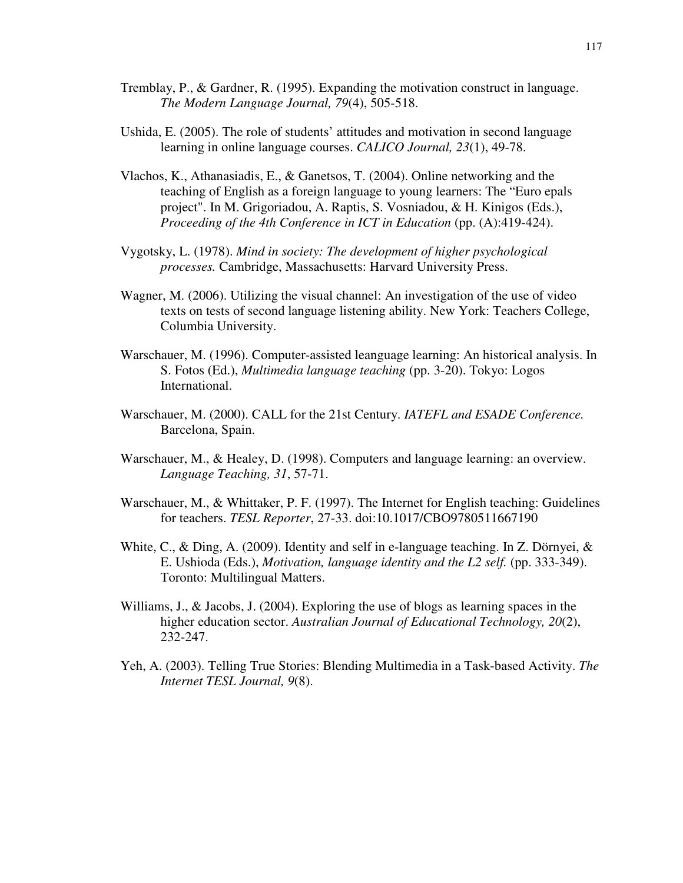- Tremblay, P., & Gardner, R. (1995). Expanding the motivation construct in language. *The Modern Language Journal, 79*(4), 505-518.
- Ushida, E. (2005). The role of students' attitudes and motivation in second language learning in online language courses. *CALICO Journal, 23*(1), 49-78.
- Vlachos, K., Athanasiadis, E., & Ganetsos, T. (2004). Online networking and the teaching of English as a foreign language to young learners: The "Euro epals project". In M. Grigoriadou, A. Raptis, S. Vosniadou, & H. Kinigos (Eds.), *Proceeding of the 4th Conference in ICT in Education* (pp. (A):419-424).
- Vygotsky, L. (1978). *Mind in society: The development of higher psychological processes.* Cambridge, Massachusetts: Harvard University Press.
- Wagner, M. (2006). Utilizing the visual channel: An investigation of the use of video texts on tests of second language listening ability. New York: Teachers College, Columbia University.
- Warschauer, M. (1996). Computer-assisted leanguage learning: An historical analysis. In S. Fotos (Ed.), *Multimedia language teaching* (pp. 3-20). Tokyo: Logos International.
- Warschauer, M. (2000). CALL for the 21st Century. *IATEFL and ESADE Conference.* Barcelona, Spain.
- Warschauer, M., & Healey, D. (1998). Computers and language learning: an overview. *Language Teaching, 31*, 57-71.
- Warschauer, M., & Whittaker, P. F. (1997). The Internet for English teaching: Guidelines for teachers. *TESL Reporter*, 27-33. doi:10.1017/CBO9780511667190
- White, C., & Ding, A. (2009). Identity and self in e-language teaching. In Z. Dörnyei,  $\&$ E. Ushioda (Eds.), *Motivation, language identity and the L2 self.* (pp. 333-349). Toronto: Multilingual Matters.
- Williams, J., & Jacobs, J. (2004). Exploring the use of blogs as learning spaces in the higher education sector. *Australian Journal of Educational Technology, 20*(2), 232-247.
- Yeh, A. (2003). Telling True Stories: Blending Multimedia in a Task-based Activity. *The Internet TESL Journal, 9*(8).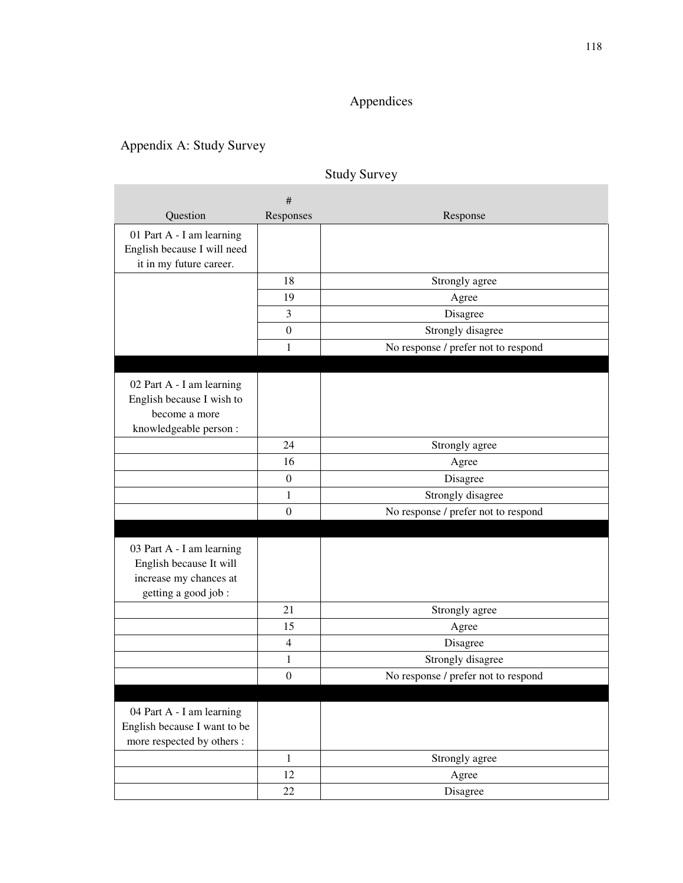# Appendices

# Appendix A: Study Survey

|                              | #                |                                     |
|------------------------------|------------------|-------------------------------------|
| Question                     | Responses        | Response                            |
| 01 Part A - I am learning    |                  |                                     |
| English because I will need  |                  |                                     |
| it in my future career.      |                  |                                     |
|                              | 18               | Strongly agree                      |
|                              | 19               | Agree                               |
|                              | $\mathfrak{Z}$   | Disagree                            |
|                              | $\boldsymbol{0}$ | Strongly disagree                   |
|                              | 1                | No response / prefer not to respond |
|                              |                  |                                     |
| 02 Part A - I am learning    |                  |                                     |
| English because I wish to    |                  |                                     |
| become a more                |                  |                                     |
| knowledgeable person:        |                  |                                     |
|                              | 24               | Strongly agree                      |
|                              | 16               | Agree                               |
|                              | $\boldsymbol{0}$ | Disagree                            |
|                              | $\mathbf{1}$     | Strongly disagree                   |
|                              | $\boldsymbol{0}$ | No response / prefer not to respond |
|                              |                  |                                     |
| 03 Part A - I am learning    |                  |                                     |
| English because It will      |                  |                                     |
| increase my chances at       |                  |                                     |
| getting a good job :         |                  |                                     |
|                              | 21               | Strongly agree                      |
|                              | 15               | Agree                               |
|                              | $\overline{4}$   | Disagree                            |
|                              | 1                | Strongly disagree                   |
|                              | $\boldsymbol{0}$ | No response / prefer not to respond |
|                              |                  |                                     |
| 04 Part A - I am learning    |                  |                                     |
| English because I want to be |                  |                                     |
| more respected by others :   |                  |                                     |
|                              | $\mathbf{1}$     | Strongly agree                      |
|                              | 12               | Agree                               |
|                              | 22               | Disagree                            |

## Study Survey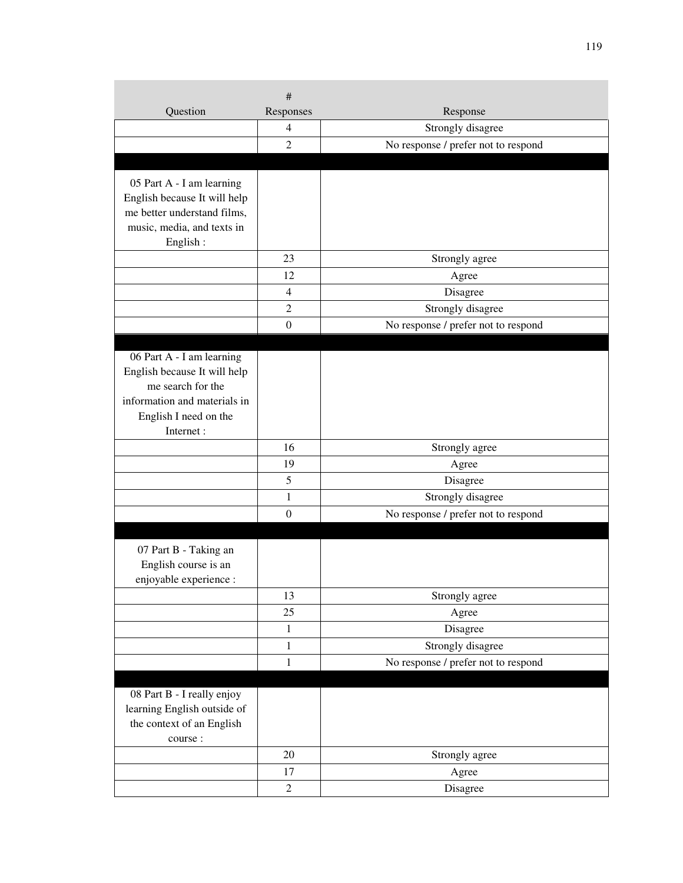|                                                                                                                                                      | $\#$                     |                                     |
|------------------------------------------------------------------------------------------------------------------------------------------------------|--------------------------|-------------------------------------|
| Question                                                                                                                                             | Responses                | Response                            |
|                                                                                                                                                      | $\overline{\mathcal{A}}$ | Strongly disagree                   |
|                                                                                                                                                      | 2                        | No response / prefer not to respond |
|                                                                                                                                                      |                          |                                     |
| 05 Part A - I am learning<br>English because It will help<br>me better understand films,<br>music, media, and texts in<br>English:                   |                          |                                     |
|                                                                                                                                                      | 23                       | Strongly agree                      |
|                                                                                                                                                      | 12                       | Agree                               |
|                                                                                                                                                      | $\overline{4}$           | Disagree                            |
|                                                                                                                                                      | 2                        | Strongly disagree                   |
|                                                                                                                                                      | $\theta$                 | No response / prefer not to respond |
| 06 Part A - I am learning<br>English because It will help<br>me search for the<br>information and materials in<br>English I need on the<br>Internet: |                          |                                     |
|                                                                                                                                                      | 16                       | Strongly agree                      |
|                                                                                                                                                      | 19                       | Agree                               |
|                                                                                                                                                      | 5                        | Disagree                            |
|                                                                                                                                                      | 1                        | Strongly disagree                   |
|                                                                                                                                                      | $\boldsymbol{0}$         | No response / prefer not to respond |
| 07 Part B - Taking an<br>English course is an<br>enjoyable experience :                                                                              |                          |                                     |
|                                                                                                                                                      | 13                       | Strongly agree                      |
|                                                                                                                                                      | 25                       | Agree                               |
|                                                                                                                                                      | 1                        | Disagree                            |
|                                                                                                                                                      | $\mathbf{1}$             | Strongly disagree                   |
|                                                                                                                                                      | $\mathbf{1}$             | No response / prefer not to respond |
| 08 Part B - I really enjoy<br>learning English outside of<br>the context of an English<br>course :                                                   |                          |                                     |
|                                                                                                                                                      | 20                       | Strongly agree                      |
|                                                                                                                                                      | 17                       | Agree                               |
|                                                                                                                                                      | $\overline{c}$           | Disagree                            |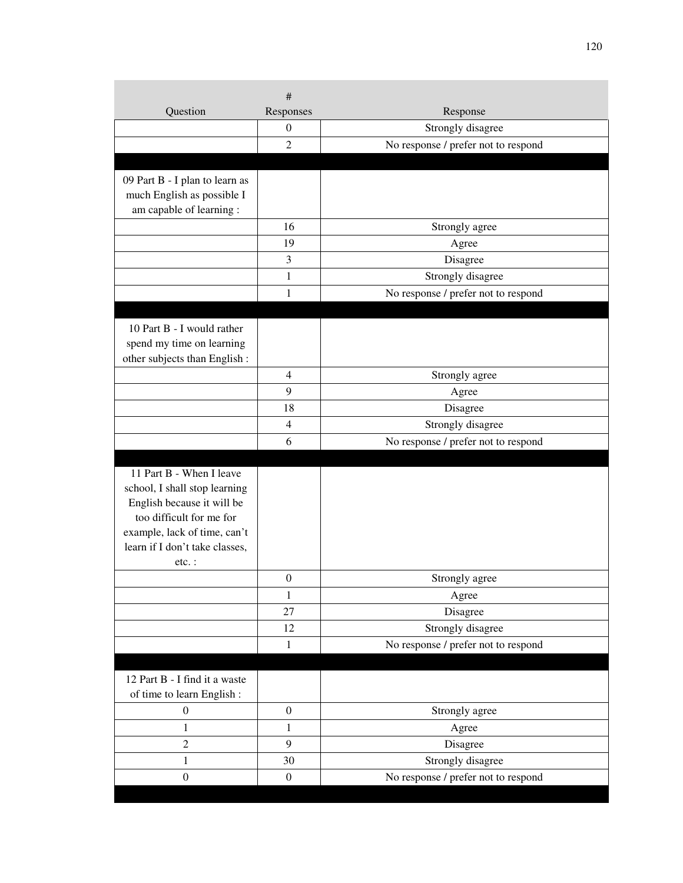| Question                                                     | #<br>Responses   | Response                            |
|--------------------------------------------------------------|------------------|-------------------------------------|
|                                                              | $\boldsymbol{0}$ | Strongly disagree                   |
|                                                              | $\overline{2}$   | No response / prefer not to respond |
|                                                              |                  |                                     |
|                                                              |                  |                                     |
| 09 Part B - I plan to learn as<br>much English as possible I |                  |                                     |
| am capable of learning :                                     |                  |                                     |
|                                                              | 16               | Strongly agree                      |
|                                                              | 19               | Agree                               |
|                                                              | 3                | Disagree                            |
|                                                              | 1                | Strongly disagree                   |
|                                                              | 1                | No response / prefer not to respond |
|                                                              |                  |                                     |
| 10 Part B - I would rather                                   |                  |                                     |
| spend my time on learning                                    |                  |                                     |
| other subjects than English :                                |                  |                                     |
|                                                              | 4                | Strongly agree                      |
|                                                              | 9                | Agree                               |
|                                                              | 18               | Disagree                            |
|                                                              | $\overline{4}$   | Strongly disagree                   |
|                                                              | 6                | No response / prefer not to respond |
|                                                              |                  |                                     |
| 11 Part B - When I leave                                     |                  |                                     |
| school, I shall stop learning                                |                  |                                     |
| English because it will be<br>too difficult for me for       |                  |                                     |
| example, lack of time, can't                                 |                  |                                     |
| learn if I don't take classes,                               |                  |                                     |
| $etc.$ :                                                     |                  |                                     |
|                                                              | $\boldsymbol{0}$ | Strongly agree                      |
|                                                              | 1                | Agree                               |
|                                                              | 27               | Disagree                            |
|                                                              | 12               | Strongly disagree                   |
|                                                              | $\mathbf{1}$     | No response / prefer not to respond |
|                                                              |                  |                                     |
| 12 Part B - I find it a waste                                |                  |                                     |
| of time to learn English:                                    |                  |                                     |
| $\boldsymbol{0}$                                             | $\mathbf{0}$     | Strongly agree                      |
| $\mathbf{1}$                                                 | $\mathbf{1}$     | Agree                               |
| $\overline{2}$                                               | 9                | Disagree                            |
| $\mathbf{1}$                                                 | 30               | Strongly disagree                   |
| $\boldsymbol{0}$                                             | $\boldsymbol{0}$ | No response / prefer not to respond |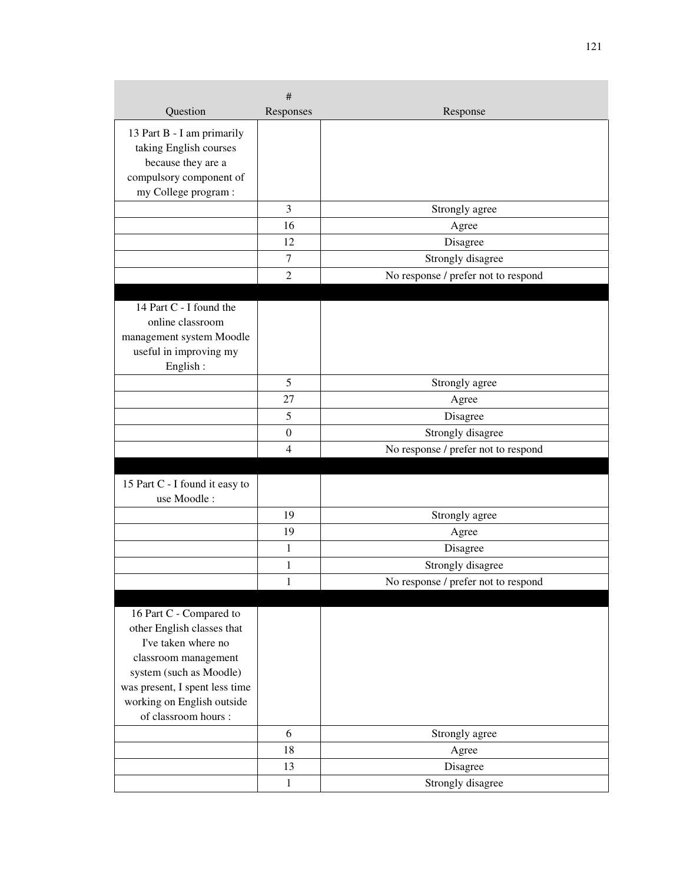|                                                   | #                |                                     |
|---------------------------------------------------|------------------|-------------------------------------|
| Question                                          | Responses        | Response                            |
| 13 Part B - I am primarily                        |                  |                                     |
| taking English courses                            |                  |                                     |
| because they are a                                |                  |                                     |
| compulsory component of                           |                  |                                     |
| my College program :                              |                  |                                     |
|                                                   | 3                | Strongly agree                      |
|                                                   | 16               | Agree                               |
|                                                   | 12               | Disagree                            |
|                                                   | $\tau$           | Strongly disagree                   |
|                                                   | $\overline{2}$   | No response / prefer not to respond |
|                                                   |                  |                                     |
| 14 Part C - I found the<br>online classroom       |                  |                                     |
| management system Moodle                          |                  |                                     |
| useful in improving my                            |                  |                                     |
| English:                                          |                  |                                     |
|                                                   | 5                | Strongly agree                      |
|                                                   | 27               | Agree                               |
|                                                   | 5                | Disagree                            |
|                                                   | $\boldsymbol{0}$ | Strongly disagree                   |
|                                                   | 4                | No response / prefer not to respond |
|                                                   |                  |                                     |
| 15 Part C - I found it easy to                    |                  |                                     |
| use Moodle:                                       |                  |                                     |
|                                                   | 19               | Strongly agree                      |
|                                                   | 19               | Agree                               |
|                                                   | 1                | Disagree                            |
|                                                   | $\mathbf{1}$     | Strongly disagree                   |
|                                                   | 1                | No response / prefer not to respond |
|                                                   |                  |                                     |
| 16 Part C - Compared to                           |                  |                                     |
| other English classes that<br>I've taken where no |                  |                                     |
|                                                   |                  |                                     |
| classroom management<br>system (such as Moodle)   |                  |                                     |
| was present, I spent less time                    |                  |                                     |
| working on English outside                        |                  |                                     |
| of classroom hours :                              |                  |                                     |
|                                                   | 6                | Strongly agree                      |
|                                                   | 18               | Agree                               |
|                                                   | 13               | Disagree                            |
|                                                   | $\mathbf{1}$     | Strongly disagree                   |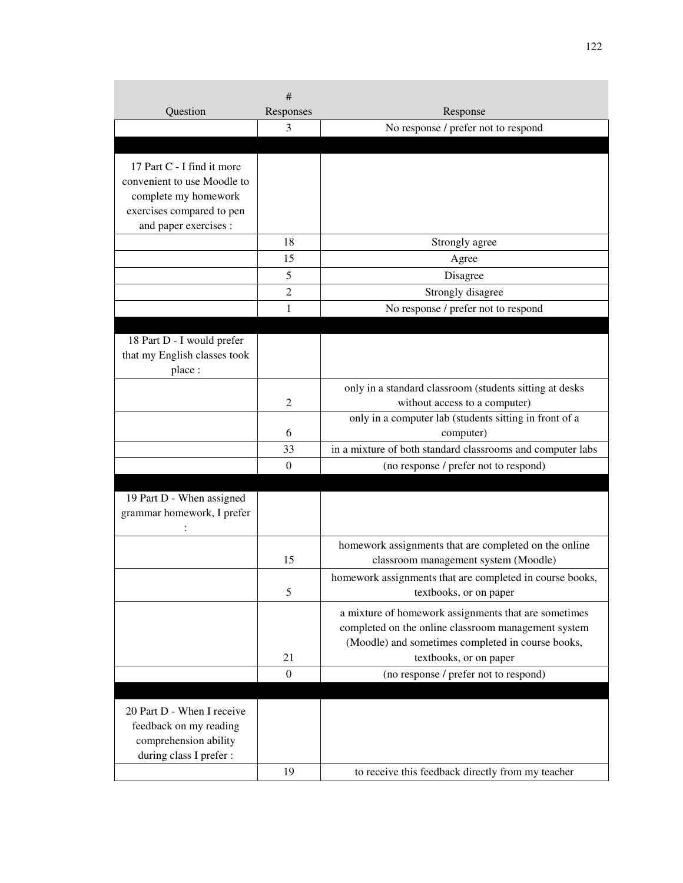|                                        | #              |                                                                                                             |
|----------------------------------------|----------------|-------------------------------------------------------------------------------------------------------------|
| Question                               | Responses      | Response                                                                                                    |
|                                        | 3              | No response / prefer not to respond                                                                         |
|                                        |                |                                                                                                             |
| 17 Part C - I find it more             |                |                                                                                                             |
| convenient to use Moodle to            |                |                                                                                                             |
| complete my homework                   |                |                                                                                                             |
| exercises compared to pen              |                |                                                                                                             |
| and paper exercises :                  |                |                                                                                                             |
|                                        | 18             | Strongly agree                                                                                              |
|                                        | 15             | Agree                                                                                                       |
|                                        | 5              | Disagree                                                                                                    |
|                                        | 2              | Strongly disagree                                                                                           |
|                                        | 1              | No response / prefer not to respond                                                                         |
|                                        |                |                                                                                                             |
| 18 Part D - I would prefer             |                |                                                                                                             |
| that my English classes took<br>place: |                |                                                                                                             |
|                                        |                |                                                                                                             |
|                                        | $\overline{2}$ | only in a standard classroom (students sitting at desks                                                     |
|                                        |                | without access to a computer)<br>only in a computer lab (students sitting in front of a                     |
|                                        | 6              | computer)                                                                                                   |
|                                        | 33             | in a mixture of both standard classrooms and computer labs                                                  |
|                                        | $\theta$       | (no response / prefer not to respond)                                                                       |
|                                        |                |                                                                                                             |
| 19 Part D - When assigned              |                |                                                                                                             |
| grammar homework, I prefer             |                |                                                                                                             |
|                                        |                |                                                                                                             |
|                                        | 15             | homework assignments that are completed on the online<br>classroom management system (Moodle)               |
|                                        |                | homework assignments that are completed in course books,                                                    |
|                                        | 5              | textbooks, or on paper                                                                                      |
|                                        |                |                                                                                                             |
|                                        |                | a mixture of homework assignments that are sometimes<br>completed on the online classroom management system |
|                                        |                | (Moodle) and sometimes completed in course books,                                                           |
|                                        | 21             | textbooks, or on paper                                                                                      |
|                                        | $\theta$       | (no response / prefer not to respond)                                                                       |
|                                        |                |                                                                                                             |
| 20 Part D - When I receive             |                |                                                                                                             |
| feedback on my reading                 |                |                                                                                                             |
| comprehension ability                  |                |                                                                                                             |
| during class I prefer :                |                |                                                                                                             |
|                                        | 19             | to receive this feedback directly from my teacher                                                           |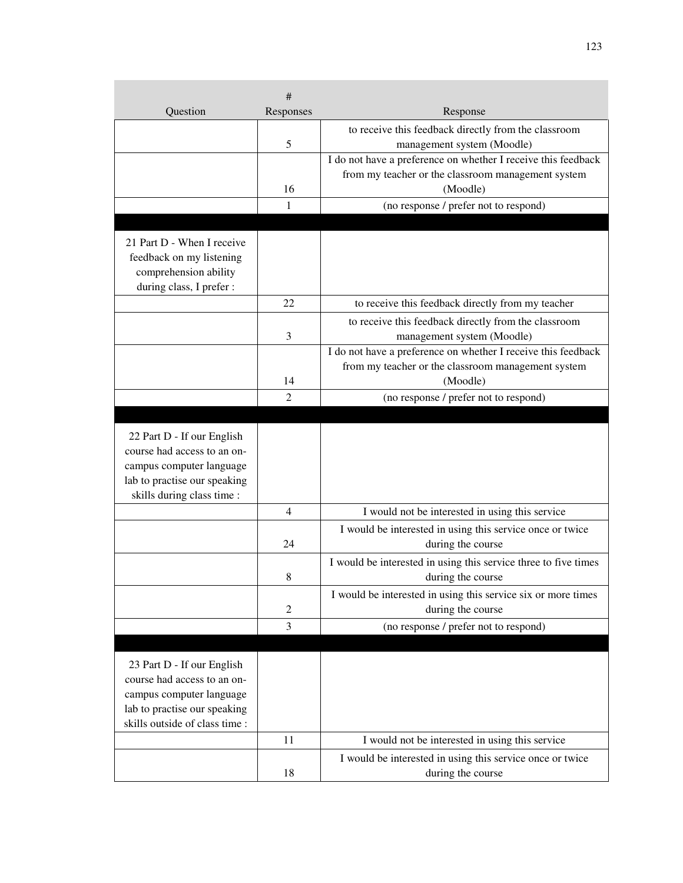| Question                                                                                                                                                | #<br>Responses | Response                                                                             |
|---------------------------------------------------------------------------------------------------------------------------------------------------------|----------------|--------------------------------------------------------------------------------------|
|                                                                                                                                                         |                |                                                                                      |
|                                                                                                                                                         | 5              | to receive this feedback directly from the classroom<br>management system (Moodle)   |
|                                                                                                                                                         |                | I do not have a preference on whether I receive this feedback                        |
|                                                                                                                                                         |                | from my teacher or the classroom management system                                   |
|                                                                                                                                                         | 16             | (Moodle)                                                                             |
|                                                                                                                                                         | 1              | (no response / prefer not to respond)                                                |
|                                                                                                                                                         |                |                                                                                      |
| 21 Part D - When I receive<br>feedback on my listening<br>comprehension ability<br>during class, I prefer :                                             |                |                                                                                      |
|                                                                                                                                                         | 22             | to receive this feedback directly from my teacher                                    |
|                                                                                                                                                         |                | to receive this feedback directly from the classroom                                 |
|                                                                                                                                                         | 3              | management system (Moodle)                                                           |
|                                                                                                                                                         |                | I do not have a preference on whether I receive this feedback                        |
|                                                                                                                                                         |                | from my teacher or the classroom management system                                   |
|                                                                                                                                                         | 14             | (Moodle)                                                                             |
|                                                                                                                                                         | $\overline{2}$ | (no response / prefer not to respond)                                                |
|                                                                                                                                                         |                |                                                                                      |
| 22 Part D - If our English<br>course had access to an on-<br>campus computer language<br>lab to practise our speaking<br>skills during class time :     |                |                                                                                      |
|                                                                                                                                                         | 4              | I would not be interested in using this service                                      |
|                                                                                                                                                         | 24             | I would be interested in using this service once or twice<br>during the course       |
|                                                                                                                                                         | 8              | I would be interested in using this service three to five times<br>during the course |
|                                                                                                                                                         | $\overline{c}$ | I would be interested in using this service six or more times<br>during the course   |
|                                                                                                                                                         | 3              | (no response / prefer not to respond)                                                |
|                                                                                                                                                         |                |                                                                                      |
| 23 Part D - If our English<br>course had access to an on-<br>campus computer language<br>lab to practise our speaking<br>skills outside of class time : |                |                                                                                      |
|                                                                                                                                                         | 11             | I would not be interested in using this service                                      |
|                                                                                                                                                         |                | I would be interested in using this service once or twice                            |
|                                                                                                                                                         | 18             | during the course                                                                    |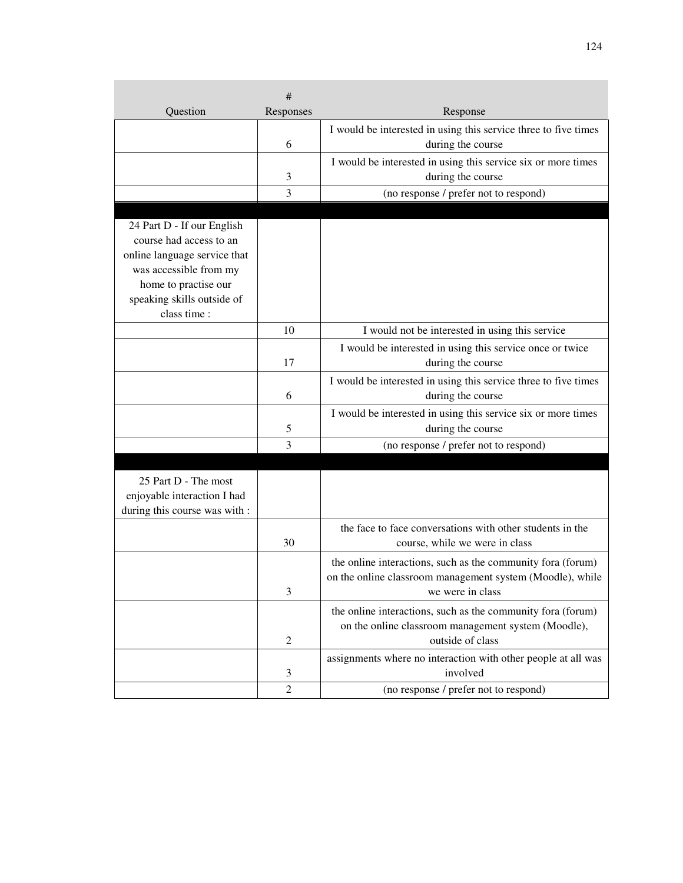|                                            | #              |                                                                 |
|--------------------------------------------|----------------|-----------------------------------------------------------------|
| Question                                   | Responses      | Response                                                        |
|                                            |                | I would be interested in using this service three to five times |
|                                            | 6              | during the course                                               |
|                                            |                | I would be interested in using this service six or more times   |
|                                            | 3              | during the course                                               |
|                                            | 3              | (no response / prefer not to respond)                           |
|                                            |                |                                                                 |
| 24 Part D - If our English                 |                |                                                                 |
| course had access to an                    |                |                                                                 |
| online language service that               |                |                                                                 |
| was accessible from my                     |                |                                                                 |
| home to practise our                       |                |                                                                 |
| speaking skills outside of<br>class time : |                |                                                                 |
|                                            | 10             | I would not be interested in using this service                 |
|                                            |                | I would be interested in using this service once or twice       |
|                                            | 17             | during the course                                               |
|                                            |                |                                                                 |
|                                            |                | I would be interested in using this service three to five times |
|                                            | 6              | during the course                                               |
|                                            |                | I would be interested in using this service six or more times   |
|                                            | 5              | during the course                                               |
|                                            | 3              | (no response / prefer not to respond)                           |
|                                            |                |                                                                 |
| 25 Part D - The most                       |                |                                                                 |
| enjoyable interaction I had                |                |                                                                 |
| during this course was with :              |                |                                                                 |
|                                            |                | the face to face conversations with other students in the       |
|                                            | 30             | course, while we were in class                                  |
|                                            |                | the online interactions, such as the community fora (forum)     |
|                                            |                | on the online classroom management system (Moodle), while       |
|                                            | 3              | we were in class                                                |
|                                            |                | the online interactions, such as the community fora (forum)     |
|                                            |                | on the online classroom management system (Moodle),             |
|                                            | $\overline{2}$ | outside of class                                                |
|                                            |                | assignments where no interaction with other people at all was   |
|                                            | 3              | involved                                                        |
|                                            | 2              | (no response / prefer not to respond)                           |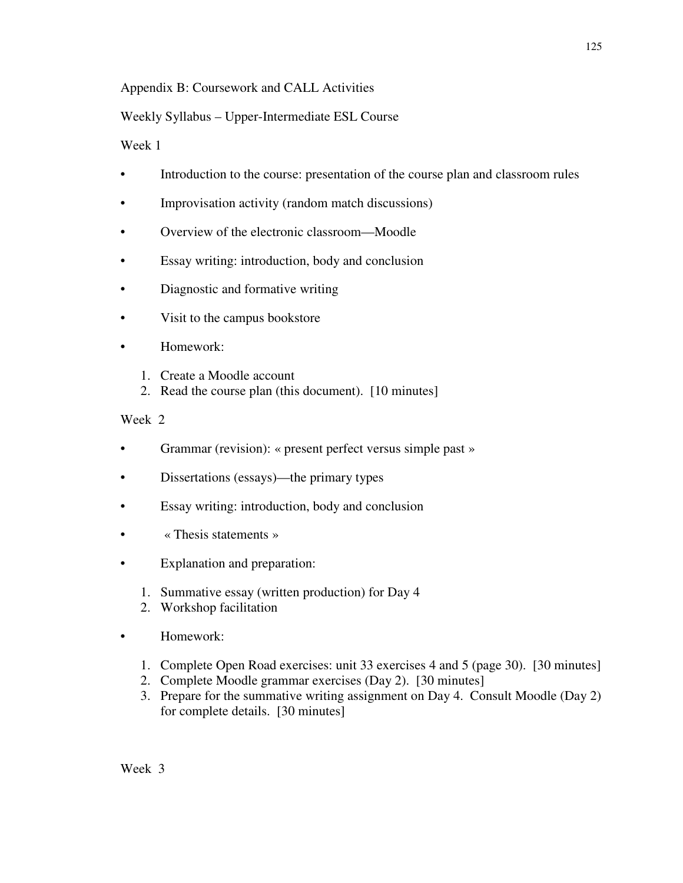## Appendix B: Coursework and CALL Activities

## Weekly Syllabus – Upper-Intermediate ESL Course

Week 1

- Introduction to the course: presentation of the course plan and classroom rules
- Improvisation activity (random match discussions)
- Overview of the electronic classroom—Moodle
- Essay writing: introduction, body and conclusion
- Diagnostic and formative writing
- Visit to the campus bookstore
- Homework:
	- 1. Create a Moodle account
	- 2. Read the course plan (this document). [10 minutes]

- Grammar (revision): « present perfect versus simple past »
- Dissertations (essays)—the primary types
- Essay writing: introduction, body and conclusion
- « Thesis statements »
- Explanation and preparation:
	- 1. Summative essay (written production) for Day 4
	- 2. Workshop facilitation
- Homework:
	- 1. Complete Open Road exercises: unit 33 exercises 4 and 5 (page 30). [30 minutes]
	- 2. Complete Moodle grammar exercises (Day 2). [30 minutes]
	- 3. Prepare for the summative writing assignment on Day 4. Consult Moodle (Day 2) for complete details. [30 minutes]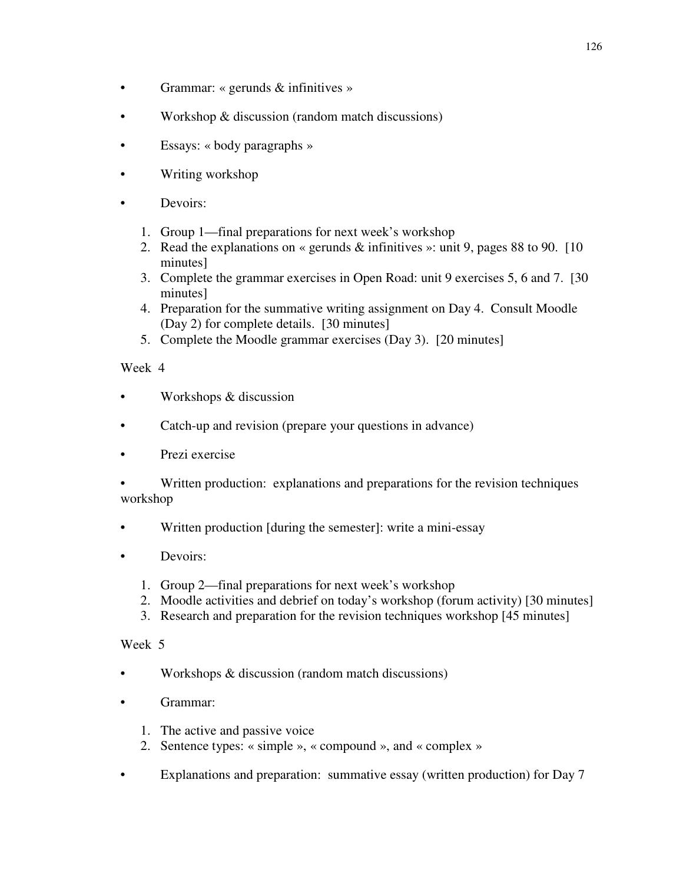- Grammar: « gerunds & infinitives »
- Workshop & discussion (random match discussions)
- Essays: « body paragraphs »
- Writing workshop
- Devoirs:
	- 1. Group 1—final preparations for next week's workshop
	- 2. Read the explanations on « gerunds & infinitives »: unit 9, pages 88 to 90. [10 minutes]
	- 3. Complete the grammar exercises in Open Road: unit 9 exercises 5, 6 and 7. [30 minutes]
	- 4. Preparation for the summative writing assignment on Day 4. Consult Moodle (Day 2) for complete details. [30 minutes]
	- 5. Complete the Moodle grammar exercises (Day 3). [20 minutes]

- Workshops & discussion
- Catch-up and revision (prepare your questions in advance)
- Prezi exercise
- Written production: explanations and preparations for the revision techniques workshop
- Written production [during the semester]: write a mini-essay
- Devoirs:
	- 1. Group 2—final preparations for next week's workshop
	- 2. Moodle activities and debrief on today's workshop (forum activity) [30 minutes]
	- 3. Research and preparation for the revision techniques workshop [45 minutes]

- Workshops & discussion (random match discussions)
- Grammar:
	- 1. The active and passive voice
	- 2. Sentence types: « simple », « compound », and « complex »
- Explanations and preparation: summative essay (written production) for Day 7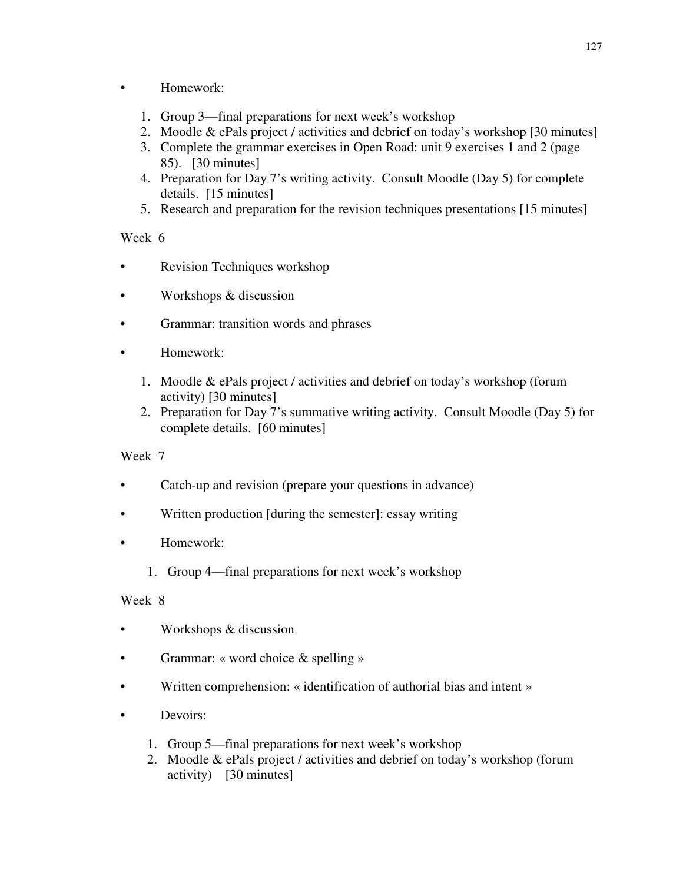- Homework:
	- 1. Group 3—final preparations for next week's workshop
	- 2. Moodle & ePals project / activities and debrief on today's workshop [30 minutes]
	- 3. Complete the grammar exercises in Open Road: unit 9 exercises 1 and 2 (page 85). [30 minutes]
	- 4. Preparation for Day 7's writing activity. Consult Moodle (Day 5) for complete details. [15 minutes]
	- 5. Research and preparation for the revision techniques presentations [15 minutes]

- Revision Techniques workshop
- Workshops & discussion
- Grammar: transition words and phrases
- Homework:
	- 1. Moodle & ePals project / activities and debrief on today's workshop (forum activity) [30 minutes]
	- 2. Preparation for Day 7's summative writing activity. Consult Moodle (Day 5) for complete details. [60 minutes]

### Week 7

- Catch-up and revision (prepare your questions in advance)
- Written production [during the semester]: essay writing
- Homework:
	- 1. Group 4—final preparations for next week's workshop

- Workshops  $&$  discussion
- Grammar: « word choice & spelling »
- Written comprehension: « identification of authorial bias and intent »
- Devoirs:
	- 1. Group 5—final preparations for next week's workshop
	- 2. Moodle & ePals project / activities and debrief on today's workshop (forum activity) [30 minutes]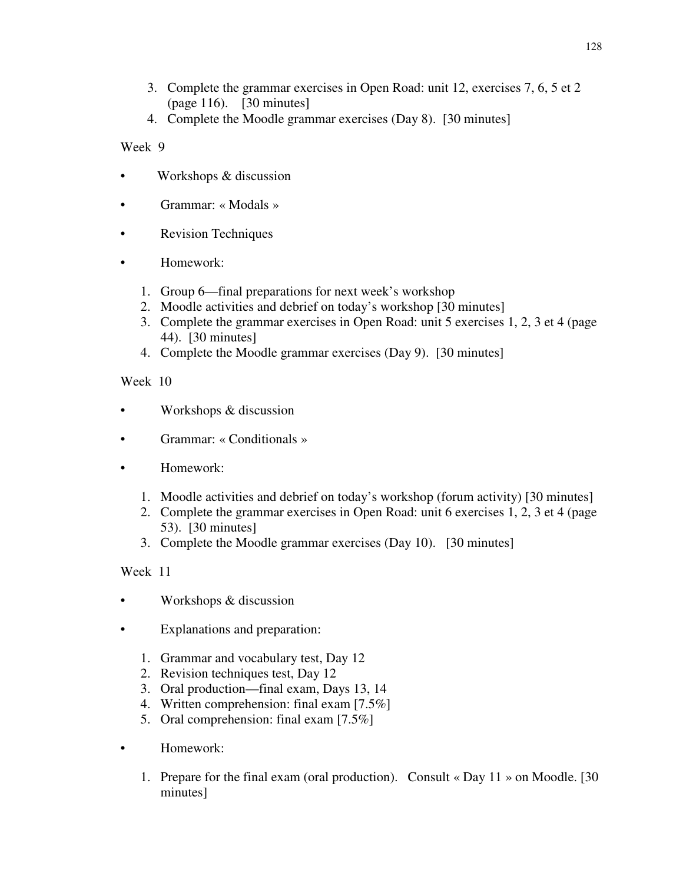- 3. Complete the grammar exercises in Open Road: unit 12, exercises 7, 6, 5 et 2 (page 116). [30 minutes]
- 4. Complete the Moodle grammar exercises (Day 8). [30 minutes]

- Workshops & discussion
- Grammar: « Modals »
- Revision Techniques
- Homework:
	- 1. Group 6—final preparations for next week's workshop
	- 2. Moodle activities and debrief on today's workshop [30 minutes]
	- 3. Complete the grammar exercises in Open Road: unit 5 exercises 1, 2, 3 et 4 (page 44). [30 minutes]
	- 4. Complete the Moodle grammar exercises (Day 9). [30 minutes]

# Week 10

- Workshops & discussion
- Grammar: « Conditionals »
- Homework:
	- 1. Moodle activities and debrief on today's workshop (forum activity) [30 minutes]
	- 2. Complete the grammar exercises in Open Road: unit 6 exercises 1, 2, 3 et 4 (page 53). [30 minutes]
	- 3. Complete the Moodle grammar exercises (Day 10). [30 minutes]

- Workshops & discussion
- Explanations and preparation:
	- 1. Grammar and vocabulary test, Day 12
	- 2. Revision techniques test, Day 12
	- 3. Oral production—final exam, Days 13, 14
	- 4. Written comprehension: final exam [7.5%]
	- 5. Oral comprehension: final exam [7.5%]
- Homework:
	- 1. Prepare for the final exam (oral production). Consult « Day 11 » on Moodle. [30 minutes]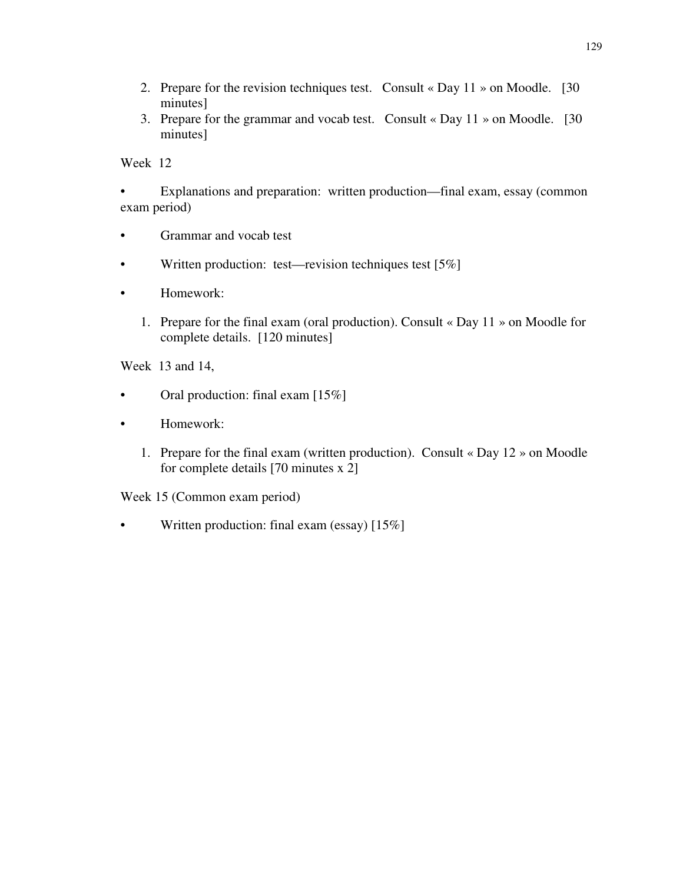- 2. Prepare for the revision techniques test. Consult « Day  $11 \times$  on Moodle. [30] minutes]
- 3. Prepare for the grammar and vocab test. Consult « Day 11 » on Moodle. [30 minutes]

• Explanations and preparation: written production—final exam, essay (common exam period)

- Grammar and vocab test
- Written production: test—revision techniques test  $[5\%]$
- Homework:
	- 1. Prepare for the final exam (oral production). Consult « Day 11 » on Moodle for complete details. [120 minutes]

Week 13 and 14,

- Oral production: final exam [15%]
- Homework:
	- 1. Prepare for the final exam (written production). Consult « Day 12 » on Moodle for complete details [70 minutes x 2]

Week 15 (Common exam period)

• Written production: final exam (essay) [15%]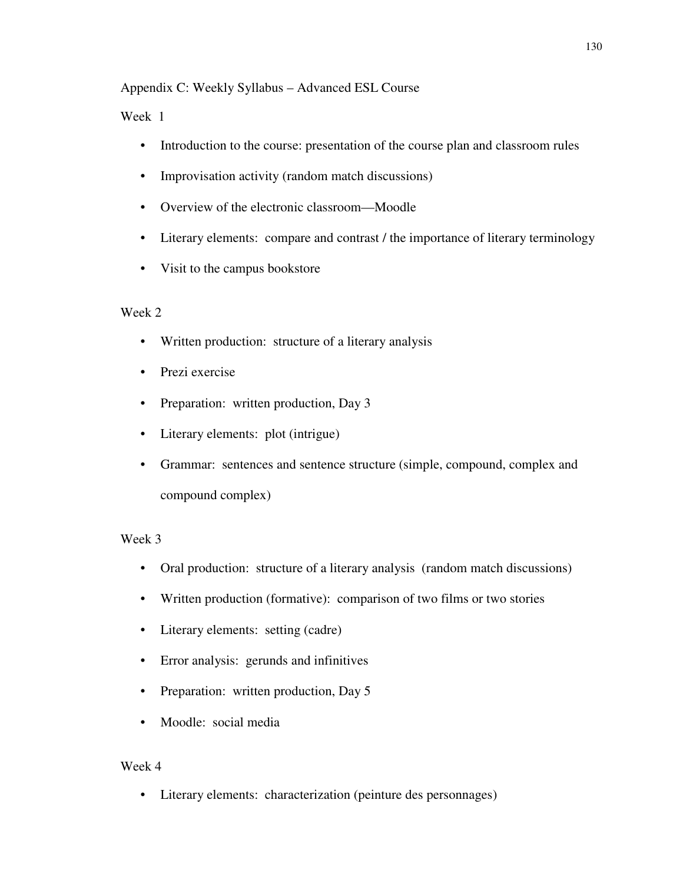### Appendix C: Weekly Syllabus – Advanced ESL Course

### Week 1

- Introduction to the course: presentation of the course plan and classroom rules
- Improvisation activity (random match discussions)
- Overview of the electronic classroom—Moodle
- Literary elements: compare and contrast / the importance of literary terminology
- Visit to the campus bookstore

### Week 2

- Written production: structure of a literary analysis
- Prezi exercise
- Preparation: written production, Day 3
- Literary elements: plot (intrigue)
- Grammar: sentences and sentence structure (simple, compound, complex and compound complex)

### Week 3

- Oral production: structure of a literary analysis (random match discussions)
- Written production (formative): comparison of two films or two stories
- Literary elements: setting (cadre)
- Error analysis: gerunds and infinitives
- Preparation: written production, Day 5
- Moodle: social media

#### Week 4

• Literary elements: characterization (peinture des personnages)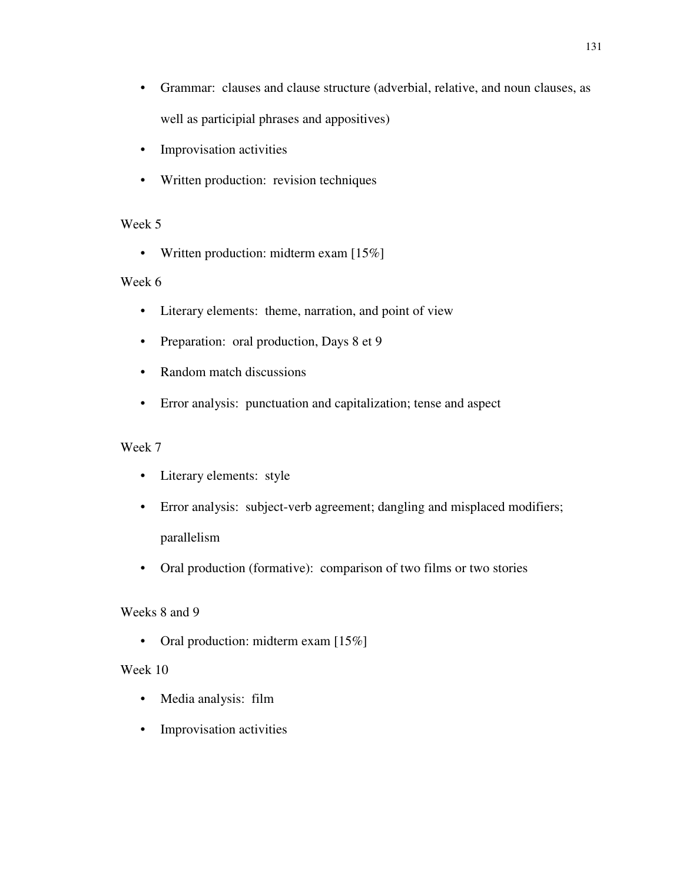- Grammar: clauses and clause structure (adverbial, relative, and noun clauses, as well as participial phrases and appositives)
- Improvisation activities
- Written production: revision techniques

• Written production: midterm exam [15%]

### Week 6

- Literary elements: theme, narration, and point of view
- Preparation: oral production, Days 8 et 9
- Random match discussions
- Error analysis: punctuation and capitalization; tense and aspect

### Week 7

- Literary elements: style
- Error analysis: subject-verb agreement; dangling and misplaced modifiers; parallelism
- Oral production (formative): comparison of two films or two stories

### Weeks 8 and 9

• Oral production: midterm exam [15%]

- Media analysis: film
- Improvisation activities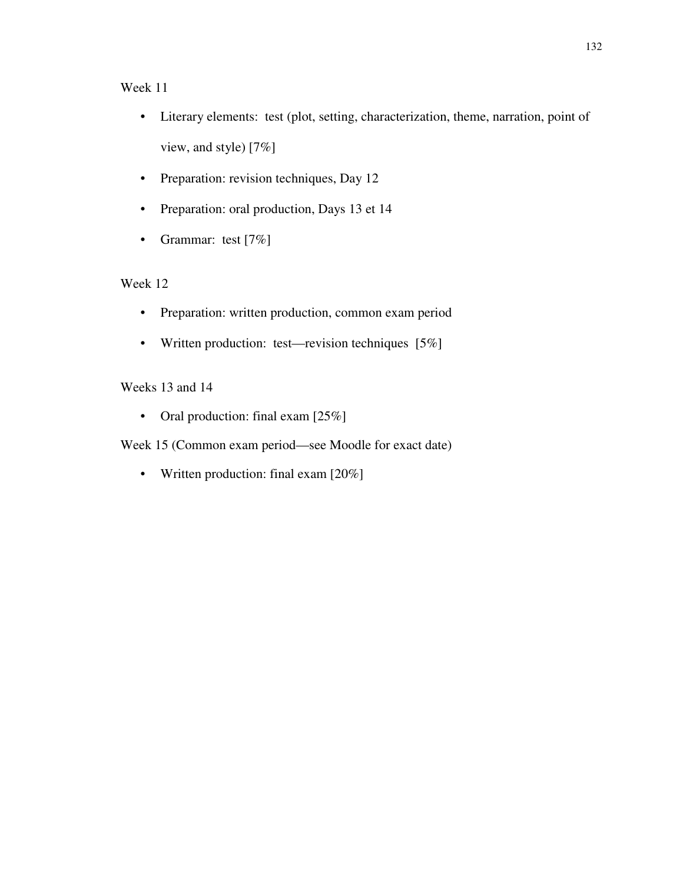- Literary elements: test (plot, setting, characterization, theme, narration, point of view, and style) [7%]
- Preparation: revision techniques, Day 12
- Preparation: oral production, Days 13 et 14
- Grammar: test [7%]

## Week 12

- Preparation: written production, common exam period
- Written production: test—revision techniques [5%]

### Weeks 13 and 14

• Oral production: final exam [25%]

Week 15 (Common exam period—see Moodle for exact date)

• Written production: final exam [20%]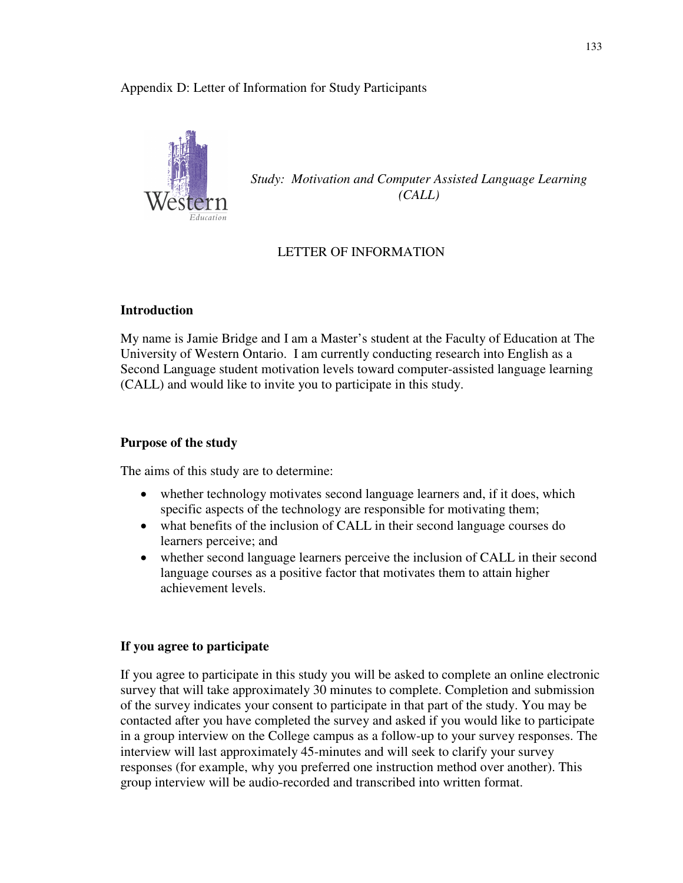#### Appendix D: Letter of Information for Study Participants



*Study: Motivation and Computer Assisted Language Learning (CALL)* 

### LETTER OF INFORMATION

### **Introduction**

My name is Jamie Bridge and I am a Master's student at the Faculty of Education at The University of Western Ontario. I am currently conducting research into English as a Second Language student motivation levels toward computer-assisted language learning (CALL) and would like to invite you to participate in this study.

#### **Purpose of the study**

The aims of this study are to determine:

- whether technology motivates second language learners and, if it does, which specific aspects of the technology are responsible for motivating them;
- what benefits of the inclusion of CALL in their second language courses do learners perceive; and
- whether second language learners perceive the inclusion of CALL in their second language courses as a positive factor that motivates them to attain higher achievement levels.

### **If you agree to participate**

If you agree to participate in this study you will be asked to complete an online electronic survey that will take approximately 30 minutes to complete. Completion and submission of the survey indicates your consent to participate in that part of the study. You may be contacted after you have completed the survey and asked if you would like to participate in a group interview on the College campus as a follow-up to your survey responses. The interview will last approximately 45-minutes and will seek to clarify your survey responses (for example, why you preferred one instruction method over another). This group interview will be audio-recorded and transcribed into written format.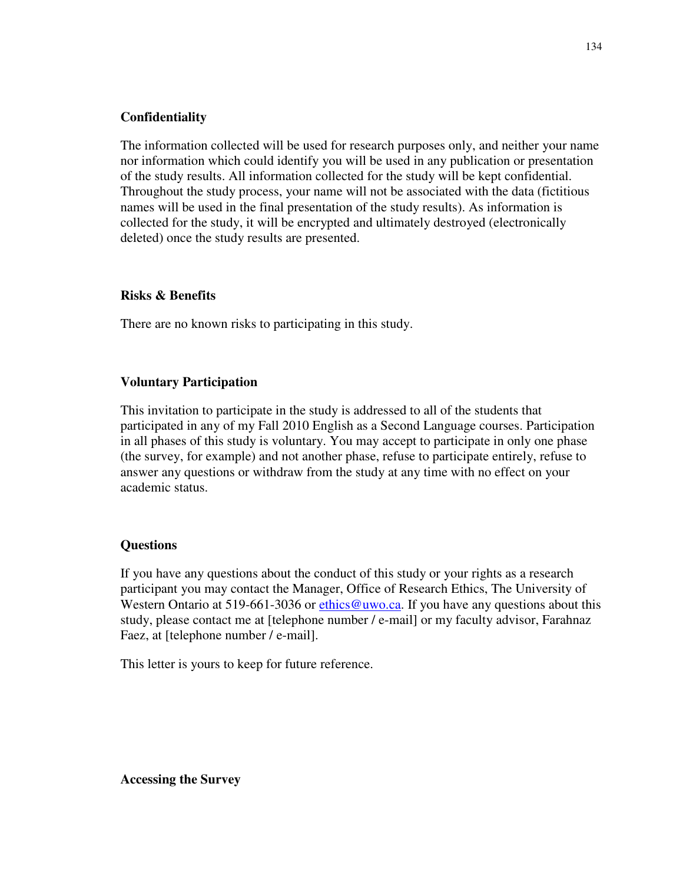#### **Confidentiality**

The information collected will be used for research purposes only, and neither your name nor information which could identify you will be used in any publication or presentation of the study results. All information collected for the study will be kept confidential. Throughout the study process, your name will not be associated with the data (fictitious names will be used in the final presentation of the study results). As information is collected for the study, it will be encrypted and ultimately destroyed (electronically deleted) once the study results are presented.

#### **Risks & Benefits**

There are no known risks to participating in this study.

#### **Voluntary Participation**

This invitation to participate in the study is addressed to all of the students that participated in any of my Fall 2010 English as a Second Language courses. Participation in all phases of this study is voluntary. You may accept to participate in only one phase (the survey, for example) and not another phase, refuse to participate entirely, refuse to answer any questions or withdraw from the study at any time with no effect on your academic status.

#### **Questions**

If you have any questions about the conduct of this study or your rights as a research participant you may contact the Manager, Office of Research Ethics, The University of Western Ontario at 519-661-3036 or ethics @uwo.ca. If you have any questions about this study, please contact me at [telephone number / e-mail] or my faculty advisor, Farahnaz Faez, at [telephone number / e-mail].

This letter is yours to keep for future reference.

**Accessing the Survey**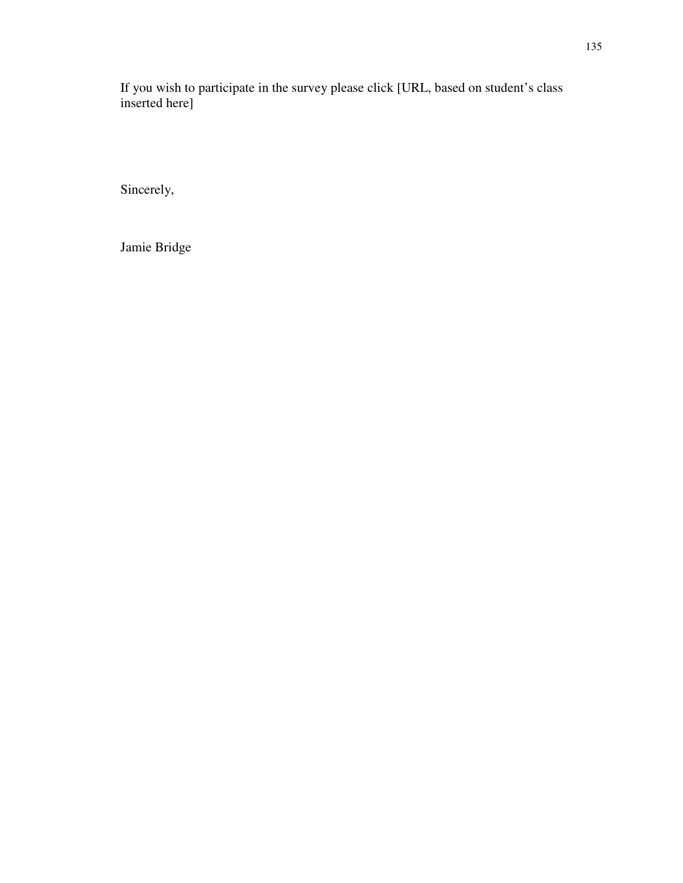If you wish to participate in the survey please click [URL, based on student's class inserted here]

Sincerely,

Jamie Bridge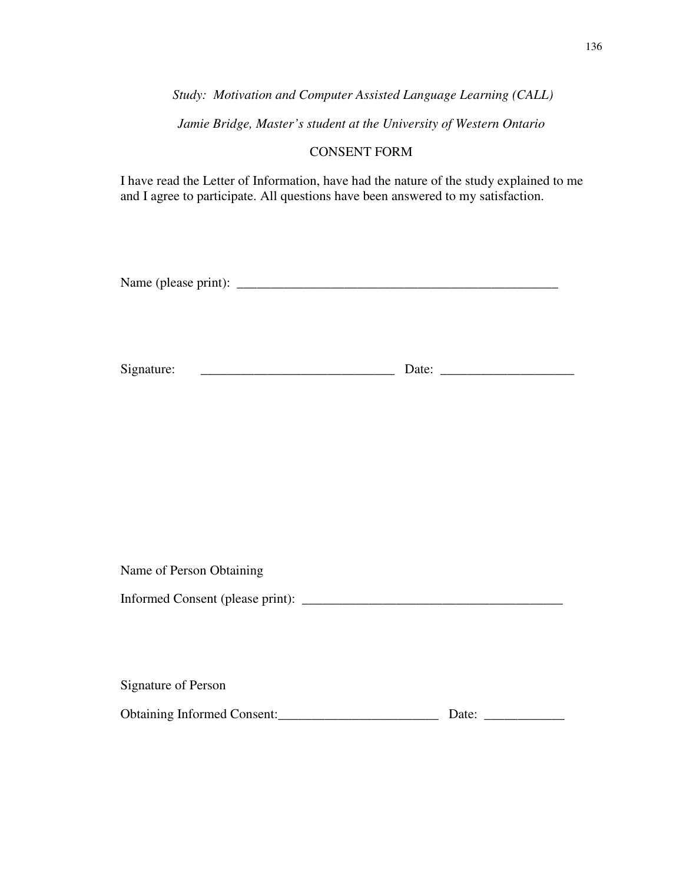*Study: Motivation and Computer Assisted Language Learning (CALL)* 

*Jamie Bridge, Master's student at the University of Western Ontario* 

## CONSENT FORM

I have read the Letter of Information, have had the nature of the study explained to me and I agree to participate. All questions have been answered to my satisfaction.

Name of Person Obtaining

Informed Consent (please print): \_\_\_\_\_\_\_\_\_\_\_\_\_\_\_\_\_\_\_\_\_\_\_\_\_\_\_\_\_\_\_\_\_\_\_\_\_\_\_

Signature of Person Obtaining Informed Consent:\_\_\_\_\_\_\_\_\_\_\_\_\_\_\_\_\_\_\_\_\_\_\_\_ Date: \_\_\_\_\_\_\_\_\_\_\_\_